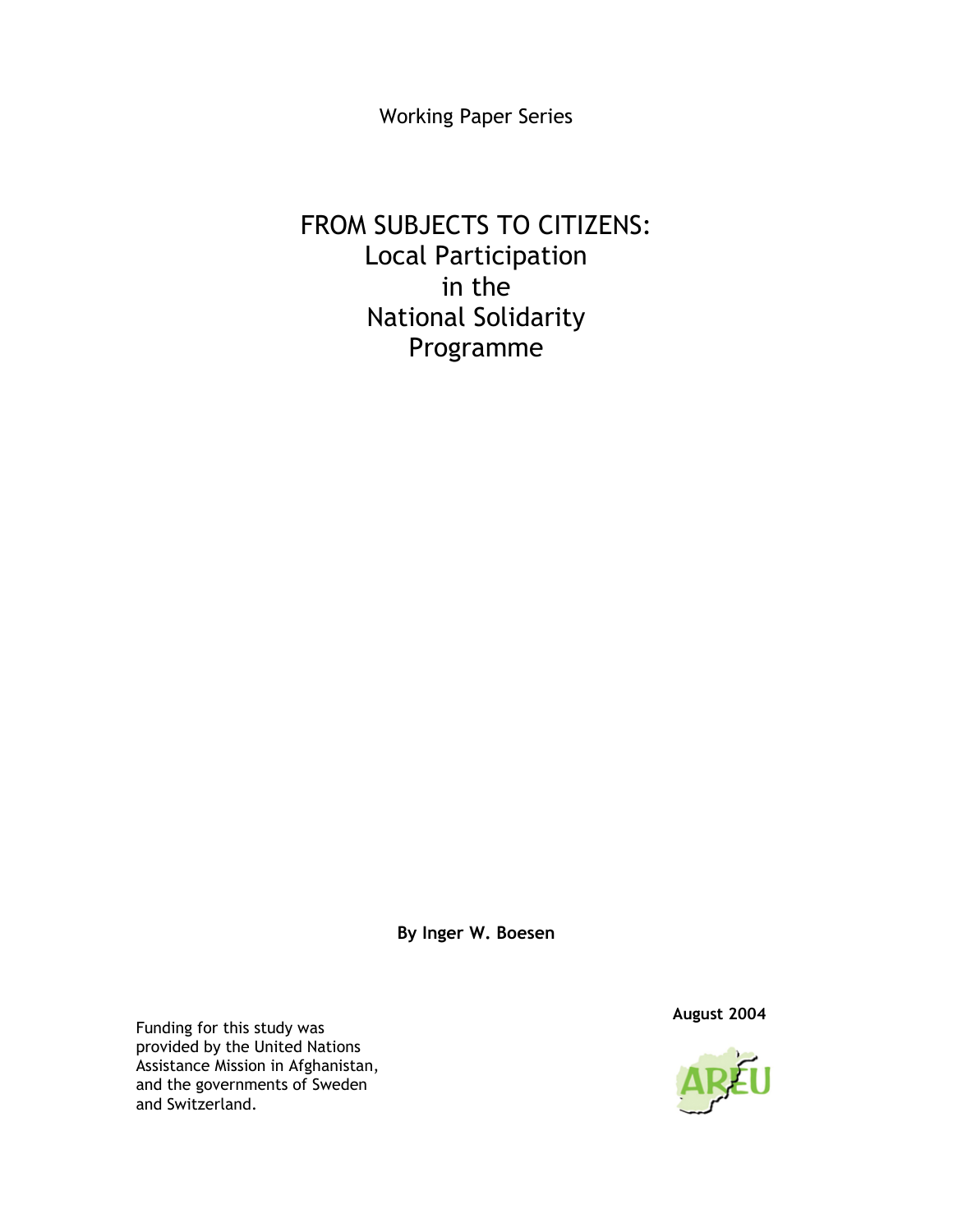Working Paper Series

# FROM SUBJECTS TO CITIZENS: Local Participation in the National Solidarity Programme

**By Inger W. Boesen** 

 **August 2004** Funding for this study was provided by the United Nations Assistance Mission in Afghanistan, and the governments of Sweden and Switzerland.

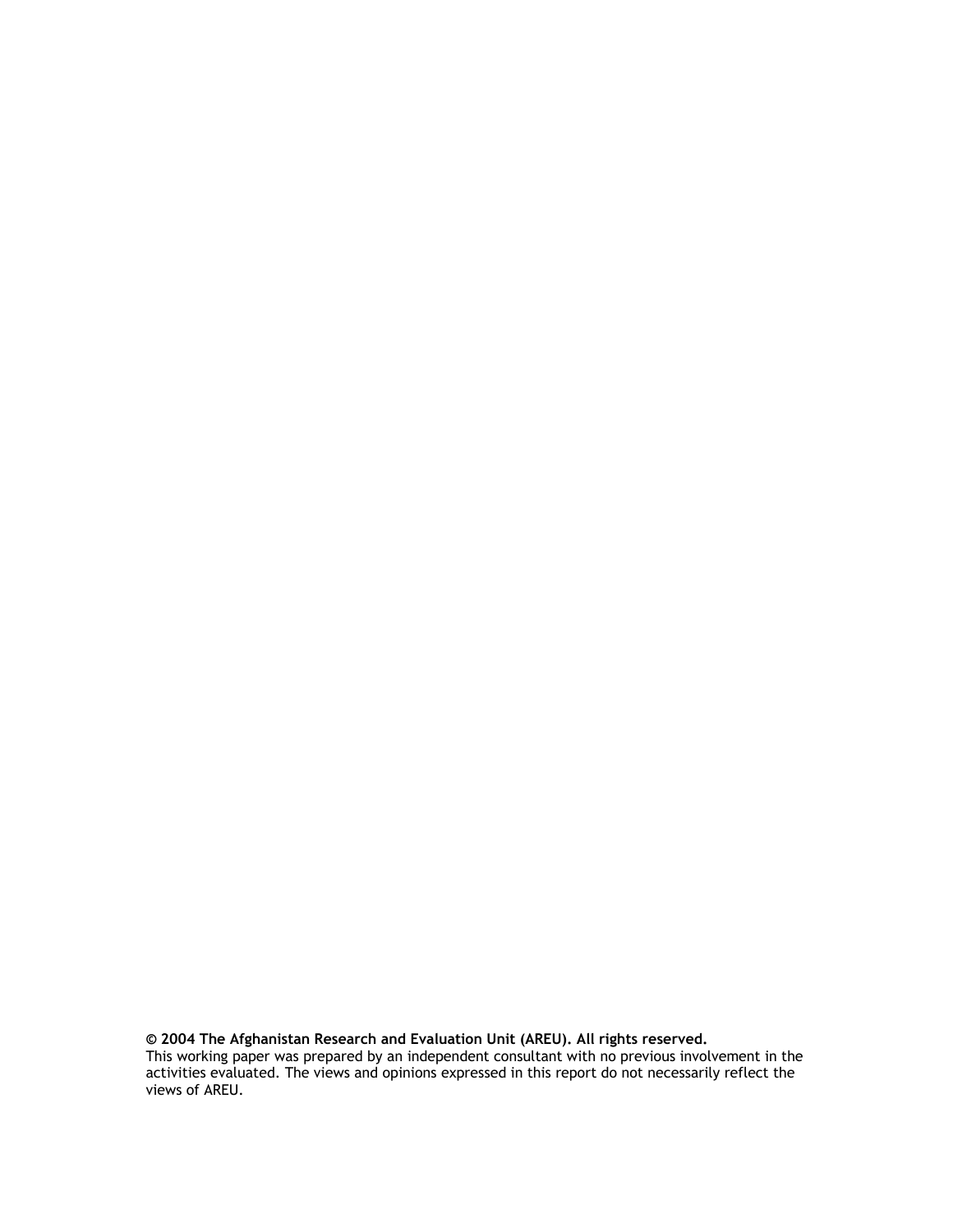**© 2004 The Afghanistan Research and Evaluation Unit (AREU). All rights reserved.**  This working paper was prepared by an independent consultant with no previous involvement in the activities evaluated. The views and opinions expressed in this report do not necessarily reflect the views of AREU.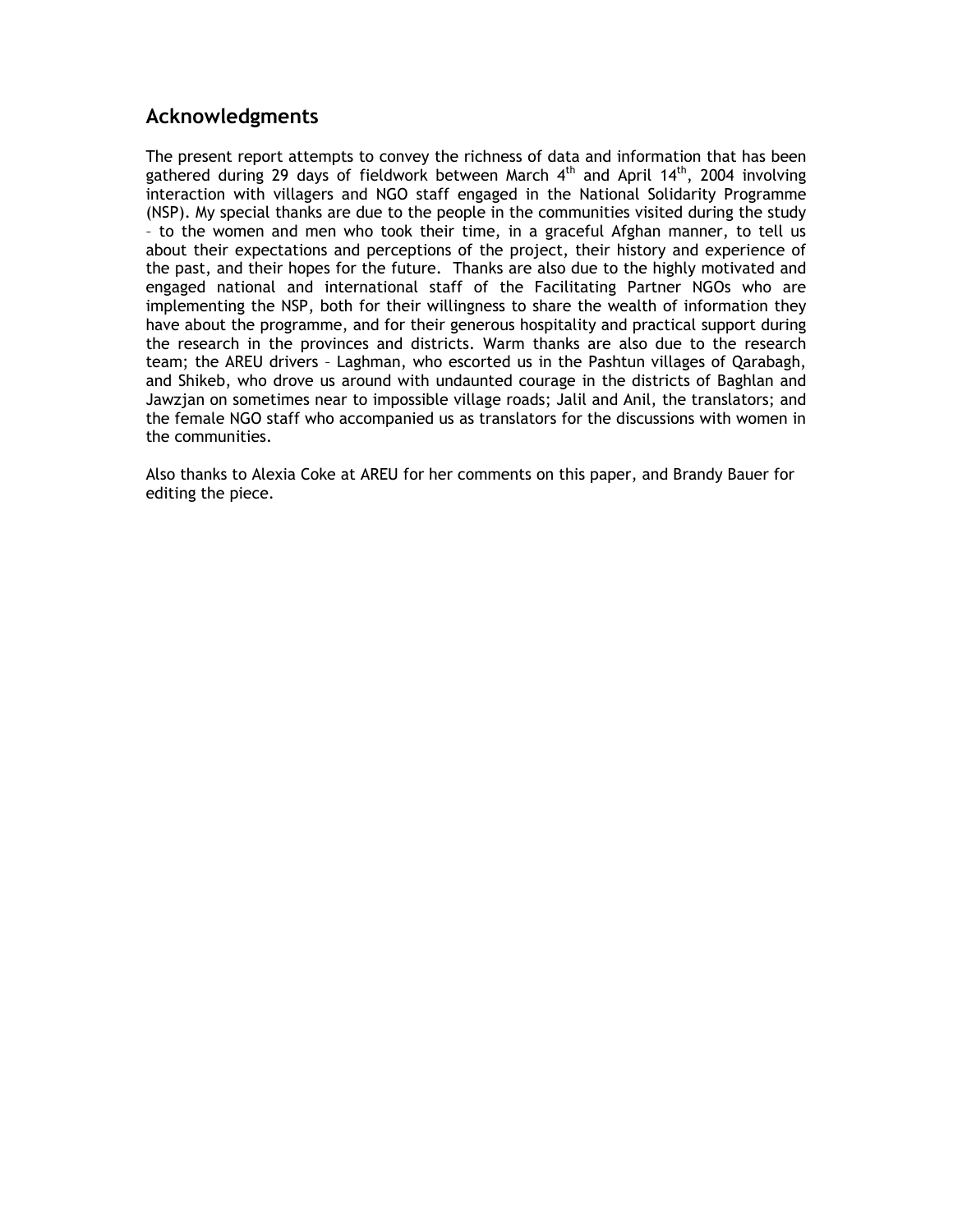#### **Acknowledgments**

The present report attempts to convey the richness of data and information that has been gathered during 29 days of fieldwork between March  $4<sup>th</sup>$  and April 14<sup>th</sup>, 2004 involving interaction with villagers and NGO staff engaged in the National Solidarity Programme (NSP). My special thanks are due to the people in the communities visited during the study – to the women and men who took their time, in a graceful Afghan manner, to tell us about their expectations and perceptions of the project, their history and experience of the past, and their hopes for the future. Thanks are also due to the highly motivated and engaged national and international staff of the Facilitating Partner NGOs who are implementing the NSP, both for their willingness to share the wealth of information they have about the programme, and for their generous hospitality and practical support during the research in the provinces and districts. Warm thanks are also due to the research team; the AREU drivers – Laghman, who escorted us in the Pashtun villages of Qarabagh, and Shikeb, who drove us around with undaunted courage in the districts of Baghlan and Jawzjan on sometimes near to impossible village roads; Jalil and Anil, the translators; and the female NGO staff who accompanied us as translators for the discussions with women in the communities.

Also thanks to Alexia Coke at AREU for her comments on this paper, and Brandy Bauer for editing the piece.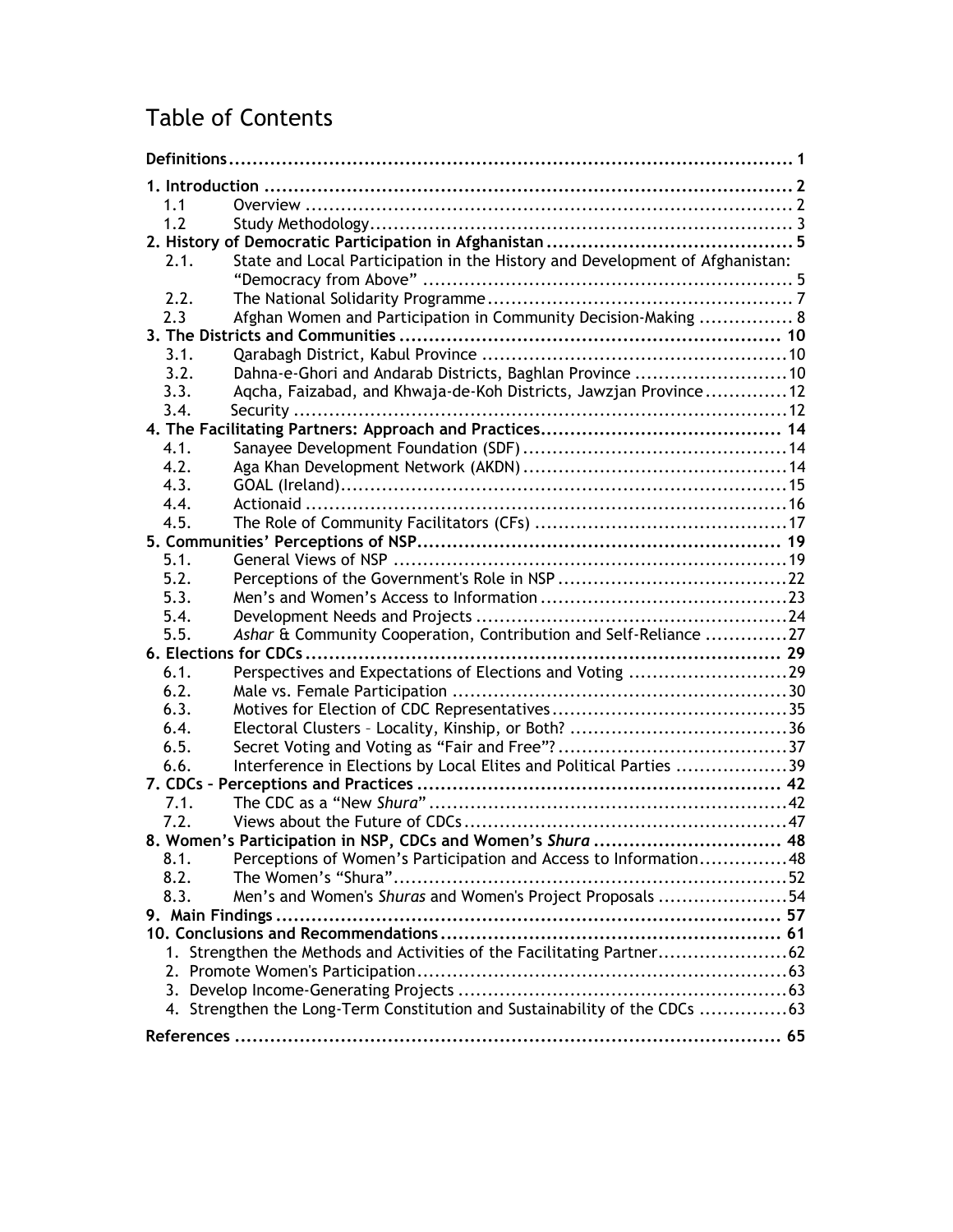# Table of Contents

| 1.1                                                                         |                                                                              |  |  |
|-----------------------------------------------------------------------------|------------------------------------------------------------------------------|--|--|
| 1.2                                                                         |                                                                              |  |  |
|                                                                             |                                                                              |  |  |
| 2.1.                                                                        | State and Local Participation in the History and Development of Afghanistan: |  |  |
|                                                                             |                                                                              |  |  |
| 2.2.                                                                        |                                                                              |  |  |
| 2.3                                                                         | Afghan Women and Participation in Community Decision-Making  8               |  |  |
|                                                                             |                                                                              |  |  |
| 3.1.                                                                        |                                                                              |  |  |
| 3.2.                                                                        | Dahna-e-Ghori and Andarab Districts, Baghlan Province 10                     |  |  |
| 3.3.                                                                        | Aqcha, Faizabad, and Khwaja-de-Koh Districts, Jawzjan Province12             |  |  |
| 3.4.                                                                        |                                                                              |  |  |
|                                                                             |                                                                              |  |  |
| 4.1.                                                                        |                                                                              |  |  |
| 4.2.                                                                        |                                                                              |  |  |
| 4.3.                                                                        |                                                                              |  |  |
| 4.4.                                                                        |                                                                              |  |  |
| 4.5.                                                                        |                                                                              |  |  |
|                                                                             |                                                                              |  |  |
| 5.1.                                                                        |                                                                              |  |  |
| 5.2.                                                                        |                                                                              |  |  |
| 5.3.                                                                        |                                                                              |  |  |
| 5.4.                                                                        |                                                                              |  |  |
| 5.5.                                                                        | Ashar & Community Cooperation, Contribution and Self-Reliance 27             |  |  |
|                                                                             |                                                                              |  |  |
| 6.1.                                                                        | Perspectives and Expectations of Elections and Voting 29                     |  |  |
| 6.2.                                                                        |                                                                              |  |  |
| 6.3.                                                                        |                                                                              |  |  |
| 6.4.                                                                        |                                                                              |  |  |
| 6.5.                                                                        |                                                                              |  |  |
| 6.6.                                                                        | Interference in Elections by Local Elites and Political Parties 39           |  |  |
|                                                                             |                                                                              |  |  |
| 7.1.                                                                        |                                                                              |  |  |
| 7.2.                                                                        |                                                                              |  |  |
|                                                                             | 8. Women's Participation in NSP, CDCs and Women's Shura  48                  |  |  |
| 8.1.                                                                        | Perceptions of Women's Participation and Access to Information48             |  |  |
| 8.2.                                                                        |                                                                              |  |  |
| 8.3.                                                                        | Men's and Women's Shuras and Women's Project Proposals 54                    |  |  |
|                                                                             |                                                                              |  |  |
|                                                                             |                                                                              |  |  |
| 1. Strengthen the Methods and Activities of the Facilitating Partner        |                                                                              |  |  |
|                                                                             |                                                                              |  |  |
|                                                                             |                                                                              |  |  |
| 4. Strengthen the Long-Term Constitution and Sustainability of the CDCs  63 |                                                                              |  |  |
|                                                                             |                                                                              |  |  |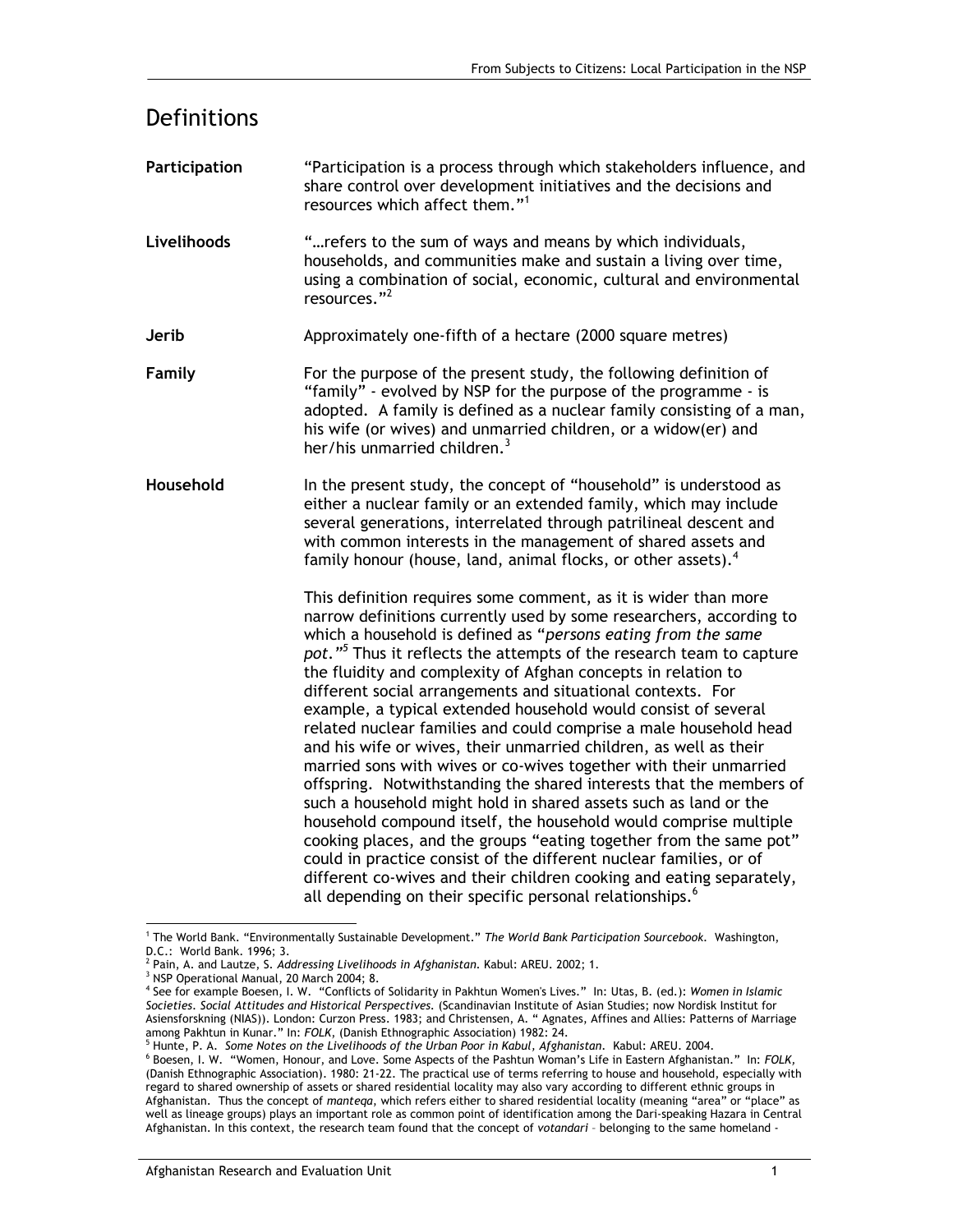| Definitions   |                                                                                                                                                                                                                                                                                                                                                                                                                                                                                                                                                                                                                                                                                                                                                                                                                                                                                                                                                                                                                                                                                                                                                                                                                         |
|---------------|-------------------------------------------------------------------------------------------------------------------------------------------------------------------------------------------------------------------------------------------------------------------------------------------------------------------------------------------------------------------------------------------------------------------------------------------------------------------------------------------------------------------------------------------------------------------------------------------------------------------------------------------------------------------------------------------------------------------------------------------------------------------------------------------------------------------------------------------------------------------------------------------------------------------------------------------------------------------------------------------------------------------------------------------------------------------------------------------------------------------------------------------------------------------------------------------------------------------------|
| Participation | "Participation is a process through which stakeholders influence, and<br>share control over development initiatives and the decisions and<br>resources which affect them." <sup>1</sup>                                                                                                                                                                                                                                                                                                                                                                                                                                                                                                                                                                                                                                                                                                                                                                                                                                                                                                                                                                                                                                 |
| Livelihoods   | " refers to the sum of ways and means by which individuals,<br>households, and communities make and sustain a living over time,<br>using a combination of social, economic, cultural and environmental<br>resources." <sup>2</sup>                                                                                                                                                                                                                                                                                                                                                                                                                                                                                                                                                                                                                                                                                                                                                                                                                                                                                                                                                                                      |
| Jerib         | Approximately one-fifth of a hectare (2000 square metres)                                                                                                                                                                                                                                                                                                                                                                                                                                                                                                                                                                                                                                                                                                                                                                                                                                                                                                                                                                                                                                                                                                                                                               |
| Family        | For the purpose of the present study, the following definition of<br>"family" - evolved by NSP for the purpose of the programme - is<br>adopted. A family is defined as a nuclear family consisting of a man,<br>his wife (or wives) and unmarried children, or a widow(er) and<br>her/his unmarried children. <sup>3</sup>                                                                                                                                                                                                                                                                                                                                                                                                                                                                                                                                                                                                                                                                                                                                                                                                                                                                                             |
| Household     | In the present study, the concept of "household" is understood as<br>either a nuclear family or an extended family, which may include<br>several generations, interrelated through patrilineal descent and<br>with common interests in the management of shared assets and<br>family honour (house, land, animal flocks, or other assets). <sup>4</sup>                                                                                                                                                                                                                                                                                                                                                                                                                                                                                                                                                                                                                                                                                                                                                                                                                                                                 |
|               | This definition requires some comment, as it is wider than more<br>narrow definitions currently used by some researchers, according to<br>which a household is defined as "persons eating from the same<br>pot." <sup>5</sup> Thus it reflects the attempts of the research team to capture<br>the fluidity and complexity of Afghan concepts in relation to<br>different social arrangements and situational contexts. For<br>example, a typical extended household would consist of several<br>related nuclear families and could comprise a male household head<br>and his wife or wives, their unmarried children, as well as their<br>married sons with wives or co-wives together with their unmarried<br>offspring. Notwithstanding the shared interests that the members of<br>such a household might hold in shared assets such as land or the<br>household compound itself, the household would comprise multiple<br>cooking places, and the groups "eating together from the same pot"<br>could in practice consist of the different nuclear families, or of<br>different co-wives and their children cooking and eating separately,<br>all depending on their specific personal relationships. <sup>6</sup> |

<sup>1</sup> The World Bank. "Environmentally Sustainable Development." *The World Bank Participation Sourcebook.* Washington,

-

D.C.: World Bank. 1996; 3.<br><sup>2 Pain, A. and Lautze, S. *Addressing Livelihoods in Afghanistan.* Kabul: AREU. 2002; 1.<br><sup>3 NER</sup> Operational Manual, 20 Narsh 2004; 8</sup>

<sup>&</sup>lt;sup>3</sup> NSP Operational Manual, 20 March 2004; 8.

<sup>4</sup> See for example Boesen, I. W. "Conflicts of Solidarity in Pakhtun Women's Lives." In: Utas, B. (ed.): *Women in Islamic Societies. Social Attitudes and Historical Perspectives.* (Scandinavian Institute of Asian Studies; now Nordisk Institut for Asiensforskning (NIAS)). London: Curzon Press. 1983; and Christensen, A. " Agnates, Affines and Allies: Patterns of Marriage among Pakhtun in Kunar." In: FOLK, (Danish Ethnographic Association) 1982: 24.

<sup>&</sup>lt;sup>5</sup> Hunte, P. A. Some Notes on the Livelihoods of the Urban Poor in Kabul, Afghanistan. Kabul: AREU. 2004.

Boesen, I. W. "Women, Honour, and Love. Some Aspects of the Pashtun Woman's Life in Eastern Afghanistan." In: *FOLK,* (Danish Ethnographic Association). 1980: 21-22. The practical use of terms referring to house and household, especially with regard to shared ownership of assets or shared residential locality may also vary according to different ethnic groups in Afghanistan. Thus the concept of *manteqa*, which refers either to shared residential locality (meaning "area" or "place" as well as lineage groups) plays an important role as common point of identification among the Dari-speaking Hazara in Central Afghanistan. In this context, the research team found that the concept of *votandari* – belonging to the same homeland -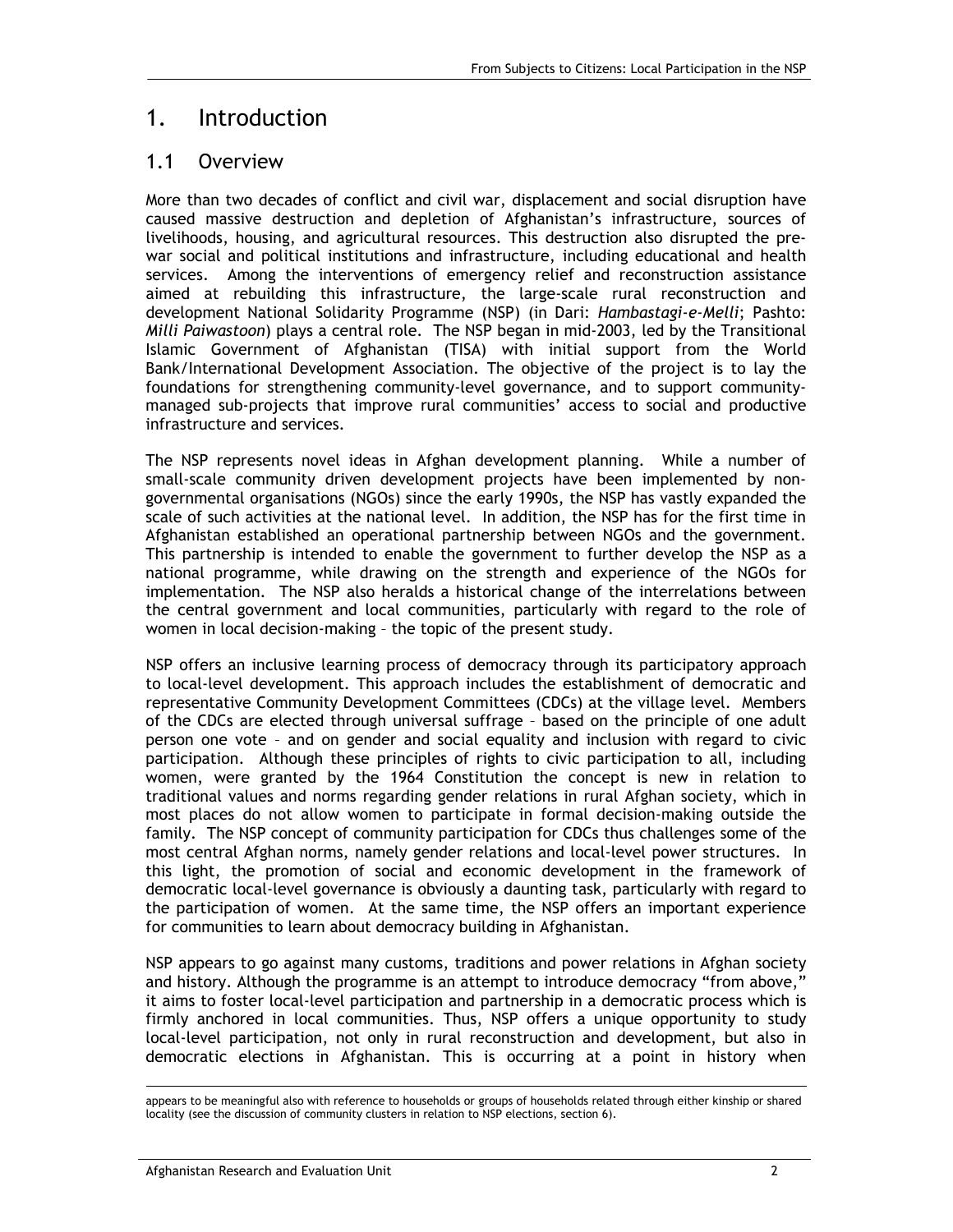## 1. Introduction

### 1.1 Overview

More than two decades of conflict and civil war, displacement and social disruption have caused massive destruction and depletion of Afghanistan's infrastructure, sources of livelihoods, housing, and agricultural resources. This destruction also disrupted the prewar social and political institutions and infrastructure, including educational and health services. Among the interventions of emergency relief and reconstruction assistance aimed at rebuilding this infrastructure, the large-scale rural reconstruction and development National Solidarity Programme (NSP) (in Dari: *Hambastagi-e-Melli*; Pashto: *Milli Paiwastoon*) plays a central role. The NSP began in mid-2003, led by the Transitional Islamic Government of Afghanistan (TISA) with initial support from the World Bank/International Development Association. The objective of the project is to lay the foundations for strengthening community-level governance, and to support communitymanaged sub-projects that improve rural communities' access to social and productive infrastructure and services.

The NSP represents novel ideas in Afghan development planning. While a number of small-scale community driven development projects have been implemented by nongovernmental organisations (NGOs) since the early 1990s, the NSP has vastly expanded the scale of such activities at the national level. In addition, the NSP has for the first time in Afghanistan established an operational partnership between NGOs and the government. This partnership is intended to enable the government to further develop the NSP as a national programme, while drawing on the strength and experience of the NGOs for implementation. The NSP also heralds a historical change of the interrelations between the central government and local communities, particularly with regard to the role of women in local decision-making – the topic of the present study.

NSP offers an inclusive learning process of democracy through its participatory approach to local-level development. This approach includes the establishment of democratic and representative Community Development Committees (CDCs) at the village level. Members of the CDCs are elected through universal suffrage – based on the principle of one adult person one vote – and on gender and social equality and inclusion with regard to civic participation. Although these principles of rights to civic participation to all, including women, were granted by the 1964 Constitution the concept is new in relation to traditional values and norms regarding gender relations in rural Afghan society, which in most places do not allow women to participate in formal decision-making outside the family. The NSP concept of community participation for CDCs thus challenges some of the most central Afghan norms, namely gender relations and local-level power structures. In this light, the promotion of social and economic development in the framework of democratic local-level governance is obviously a daunting task, particularly with regard to the participation of women. At the same time, the NSP offers an important experience for communities to learn about democracy building in Afghanistan.

NSP appears to go against many customs, traditions and power relations in Afghan society and history. Although the programme is an attempt to introduce democracy "from above," it aims to foster local-level participation and partnership in a democratic process which is firmly anchored in local communities. Thus, NSP offers a unique opportunity to study local-level participation, not only in rural reconstruction and development, but also in democratic elections in Afghanistan. This is occurring at a point in history when

appears to be meaningful also with reference to households or groups of households related through either kinship or shared locality (see the discussion of community clusters in relation to NSP elections, section 6).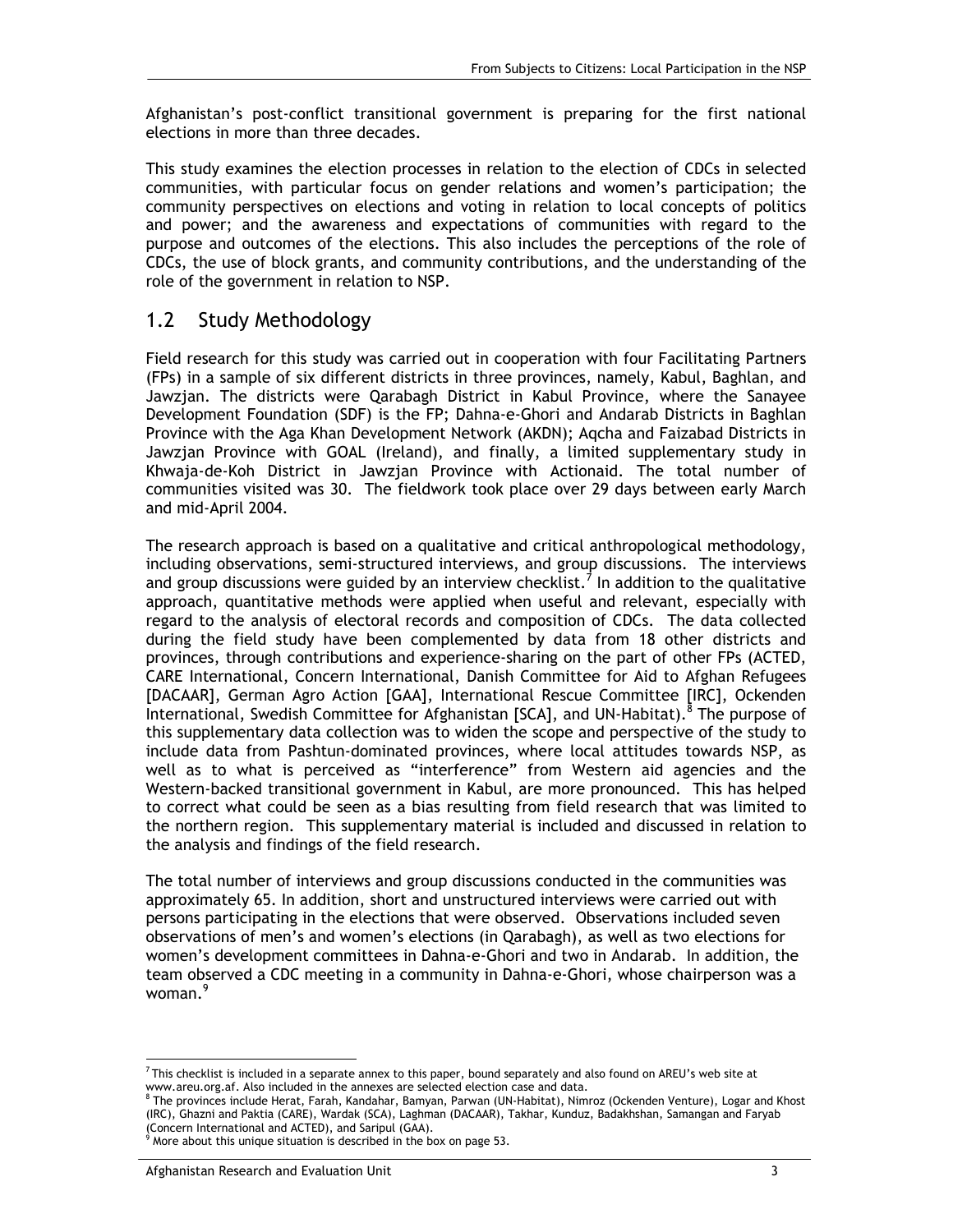Afghanistan's post-conflict transitional government is preparing for the first national elections in more than three decades.

This study examines the election processes in relation to the election of CDCs in selected communities, with particular focus on gender relations and women's participation; the community perspectives on elections and voting in relation to local concepts of politics and power; and the awareness and expectations of communities with regard to the purpose and outcomes of the elections. This also includes the perceptions of the role of CDCs, the use of block grants, and community contributions, and the understanding of the role of the government in relation to NSP.

### 1.2 Study Methodology

Field research for this study was carried out in cooperation with four Facilitating Partners (FPs) in a sample of six different districts in three provinces, namely, Kabul, Baghlan, and Jawzjan. The districts were Qarabagh District in Kabul Province, where the Sanayee Development Foundation (SDF) is the FP; Dahna-e-Ghori and Andarab Districts in Baghlan Province with the Aga Khan Development Network (AKDN); Aqcha and Faizabad Districts in Jawzjan Province with GOAL (Ireland), and finally, a limited supplementary study in Khwaja-de-Koh District in Jawzjan Province with Actionaid. The total number of communities visited was 30. The fieldwork took place over 29 days between early March and mid-April 2004.

The research approach is based on a qualitative and critical anthropological methodology, including observations, semi-structured interviews, and group discussions. The interviews and group discussions were guided by an interview checklist.<sup>7</sup> In addition to the qualitative approach, quantitative methods were applied when useful and relevant, especially with regard to the analysis of electoral records and composition of CDCs. The data collected during the field study have been complemented by data from 18 other districts and provinces, through contributions and experience-sharing on the part of other FPs (ACTED, CARE International, Concern International, Danish Committee for Aid to Afghan Refugees [DACAAR], German Agro Action [GAA], International Rescue Committee [IRC], Ockenden International, Swedish Committee for Afghanistan [SCA], and UN-Habitat).<sup>8</sup> The purpose of this supplementary data collection was to widen the scope and perspective of the study to include data from Pashtun-dominated provinces, where local attitudes towards NSP, as well as to what is perceived as "interference" from Western aid agencies and the Western-backed transitional government in Kabul, are more pronounced. This has helped to correct what could be seen as a bias resulting from field research that was limited to the northern region. This supplementary material is included and discussed in relation to the analysis and findings of the field research.

The total number of interviews and group discussions conducted in the communities was approximately 65. In addition, short and unstructured interviews were carried out with persons participating in the elections that were observed. Observations included seven observations of men's and women's elections (in Qarabagh), as well as two elections for women's development committees in Dahna-e-Ghori and two in Andarab. In addition, the team observed a CDC meeting in a community in Dahna-e-Ghori, whose chairperson was a woman.<sup>9</sup>

<sup>-</sup> $^7$ This checklist is included in a separate annex to this paper, bound separately and also found on AREU's web site at www.areu.org.af. Also included in the annexes are selected election case and data.

<sup>8</sup> The provinces include Herat, Farah, Kandahar, Bamyan, Parwan (UN-Habitat), Nimroz (Ockenden Venture), Logar and Khost (IRC), Ghazni and Paktia (CARE), Wardak (SCA), Laghman (DACAAR), Takhar, Kunduz, Badakhshan, Samangan and Faryab (Concern International and ACTED), and Saripul (GAA).

<sup>9</sup> More about this unique situation is described in the box on page 53.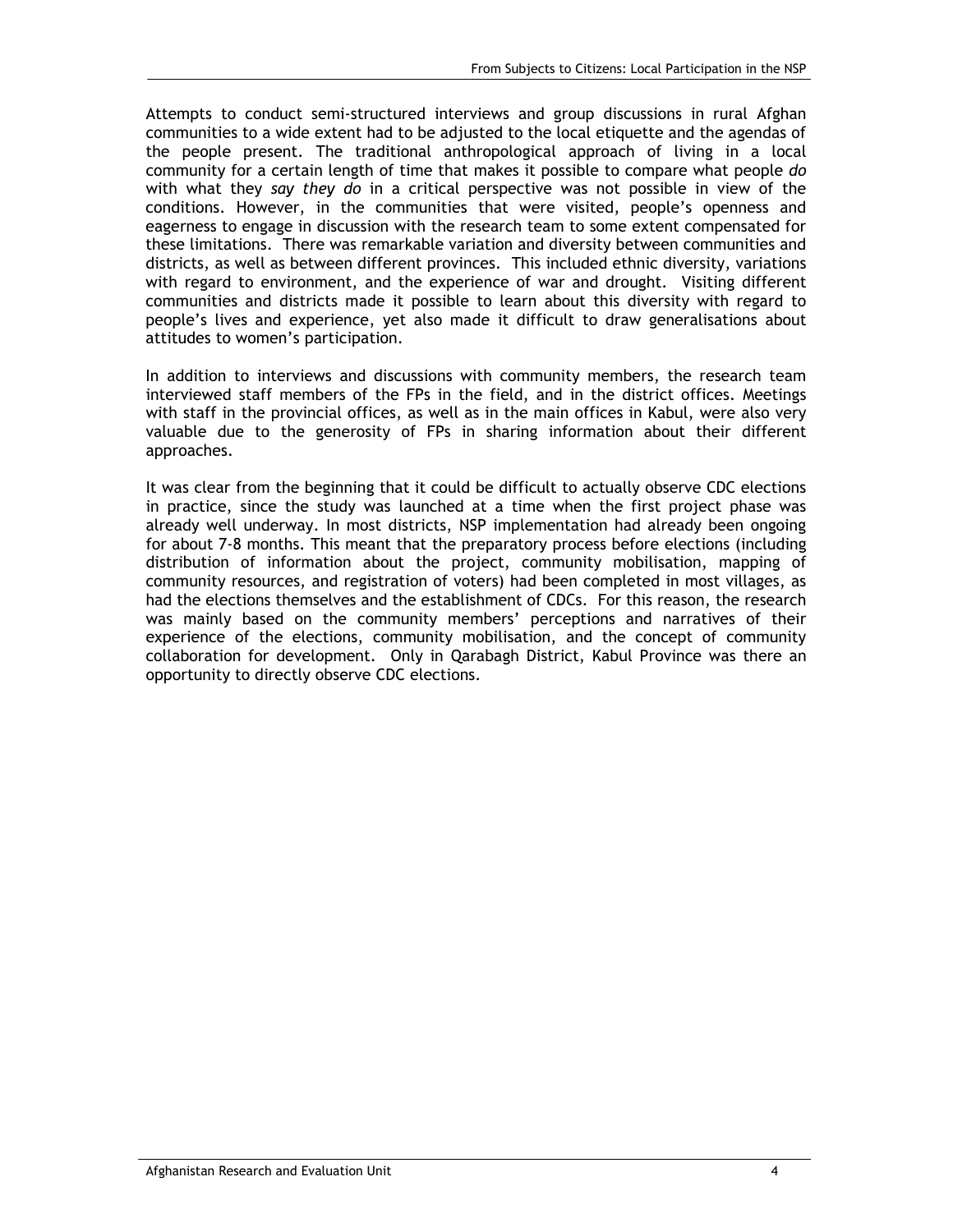Attempts to conduct semi-structured interviews and group discussions in rural Afghan communities to a wide extent had to be adjusted to the local etiquette and the agendas of the people present. The traditional anthropological approach of living in a local community for a certain length of time that makes it possible to compare what people *do* with what they *say they do* in a critical perspective was not possible in view of the conditions. However, in the communities that were visited, people's openness and eagerness to engage in discussion with the research team to some extent compensated for these limitations. There was remarkable variation and diversity between communities and districts, as well as between different provinces. This included ethnic diversity, variations with regard to environment, and the experience of war and drought. Visiting different communities and districts made it possible to learn about this diversity with regard to people's lives and experience, yet also made it difficult to draw generalisations about attitudes to women's participation.

In addition to interviews and discussions with community members, the research team interviewed staff members of the FPs in the field, and in the district offices. Meetings with staff in the provincial offices, as well as in the main offices in Kabul, were also very valuable due to the generosity of FPs in sharing information about their different approaches.

It was clear from the beginning that it could be difficult to actually observe CDC elections in practice, since the study was launched at a time when the first project phase was already well underway. In most districts, NSP implementation had already been ongoing for about 7-8 months. This meant that the preparatory process before elections (including distribution of information about the project, community mobilisation, mapping of community resources, and registration of voters) had been completed in most villages, as had the elections themselves and the establishment of CDCs. For this reason, the research was mainly based on the community members' perceptions and narratives of their experience of the elections, community mobilisation, and the concept of community collaboration for development. Only in Qarabagh District, Kabul Province was there an opportunity to directly observe CDC elections.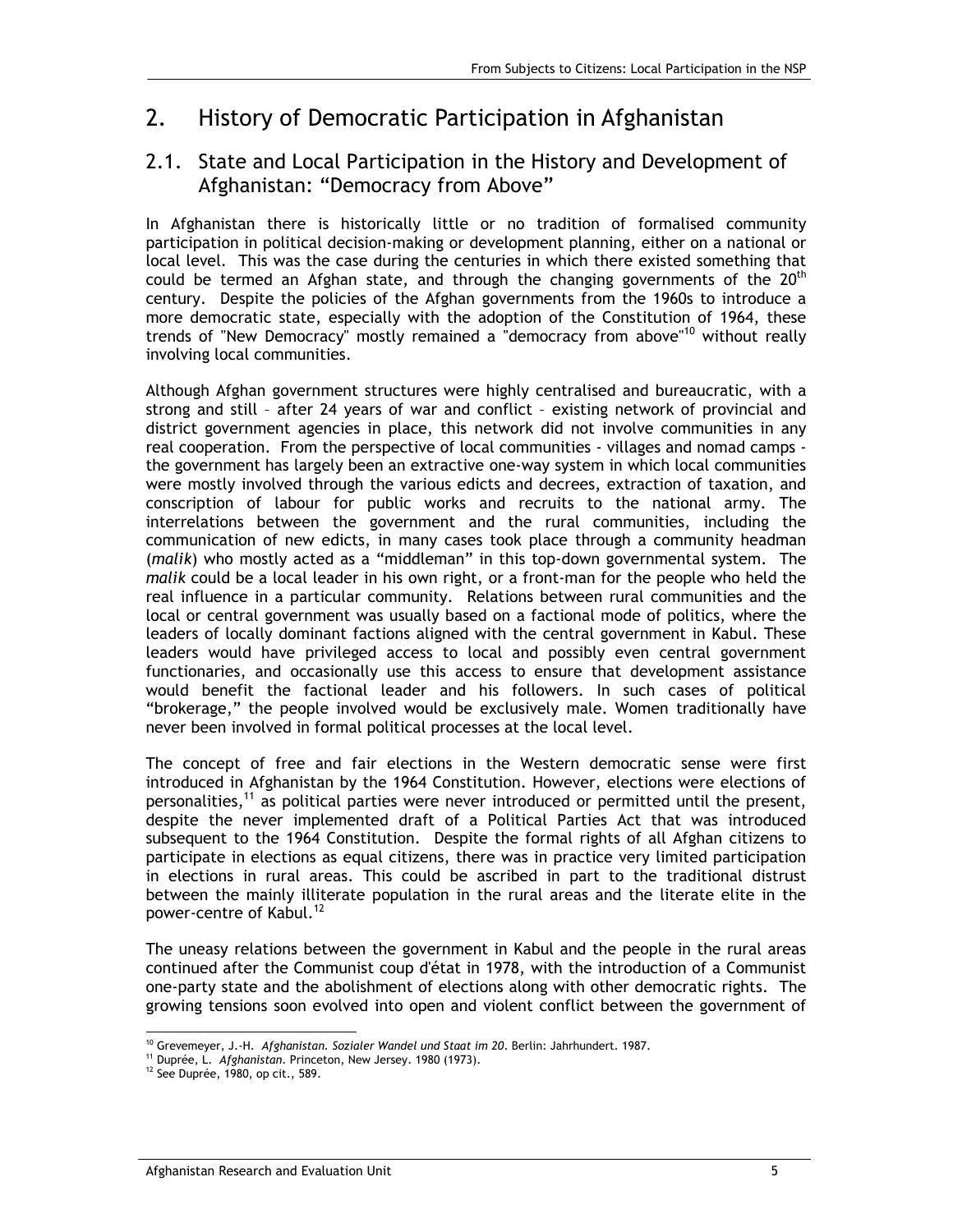# 2. History of Democratic Participation in Afghanistan

## 2.1. State and Local Participation in the History and Development of Afghanistan: "Democracy from Above"

In Afghanistan there is historically little or no tradition of formalised community participation in political decision-making or development planning, either on a national or local level. This was the case during the centuries in which there existed something that could be termed an Afghan state, and through the changing governments of the  $20<sup>th</sup>$ century. Despite the policies of the Afghan governments from the 1960s to introduce a more democratic state, especially with the adoption of the Constitution of 1964, these trends of "New Democracy" mostly remained a "democracy from above"<sup>10</sup> without really involving local communities.

Although Afghan government structures were highly centralised and bureaucratic, with a strong and still – after 24 years of war and conflict – existing network of provincial and district government agencies in place, this network did not involve communities in any real cooperation. From the perspective of local communities - villages and nomad camps the government has largely been an extractive one-way system in which local communities were mostly involved through the various edicts and decrees, extraction of taxation, and conscription of labour for public works and recruits to the national army. The interrelations between the government and the rural communities, including the communication of new edicts, in many cases took place through a community headman (*malik*) who mostly acted as a "middleman" in this top-down governmental system. The *malik* could be a local leader in his own right, or a front-man for the people who held the real influence in a particular community. Relations between rural communities and the local or central government was usually based on a factional mode of politics, where the leaders of locally dominant factions aligned with the central government in Kabul. These leaders would have privileged access to local and possibly even central government functionaries, and occasionally use this access to ensure that development assistance would benefit the factional leader and his followers. In such cases of political "brokerage," the people involved would be exclusively male. Women traditionally have never been involved in formal political processes at the local level.

The concept of free and fair elections in the Western democratic sense were first introduced in Afghanistan by the 1964 Constitution. However, elections were elections of personalities,<sup>11</sup> as political parties were never introduced or permitted until the present, despite the never implemented draft of a Political Parties Act that was introduced subsequent to the 1964 Constitution. Despite the formal rights of all Afghan citizens to participate in elections as equal citizens, there was in practice very limited participation in elections in rural areas. This could be ascribed in part to the traditional distrust between the mainly illiterate population in the rural areas and the literate elite in the power-centre of Kabul.<sup>12</sup>

The uneasy relations between the government in Kabul and the people in the rural areas continued after the Communist coup d'état in 1978, with the introduction of a Communist one-party state and the abolishment of elections along with other democratic rights. The growing tensions soon evolved into open and violent conflict between the government of

<sup>-</sup><sup>10</sup> Grevemeyer, J.-H. *Afghanistan. Sozialer Wandel und Staat im 20.* Berlin: Jahrhundert. 1987. <br><sup>11</sup> Duprée, L. *Afghanistan.* Princeton, New Jersey. 1980 (1973).<br><sup>12</sup> See Duprée, 1980, op cit., 589.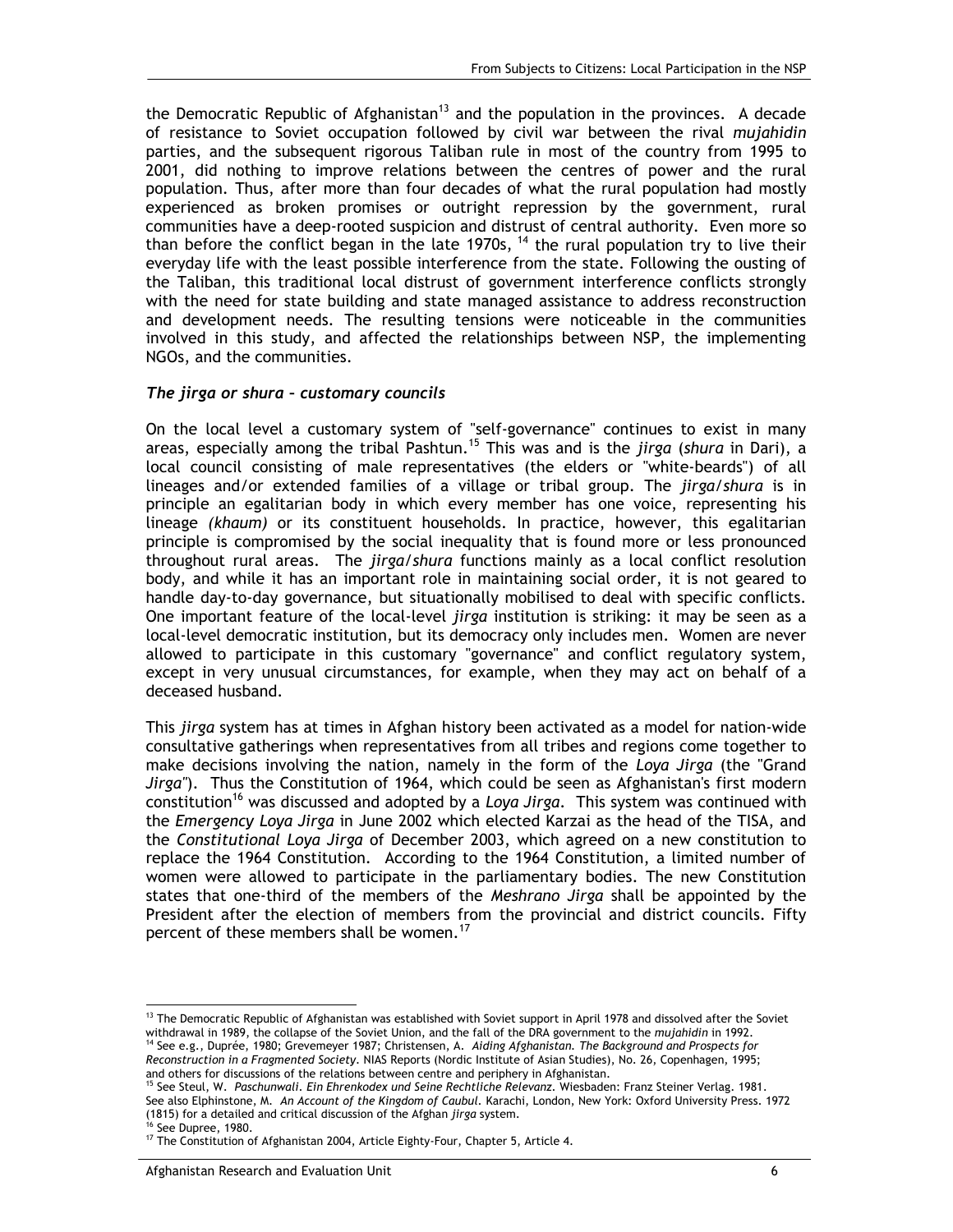the Democratic Republic of Afghanistan<sup>13</sup> and the population in the provinces. A decade of resistance to Soviet occupation followed by civil war between the rival *mujahidin* parties, and the subsequent rigorous Taliban rule in most of the country from 1995 to 2001, did nothing to improve relations between the centres of power and the rural population. Thus, after more than four decades of what the rural population had mostly experienced as broken promises or outright repression by the government, rural communities have a deep-rooted suspicion and distrust of central authority. Even more so than before the conflict began in the late 1970s,  $14$  the rural population try to live their everyday life with the least possible interference from the state. Following the ousting of the Taliban, this traditional local distrust of government interference conflicts strongly with the need for state building and state managed assistance to address reconstruction and development needs. The resulting tensions were noticeable in the communities involved in this study, and affected the relationships between NSP, the implementing NGOs, and the communities.

#### *The jirga or shura – customary councils*

On the local level a customary system of "self-governance" continues to exist in many areas, especially among the tribal Pashtun.15 This was and is the *jirga* (*shura* in Dari), a local council consisting of male representatives (the elders or "white-beards") of all lineages and/or extended families of a village or tribal group. The *jirga*/*shura* is in principle an egalitarian body in which every member has one voice, representing his lineage *(khaum)* or its constituent households. In practice, however, this egalitarian principle is compromised by the social inequality that is found more or less pronounced throughout rural areas. The *jirga/shura* functions mainly as a local conflict resolution body, and while it has an important role in maintaining social order, it is not geared to handle day-to-day governance, but situationally mobilised to deal with specific conflicts. One important feature of the local-level *jirga* institution is striking: it may be seen as a local-level democratic institution, but its democracy only includes men. Women are never allowed to participate in this customary "governance" and conflict regulatory system, except in very unusual circumstances, for example, when they may act on behalf of a deceased husband.

This *jirga* system has at times in Afghan history been activated as a model for nation-wide consultative gatherings when representatives from all tribes and regions come together to make decisions involving the nation, namely in the form of the *Loya Jirga* (the "Grand *Jirga"*). Thus the Constitution of 1964, which could be seen as Afghanistan's first modern constitution16 was discussed and adopted by a *Loya Jirga*. This system was continued with the *Emergency Loya Jirga* in June 2002 which elected Karzai as the head of the TISA, and the *Constitutional Loya Jirga* of December 2003, which agreed on a new constitution to replace the 1964 Constitution. According to the 1964 Constitution, a limited number of women were allowed to participate in the parliamentary bodies. The new Constitution states that one-third of the members of the *Meshrano Jirga* shall be appointed by the President after the election of members from the provincial and district councils. Fifty percent of these members shall be women.<sup>17</sup>

See also Elphinstone, M. *An Account of the Kingdom of Caubul.* Karachi, London, New York: Oxford University Press. 1972 (1815) for a detailed and critical discussion of the Afghan *jirga* system. 16 See Dupree, 1980.

-

<sup>&</sup>lt;sup>13</sup> The Democratic Republic of Afghanistan was established with Soviet support in April 1978 and dissolved after the Soviet withdrawal in 1989, the collapse of the Soviet Union, and the fall of the DRA government to the mujahidin in 1992.<br><sup>14</sup> See e.g., Duprée, 1980; Grevemeyer 1987; Christensen, A. Aiding Afghanistan. The Background and Prospe

*Reconstruction in a Fragmented Society*. NIAS Reports (Nordic Institute of Asian Studies), No. 26, Copenhagen, 1995; and others for discussions of the relations between centre and periphery in Afghanistan.<br><sup>15</sup> See Steul, W. *Paschunwali. Ein Ehrenkodex und Seine Rechtliche Relevanz*. Wiesbaden: Franz Steiner Verlag. 1981.

 $17$  The Constitution of Afghanistan 2004, Article Eighty-Four, Chapter 5, Article 4.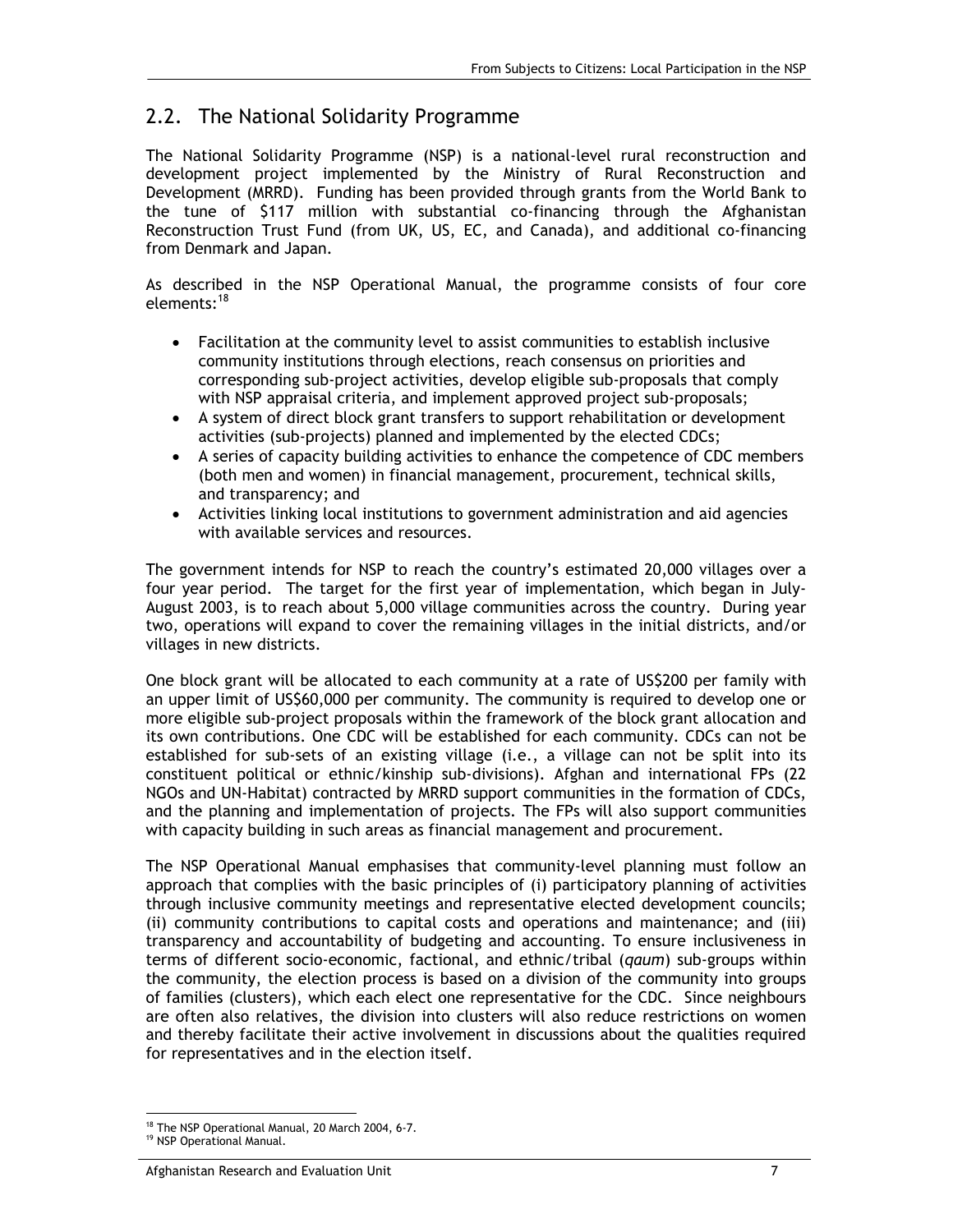### 2.2. The National Solidarity Programme

The National Solidarity Programme (NSP) is a national-level rural reconstruction and development project implemented by the Ministry of Rural Reconstruction and Development (MRRD). Funding has been provided through grants from the World Bank to the tune of \$117 million with substantial co-financing through the Afghanistan Reconstruction Trust Fund (from UK, US, EC, and Canada), and additional co-financing from Denmark and Japan.

As described in the NSP Operational Manual, the programme consists of four core elements:<sup>18</sup>

- Facilitation at the community level to assist communities to establish inclusive community institutions through elections, reach consensus on priorities and corresponding sub-project activities, develop eligible sub-proposals that comply with NSP appraisal criteria, and implement approved project sub-proposals;
- A system of direct block grant transfers to support rehabilitation or development activities (sub-projects) planned and implemented by the elected CDCs;
- A series of capacity building activities to enhance the competence of CDC members (both men and women) in financial management, procurement, technical skills, and transparency; and
- Activities linking local institutions to government administration and aid agencies with available services and resources.

The government intends for NSP to reach the country's estimated 20,000 villages over a four year period. The target for the first year of implementation, which began in July-August 2003, is to reach about 5,000 village communities across the country. During year two, operations will expand to cover the remaining villages in the initial districts, and/or villages in new districts.

One block grant will be allocated to each community at a rate of US\$200 per family with an upper limit of US\$60,000 per community. The community is required to develop one or more eligible sub-project proposals within the framework of the block grant allocation and its own contributions. One CDC will be established for each community. CDCs can not be established for sub-sets of an existing village (i.e., a village can not be split into its constituent political or ethnic/kinship sub-divisions). Afghan and international FPs (22 NGOs and UN-Habitat) contracted by MRRD support communities in the formation of CDCs, and the planning and implementation of projects. The FPs will also support communities with capacity building in such areas as financial management and procurement.

The NSP Operational Manual emphasises that community-level planning must follow an approach that complies with the basic principles of (i) participatory planning of activities through inclusive community meetings and representative elected development councils; (ii) community contributions to capital costs and operations and maintenance; and (iii) transparency and accountability of budgeting and accounting. To ensure inclusiveness in terms of different socio-economic, factional, and ethnic/tribal (*qaum*) sub-groups within the community, the election process is based on a division of the community into groups of families (clusters), which each elect one representative for the CDC. Since neighbours are often also relatives, the division into clusters will also reduce restrictions on women and thereby facilitate their active involvement in discussions about the qualities required for representatives and in the election itself.

<sup>-</sup><sup>18</sup> The NSP Operational Manual, 20 March 2004, 6-7.

<sup>19</sup> NSP Operational Manual.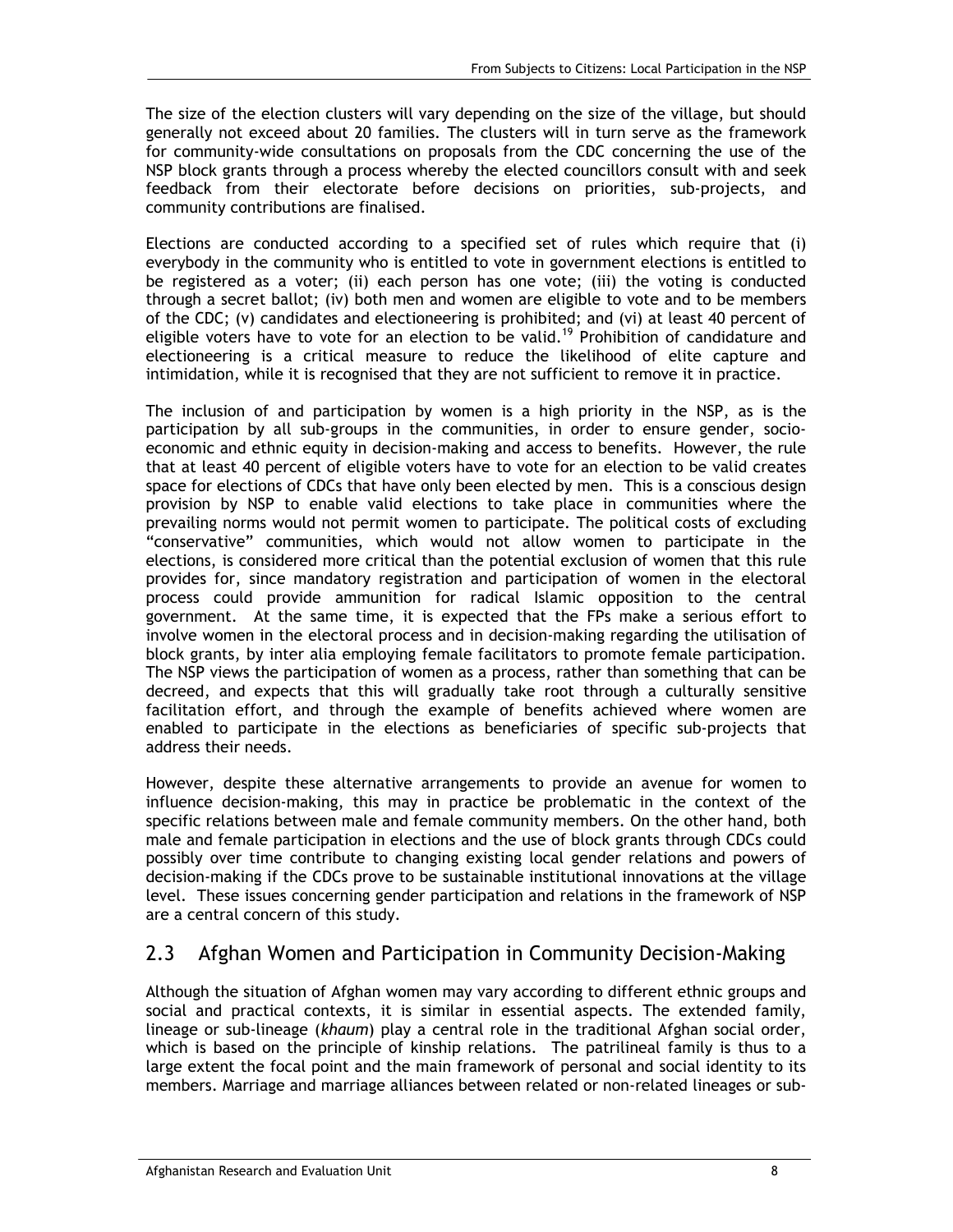The size of the election clusters will vary depending on the size of the village, but should generally not exceed about 20 families. The clusters will in turn serve as the framework for community-wide consultations on proposals from the CDC concerning the use of the NSP block grants through a process whereby the elected councillors consult with and seek feedback from their electorate before decisions on priorities, sub-projects, and community contributions are finalised.

Elections are conducted according to a specified set of rules which require that (i) everybody in the community who is entitled to vote in government elections is entitled to be registered as a voter; (ii) each person has one vote; (iii) the voting is conducted through a secret ballot; (iv) both men and women are eligible to vote and to be members of the CDC; (v) candidates and electioneering is prohibited; and (vi) at least 40 percent of eligible voters have to vote for an election to be valid.<sup>19</sup> Prohibition of candidature and electioneering is a critical measure to reduce the likelihood of elite capture and intimidation, while it is recognised that they are not sufficient to remove it in practice.

The inclusion of and participation by women is a high priority in the NSP, as is the participation by all sub-groups in the communities, in order to ensure gender, socioeconomic and ethnic equity in decision-making and access to benefits. However, the rule that at least 40 percent of eligible voters have to vote for an election to be valid creates space for elections of CDCs that have only been elected by men. This is a conscious design provision by NSP to enable valid elections to take place in communities where the prevailing norms would not permit women to participate. The political costs of excluding "conservative" communities, which would not allow women to participate in the elections, is considered more critical than the potential exclusion of women that this rule provides for, since mandatory registration and participation of women in the electoral process could provide ammunition for radical Islamic opposition to the central government. At the same time, it is expected that the FPs make a serious effort to involve women in the electoral process and in decision-making regarding the utilisation of block grants, by inter alia employing female facilitators to promote female participation. The NSP views the participation of women as a process, rather than something that can be decreed, and expects that this will gradually take root through a culturally sensitive facilitation effort, and through the example of benefits achieved where women are enabled to participate in the elections as beneficiaries of specific sub-projects that address their needs.

However, despite these alternative arrangements to provide an avenue for women to influence decision-making, this may in practice be problematic in the context of the specific relations between male and female community members. On the other hand, both male and female participation in elections and the use of block grants through CDCs could possibly over time contribute to changing existing local gender relations and powers of decision-making if the CDCs prove to be sustainable institutional innovations at the village level. These issues concerning gender participation and relations in the framework of NSP are a central concern of this study.

## 2.3 Afghan Women and Participation in Community Decision-Making

Although the situation of Afghan women may vary according to different ethnic groups and social and practical contexts, it is similar in essential aspects. The extended family, lineage or sub-lineage (*khaum*) play a central role in the traditional Afghan social order, which is based on the principle of kinship relations. The patrilineal family is thus to a large extent the focal point and the main framework of personal and social identity to its members. Marriage and marriage alliances between related or non-related lineages or sub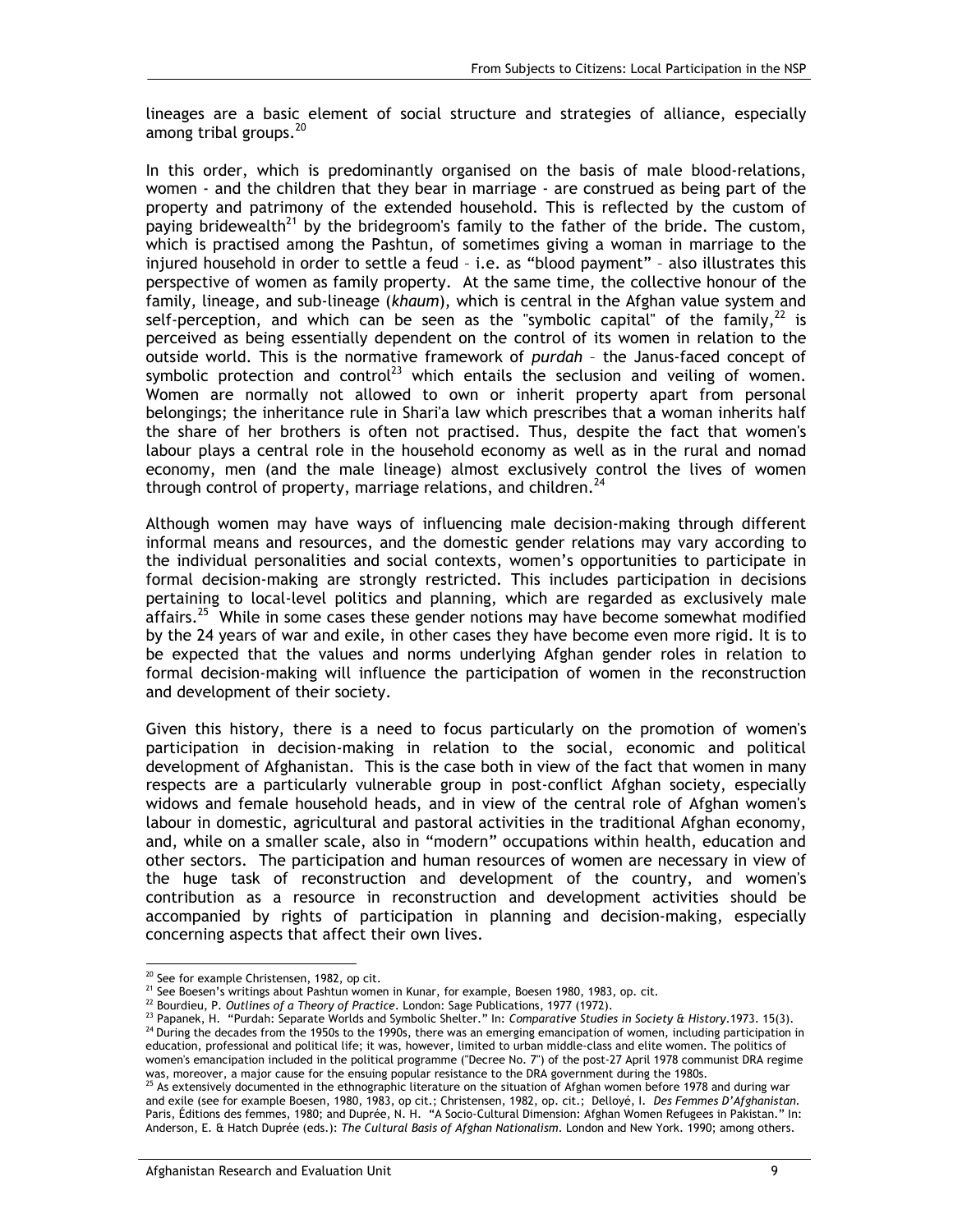lineages are a basic element of social structure and strategies of alliance, especially among tribal groups.<sup>20</sup>

In this order, which is predominantly organised on the basis of male blood-relations, women - and the children that they bear in marriage - are construed as being part of the property and patrimony of the extended household. This is reflected by the custom of paying bridewealth<sup>21</sup> by the bridegroom's family to the father of the bride. The custom, which is practised among the Pashtun, of sometimes giving a woman in marriage to the injured household in order to settle a feud – i.e. as "blood payment" – also illustrates this perspective of women as family property. At the same time, the collective honour of the family, lineage, and sub-lineage (*khaum*), which is central in the Afghan value system and self-perception, and which can be seen as the "symbolic capital" of the family,  $22$  is perceived as being essentially dependent on the control of its women in relation to the outside world. This is the normative framework of *purdah* – the Janus-faced concept of symbolic protection and control<sup>23</sup> which entails the seclusion and veiling of women. Women are normally not allowed to own or inherit property apart from personal belongings; the inheritance rule in Shari'a law which prescribes that a woman inherits half the share of her brothers is often not practised. Thus, despite the fact that women's labour plays a central role in the household economy as well as in the rural and nomad economy, men (and the male lineage) almost exclusively control the lives of women through control of property, marriage relations, and children. $^{24}$ 

Although women may have ways of influencing male decision-making through different informal means and resources, and the domestic gender relations may vary according to the individual personalities and social contexts, women's opportunities to participate in formal decision-making are strongly restricted. This includes participation in decisions pertaining to local-level politics and planning, which are regarded as exclusively male affairs.<sup>25</sup> While in some cases these gender notions may have become somewhat modified by the 24 years of war and exile, in other cases they have become even more rigid. It is to be expected that the values and norms underlying Afghan gender roles in relation to formal decision-making will influence the participation of women in the reconstruction and development of their society.

Given this history, there is a need to focus particularly on the promotion of women's participation in decision-making in relation to the social, economic and political development of Afghanistan. This is the case both in view of the fact that women in many respects are a particularly vulnerable group in post-conflict Afghan society, especially widows and female household heads, and in view of the central role of Afghan women's labour in domestic, agricultural and pastoral activities in the traditional Afghan economy, and, while on a smaller scale, also in "modern" occupations within health, education and other sectors. The participation and human resources of women are necessary in view of the huge task of reconstruction and development of the country, and women's contribution as a resource in reconstruction and development activities should be accompanied by rights of participation in planning and decision-making, especially concerning aspects that affect their own lives.

-

<sup>&</sup>lt;sup>20</sup> See for example Christensen, 1982, op cit.

<sup>&</sup>lt;sup>21</sup> See Boesen's writings about Pashtun women in Kunar, for example, Boesen 1980, 1983, op. cit.<br><sup>22</sup> Bourdieu, P. *Outlines of a Theory of Practice*. London: Sage Publications, 1977 (1972).<br><sup>23</sup> Papanek, H. "Purdah: Sep

education, professional and political life; it was, however, limited to urban middle-class and elite women. The politics of women's emancipation included in the political programme ("Decree No. 7") of the post-27 April 1978 communist DRA regime was, moreover, a major cause for the ensuing popular resistance to the DRA government during the 1980

was, moreover, a major cause for the ensuing popular resistance to the Situation of Afghan women before 1978 and during war and exile (see for example Boesen, 1980, 1983, op cit.; Christensen, 1982, op. cit.; Delloyé, I. *Des Femmes D'Afghanistan*. Paris, Éditions des femmes, 1980; and Duprée, N. H. "A Socio-Cultural Dimension: Afghan Women Refugees in Pakistan." In: Anderson, E. & Hatch Duprée (eds.): *The Cultural Basis of Afghan Nationalism*. London and New York. 1990; among others.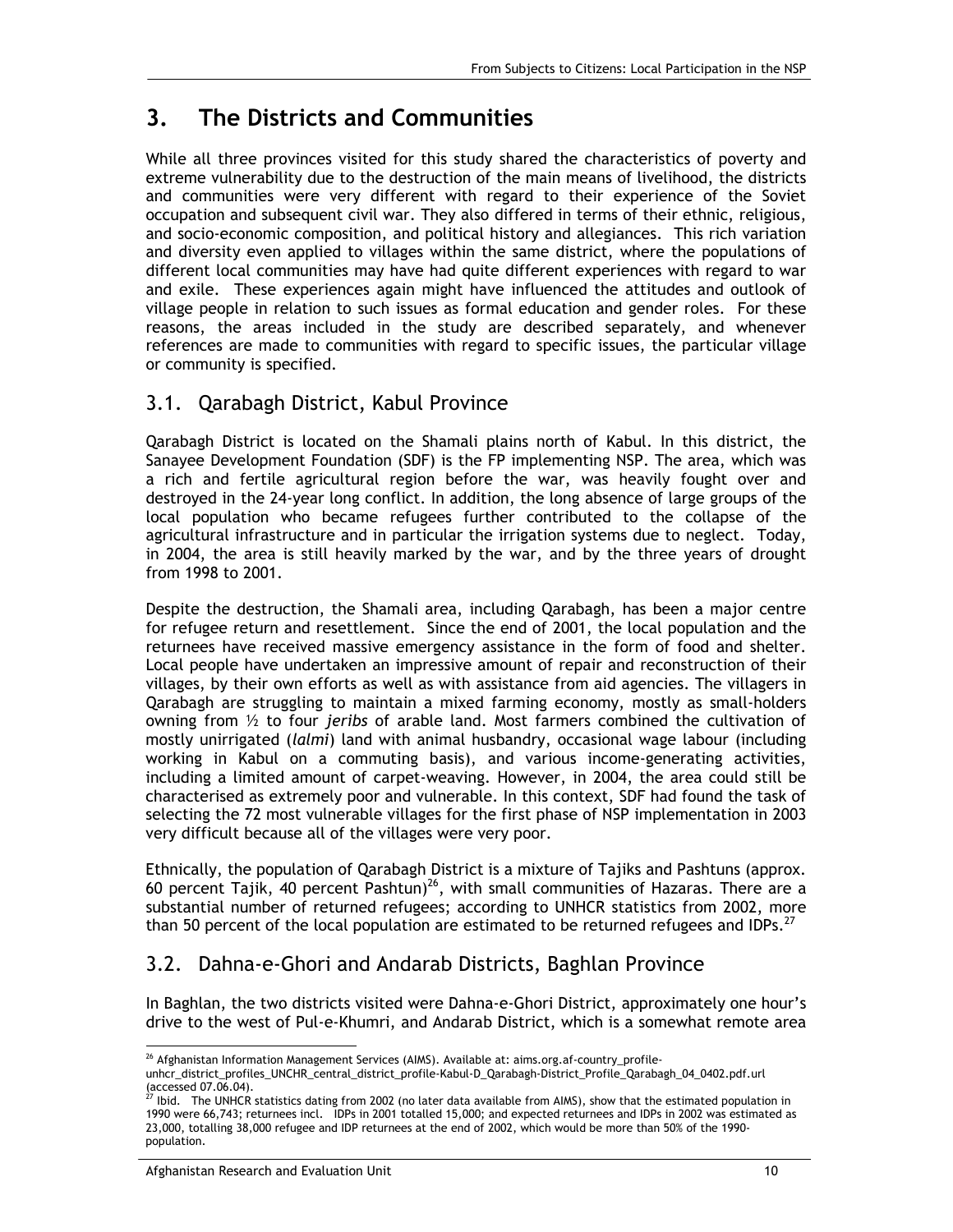# **3. The Districts and Communities**

While all three provinces visited for this study shared the characteristics of poverty and extreme vulnerability due to the destruction of the main means of livelihood, the districts and communities were very different with regard to their experience of the Soviet occupation and subsequent civil war. They also differed in terms of their ethnic, religious, and socio-economic composition, and political history and allegiances. This rich variation and diversity even applied to villages within the same district, where the populations of different local communities may have had quite different experiences with regard to war and exile. These experiences again might have influenced the attitudes and outlook of village people in relation to such issues as formal education and gender roles. For these reasons, the areas included in the study are described separately, and whenever references are made to communities with regard to specific issues, the particular village or community is specified.

### 3.1. Qarabagh District, Kabul Province

Qarabagh District is located on the Shamali plains north of Kabul. In this district, the Sanayee Development Foundation (SDF) is the FP implementing NSP. The area, which was a rich and fertile agricultural region before the war, was heavily fought over and destroyed in the 24-year long conflict. In addition, the long absence of large groups of the local population who became refugees further contributed to the collapse of the agricultural infrastructure and in particular the irrigation systems due to neglect. Today, in 2004, the area is still heavily marked by the war, and by the three years of drought from 1998 to 2001.

Despite the destruction, the Shamali area, including Qarabagh, has been a major centre for refugee return and resettlement. Since the end of 2001, the local population and the returnees have received massive emergency assistance in the form of food and shelter. Local people have undertaken an impressive amount of repair and reconstruction of their villages, by their own efforts as well as with assistance from aid agencies. The villagers in Qarabagh are struggling to maintain a mixed farming economy, mostly as small-holders owning from ½ to four *jeribs* of arable land. Most farmers combined the cultivation of mostly unirrigated (*lalmi*) land with animal husbandry, occasional wage labour (including working in Kabul on a commuting basis), and various income-generating activities, including a limited amount of carpet-weaving. However, in 2004, the area could still be characterised as extremely poor and vulnerable. In this context, SDF had found the task of selecting the 72 most vulnerable villages for the first phase of NSP implementation in 2003 very difficult because all of the villages were very poor.

Ethnically, the population of Qarabagh District is a mixture of Tajiks and Pashtuns (approx. 60 percent Tajik, 40 percent Pashtun)<sup>26</sup>, with small communities of Hazaras. There are a substantial number of returned refugees; according to UNHCR statistics from 2002, more than 50 percent of the local population are estimated to be returned refugees and IDPs.<sup>27</sup>

## 3.2. Dahna-e-Ghori and Andarab Districts, Baghlan Province

In Baghlan, the two districts visited were Dahna-e-Ghori District, approximately one hour's drive to the west of Pul-e-Khumri, and Andarab District, which is a somewhat remote area

<sup>-</sup> $^{26}$  Afghanistan Information Management Services (AIMS). Available at: aims.org.af-country\_profile-

unhcr\_district\_profiles\_UNCHR\_central\_district\_profile-Kabul-D\_Qarabagh-District\_Profile\_Qarabagh\_04\_0402.pdf.url (accessed 07.06.04).<br><sup>27</sup> Ibid. The UNHCR statistics dating from 2002 (no later data available from AIMS), show that the estimated population in

<sup>1990</sup> were 66,743; returnees incl. IDPs in 2001 totalled 15,000; and expected returnees and IDPs in 2002 was estimated as 23,000, totalling 38,000 refugee and IDP returnees at the end of 2002, which would be more than 50% of the 1990 population.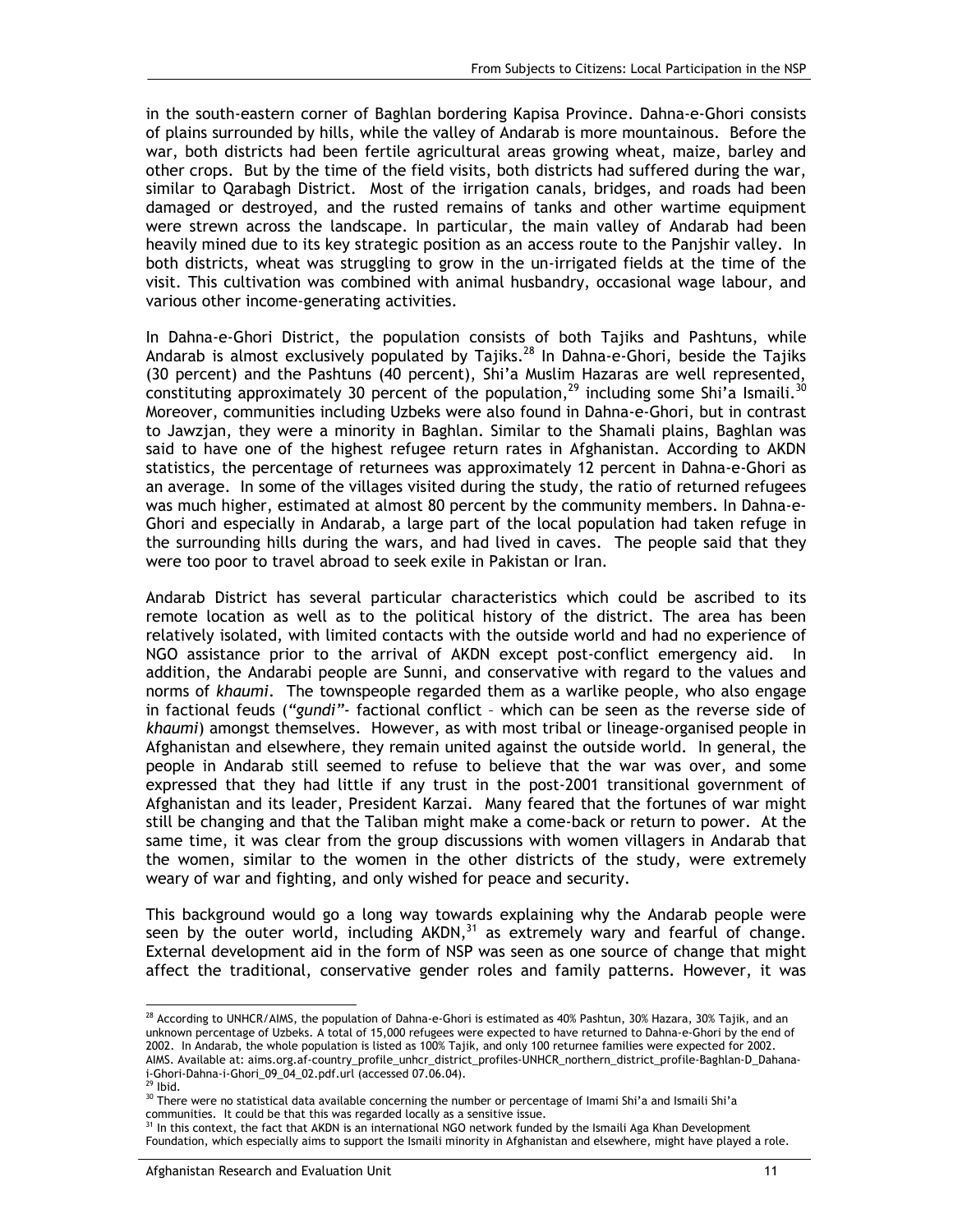in the south-eastern corner of Baghlan bordering Kapisa Province. Dahna-e-Ghori consists of plains surrounded by hills, while the valley of Andarab is more mountainous. Before the war, both districts had been fertile agricultural areas growing wheat, maize, barley and other crops. But by the time of the field visits, both districts had suffered during the war, similar to Qarabagh District. Most of the irrigation canals, bridges, and roads had been damaged or destroyed, and the rusted remains of tanks and other wartime equipment were strewn across the landscape. In particular, the main valley of Andarab had been heavily mined due to its key strategic position as an access route to the Panjshir valley. In both districts, wheat was struggling to grow in the un-irrigated fields at the time of the visit. This cultivation was combined with animal husbandry, occasional wage labour, and various other income-generating activities.

In Dahna-e-Ghori District, the population consists of both Tajiks and Pashtuns, while Andarab is almost exclusively populated by Tajiks.<sup>28</sup> In Dahna-e-Ghori, beside the Tajiks (30 percent) and the Pashtuns (40 percent), Shi'a Muslim Hazaras are well represented, constituting approximately 30 percent of the population,<sup>29</sup> including some Shi'a Ismaili.<sup>30</sup> Moreover, communities including Uzbeks were also found in Dahna-e-Ghori, but in contrast to Jawzjan, they were a minority in Baghlan. Similar to the Shamali plains, Baghlan was said to have one of the highest refugee return rates in Afghanistan. According to AKDN statistics, the percentage of returnees was approximately 12 percent in Dahna-e-Ghori as an average. In some of the villages visited during the study, the ratio of returned refugees was much higher, estimated at almost 80 percent by the community members. In Dahna-e-Ghori and especially in Andarab, a large part of the local population had taken refuge in the surrounding hills during the wars, and had lived in caves. The people said that they were too poor to travel abroad to seek exile in Pakistan or Iran.

Andarab District has several particular characteristics which could be ascribed to its remote location as well as to the political history of the district. The area has been relatively isolated, with limited contacts with the outside world and had no experience of NGO assistance prior to the arrival of AKDN except post-conflict emergency aid. In addition, the Andarabi people are Sunni, and conservative with regard to the values and norms of *khaumi*. The townspeople regarded them as a warlike people, who also engage in factional feuds (*"gundi"-* factional conflict – which can be seen as the reverse side of *khaumi*) amongst themselves. However, as with most tribal or lineage-organised people in Afghanistan and elsewhere, they remain united against the outside world. In general, the people in Andarab still seemed to refuse to believe that the war was over, and some expressed that they had little if any trust in the post-2001 transitional government of Afghanistan and its leader, President Karzai. Many feared that the fortunes of war might still be changing and that the Taliban might make a come-back or return to power. At the same time, it was clear from the group discussions with women villagers in Andarab that the women, similar to the women in the other districts of the study, were extremely weary of war and fighting, and only wished for peace and security.

This background would go a long way towards explaining why the Andarab people were seen by the outer world, including AKDN,<sup>31</sup> as extremely wary and fearful of change. External development aid in the form of NSP was seen as one source of change that might affect the traditional, conservative gender roles and family patterns. However, it was

-

 $^{28}$  According to UNHCR/AIMS, the population of Dahna-e-Ghori is estimated as 40% Pashtun, 30% Hazara, 30% Tajik, and an unknown percentage of Uzbeks. A total of 15,000 refugees were expected to have returned to Dahna-e-Ghori by the end of 2002. In Andarab, the whole population is listed as 100% Tajik, and only 100 returnee families were expected for 2002. AIMS. Available at: aims.org.af-country\_profile\_unhcr\_district\_profiles-UNHCR\_northern\_district\_profile-Baghlan-D\_Dahanai-Ghori-Dahna-i-Ghori\_09\_04\_02.pdf.url (accessed 07.06.04).

 $29$  Ibid.

<sup>&</sup>lt;sup>30</sup> There were no statistical data available concerning the number or percentage of Imami Shi'a and Ismaili Shi'a communities. It could be that this was regarded locally as a sensitive issue.

In this context, the fact that AKDN is an international NGO network funded by the Ismaili Aga Khan Development Foundation, which especially aims to support the Ismaili minority in Afghanistan and elsewhere, might have played a role.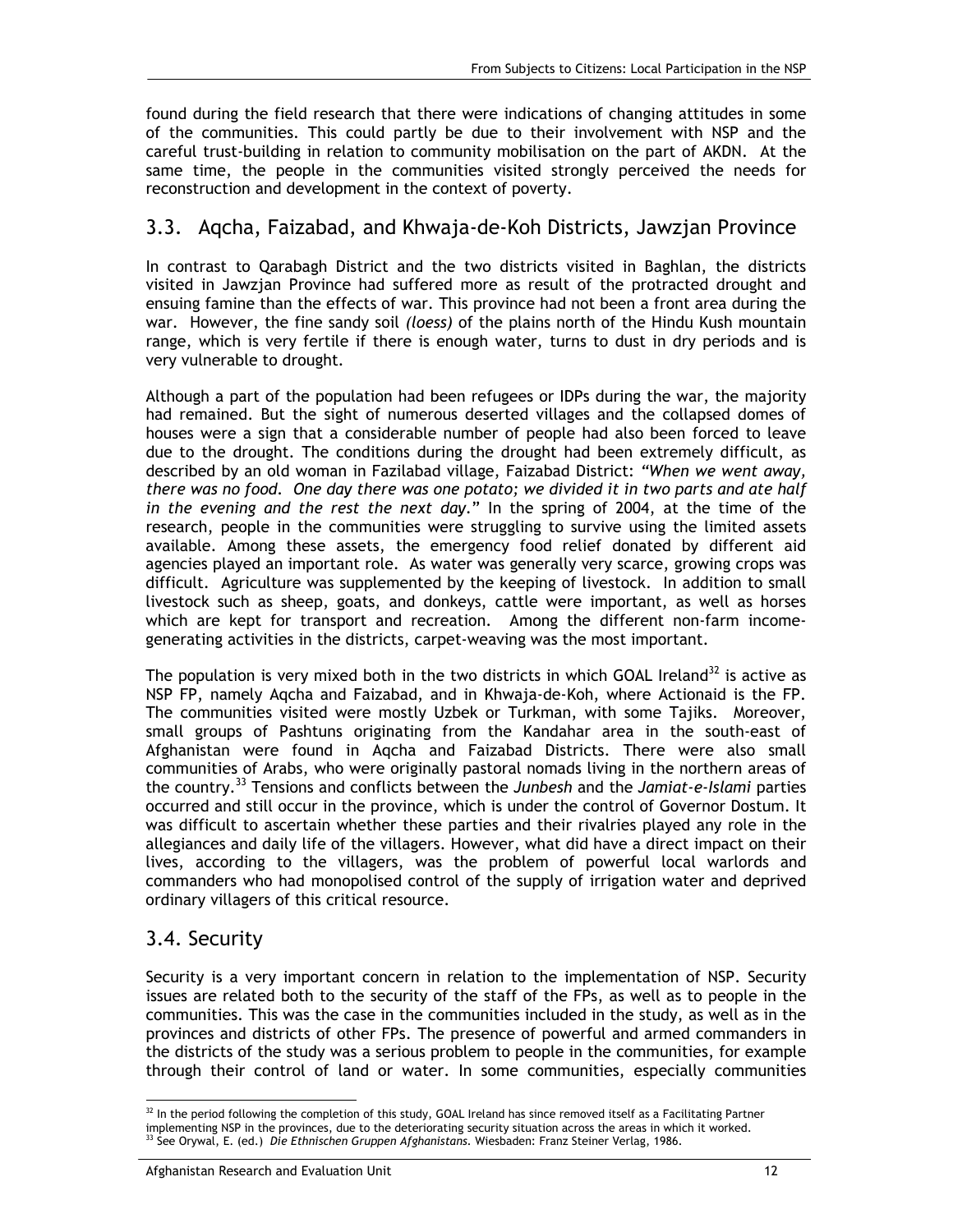found during the field research that there were indications of changing attitudes in some of the communities. This could partly be due to their involvement with NSP and the careful trust-building in relation to community mobilisation on the part of AKDN. At the same time, the people in the communities visited strongly perceived the needs for reconstruction and development in the context of poverty.

#### 3.3. Aqcha, Faizabad, and Khwaja-de-Koh Districts, Jawzjan Province

In contrast to Qarabagh District and the two districts visited in Baghlan, the districts visited in Jawzjan Province had suffered more as result of the protracted drought and ensuing famine than the effects of war. This province had not been a front area during the war. However, the fine sandy soil *(loess)* of the plains north of the Hindu Kush mountain range, which is very fertile if there is enough water, turns to dust in dry periods and is very vulnerable to drought.

Although a part of the population had been refugees or IDPs during the war, the majority had remained. But the sight of numerous deserted villages and the collapsed domes of houses were a sign that a considerable number of people had also been forced to leave due to the drought. The conditions during the drought had been extremely difficult, as described by an old woman in Fazilabad village, Faizabad District: *"When we went away, there was no food. One day there was one potato; we divided it in two parts and ate half in the evening and the rest the next day*." In the spring of 2004, at the time of the research, people in the communities were struggling to survive using the limited assets available. Among these assets, the emergency food relief donated by different aid agencies played an important role. As water was generally very scarce, growing crops was difficult. Agriculture was supplemented by the keeping of livestock. In addition to small livestock such as sheep, goats, and donkeys, cattle were important, as well as horses which are kept for transport and recreation. Among the different non-farm incomegenerating activities in the districts, carpet-weaving was the most important.

The population is very mixed both in the two districts in which GOAL Ireland<sup>32</sup> is active as NSP FP, namely Aqcha and Faizabad, and in Khwaja-de-Koh, where Actionaid is the FP. The communities visited were mostly Uzbek or Turkman, with some Tajiks. Moreover, small groups of Pashtuns originating from the Kandahar area in the south-east of Afghanistan were found in Aqcha and Faizabad Districts. There were also small communities of Arabs, who were originally pastoral nomads living in the northern areas of the country.33 Tensions and conflicts between the *Junbesh* and the *Jamiat-e-Islami* parties occurred and still occur in the province, which is under the control of Governor Dostum. It was difficult to ascertain whether these parties and their rivalries played any role in the allegiances and daily life of the villagers. However, what did have a direct impact on their lives, according to the villagers, was the problem of powerful local warlords and commanders who had monopolised control of the supply of irrigation water and deprived ordinary villagers of this critical resource.

### 3.4. Security

Security is a very important concern in relation to the implementation of NSP. Security issues are related both to the security of the staff of the FPs, as well as to people in the communities. This was the case in the communities included in the study, as well as in the provinces and districts of other FPs. The presence of powerful and armed commanders in the districts of the study was a serious problem to people in the communities, for example through their control of land or water. In some communities, especially communities

<sup>-</sup> $32$  In the period following the completion of this study, GOAL Ireland has since removed itself as a Facilitating Partner implementing NSP in the provinces, due to the deteriorating security situation across the areas in which it worked.<br><sup>33</sup> See Orywal, E. (ed.) *Die Ethnischen Gruppen Afghanistans*. Wiesbaden: Franz Steiner Verlag, 1986.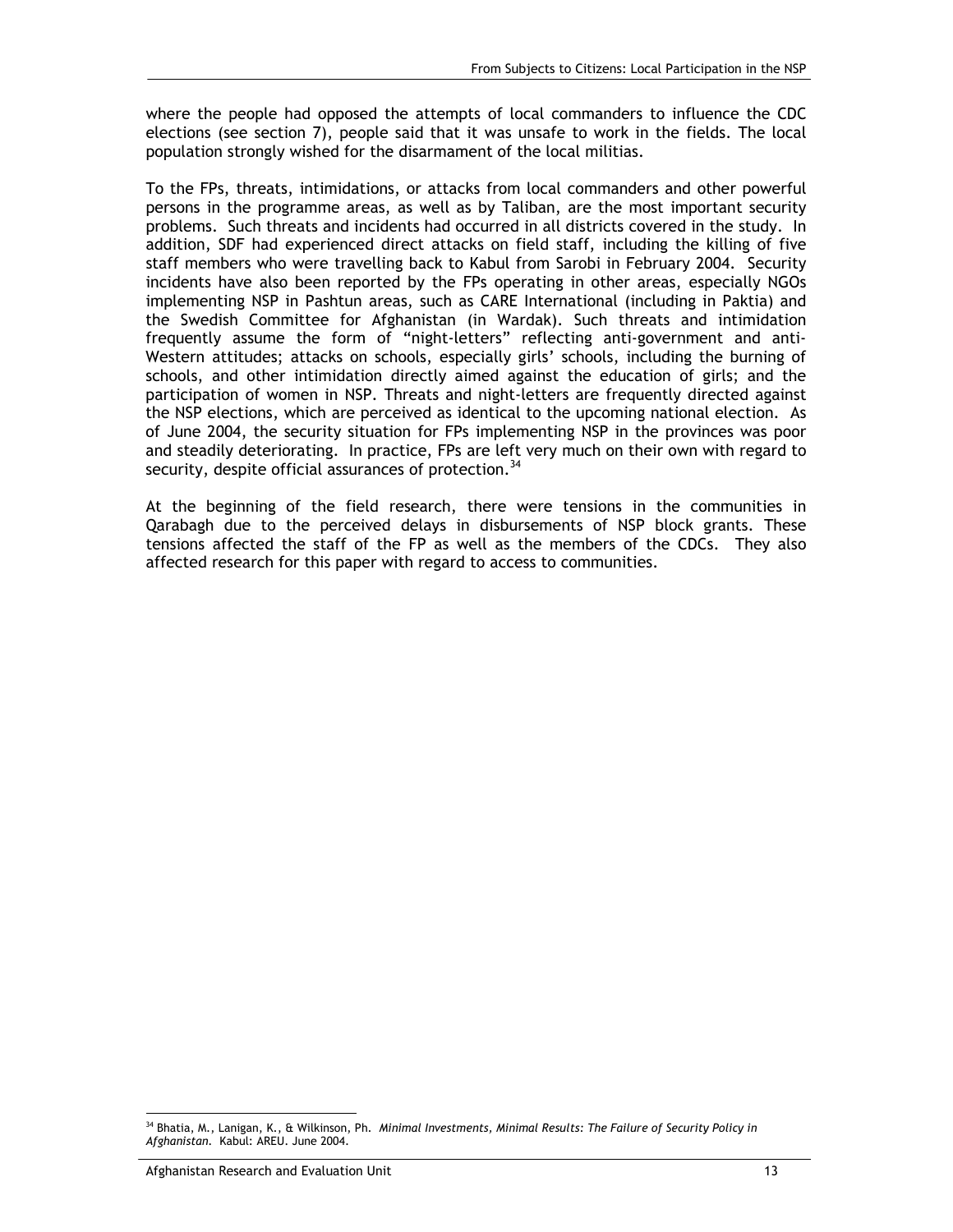where the people had opposed the attempts of local commanders to influence the CDC elections (see section 7), people said that it was unsafe to work in the fields. The local population strongly wished for the disarmament of the local militias.

To the FPs, threats, intimidations, or attacks from local commanders and other powerful persons in the programme areas, as well as by Taliban, are the most important security problems. Such threats and incidents had occurred in all districts covered in the study. In addition, SDF had experienced direct attacks on field staff, including the killing of five staff members who were travelling back to Kabul from Sarobi in February 2004. Security incidents have also been reported by the FPs operating in other areas, especially NGOs implementing NSP in Pashtun areas, such as CARE International (including in Paktia) and the Swedish Committee for Afghanistan (in Wardak). Such threats and intimidation frequently assume the form of "night-letters" reflecting anti-government and anti-Western attitudes; attacks on schools, especially girls' schools, including the burning of schools, and other intimidation directly aimed against the education of girls; and the participation of women in NSP. Threats and night-letters are frequently directed against the NSP elections, which are perceived as identical to the upcoming national election. As of June 2004, the security situation for FPs implementing NSP in the provinces was poor and steadily deteriorating. In practice, FPs are left very much on their own with regard to security, despite official assurances of protection.<sup>34</sup>

At the beginning of the field research, there were tensions in the communities in Qarabagh due to the perceived delays in disbursements of NSP block grants. These tensions affected the staff of the FP as well as the members of the CDCs. They also affected research for this paper with regard to access to communities.

<sup>-</sup>34 Bhatia, M., Lanigan, K., & Wilkinson, Ph. *Minimal Investments, Minimal Results: The Failure of Security Policy in Afghanistan.* Kabul: AREU. June 2004.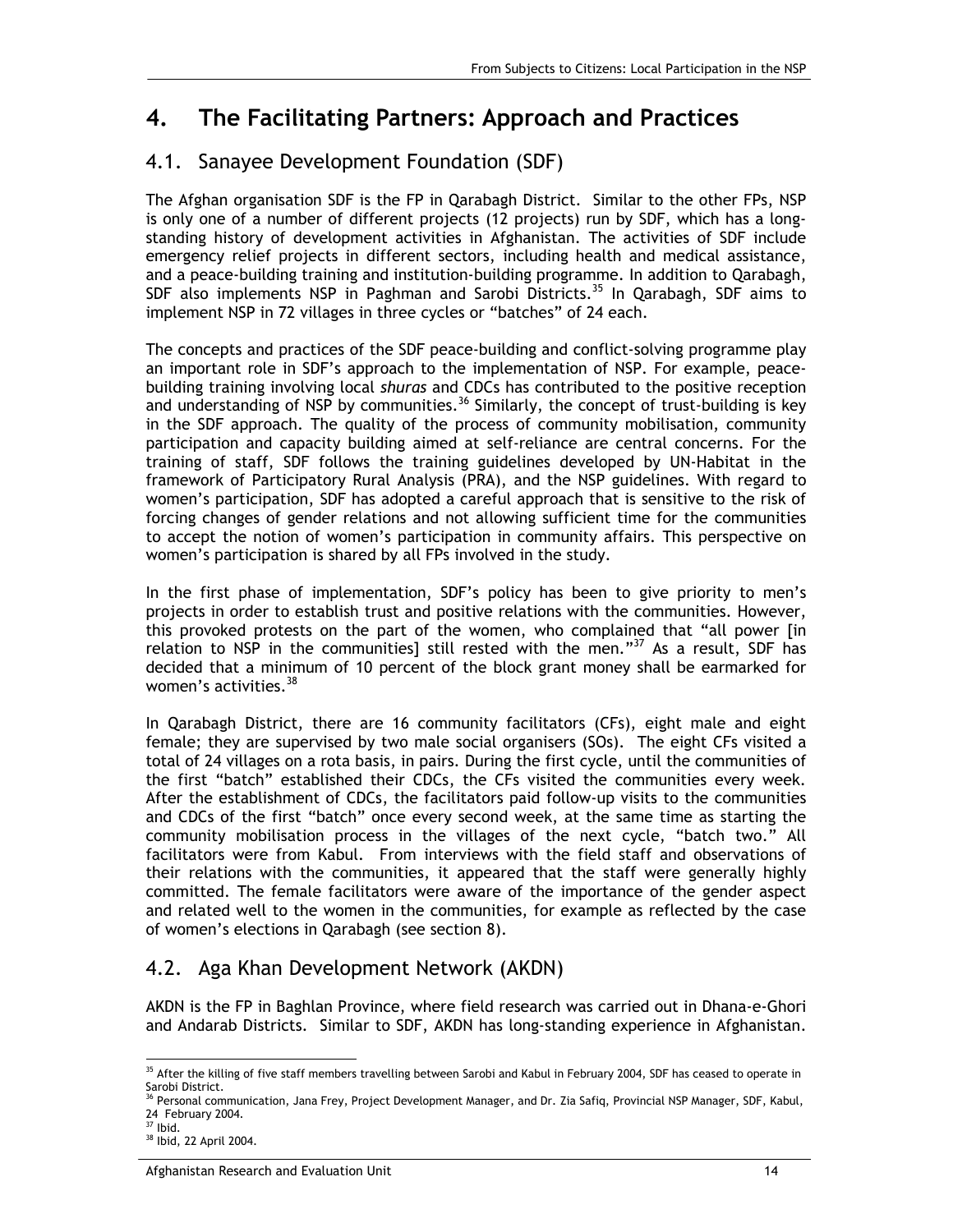# **4. The Facilitating Partners: Approach and Practices**

## 4.1. Sanayee Development Foundation (SDF)

The Afghan organisation SDF is the FP in Qarabagh District. Similar to the other FPs, NSP is only one of a number of different projects (12 projects) run by SDF, which has a longstanding history of development activities in Afghanistan. The activities of SDF include emergency relief projects in different sectors, including health and medical assistance, and a peace-building training and institution-building programme. In addition to Qarabagh, SDF also implements NSP in Paghman and Sarobi Districts.<sup>35</sup> In Qarabagh, SDF aims to implement NSP in 72 villages in three cycles or "batches" of 24 each.

The concepts and practices of the SDF peace-building and conflict-solving programme play an important role in SDF's approach to the implementation of NSP. For example, peacebuilding training involving local *shuras* and CDCs has contributed to the positive reception and understanding of NSP by communities.<sup>36</sup> Similarly, the concept of trust-building is key in the SDF approach. The quality of the process of community mobilisation, community participation and capacity building aimed at self-reliance are central concerns. For the training of staff, SDF follows the training guidelines developed by UN-Habitat in the framework of Participatory Rural Analysis (PRA), and the NSP guidelines. With regard to women's participation, SDF has adopted a careful approach that is sensitive to the risk of forcing changes of gender relations and not allowing sufficient time for the communities to accept the notion of women's participation in community affairs. This perspective on women's participation is shared by all FPs involved in the study.

In the first phase of implementation, SDF's policy has been to give priority to men's projects in order to establish trust and positive relations with the communities. However, this provoked protests on the part of the women, who complained that "all power [in relation to NSP in the communities] still rested with the men." $37$  As a result, SDF has decided that a minimum of 10 percent of the block grant money shall be earmarked for women's activities.<sup>38</sup>

In Qarabagh District, there are 16 community facilitators (CFs), eight male and eight female; they are supervised by two male social organisers (SOs). The eight CFs visited a total of 24 villages on a rota basis, in pairs. During the first cycle, until the communities of the first "batch" established their CDCs, the CFs visited the communities every week. After the establishment of CDCs, the facilitators paid follow-up visits to the communities and CDCs of the first "batch" once every second week, at the same time as starting the community mobilisation process in the villages of the next cycle, "batch two." All facilitators were from Kabul. From interviews with the field staff and observations of their relations with the communities, it appeared that the staff were generally highly committed. The female facilitators were aware of the importance of the gender aspect and related well to the women in the communities, for example as reflected by the case of women's elections in Qarabagh (see section 8).

## 4.2. Aga Khan Development Network (AKDN)

AKDN is the FP in Baghlan Province, where field research was carried out in Dhana-e-Ghori and Andarab Districts. Similar to SDF, AKDN has long-standing experience in Afghanistan.

<sup>-</sup><sup>35</sup> After the killing of five staff members travelling between Sarobi and Kabul in February 2004, SDF has ceased to operate in Sarobi District.

<sup>&</sup>lt;sup>36</sup> Personal communication, Jana Frey, Project Development Manager, and Dr. Zia Safiq, Provincial NSP Manager, SDF, Kabul, 24 February 2004.

 $37$  Ibid.

<sup>38</sup> Ibid, 22 April 2004.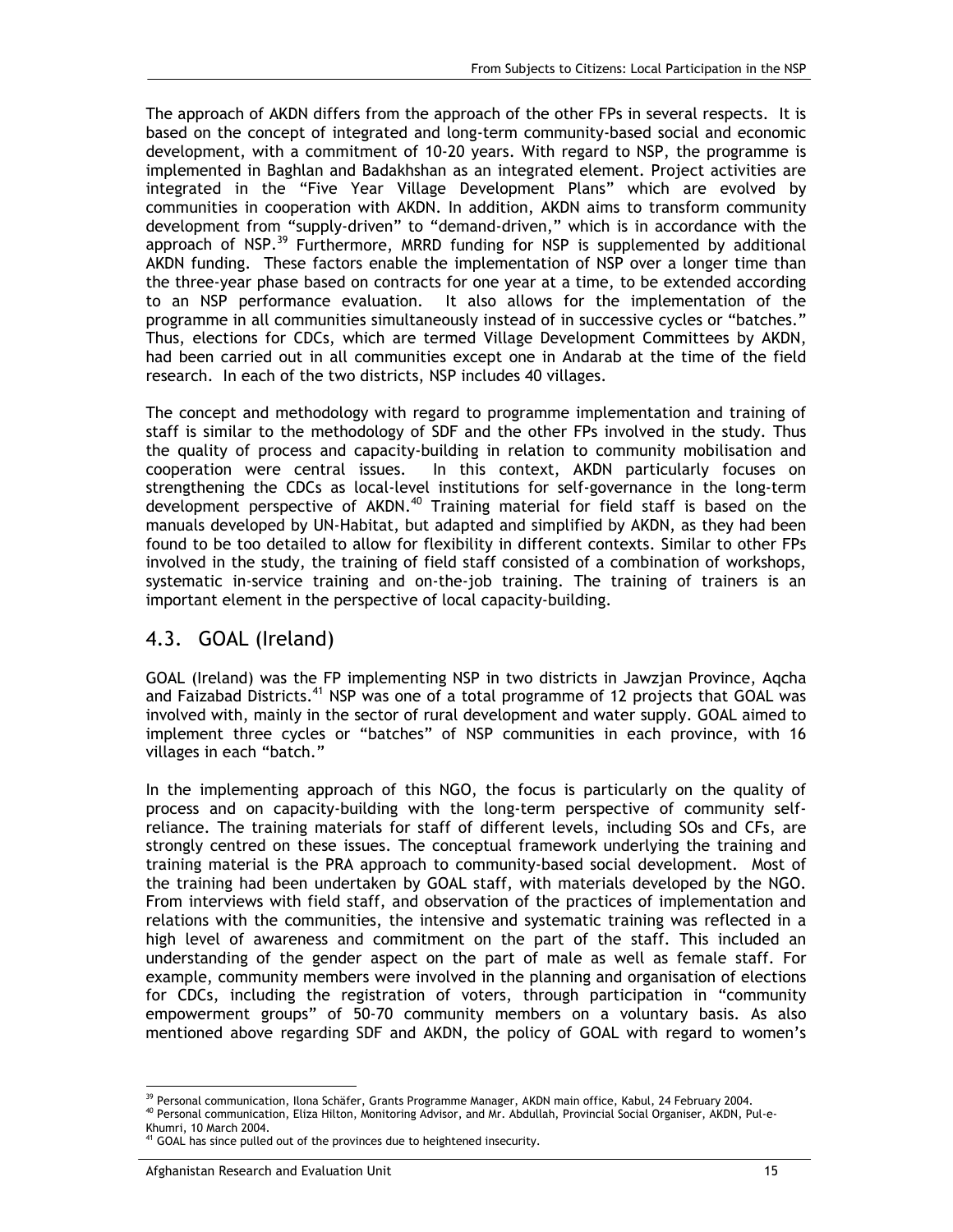The approach of AKDN differs from the approach of the other FPs in several respects. It is based on the concept of integrated and long-term community-based social and economic development, with a commitment of 10-20 years. With regard to NSP, the programme is implemented in Baghlan and Badakhshan as an integrated element. Project activities are integrated in the "Five Year Village Development Plans" which are evolved by communities in cooperation with AKDN. In addition, AKDN aims to transform community development from "supply-driven" to "demand-driven," which is in accordance with the approach of NSP.<sup>39</sup> Furthermore, MRRD funding for NSP is supplemented by additional AKDN funding. These factors enable the implementation of NSP over a longer time than the three-year phase based on contracts for one year at a time, to be extended according to an NSP performance evaluation. It also allows for the implementation of the programme in all communities simultaneously instead of in successive cycles or "batches." Thus, elections for CDCs, which are termed Village Development Committees by AKDN, had been carried out in all communities except one in Andarab at the time of the field research. In each of the two districts, NSP includes 40 villages.

The concept and methodology with regard to programme implementation and training of staff is similar to the methodology of SDF and the other FPs involved in the study. Thus the quality of process and capacity-building in relation to community mobilisation and cooperation were central issues. In this context, AKDN particularly focuses on strengthening the CDCs as local-level institutions for self-governance in the long-term development perspective of AKDN.<sup>40</sup> Training material for field staff is based on the manuals developed by UN-Habitat, but adapted and simplified by AKDN, as they had been found to be too detailed to allow for flexibility in different contexts. Similar to other FPs involved in the study, the training of field staff consisted of a combination of workshops, systematic in-service training and on-the-job training. The training of trainers is an important element in the perspective of local capacity-building.

### 4.3. GOAL (Ireland)

GOAL (Ireland) was the FP implementing NSP in two districts in Jawzjan Province, Aqcha and Faizabad Districts.<sup>41</sup> NSP was one of a total programme of 12 projects that GOAL was involved with, mainly in the sector of rural development and water supply. GOAL aimed to implement three cycles or "batches" of NSP communities in each province, with 16 villages in each "batch."

In the implementing approach of this NGO, the focus is particularly on the quality of process and on capacity-building with the long-term perspective of community selfreliance. The training materials for staff of different levels, including SOs and CFs, are strongly centred on these issues. The conceptual framework underlying the training and training material is the PRA approach to community-based social development. Most of the training had been undertaken by GOAL staff, with materials developed by the NGO. From interviews with field staff, and observation of the practices of implementation and relations with the communities, the intensive and systematic training was reflected in a high level of awareness and commitment on the part of the staff. This included an understanding of the gender aspect on the part of male as well as female staff. For example, community members were involved in the planning and organisation of elections for CDCs, including the registration of voters, through participation in "community empowerment groups" of 50-70 community members on a voluntary basis. As also mentioned above regarding SDF and AKDN, the policy of GOAL with regard to women's

<sup>-</sup><sup>39</sup> Personal communication, Ilona Schäfer, Grants Programme Manager, AKDN main office, Kabul, 24 February 2004.

<sup>40</sup> Personal communication, Eliza Hilton, Monitoring Advisor, and Mr. Abdullah, Provincial Social Organiser, AKDN, Pul-e-Khumri, 10 March 2004.

 $41$  GOAL has since pulled out of the provinces due to heightened insecurity.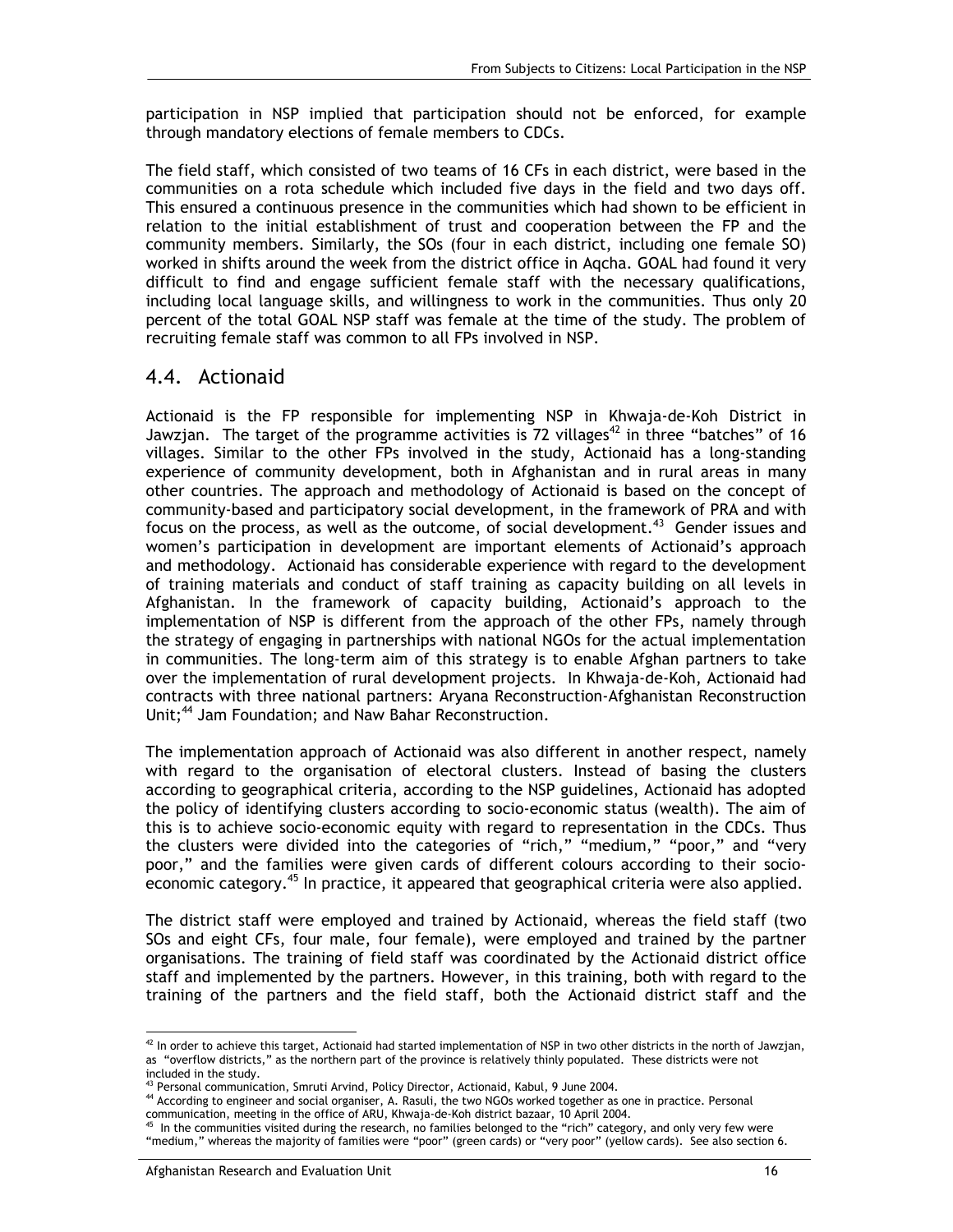participation in NSP implied that participation should not be enforced, for example through mandatory elections of female members to CDCs.

The field staff, which consisted of two teams of 16 CFs in each district, were based in the communities on a rota schedule which included five days in the field and two days off. This ensured a continuous presence in the communities which had shown to be efficient in relation to the initial establishment of trust and cooperation between the FP and the community members. Similarly, the SOs (four in each district, including one female SO) worked in shifts around the week from the district office in Aqcha. GOAL had found it very difficult to find and engage sufficient female staff with the necessary qualifications, including local language skills, and willingness to work in the communities. Thus only 20 percent of the total GOAL NSP staff was female at the time of the study. The problem of recruiting female staff was common to all FPs involved in NSP.

#### 4.4. Actionaid

Actionaid is the FP responsible for implementing NSP in Khwaja-de-Koh District in Jawzjan. The target of the programme activities is 72 villages<sup>42</sup> in three "batches" of 16 villages. Similar to the other FPs involved in the study, Actionaid has a long-standing experience of community development, both in Afghanistan and in rural areas in many other countries. The approach and methodology of Actionaid is based on the concept of community-based and participatory social development, in the framework of PRA and with focus on the process, as well as the outcome, of social development.<sup>43</sup> Gender issues and women's participation in development are important elements of Actionaid's approach and methodology. Actionaid has considerable experience with regard to the development of training materials and conduct of staff training as capacity building on all levels in Afghanistan. In the framework of capacity building, Actionaid's approach to the implementation of NSP is different from the approach of the other FPs, namely through the strategy of engaging in partnerships with national NGOs for the actual implementation in communities. The long-term aim of this strategy is to enable Afghan partners to take over the implementation of rural development projects. In Khwaja-de-Koh, Actionaid had contracts with three national partners: Aryana Reconstruction-Afghanistan Reconstruction Unit;<sup>44</sup> Jam Foundation; and Naw Bahar Reconstruction.

The implementation approach of Actionaid was also different in another respect, namely with regard to the organisation of electoral clusters. Instead of basing the clusters according to geographical criteria, according to the NSP guidelines, Actionaid has adopted the policy of identifying clusters according to socio-economic status (wealth). The aim of this is to achieve socio-economic equity with regard to representation in the CDCs. Thus the clusters were divided into the categories of "rich," "medium," "poor," and "very poor," and the families were given cards of different colours according to their socioeconomic category.<sup>45</sup> In practice, it appeared that geographical criteria were also applied.

The district staff were employed and trained by Actionaid, whereas the field staff (two SOs and eight CFs, four male, four female), were employed and trained by the partner organisations. The training of field staff was coordinated by the Actionaid district office staff and implemented by the partners. However, in this training, both with regard to the training of the partners and the field staff, both the Actionaid district staff and the

<sup>-</sup> $42$  In order to achieve this target, Actionaid had started implementation of NSP in two other districts in the north of Jawzjan, as "overflow districts," as the northern part of the province is relatively thinly populated. These districts were not included in the study.

<sup>43</sup> Personal communication, Smruti Arvind, Policy Director, Actionaid, Kabul, 9 June 2004.

<sup>44</sup> According to engineer and social organiser, A. Rasuli, the two NGOs worked together as one in practice. Personal communication, meeting in the office of ARU, Khwaja-de-Koh district bazaar, 10 April 2004.

In the communities visited during the research, no families belonged to the "rich" category, and only very few were "medium," whereas the majority of families were "poor" (green cards) or "very poor" (yellow cards). See also section 6.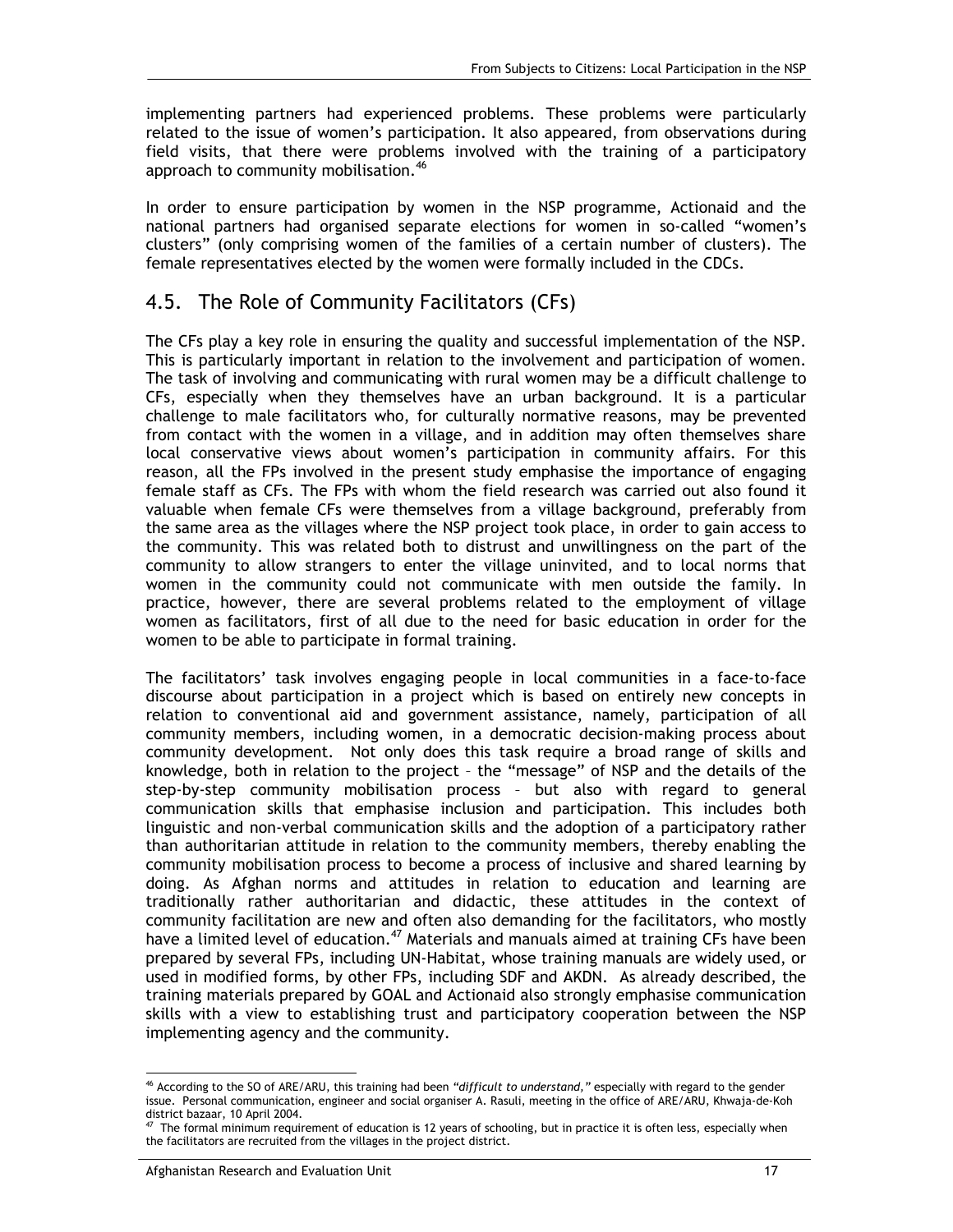implementing partners had experienced problems. These problems were particularly related to the issue of women's participation. It also appeared, from observations during field visits, that there were problems involved with the training of a participatory approach to community mobilisation.<sup>46</sup>

In order to ensure participation by women in the NSP programme, Actionaid and the national partners had organised separate elections for women in so-called "women's clusters" (only comprising women of the families of a certain number of clusters). The female representatives elected by the women were formally included in the CDCs.

### 4.5. The Role of Community Facilitators (CFs)

The CFs play a key role in ensuring the quality and successful implementation of the NSP. This is particularly important in relation to the involvement and participation of women. The task of involving and communicating with rural women may be a difficult challenge to CFs, especially when they themselves have an urban background. It is a particular challenge to male facilitators who, for culturally normative reasons, may be prevented from contact with the women in a village, and in addition may often themselves share local conservative views about women's participation in community affairs. For this reason, all the FPs involved in the present study emphasise the importance of engaging female staff as CFs. The FPs with whom the field research was carried out also found it valuable when female CFs were themselves from a village background, preferably from the same area as the villages where the NSP project took place, in order to gain access to the community. This was related both to distrust and unwillingness on the part of the community to allow strangers to enter the village uninvited, and to local norms that women in the community could not communicate with men outside the family. In practice, however, there are several problems related to the employment of village women as facilitators, first of all due to the need for basic education in order for the women to be able to participate in formal training.

The facilitators' task involves engaging people in local communities in a face-to-face discourse about participation in a project which is based on entirely new concepts in relation to conventional aid and government assistance, namely, participation of all community members, including women, in a democratic decision-making process about community development. Not only does this task require a broad range of skills and knowledge, both in relation to the project – the "message" of NSP and the details of the step-by-step community mobilisation process – but also with regard to general communication skills that emphasise inclusion and participation. This includes both linguistic and non-verbal communication skills and the adoption of a participatory rather than authoritarian attitude in relation to the community members, thereby enabling the community mobilisation process to become a process of inclusive and shared learning by doing. As Afghan norms and attitudes in relation to education and learning are traditionally rather authoritarian and didactic, these attitudes in the context of community facilitation are new and often also demanding for the facilitators, who mostly have a limited level of education.<sup>47</sup> Materials and manuals aimed at training CFs have been prepared by several FPs, including UN-Habitat, whose training manuals are widely used, or used in modified forms, by other FPs, including SDF and AKDN. As already described, the training materials prepared by GOAL and Actionaid also strongly emphasise communication skills with a view to establishing trust and participatory cooperation between the NSP implementing agency and the community.

<sup>-</sup>46 According to the SO of ARE/ARU, this training had been *"difficult to understand,"* especially with regard to the gender issue. Personal communication, engineer and social organiser A. Rasuli, meeting in the office of ARE/ARU, Khwaja-de-Koh district bazaar, 10 April 2004.

The formal minimum requirement of education is 12 years of schooling, but in practice it is often less, especially when the facilitators are recruited from the villages in the project district.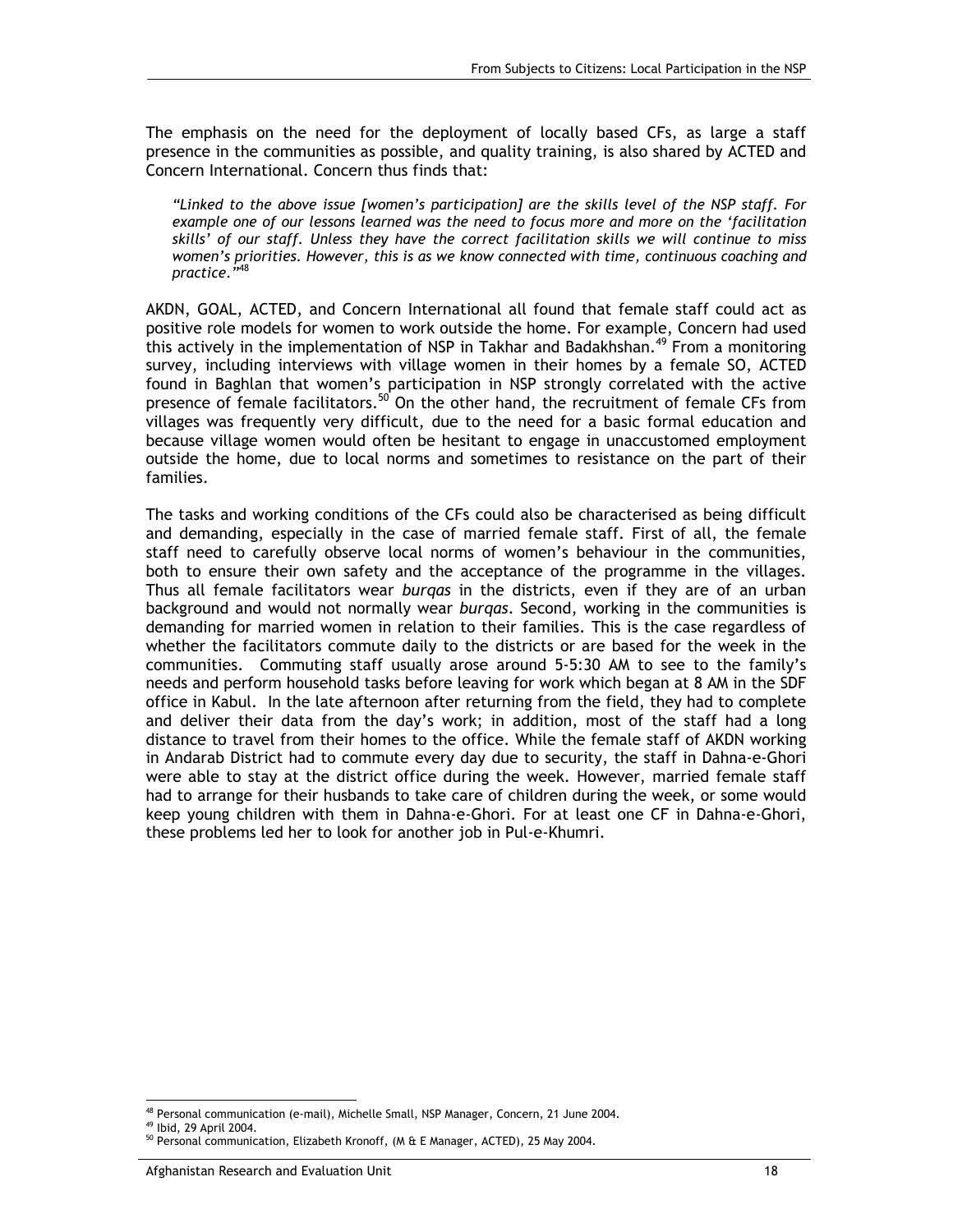The emphasis on the need for the deployment of locally based CFs, as large a staff presence in the communities as possible, and quality training, is also shared by ACTED and Concern International. Concern thus finds that:

*"Linked to the above issue [women's participation] are the skills level of the NSP staff. For example one of our lessons learned was the need to focus more and more on the 'facilitation skills' of our staff. Unless they have the correct facilitation skills we will continue to miss women's priorities. However, this is as we know connected with time, continuous coaching and practice*.*"*48

AKDN, GOAL, ACTED, and Concern International all found that female staff could act as positive role models for women to work outside the home. For example, Concern had used this actively in the implementation of NSP in Takhar and Badakhshan.<sup>49</sup> From a monitoring survey, including interviews with village women in their homes by a female SO, ACTED found in Baghlan that women's participation in NSP strongly correlated with the active presence of female facilitators.<sup>50</sup> On the other hand, the recruitment of female CFs from villages was frequently very difficult, due to the need for a basic formal education and because village women would often be hesitant to engage in unaccustomed employment outside the home, due to local norms and sometimes to resistance on the part of their families.

The tasks and working conditions of the CFs could also be characterised as being difficult and demanding, especially in the case of married female staff. First of all, the female staff need to carefully observe local norms of women's behaviour in the communities, both to ensure their own safety and the acceptance of the programme in the villages. Thus all female facilitators wear *burqas* in the districts, even if they are of an urban background and would not normally wear *burqas*. Second, working in the communities is demanding for married women in relation to their families. This is the case regardless of whether the facilitators commute daily to the districts or are based for the week in the communities. Commuting staff usually arose around 5-5:30 AM to see to the family's needs and perform household tasks before leaving for work which began at 8 AM in the SDF office in Kabul. In the late afternoon after returning from the field, they had to complete and deliver their data from the day's work; in addition, most of the staff had a long distance to travel from their homes to the office. While the female staff of AKDN working in Andarab District had to commute every day due to security, the staff in Dahna-e-Ghori were able to stay at the district office during the week. However, married female staff had to arrange for their husbands to take care of children during the week, or some would keep young children with them in Dahna-e-Ghori. For at least one CF in Dahna-e-Ghori, these problems led her to look for another job in Pul-e-Khumri.

-

<sup>48</sup> Personal communication (e-mail), Michelle Small, NSP Manager, Concern, 21 June 2004.

<sup>49</sup> Ibid, 29 April 2004.

<sup>&</sup>lt;sup>50</sup> Personal communication, Elizabeth Kronoff, (M & E Manager, ACTED), 25 May 2004.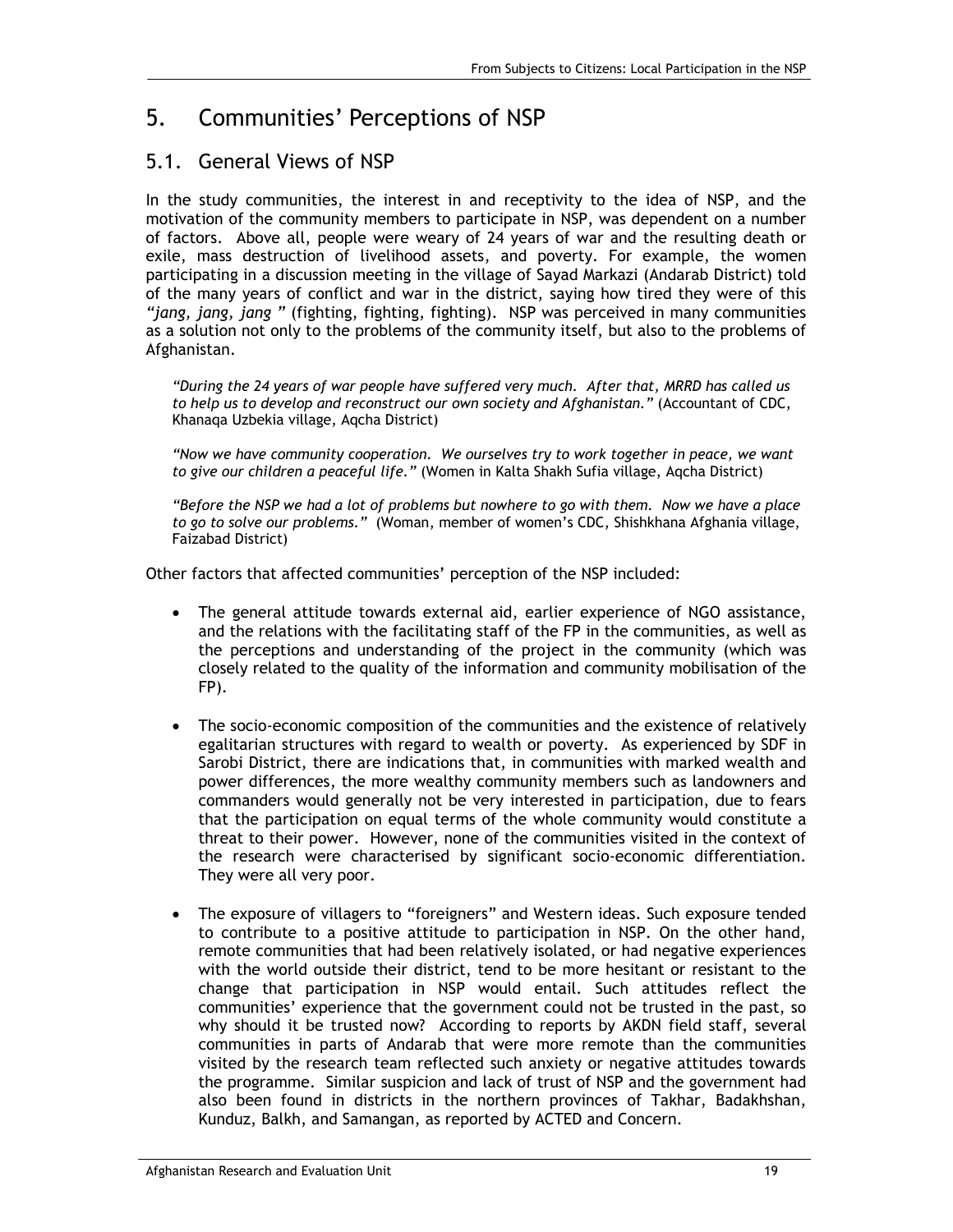## 5. Communities' Perceptions of NSP

## 5.1. General Views of NSP

In the study communities, the interest in and receptivity to the idea of NSP, and the motivation of the community members to participate in NSP, was dependent on a number of factors. Above all, people were weary of 24 years of war and the resulting death or exile, mass destruction of livelihood assets, and poverty. For example, the women participating in a discussion meeting in the village of Sayad Markazi (Andarab District) told of the many years of conflict and war in the district, saying how tired they were of this *"jang, jang, jang "* (fighting, fighting, fighting). NSP was perceived in many communities as a solution not only to the problems of the community itself, but also to the problems of Afghanistan.

*"During the 24 years of war people have suffered very much. After that, MRRD has called us to help us to develop and reconstruct our own society and Afghanistan."* (Accountant of CDC, Khanaqa Uzbekia village, Aqcha District)

*"Now we have community cooperation. We ourselves try to work together in peace, we want to give our children a peaceful life."* (Women in Kalta Shakh Sufia village, Aqcha District)

*"Before the NSP we had a lot of problems but nowhere to go with them. Now we have a place to go to solve our problems."* (Woman, member of women's CDC, Shishkhana Afghania village, Faizabad District)

Other factors that affected communities' perception of the NSP included:

- The general attitude towards external aid, earlier experience of NGO assistance, and the relations with the facilitating staff of the FP in the communities, as well as the perceptions and understanding of the project in the community (which was closely related to the quality of the information and community mobilisation of the FP).
- The socio-economic composition of the communities and the existence of relatively egalitarian structures with regard to wealth or poverty. As experienced by SDF in Sarobi District, there are indications that, in communities with marked wealth and power differences, the more wealthy community members such as landowners and commanders would generally not be very interested in participation, due to fears that the participation on equal terms of the whole community would constitute a threat to their power. However, none of the communities visited in the context of the research were characterised by significant socio-economic differentiation. They were all very poor.
- The exposure of villagers to "foreigners" and Western ideas. Such exposure tended to contribute to a positive attitude to participation in NSP. On the other hand, remote communities that had been relatively isolated, or had negative experiences with the world outside their district, tend to be more hesitant or resistant to the change that participation in NSP would entail. Such attitudes reflect the communities' experience that the government could not be trusted in the past, so why should it be trusted now? According to reports by AKDN field staff, several communities in parts of Andarab that were more remote than the communities visited by the research team reflected such anxiety or negative attitudes towards the programme. Similar suspicion and lack of trust of NSP and the government had also been found in districts in the northern provinces of Takhar, Badakhshan, Kunduz, Balkh, and Samangan, as reported by ACTED and Concern.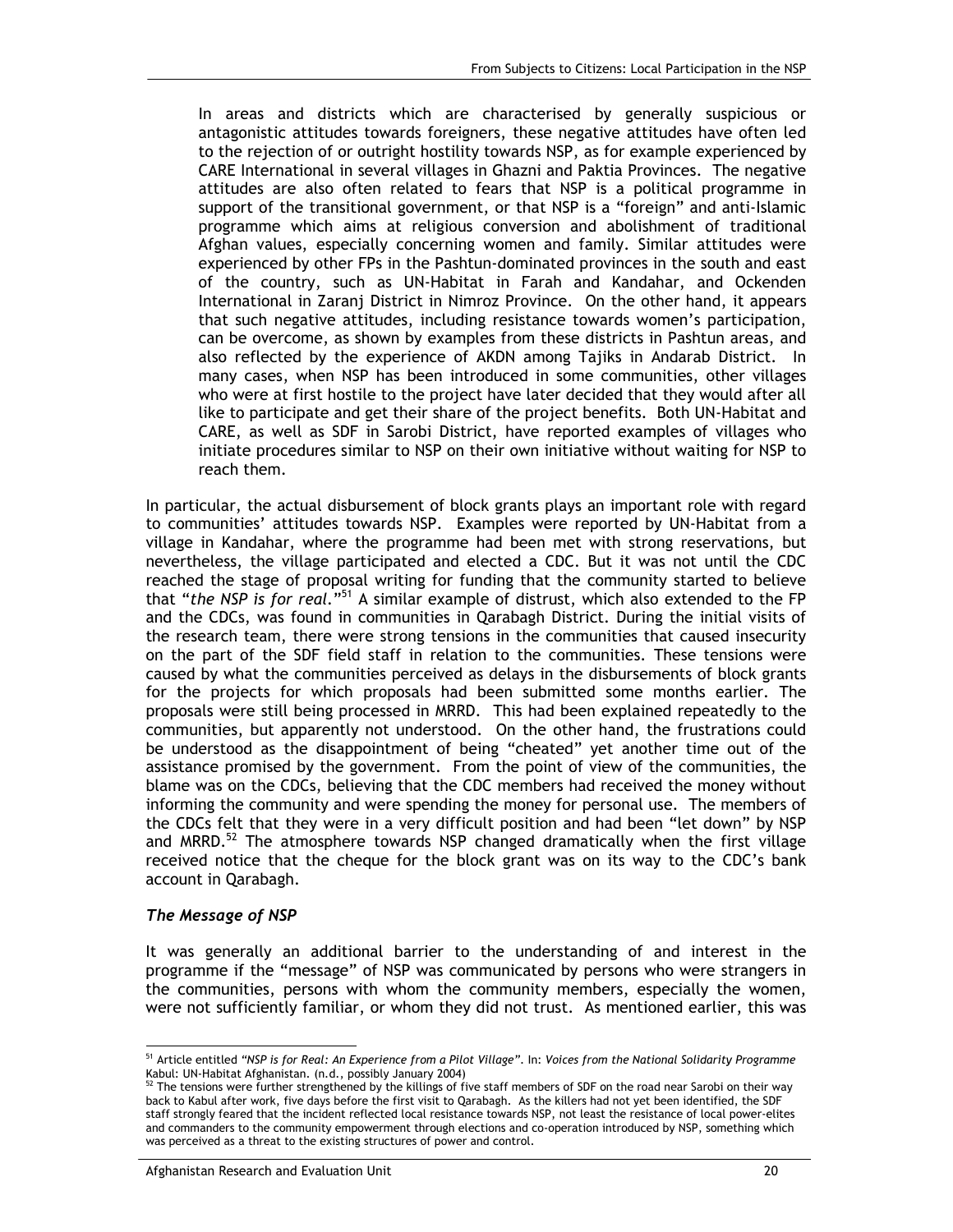In areas and districts which are characterised by generally suspicious or antagonistic attitudes towards foreigners, these negative attitudes have often led to the rejection of or outright hostility towards NSP, as for example experienced by CARE International in several villages in Ghazni and Paktia Provinces. The negative attitudes are also often related to fears that NSP is a political programme in support of the transitional government, or that NSP is a "foreign" and anti-Islamic programme which aims at religious conversion and abolishment of traditional Afghan values, especially concerning women and family. Similar attitudes were experienced by other FPs in the Pashtun-dominated provinces in the south and east of the country, such as UN-Habitat in Farah and Kandahar, and Ockenden International in Zaranj District in Nimroz Province. On the other hand, it appears that such negative attitudes, including resistance towards women's participation, can be overcome, as shown by examples from these districts in Pashtun areas, and also reflected by the experience of AKDN among Tajiks in Andarab District. In many cases, when NSP has been introduced in some communities, other villages who were at first hostile to the project have later decided that they would after all like to participate and get their share of the project benefits. Both UN-Habitat and CARE, as well as SDF in Sarobi District, have reported examples of villages who initiate procedures similar to NSP on their own initiative without waiting for NSP to reach them.

In particular, the actual disbursement of block grants plays an important role with regard to communities' attitudes towards NSP. Examples were reported by UN-Habitat from a village in Kandahar, where the programme had been met with strong reservations, but nevertheless, the village participated and elected a CDC. But it was not until the CDC reached the stage of proposal writing for funding that the community started to believe that "*the NSP is for real.*"51 A similar example of distrust, which also extended to the FP and the CDCs, was found in communities in Qarabagh District. During the initial visits of the research team, there were strong tensions in the communities that caused insecurity on the part of the SDF field staff in relation to the communities. These tensions were caused by what the communities perceived as delays in the disbursements of block grants for the projects for which proposals had been submitted some months earlier. The proposals were still being processed in MRRD. This had been explained repeatedly to the communities, but apparently not understood. On the other hand, the frustrations could be understood as the disappointment of being "cheated" yet another time out of the assistance promised by the government. From the point of view of the communities, the blame was on the CDCs, believing that the CDC members had received the money without informing the community and were spending the money for personal use. The members of the CDCs felt that they were in a very difficult position and had been "let down" by NSP and MRRD.<sup>52</sup> The atmosphere towards NSP changed dramatically when the first village received notice that the cheque for the block grant was on its way to the CDC's bank account in Qarabagh.

#### *The Message of NSP*

It was generally an additional barrier to the understanding of and interest in the programme if the "message" of NSP was communicated by persons who were strangers in the communities, persons with whom the community members, especially the women, were not sufficiently familiar, or whom they did not trust. As mentioned earlier, this was

<sup>-</sup>51 Article entitled *"NSP is for Real: An Experience from a Pilot Village"*. In: *Voices from the National Solidarity Programme* Kabul: UN-Habitat Afghanistan. (n.d., possibly January 2004)<br><sup>52</sup> The tensions were further than (n.d., possibly January 2004)

The tensions were further strengthened by the killings of five staff members of SDF on the road near Sarobi on their way back to Kabul after work, five days before the first visit to Qarabagh. As the killers had not yet been identified, the SDF staff strongly feared that the incident reflected local resistance towards NSP, not least the resistance of local power-elites and commanders to the community empowerment through elections and co-operation introduced by NSP, something which was perceived as a threat to the existing structures of power and control.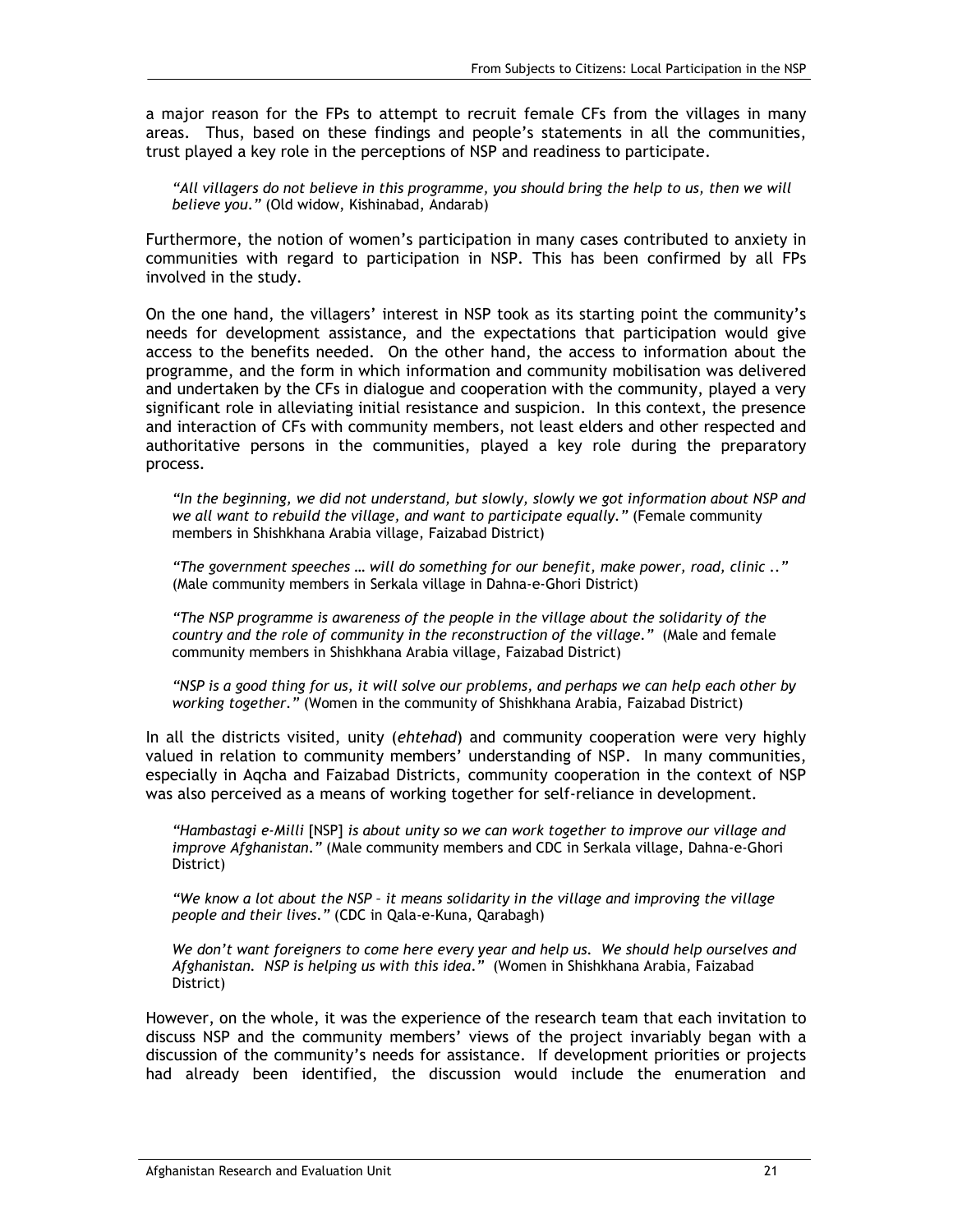a major reason for the FPs to attempt to recruit female CFs from the villages in many areas. Thus, based on these findings and people's statements in all the communities, trust played a key role in the perceptions of NSP and readiness to participate.

*"All villagers do not believe in this programme, you should bring the help to us, then we will believe you*.*"* (Old widow, Kishinabad, Andarab)

Furthermore, the notion of women's participation in many cases contributed to anxiety in communities with regard to participation in NSP. This has been confirmed by all FPs involved in the study.

On the one hand, the villagers' interest in NSP took as its starting point the community's needs for development assistance, and the expectations that participation would give access to the benefits needed. On the other hand, the access to information about the programme, and the form in which information and community mobilisation was delivered and undertaken by the CFs in dialogue and cooperation with the community, played a very significant role in alleviating initial resistance and suspicion. In this context, the presence and interaction of CFs with community members, not least elders and other respected and authoritative persons in the communities, played a key role during the preparatory process.

*"In the beginning, we did not understand, but slowly, slowly we got information about NSP and we all want to rebuild the village, and want to participate equally."* (Female community members in Shishkhana Arabia village, Faizabad District)

*"The government speeches … will do something for our benefit, make power, road, clinic .."*  (Male community members in Serkala village in Dahna-e-Ghori District)

*"The NSP programme is awareness of the people in the village about the solidarity of the country and the role of community in the reconstruction of the village."* (Male and female community members in Shishkhana Arabia village, Faizabad District)

*"NSP is a good thing for us, it will solve our problems, and perhaps we can help each other by working together."* (Women in the community of Shishkhana Arabia, Faizabad District)

In all the districts visited, unity (*ehtehad*) and community cooperation were very highly valued in relation to community members' understanding of NSP. In many communities, especially in Aqcha and Faizabad Districts, community cooperation in the context of NSP was also perceived as a means of working together for self-reliance in development.

*"Hambastagi e-Milli* [NSP] *is about unity so we can work together to improve our village and improve Afghanistan*.*"* (Male community members and CDC in Serkala village, Dahna-e-Ghori District)

*"We know a lot about the NSP – it means solidarity in the village and improving the village people and their lives*.*"* (CDC in Qala-e-Kuna, Qarabagh)

*We don't want foreigners to come here every year and help us. We should help ourselves and Afghanistan. NSP is helping us with this idea*.*"* (Women in Shishkhana Arabia, Faizabad District)

However, on the whole, it was the experience of the research team that each invitation to discuss NSP and the community members' views of the project invariably began with a discussion of the community's needs for assistance. If development priorities or projects had already been identified, the discussion would include the enumeration and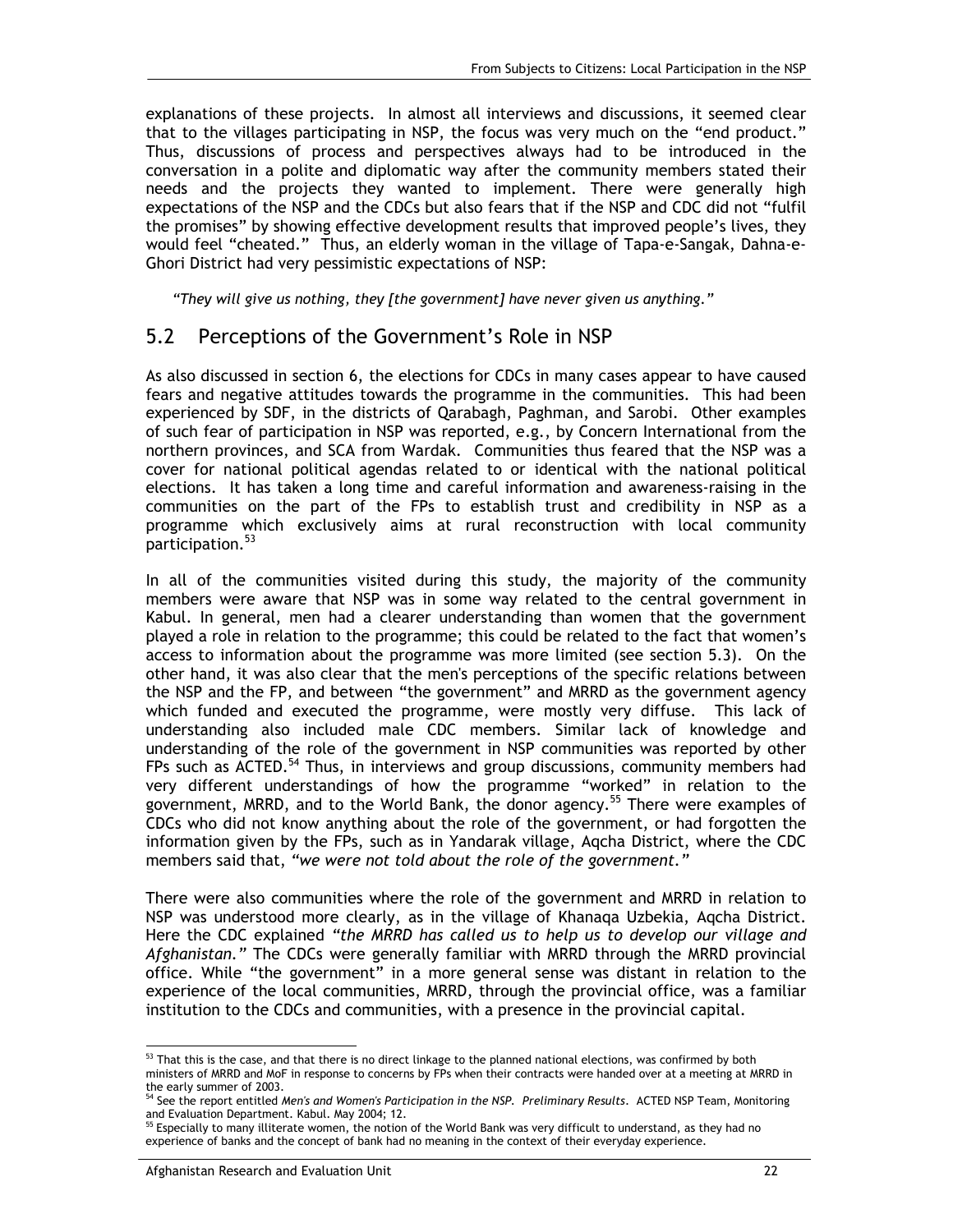explanations of these projects. In almost all interviews and discussions, it seemed clear that to the villages participating in NSP, the focus was very much on the "end product." Thus, discussions of process and perspectives always had to be introduced in the conversation in a polite and diplomatic way after the community members stated their needs and the projects they wanted to implement. There were generally high expectations of the NSP and the CDCs but also fears that if the NSP and CDC did not "fulfil the promises" by showing effective development results that improved people's lives, they would feel "cheated." Thus, an elderly woman in the village of Tapa-e-Sangak, Dahna-e-Ghori District had very pessimistic expectations of NSP:

*"They will give us nothing, they [the government] have never given us anything*.*"* 

### 5.2 Perceptions of the Government's Role in NSP

As also discussed in section 6, the elections for CDCs in many cases appear to have caused fears and negative attitudes towards the programme in the communities. This had been experienced by SDF, in the districts of Qarabagh, Paghman, and Sarobi. Other examples of such fear of participation in NSP was reported, e.g., by Concern International from the northern provinces, and SCA from Wardak. Communities thus feared that the NSP was a cover for national political agendas related to or identical with the national political elections. It has taken a long time and careful information and awareness-raising in the communities on the part of the FPs to establish trust and credibility in NSP as a programme which exclusively aims at rural reconstruction with local community participation.<sup>53</sup>

In all of the communities visited during this study, the majority of the community members were aware that NSP was in some way related to the central government in Kabul. In general, men had a clearer understanding than women that the government played a role in relation to the programme; this could be related to the fact that women's access to information about the programme was more limited (see section 5.3). On the other hand, it was also clear that the men's perceptions of the specific relations between the NSP and the FP, and between "the government" and MRRD as the government agency which funded and executed the programme, were mostly very diffuse. This lack of understanding also included male CDC members. Similar lack of knowledge and understanding of the role of the government in NSP communities was reported by other FPs such as ACTED.<sup>54</sup> Thus, in interviews and group discussions, community members had very different understandings of how the programme "worked" in relation to the government, MRRD, and to the World Bank, the donor agency.<sup>55</sup> There were examples of CDCs who did not know anything about the role of the government, or had forgotten the information given by the FPs, such as in Yandarak village, Aqcha District, where the CDC members said that, *"we were not told about the role of the government."*

There were also communities where the role of the government and MRRD in relation to NSP was understood more clearly, as in the village of Khanaqa Uzbekia, Aqcha District. Here the CDC explained *"the MRRD has called us to help us to develop our village and Afghanistan."* The CDCs were generally familiar with MRRD through the MRRD provincial office. While "the government" in a more general sense was distant in relation to the experience of the local communities, MRRD, through the provincial office, was a familiar institution to the CDCs and communities, with a presence in the provincial capital.

<sup>-</sup> $53$  That this is the case, and that there is no direct linkage to the planned national elections, was confirmed by both ministers of MRRD and MoF in response to concerns by FPs when their contracts were handed over at a meeting at MRRD in the early summer of 2003.

<sup>54</sup> See the report entitled *Men's and Women's Participation in the NSP. Preliminary Results*. ACTED NSP Team, Monitoring

and Evaluation Department. Kabul. May 2004; 12.<br><sup>55</sup> Especially to many illiterate women, the notion of the World Bank was very difficult to understand, as they had no experience of banks and the concept of bank had no meaning in the context of their everyday experience.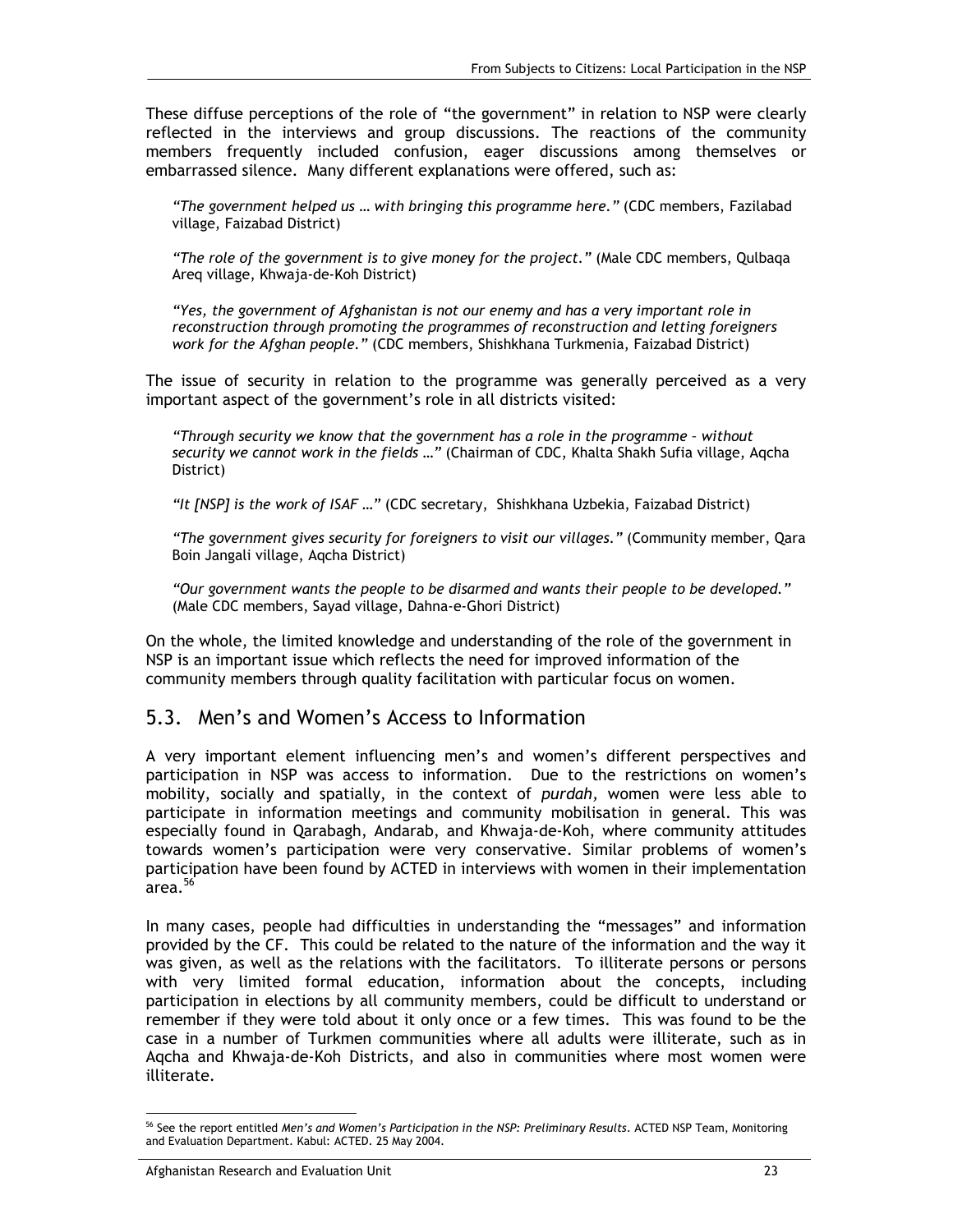These diffuse perceptions of the role of "the government" in relation to NSP were clearly reflected in the interviews and group discussions. The reactions of the community members frequently included confusion, eager discussions among themselves or embarrassed silence. Many different explanations were offered, such as:

*"The government helped us … with bringing this programme here."* (CDC members, Fazilabad village, Faizabad District)

*"The role of the government is to give money for the project."* (Male CDC members, Qulbaqa Areq village, Khwaja-de-Koh District)

*"Yes, the government of Afghanistan is not our enemy and has a very important role in reconstruction through promoting the programmes of reconstruction and letting foreigners work for the Afghan people."* (CDC members, Shishkhana Turkmenia, Faizabad District)

The issue of security in relation to the programme was generally perceived as a very important aspect of the government's role in all districts visited:

*"Through security we know that the government has a role in the programme – without security we cannot work in the fields …"* (Chairman of CDC, Khalta Shakh Sufia village, Aqcha District)

*"It [NSP] is the work of ISAF …"* (CDC secretary, Shishkhana Uzbekia, Faizabad District)

*"The government gives security for foreigners to visit our villages."* (Community member, Qara Boin Jangali village, Aqcha District)

*"Our government wants the people to be disarmed and wants their people to be developed."* (Male CDC members, Sayad village, Dahna-e-Ghori District)

On the whole, the limited knowledge and understanding of the role of the government in NSP is an important issue which reflects the need for improved information of the community members through quality facilitation with particular focus on women.

### 5.3. Men's and Women's Access to Information

A very important element influencing men's and women's different perspectives and participation in NSP was access to information. Due to the restrictions on women's mobility, socially and spatially, in the context of *purdah,* women were less able to participate in information meetings and community mobilisation in general. This was especially found in Qarabagh, Andarab, and Khwaja-de-Koh, where community attitudes towards women's participation were very conservative. Similar problems of women's participation have been found by ACTED in interviews with women in their implementation  $arc$ area. $\frac{56}{3}$ 

In many cases, people had difficulties in understanding the "messages" and information provided by the CF. This could be related to the nature of the information and the way it was given, as well as the relations with the facilitators. To illiterate persons or persons with very limited formal education, information about the concepts, including participation in elections by all community members, could be difficult to understand or remember if they were told about it only once or a few times. This was found to be the case in a number of Turkmen communities where all adults were illiterate, such as in Aqcha and Khwaja-de-Koh Districts, and also in communities where most women were illiterate.

<sup>-</sup><sup>56</sup> See the report entitled *Men's and Women's Participation in the NSP: Preliminary Results*. ACTED NSP Team, Monitoring and Evaluation Department. Kabul: ACTED. 25 May 2004.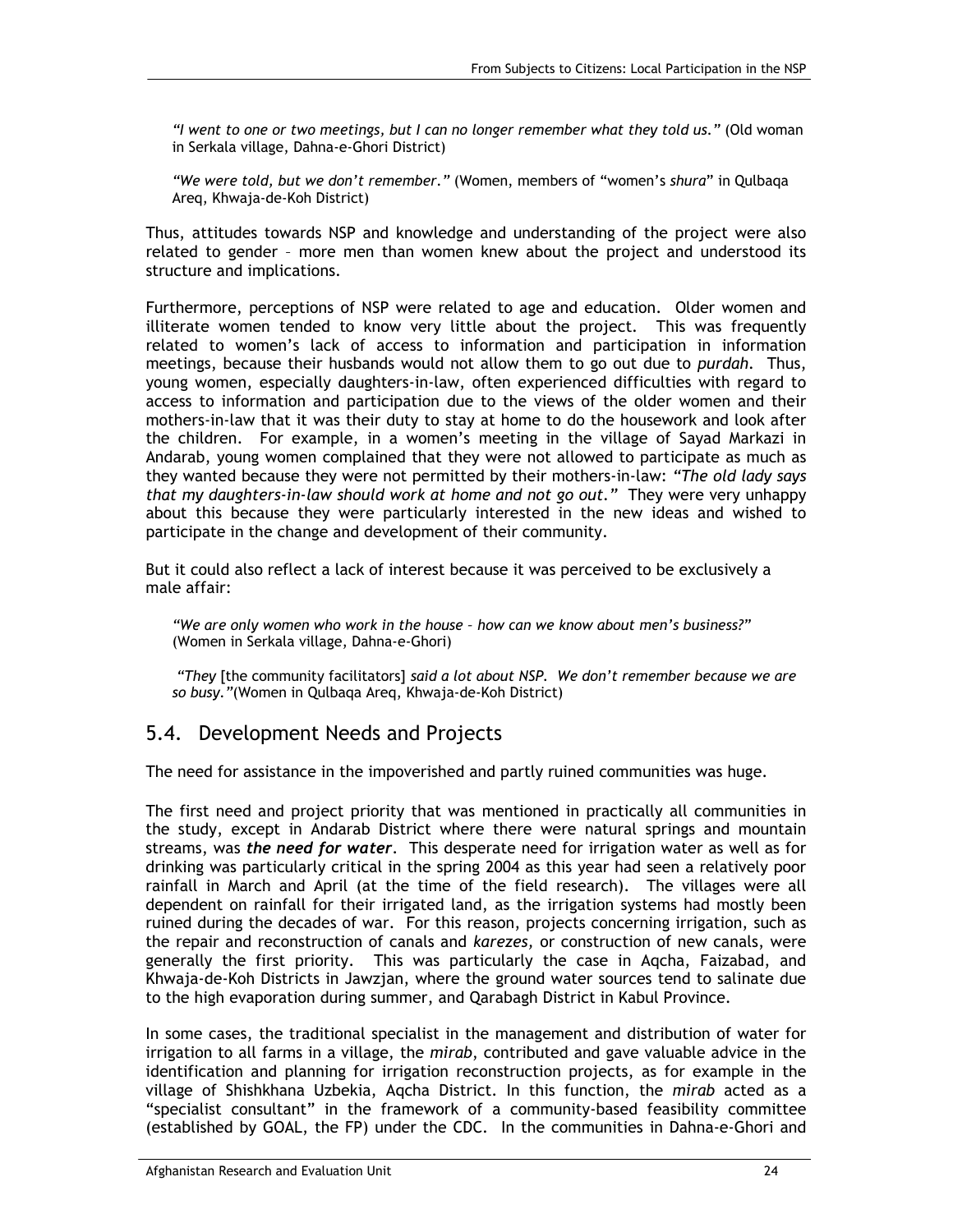*"I went to one or two meetings, but I can no longer remember what they told us."* (Old woman in Serkala village, Dahna-e-Ghori District)

*"We were told, but we don't remember."* (Women, members of "women's *shura*" in Qulbaqa Areq, Khwaja-de-Koh District)

Thus, attitudes towards NSP and knowledge and understanding of the project were also related to gender – more men than women knew about the project and understood its structure and implications.

Furthermore, perceptions of NSP were related to age and education. Older women and illiterate women tended to know very little about the project. This was frequently related to women's lack of access to information and participation in information meetings, because their husbands would not allow them to go out due to *purdah.* Thus, young women, especially daughters-in-law, often experienced difficulties with regard to access to information and participation due to the views of the older women and their mothers-in-law that it was their duty to stay at home to do the housework and look after the children. For example, in a women's meeting in the village of Sayad Markazi in Andarab, young women complained that they were not allowed to participate as much as they wanted because they were not permitted by their mothers-in-law: *"The old lady says that my daughters-in-law should work at home and not go out."* They were very unhappy about this because they were particularly interested in the new ideas and wished to participate in the change and development of their community.

But it could also reflect a lack of interest because it was perceived to be exclusively a male affair:

*"We are only women who work in the house – how can we know about men's business?"* (Women in Serkala village, Dahna-e-Ghori)

 *"They* [the community facilitators] *said a lot about NSP. We don't remember because we are so busy."*(Women in Qulbaqa Areq, Khwaja-de-Koh District)

## 5.4. Development Needs and Projects

The need for assistance in the impoverished and partly ruined communities was huge.

The first need and project priority that was mentioned in practically all communities in the study, except in Andarab District where there were natural springs and mountain streams, was *the need for water*. This desperate need for irrigation water as well as for drinking was particularly critical in the spring 2004 as this year had seen a relatively poor rainfall in March and April (at the time of the field research). The villages were all dependent on rainfall for their irrigated land, as the irrigation systems had mostly been ruined during the decades of war. For this reason, projects concerning irrigation, such as the repair and reconstruction of canals and *karezes,* or construction of new canals, were generally the first priority. This was particularly the case in Aqcha, Faizabad, and Khwaja-de-Koh Districts in Jawzjan, where the ground water sources tend to salinate due to the high evaporation during summer, and Qarabagh District in Kabul Province.

In some cases, the traditional specialist in the management and distribution of water for irrigation to all farms in a village, the *mirab*, contributed and gave valuable advice in the identification and planning for irrigation reconstruction projects, as for example in the village of Shishkhana Uzbekia, Aqcha District. In this function, the *mirab* acted as a "specialist consultant" in the framework of a community-based feasibility committee (established by GOAL, the FP) under the CDC. In the communities in Dahna-e-Ghori and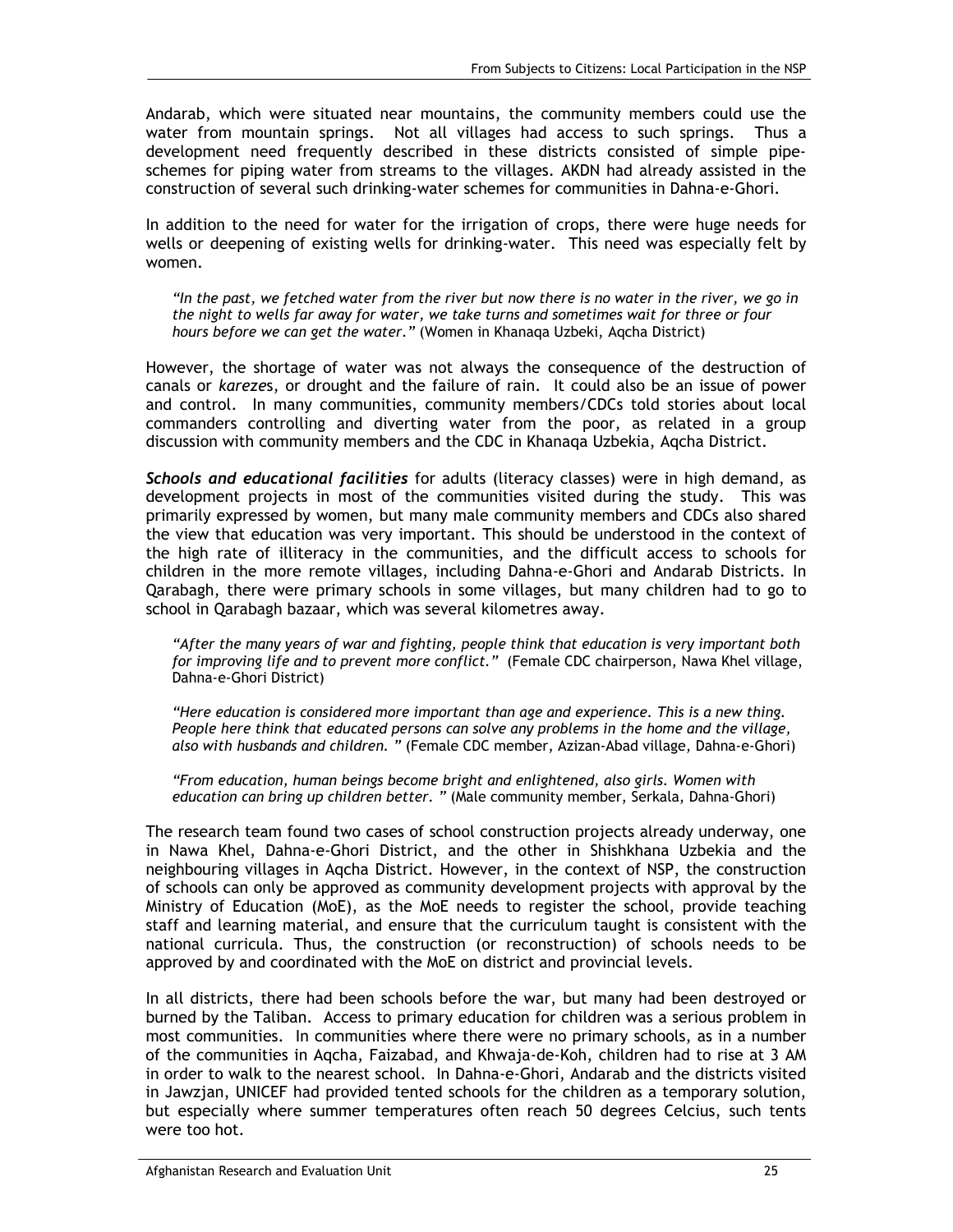Andarab, which were situated near mountains, the community members could use the water from mountain springs. Not all villages had access to such springs. Thus a development need frequently described in these districts consisted of simple pipeschemes for piping water from streams to the villages. AKDN had already assisted in the construction of several such drinking-water schemes for communities in Dahna-e-Ghori.

In addition to the need for water for the irrigation of crops, there were huge needs for wells or deepening of existing wells for drinking-water. This need was especially felt by women.

*"In the past, we fetched water from the river but now there is no water in the river, we go in the night to wells far away for water, we take turns and sometimes wait for three or four hours before we can get the water."* (Women in Khanaqa Uzbeki, Aqcha District)

However, the shortage of water was not always the consequence of the destruction of canals or *kareze*s, or drought and the failure of rain. It could also be an issue of power and control. In many communities, community members/CDCs told stories about local commanders controlling and diverting water from the poor, as related in a group discussion with community members and the CDC in Khanaqa Uzbekia, Aqcha District.

*Schools and educational facilities* for adults (literacy classes) were in high demand, as development projects in most of the communities visited during the study. This was primarily expressed by women, but many male community members and CDCs also shared the view that education was very important. This should be understood in the context of the high rate of illiteracy in the communities, and the difficult access to schools for children in the more remote villages, including Dahna-e-Ghori and Andarab Districts. In Qarabagh, there were primary schools in some villages, but many children had to go to school in Qarabagh bazaar, which was several kilometres away.

*"After the many years of war and fighting, people think that education is very important both for improving life and to prevent more conflict."* (Female CDC chairperson, Nawa Khel village, Dahna-e-Ghori District)

*"Here education is considered more important than age and experience. This is a new thing. People here think that educated persons can solve any problems in the home and the village, also with husbands and children. "* (Female CDC member, Azizan-Abad village, Dahna-e-Ghori)

*"From education, human beings become bright and enlightened, also girls. Women with education can bring up children better. "* (Male community member, Serkala, Dahna-Ghori)

The research team found two cases of school construction projects already underway, one in Nawa Khel, Dahna-e-Ghori District, and the other in Shishkhana Uzbekia and the neighbouring villages in Aqcha District. However, in the context of NSP, the construction of schools can only be approved as community development projects with approval by the Ministry of Education (MoE), as the MoE needs to register the school, provide teaching staff and learning material, and ensure that the curriculum taught is consistent with the national curricula. Thus, the construction (or reconstruction) of schools needs to be approved by and coordinated with the MoE on district and provincial levels.

In all districts, there had been schools before the war, but many had been destroyed or burned by the Taliban. Access to primary education for children was a serious problem in most communities. In communities where there were no primary schools, as in a number of the communities in Aqcha, Faizabad, and Khwaja-de-Koh, children had to rise at 3 AM in order to walk to the nearest school. In Dahna-e-Ghori, Andarab and the districts visited in Jawzjan, UNICEF had provided tented schools for the children as a temporary solution, but especially where summer temperatures often reach 50 degrees Celcius, such tents were too hot.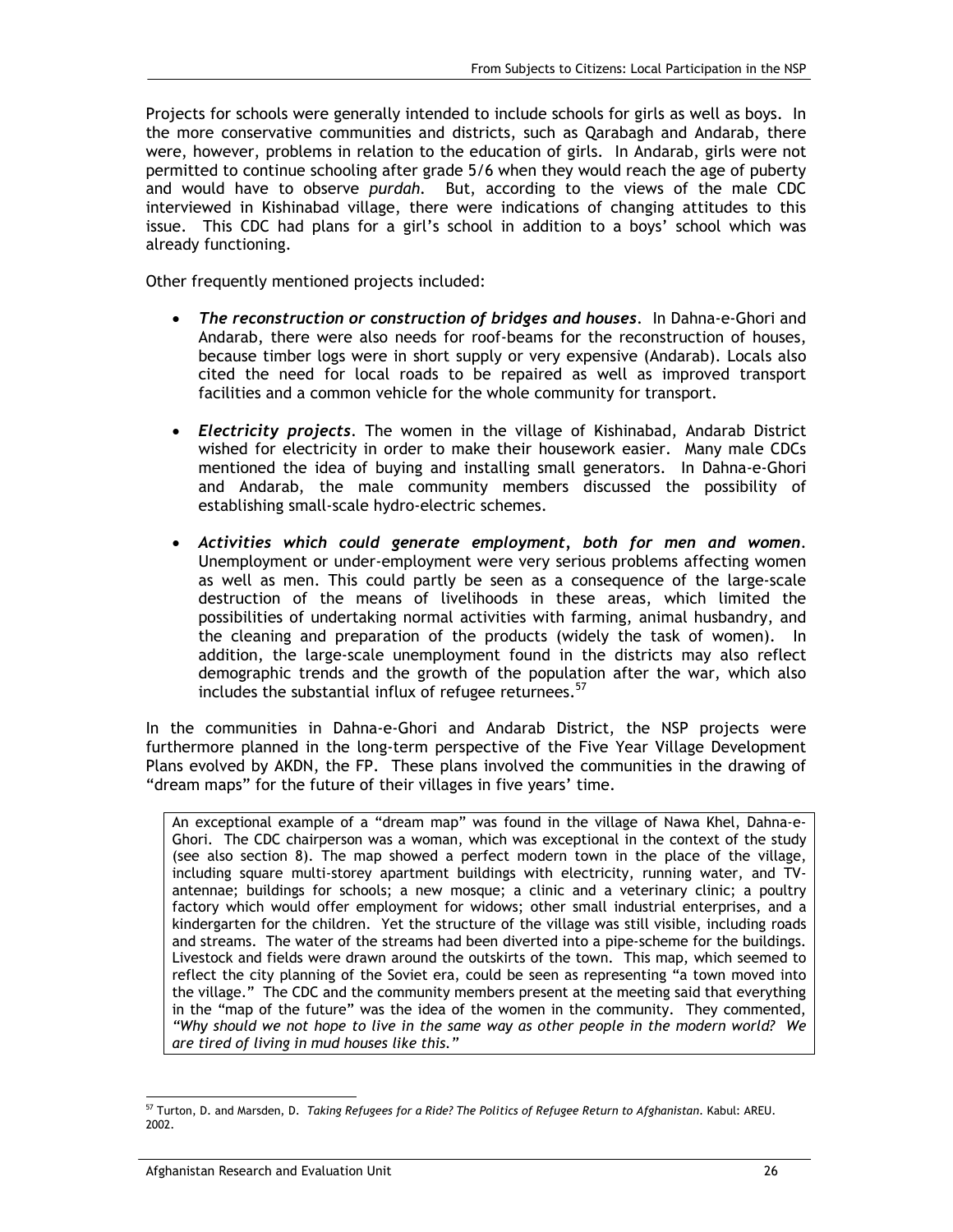Projects for schools were generally intended to include schools for girls as well as boys. In the more conservative communities and districts, such as Qarabagh and Andarab, there were, however, problems in relation to the education of girls. In Andarab, girls were not permitted to continue schooling after grade 5/6 when they would reach the age of puberty and would have to observe *purdah.* But, according to the views of the male CDC interviewed in Kishinabad village, there were indications of changing attitudes to this issue. This CDC had plans for a girl's school in addition to a boys' school which was already functioning.

Other frequently mentioned projects included:

- *The reconstruction or construction of bridges and houses*. In Dahna-e-Ghori and Andarab, there were also needs for roof-beams for the reconstruction of houses, because timber logs were in short supply or very expensive (Andarab). Locals also cited the need for local roads to be repaired as well as improved transport facilities and a common vehicle for the whole community for transport.
- *Electricity projects*. The women in the village of Kishinabad, Andarab District wished for electricity in order to make their housework easier. Many male CDCs mentioned the idea of buying and installing small generators. In Dahna-e-Ghori and Andarab, the male community members discussed the possibility of establishing small-scale hydro-electric schemes.
- *Activities which could generate employment, both for men and women*. Unemployment or under-employment were very serious problems affecting women as well as men. This could partly be seen as a consequence of the large-scale destruction of the means of livelihoods in these areas, which limited the possibilities of undertaking normal activities with farming, animal husbandry, and the cleaning and preparation of the products (widely the task of women). In addition, the large-scale unemployment found in the districts may also reflect demographic trends and the growth of the population after the war, which also includes the substantial influx of refugee returnees.<sup>57</sup>

In the communities in Dahna-e-Ghori and Andarab District, the NSP projects were furthermore planned in the long-term perspective of the Five Year Village Development Plans evolved by AKDN, the FP. These plans involved the communities in the drawing of "dream maps" for the future of their villages in five years' time.

An exceptional example of a "dream map" was found in the village of Nawa Khel, Dahna-e-Ghori. The CDC chairperson was a woman, which was exceptional in the context of the study (see also section 8). The map showed a perfect modern town in the place of the village, including square multi-storey apartment buildings with electricity, running water, and TVantennae; buildings for schools; a new mosque; a clinic and a veterinary clinic; a poultry factory which would offer employment for widows; other small industrial enterprises, and a kindergarten for the children. Yet the structure of the village was still visible, including roads and streams. The water of the streams had been diverted into a pipe-scheme for the buildings. Livestock and fields were drawn around the outskirts of the town. This map, which seemed to reflect the city planning of the Soviet era, could be seen as representing "a town moved into the village." The CDC and the community members present at the meeting said that everything in the "map of the future" was the idea of the women in the community. They commented, *"Why should we not hope to live in the same way as other people in the modern world? We are tired of living in mud houses like this."*

<sup>-</sup>57 Turton, D. and Marsden, D. *Taking Refugees for a Ride? The Politics of Refugee Return to Afghanistan*. Kabul: AREU. 2002.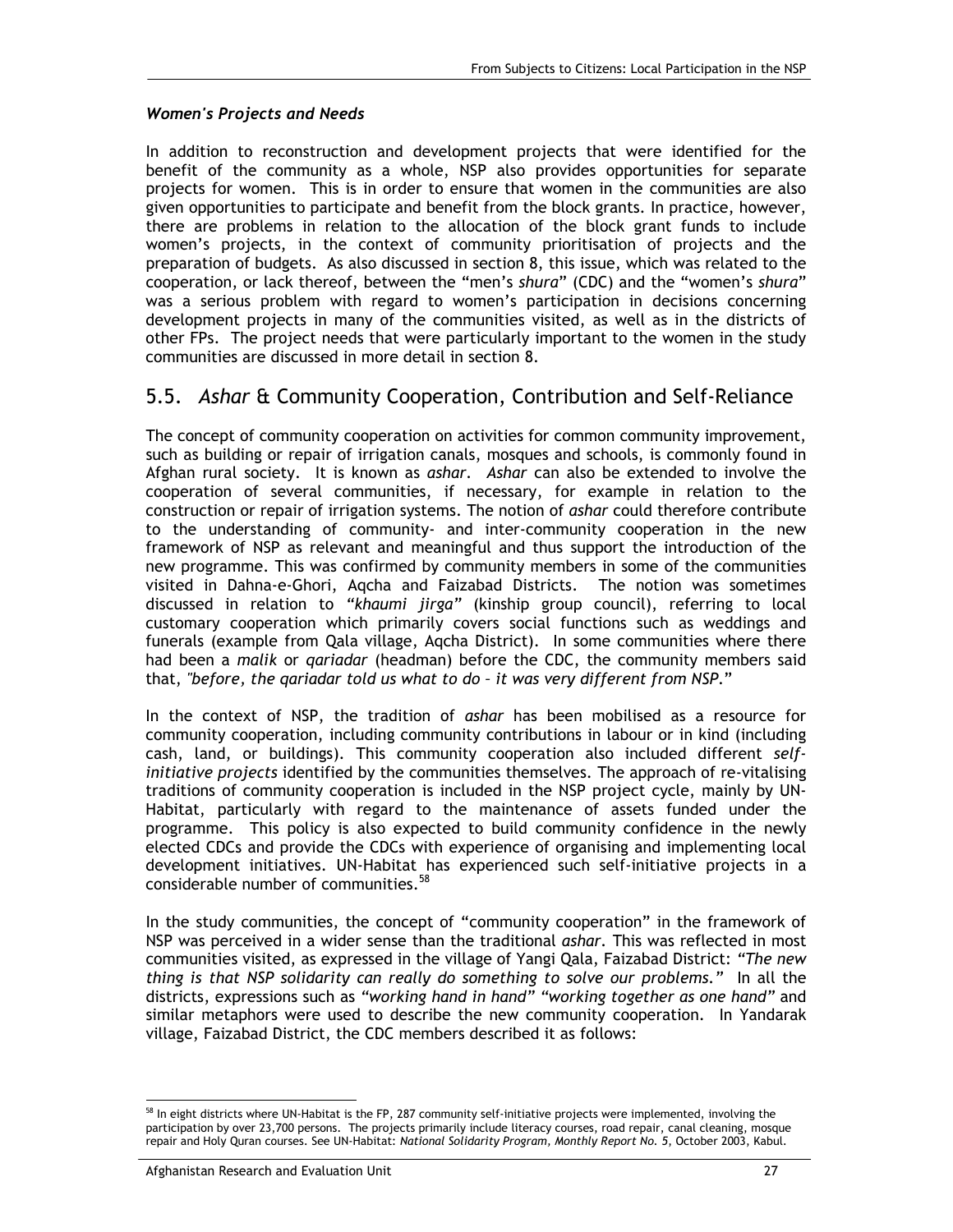#### *Women's Projects and Needs*

In addition to reconstruction and development projects that were identified for the benefit of the community as a whole, NSP also provides opportunities for separate projects for women. This is in order to ensure that women in the communities are also given opportunities to participate and benefit from the block grants. In practice, however, there are problems in relation to the allocation of the block grant funds to include women's projects, in the context of community prioritisation of projects and the preparation of budgets. As also discussed in section 8, this issue, which was related to the cooperation, or lack thereof, between the "men's *shura*" (CDC) and the "women's *shura*" was a serious problem with regard to women's participation in decisions concerning development projects in many of the communities visited, as well as in the districts of other FPs. The project needs that were particularly important to the women in the study communities are discussed in more detail in section 8.

### 5.5. *Ashar* & Community Cooperation, Contribution and Self-Reliance

The concept of community cooperation on activities for common community improvement, such as building or repair of irrigation canals, mosques and schools, is commonly found in Afghan rural society. It is known as *ashar. Ashar* can also be extended to involve the cooperation of several communities, if necessary, for example in relation to the construction or repair of irrigation systems. The notion of *ashar* could therefore contribute to the understanding of community- and inter-community cooperation in the new framework of NSP as relevant and meaningful and thus support the introduction of the new programme. This was confirmed by community members in some of the communities visited in Dahna-e-Ghori, Aqcha and Faizabad Districts. The notion was sometimes discussed in relation to *"khaumi jirga"* (kinship group council), referring to local customary cooperation which primarily covers social functions such as weddings and funerals (example from Qala village, Aqcha District). In some communities where there had been a *malik* or *qariadar* (headman) before the CDC, the community members said that, *"before, the qariadar told us what to do – it was very different from NSP*."

In the context of NSP, the tradition of *ashar* has been mobilised as a resource for community cooperation, including community contributions in labour or in kind (including cash, land, or buildings). This community cooperation also included different *selfinitiative projects* identified by the communities themselves. The approach of re-vitalising traditions of community cooperation is included in the NSP project cycle, mainly by UN-Habitat, particularly with regard to the maintenance of assets funded under the programme. This policy is also expected to build community confidence in the newly elected CDCs and provide the CDCs with experience of organising and implementing local development initiatives. UN-Habitat has experienced such self-initiative projects in a considerable number of communities.<sup>58</sup>

In the study communities, the concept of "community cooperation" in the framework of NSP was perceived in a wider sense than the traditional *ashar.* This was reflected in most communities visited, as expressed in the village of Yangi Qala, Faizabad District: *"The new thing is that NSP solidarity can really do something to solve our problems."* In all the districts, expressions such as *"working hand in hand" "working together as one hand"* and similar metaphors were used to describe the new community cooperation. In Yandarak village, Faizabad District, the CDC members described it as follows:

<sup>-</sup>In eight districts where UN-Habitat is the FP, 287 community self-initiative projects were implemented, involving the participation by over 23,700 persons. The projects primarily include literacy courses, road repair, canal cleaning, mosque repair and Holy Quran courses. See UN-Habitat: *National Solidarity Program, Monthly Report No. 5*, October 2003, Kabul.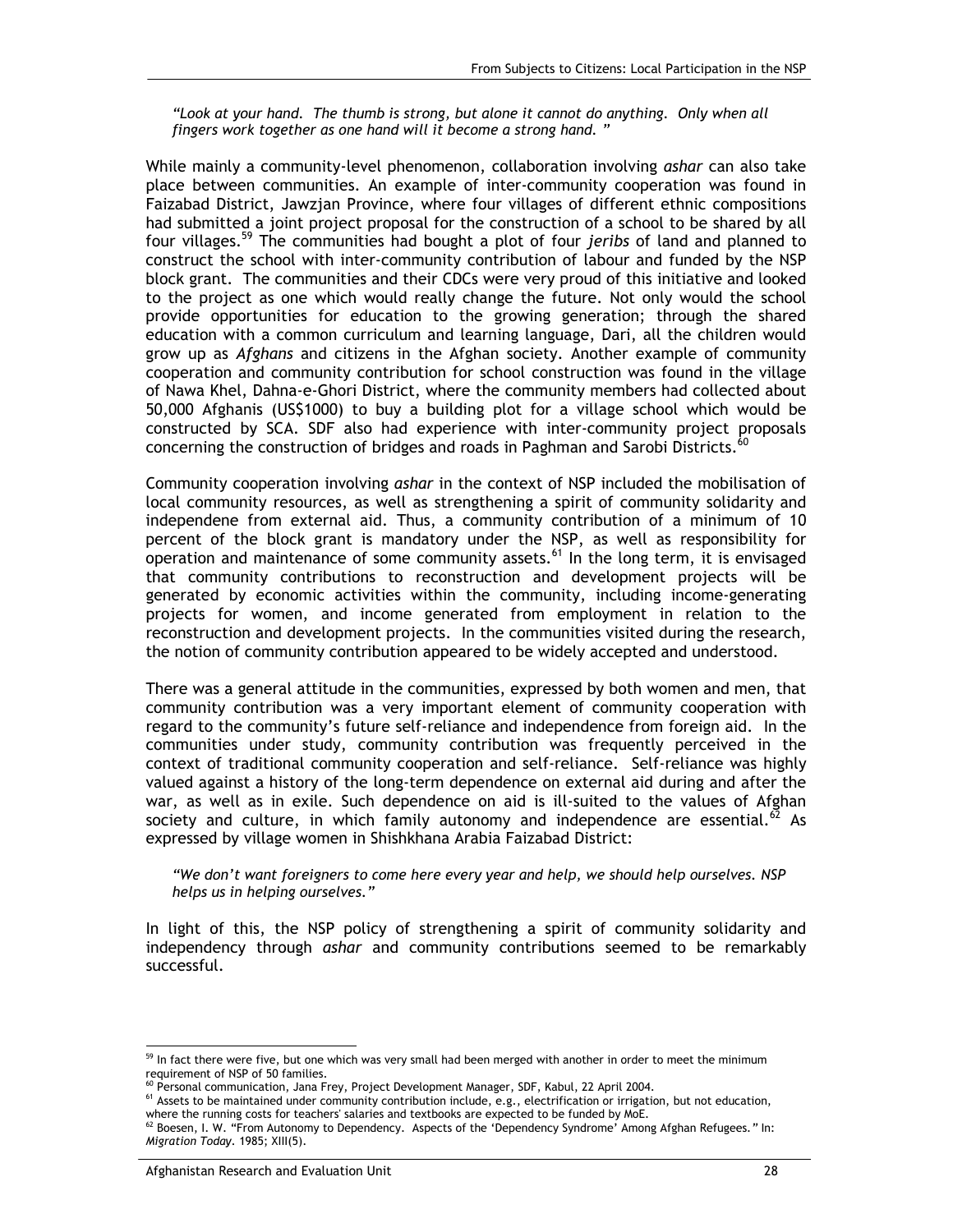*"Look at your hand. The thumb is strong, but alone it cannot do anything. Only when all fingers work together as one hand will it become a strong hand. "* 

While mainly a community-level phenomenon, collaboration involving *ashar* can also take place between communities. An example of inter-community cooperation was found in Faizabad District, Jawzjan Province, where four villages of different ethnic compositions had submitted a joint project proposal for the construction of a school to be shared by all four villages.59 The communities had bought a plot of four *jeribs* of land and planned to construct the school with inter-community contribution of labour and funded by the NSP block grant. The communities and their CDCs were very proud of this initiative and looked to the project as one which would really change the future. Not only would the school provide opportunities for education to the growing generation; through the shared education with a common curriculum and learning language, Dari, all the children would grow up as *Afghans* and citizens in the Afghan society. Another example of community cooperation and community contribution for school construction was found in the village of Nawa Khel, Dahna-e-Ghori District, where the community members had collected about 50,000 Afghanis (US\$1000) to buy a building plot for a village school which would be constructed by SCA. SDF also had experience with inter-community project proposals concerning the construction of bridges and roads in Paghman and Sarobi Districts. $^{60}$ 

Community cooperation involving *ashar* in the context of NSP included the mobilisation of local community resources, as well as strengthening a spirit of community solidarity and independene from external aid. Thus, a community contribution of a minimum of 10 percent of the block grant is mandatory under the NSP, as well as responsibility for operation and maintenance of some community assets.<sup>61</sup> In the long term, it is envisaged that community contributions to reconstruction and development projects will be generated by economic activities within the community, including income-generating projects for women, and income generated from employment in relation to the reconstruction and development projects. In the communities visited during the research, the notion of community contribution appeared to be widely accepted and understood.

There was a general attitude in the communities, expressed by both women and men, that community contribution was a very important element of community cooperation with regard to the community's future self-reliance and independence from foreign aid. In the communities under study, community contribution was frequently perceived in the context of traditional community cooperation and self-reliance. Self-reliance was highly valued against a history of the long-term dependence on external aid during and after the war, as well as in exile. Such dependence on aid is ill-suited to the values of Afghan society and culture, in which family autonomy and independence are essential.<sup>62</sup> As expressed by village women in Shishkhana Arabia Faizabad District:

*"We don't want foreigners to come here every year and help, we should help ourselves. NSP helps us in helping ourselves."* 

In light of this, the NSP policy of strengthening a spirit of community solidarity and independency through *ashar* and community contributions seemed to be remarkably successful.

<sup>-</sup> $59$  In fact there were five, but one which was very small had been merged with another in order to meet the minimum requirement of NSP of 50 families.<br><sup>60</sup> Personal communication, Jana Frey, Project Development Manager, SDF, Kabul, 22 April 2004.

 $<sup>61</sup>$  Assets to be maintained under community contribution include, e.g., electrification or irrigation, but not education,</sup> where the running costs for teachers' salaries and textbooks are expected to be funded by MoE. 62 Boesen, I. W. "From Autonomy to Dependency. Aspects of the 'Dependency Syndrome' Among Afghan Refugees*."* In:

*Migration Today*. 1985; XIII(5).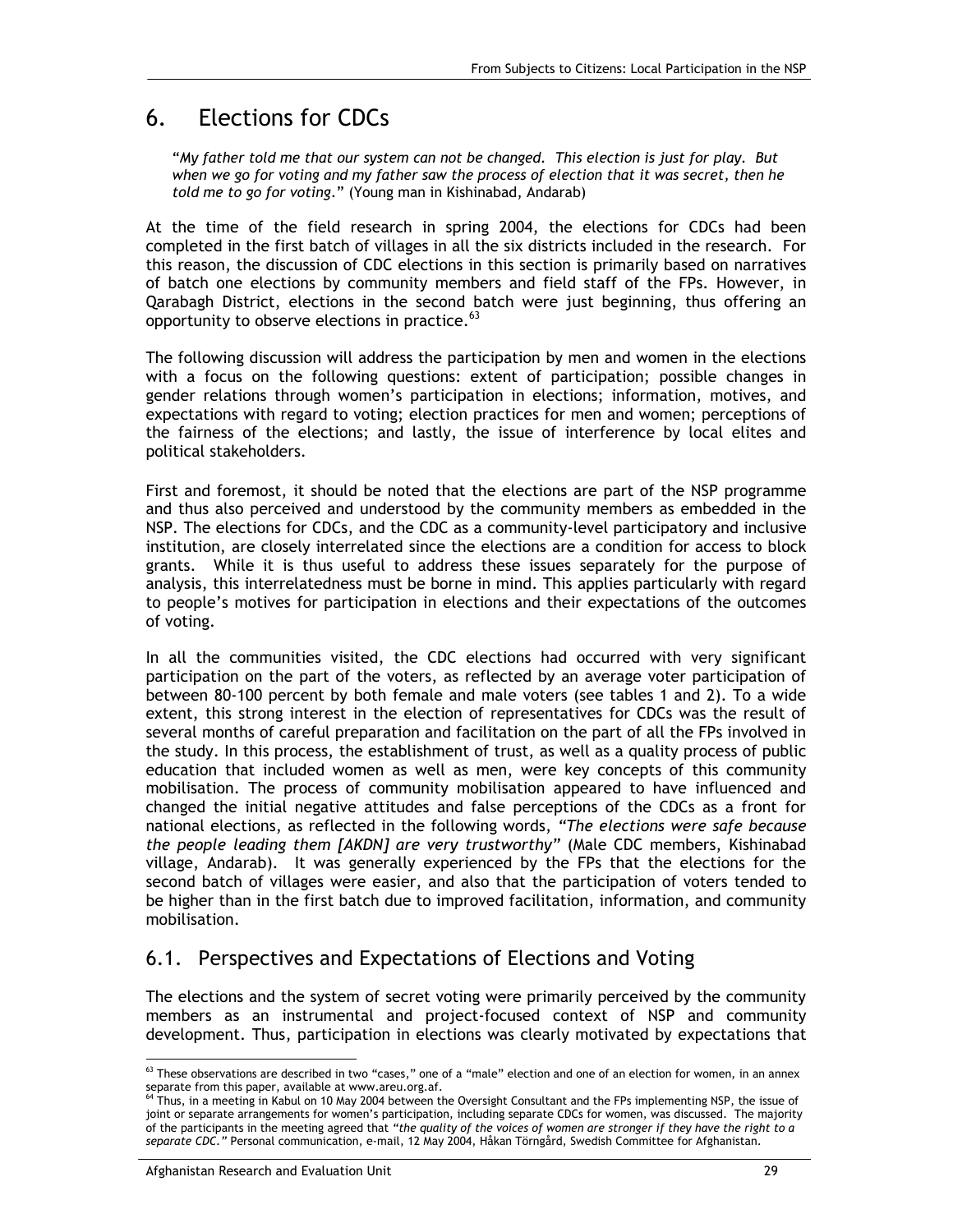# 6. Elections for CDCs

"*My father told me that our system can not be changed. This election is just for play. But when we go for voting and my father saw the process of election that it was secret, then he told me to go for voting*." (Young man in Kishinabad, Andarab)

At the time of the field research in spring 2004, the elections for CDCs had been completed in the first batch of villages in all the six districts included in the research. For this reason, the discussion of CDC elections in this section is primarily based on narratives of batch one elections by community members and field staff of the FPs. However, in Qarabagh District, elections in the second batch were just beginning, thus offering an opportunity to observe elections in practice.<sup>63</sup>

The following discussion will address the participation by men and women in the elections with a focus on the following questions: extent of participation; possible changes in gender relations through women's participation in elections; information, motives, and expectations with regard to voting; election practices for men and women; perceptions of the fairness of the elections; and lastly, the issue of interference by local elites and political stakeholders.

First and foremost, it should be noted that the elections are part of the NSP programme and thus also perceived and understood by the community members as embedded in the NSP*.* The elections for CDCs, and the CDC as a community-level participatory and inclusive institution, are closely interrelated since the elections are a condition for access to block grants. While it is thus useful to address these issues separately for the purpose of analysis, this interrelatedness must be borne in mind. This applies particularly with regard to people's motives for participation in elections and their expectations of the outcomes of voting.

In all the communities visited, the CDC elections had occurred with very significant participation on the part of the voters, as reflected by an average voter participation of between 80-100 percent by both female and male voters (see tables 1 and 2). To a wide extent, this strong interest in the election of representatives for CDCs was the result of several months of careful preparation and facilitation on the part of all the FPs involved in the study. In this process, the establishment of trust, as well as a quality process of public education that included women as well as men, were key concepts of this community mobilisation. The process of community mobilisation appeared to have influenced and changed the initial negative attitudes and false perceptions of the CDCs as a front for national elections, as reflected in the following words, *"The elections were safe because the people leading them [AKDN] are very trustworthy"* (Male CDC members, Kishinabad village, Andarab). It was generally experienced by the FPs that the elections for the second batch of villages were easier, and also that the participation of voters tended to be higher than in the first batch due to improved facilitation, information, and community mobilisation.

## 6.1. Perspectives and Expectations of Elections and Voting

The elections and the system of secret voting were primarily perceived by the community members as an instrumental and project-focused context of NSP and community development. Thus, participation in elections was clearly motivated by expectations that

<sup>-</sup> $63$  These observations are described in two "cases," one of a "male" election and one of an election for women, in an annex separate from this paper, available at www.areu.org.af.<br><sup>64</sup> Thus, in a meeting in Kabul on 10 May 2004 between the Oversight Consultant and the FPs implementing NSP, the issue of

joint or separate arrangements for women's participation, including separate CDCs for women, was discussed. The majority of the participants in the meeting agreed that *"the quality of the voices of women are stronger if they have the right to a separate CDC."* Personal communication, e-mail, 12 May 2004, Håkan Törngård, Swedish Committee for Afghanistan.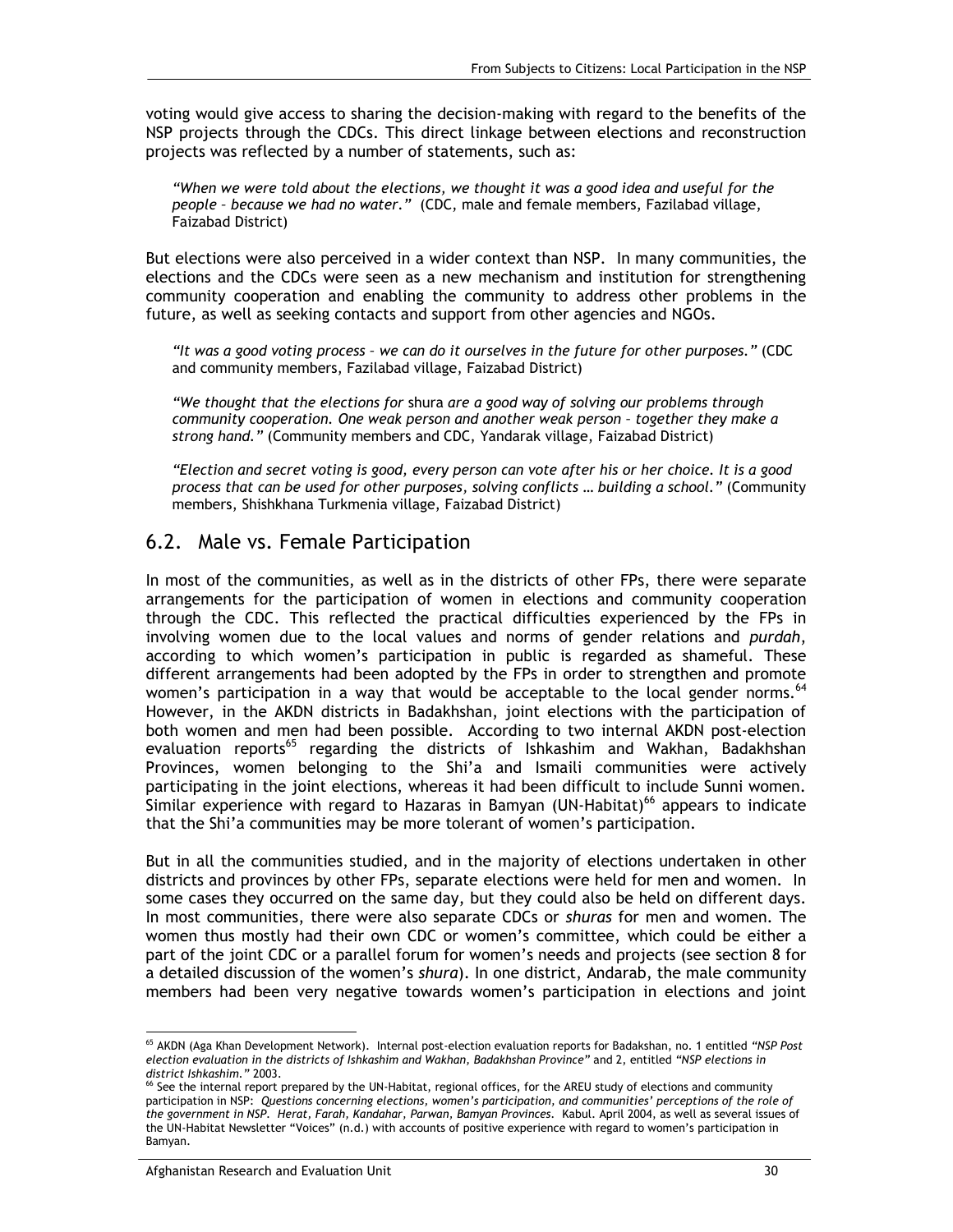voting would give access to sharing the decision-making with regard to the benefits of the NSP projects through the CDCs. This direct linkage between elections and reconstruction projects was reflected by a number of statements, such as:

*"When we were told about the elections, we thought it was a good idea and useful for the people – because we had no water."* (CDC, male and female members, Fazilabad village, Faizabad District)

But elections were also perceived in a wider context than NSP. In many communities, the elections and the CDCs were seen as a new mechanism and institution for strengthening community cooperation and enabling the community to address other problems in the future, as well as seeking contacts and support from other agencies and NGOs.

*"It was a good voting process – we can do it ourselves in the future for other purposes."* (CDC and community members, Fazilabad village, Faizabad District)

*"We thought that the elections for* shura *are a good way of solving our problems through community cooperation. One weak person and another weak person – together they make a strong hand."* (Community members and CDC, Yandarak village, Faizabad District)

*"Election and secret voting is good, every person can vote after his or her choice. It is a good process that can be used for other purposes, solving conflicts … building a school."* (Community members, Shishkhana Turkmenia village, Faizabad District)

### 6.2. Male vs. Female Participation

In most of the communities, as well as in the districts of other FPs, there were separate arrangements for the participation of women in elections and community cooperation through the CDC. This reflected the practical difficulties experienced by the FPs in involving women due to the local values and norms of gender relations and *purdah*, according to which women's participation in public is regarded as shameful. These different arrangements had been adopted by the FPs in order to strengthen and promote women's participation in a way that would be acceptable to the local gender norms.  $64$ However, in the AKDN districts in Badakhshan, joint elections with the participation of both women and men had been possible. According to two internal AKDN post-election evaluation reports<sup>65</sup> regarding the districts of Ishkashim and Wakhan, Badakhshan Provinces, women belonging to the Shi'a and Ismaili communities were actively participating in the joint elections, whereas it had been difficult to include Sunni women. Similar experience with regard to Hazaras in Bamyan (UN-Habitat)<sup>66</sup> appears to indicate that the Shi'a communities may be more tolerant of women's participation.

But in all the communities studied, and in the majority of elections undertaken in other districts and provinces by other FPs, separate elections were held for men and women. In some cases they occurred on the same day, but they could also be held on different days. In most communities, there were also separate CDCs or *shuras* for men and women. The women thus mostly had their own CDC or women's committee, which could be either a part of the joint CDC or a parallel forum for women's needs and projects (see section 8 for a detailed discussion of the women's *shura*). In one district, Andarab, the male community members had been very negative towards women's participation in elections and joint

<sup>-</sup>65 AKDN (Aga Khan Development Network). Internal post-election evaluation reports for Badakshan, no. 1 entitled *"NSP Post election evaluation in the districts of Ishkashim and Wakhan, Badakhshan Province"* and 2, entitled *"NSP elections in* 

*district Ishkashim."* 2003.<br><sup>66</sup> See the internal report prepared by the UN-Habitat, regional offices, for the AREU study of elections and community participation in NSP: *Questions concerning elections, women's participation, and communities' perceptions of the role of the government in NSP. Herat, Farah, Kandahar, Parwan, Bamyan Provinces.* Kabul. April 2004, as well as several issues of the UN-Habitat Newsletter "Voices" (n.d.) with accounts of positive experience with regard to women's participation in Bamyan.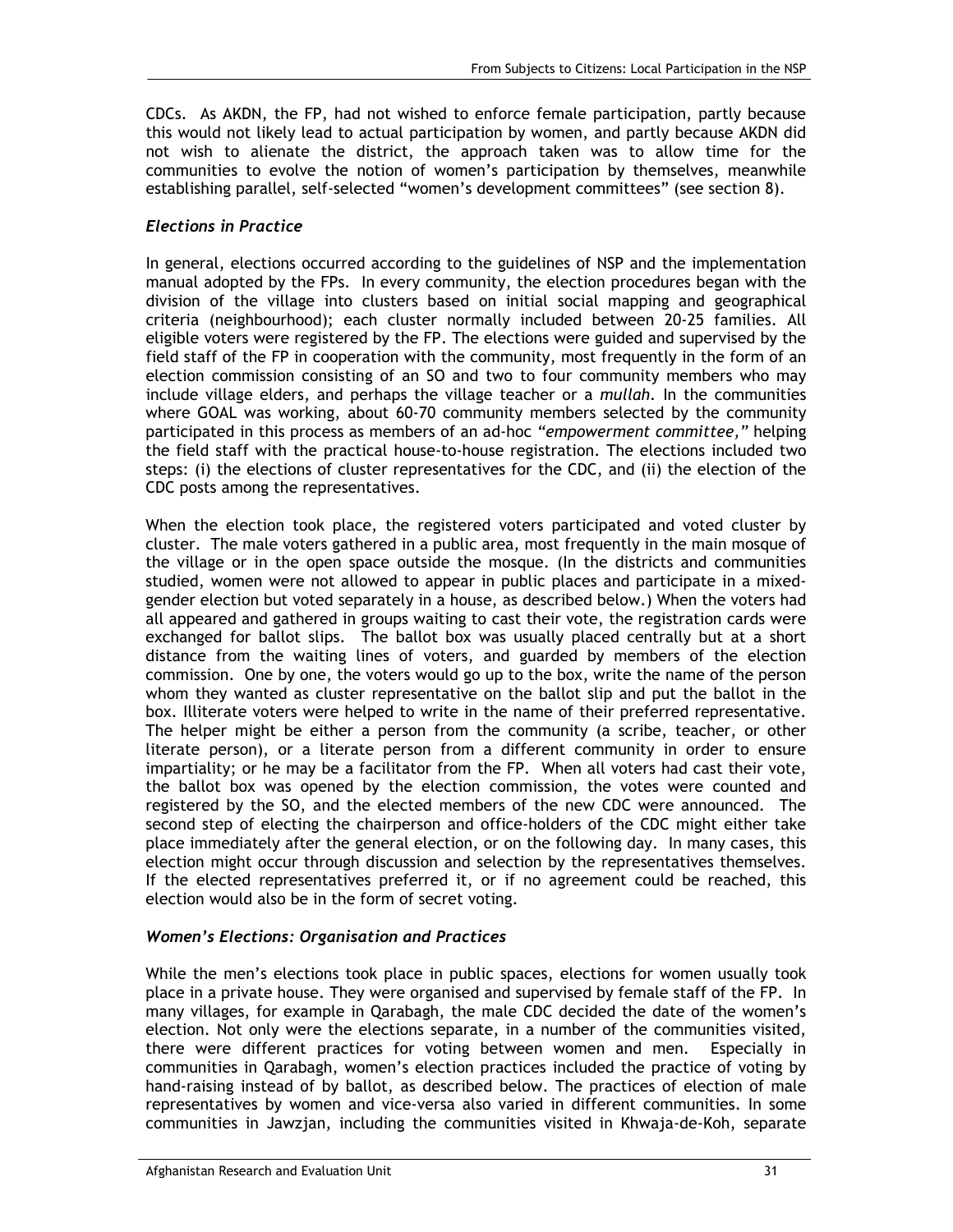CDCs. As AKDN, the FP, had not wished to enforce female participation, partly because this would not likely lead to actual participation by women, and partly because AKDN did not wish to alienate the district, the approach taken was to allow time for the communities to evolve the notion of women's participation by themselves, meanwhile establishing parallel, self-selected "women's development committees" (see section 8).

#### *Elections in Practice*

In general, elections occurred according to the guidelines of NSP and the implementation manual adopted by the FPs. In every community, the election procedures began with the division of the village into clusters based on initial social mapping and geographical criteria (neighbourhood); each cluster normally included between 20-25 families. All eligible voters were registered by the FP. The elections were guided and supervised by the field staff of the FP in cooperation with the community, most frequently in the form of an election commission consisting of an SO and two to four community members who may include village elders, and perhaps the village teacher or a *mullah*. In the communities where GOAL was working, about 60-70 community members selected by the community participated in this process as members of an ad-hoc *"empowerment committee,"* helping the field staff with the practical house-to-house registration. The elections included two steps: (i) the elections of cluster representatives for the CDC, and (ii) the election of the CDC posts among the representatives.

When the election took place, the registered voters participated and voted cluster by cluster. The male voters gathered in a public area, most frequently in the main mosque of the village or in the open space outside the mosque. (In the districts and communities studied, women were not allowed to appear in public places and participate in a mixedgender election but voted separately in a house, as described below.) When the voters had all appeared and gathered in groups waiting to cast their vote, the registration cards were exchanged for ballot slips. The ballot box was usually placed centrally but at a short distance from the waiting lines of voters, and guarded by members of the election commission. One by one, the voters would go up to the box, write the name of the person whom they wanted as cluster representative on the ballot slip and put the ballot in the box. Illiterate voters were helped to write in the name of their preferred representative. The helper might be either a person from the community (a scribe, teacher, or other literate person), or a literate person from a different community in order to ensure impartiality; or he may be a facilitator from the FP. When all voters had cast their vote, the ballot box was opened by the election commission, the votes were counted and registered by the SO, and the elected members of the new CDC were announced. The second step of electing the chairperson and office-holders of the CDC might either take place immediately after the general election, or on the following day. In many cases, this election might occur through discussion and selection by the representatives themselves. If the elected representatives preferred it, or if no agreement could be reached, this election would also be in the form of secret voting.

#### *Women's Elections: Organisation and Practices*

While the men's elections took place in public spaces, elections for women usually took place in a private house. They were organised and supervised by female staff of the FP. In many villages, for example in Qarabagh, the male CDC decided the date of the women's election. Not only were the elections separate, in a number of the communities visited, there were different practices for voting between women and men. Especially in communities in Qarabagh, women's election practices included the practice of voting by hand-raising instead of by ballot, as described below. The practices of election of male representatives by women and vice-versa also varied in different communities. In some communities in Jawzjan, including the communities visited in Khwaja-de-Koh, separate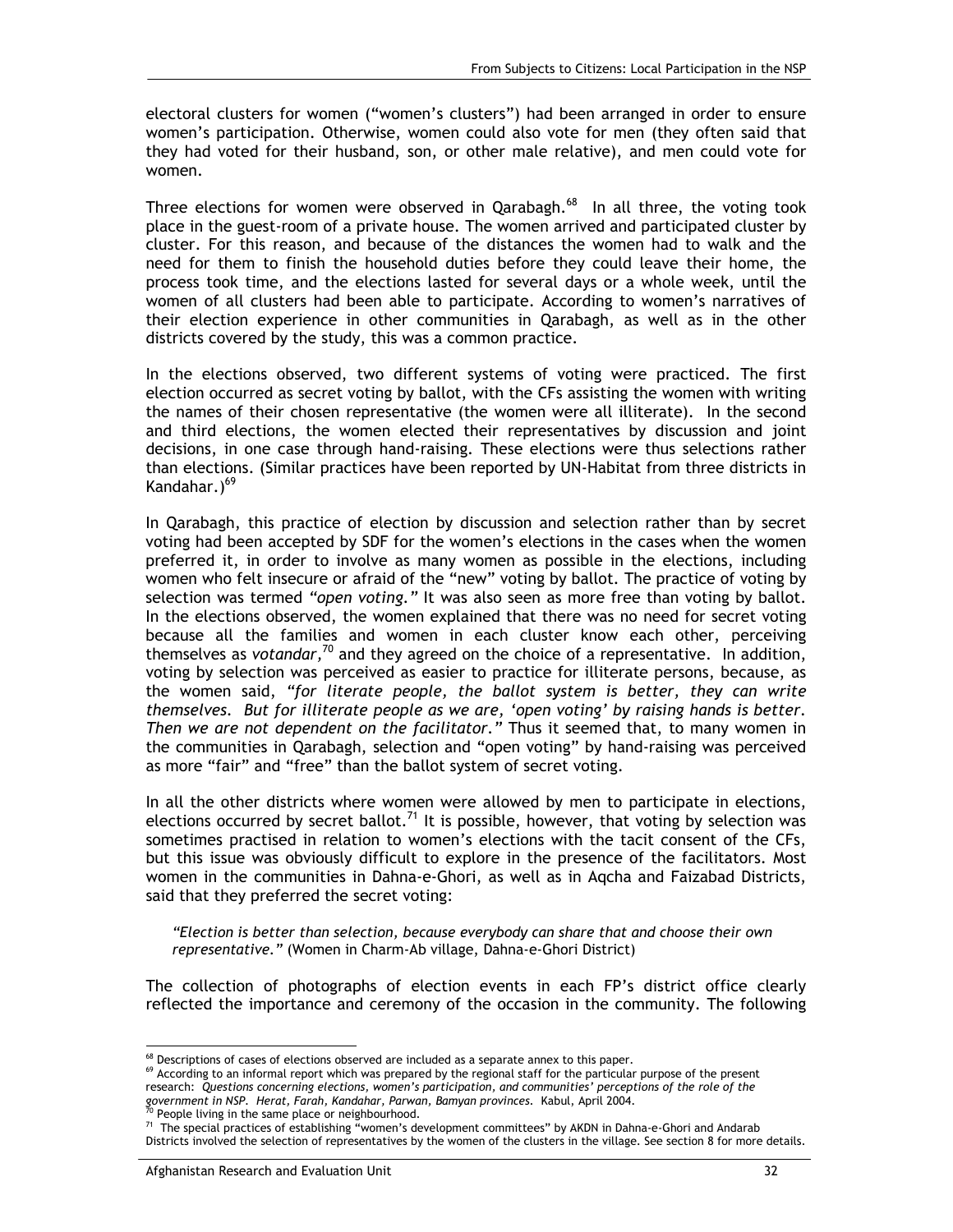electoral clusters for women ("women's clusters") had been arranged in order to ensure women's participation. Otherwise, women could also vote for men (they often said that they had voted for their husband, son, or other male relative), and men could vote for women.

Three elections for women were observed in Qarabagh. $^{68}$  In all three, the voting took place in the guest-room of a private house. The women arrived and participated cluster by cluster. For this reason, and because of the distances the women had to walk and the need for them to finish the household duties before they could leave their home, the process took time, and the elections lasted for several days or a whole week, until the women of all clusters had been able to participate. According to women's narratives of their election experience in other communities in Qarabagh, as well as in the other districts covered by the study, this was a common practice.

In the elections observed, two different systems of voting were practiced. The first election occurred as secret voting by ballot, with the CFs assisting the women with writing the names of their chosen representative (the women were all illiterate). In the second and third elections, the women elected their representatives by discussion and joint decisions, in one case through hand-raising. These elections were thus selections rather than elections. (Similar practices have been reported by UN-Habitat from three districts in Kandahar.)<sup>69</sup>

In Qarabagh, this practice of election by discussion and selection rather than by secret voting had been accepted by SDF for the women's elections in the cases when the women preferred it, in order to involve as many women as possible in the elections, including women who felt insecure or afraid of the "new" voting by ballot. The practice of voting by selection was termed *"open voting."* It was also seen as more free than voting by ballot. In the elections observed, the women explained that there was no need for secret voting because all the families and women in each cluster know each other, perceiving themselves as *votandar,*70 and they agreed on the choice of a representative. In addition, voting by selection was perceived as easier to practice for illiterate persons, because, as the women said, *"for literate people, the ballot system is better, they can write themselves. But for illiterate people as we are, 'open voting' by raising hands is better. Then we are not dependent on the facilitator."* Thus it seemed that, to many women in the communities in Qarabagh, selection and "open voting" by hand-raising was perceived as more "fair" and "free" than the ballot system of secret voting.

In all the other districts where women were allowed by men to participate in elections, elections occurred by secret ballot.<sup>71</sup> It is possible, however, that voting by selection was sometimes practised in relation to women's elections with the tacit consent of the CFs, but this issue was obviously difficult to explore in the presence of the facilitators. Most women in the communities in Dahna-e-Ghori, as well as in Aqcha and Faizabad Districts, said that they preferred the secret voting:

*"Election is better than selection, because everybody can share that and choose their own representative."* (Women in Charm-Ab village, Dahna-e-Ghori District)

The collection of photographs of election events in each FP's district office clearly reflected the importance and ceremony of the occasion in the community. The following

<sup>&</sup>lt;sup>68</sup> Descriptions of cases of elections observed are included as a separate annex to this paper.

<sup>&</sup>lt;sup>69</sup> According to an informal report which was prepared by the regional staff for the particular purpose of the present research: *Questions concerning elections, women's participation, and communities' perceptions of the role of the government in NSP. Herat, Farah, Kandahar, Parwan, Bamyan provinces.* Kabul, April 2004.<br><sup>70</sup> People living in the same place or neighbourhood.

<sup>&</sup>lt;sup>71</sup> The special practices of establishing "women's development committees" by AKDN in Dahna-e-Ghori and Andarab Districts involved the selection of representatives by the women of the clusters in the village. See section 8 for more details.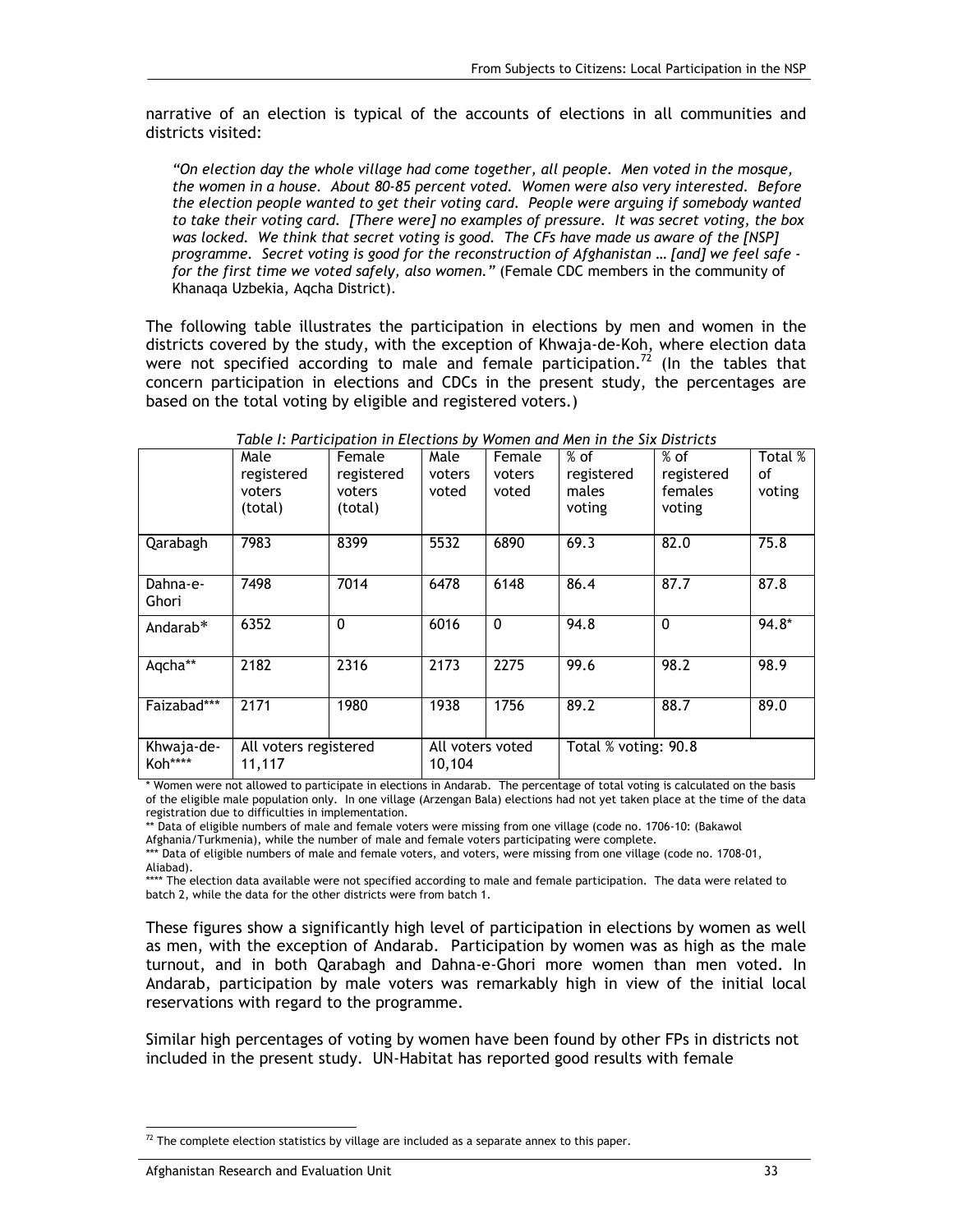narrative of an election is typical of the accounts of elections in all communities and districts visited:

*"On election day the whole village had come together, all people. Men voted in the mosque, the women in a house. About 80-85 percent voted. Women were also very interested. Before the election people wanted to get their voting card. People were arguing if somebody wanted to take their voting card. [There were] no examples of pressure. It was secret voting, the box was locked. We think that secret voting is good. The CFs have made us aware of the [NSP] programme. Secret voting is good for the reconstruction of Afghanistan … [and] we feel safe for the first time we voted safely, also women."* (Female CDC members in the community of Khanaqa Uzbekia, Aqcha District).

The following table illustrates the participation in elections by men and women in the districts covered by the study, with the exception of Khwaja-de-Koh, where election data were not specified according to male and female participation.<sup>72</sup> (In the tables that concern participation in elections and CDCs in the present study, the percentages are based on the total voting by eligible and registered voters.)

|                       | Male<br>registered<br>voters<br>(total) | Female<br>registered<br>voters<br>(total) | Male<br>voters<br>voted    | Female<br>voters<br>voted | $%$ of<br>registered<br>males<br>voting | $%$ of<br>registered<br>females<br>voting | Total %<br>οf<br>voting |
|-----------------------|-----------------------------------------|-------------------------------------------|----------------------------|---------------------------|-----------------------------------------|-------------------------------------------|-------------------------|
| Qarabagh              | 7983                                    | 8399                                      | 5532                       | 6890                      | 69.3                                    | 82.0                                      | 75.8                    |
| Dahna-e-<br>Ghori     | 7498                                    | 7014                                      | 6478                       | 6148                      | 86.4                                    | 87.7                                      | 87.8                    |
| Andarab*              | 6352                                    | $\mathbf{0}$                              | 6016                       | $\mathbf{0}$              | 94.8                                    | $\mathbf{0}$                              | 94.8*                   |
| Aqcha**               | 2182                                    | 2316                                      | 2173                       | 2275                      | 99.6                                    | 98.2                                      | 98.9                    |
| Faizabad***           | 2171                                    | 1980                                      | 1938                       | 1756                      | 89.2                                    | 88.7                                      | 89.0                    |
| Khwaja-de-<br>Koh**** | All voters registered<br>11,117         |                                           | All voters voted<br>10,104 |                           | Total % voting: 90.8                    |                                           |                         |

*Table I: Participation in Elections by Women and Men in the Six Districts* 

\* Women were not allowed to participate in elections in Andarab. The percentage of total voting is calculated on the basis of the eligible male population only. In one village (Arzengan Bala) elections had not yet taken place at the time of the data registration due to difficulties in implementation.

\*\* Data of eligible numbers of male and female voters were missing from one village (code no. 1706-10: (Bakawol

Afghania/Turkmenia), while the number of male and female voters participating were complete.

\*\*\* Data of eligible numbers of male and female voters, and voters, were missing from one village (code no. 1708-01, Aliabad).

\*\*\*\* The election data available were not specified according to male and female participation. The data were related to batch 2, while the data for the other districts were from batch 1.

These figures show a significantly high level of participation in elections by women as well as men, with the exception of Andarab. Participation by women was as high as the male turnout, and in both Qarabagh and Dahna-e-Ghori more women than men voted. In Andarab, participation by male voters was remarkably high in view of the initial local reservations with regard to the programme.

Similar high percentages of voting by women have been found by other FPs in districts not included in the present study. UN-Habitat has reported good results with female

<sup>-</sup> $72$  The complete election statistics by village are included as a separate annex to this paper.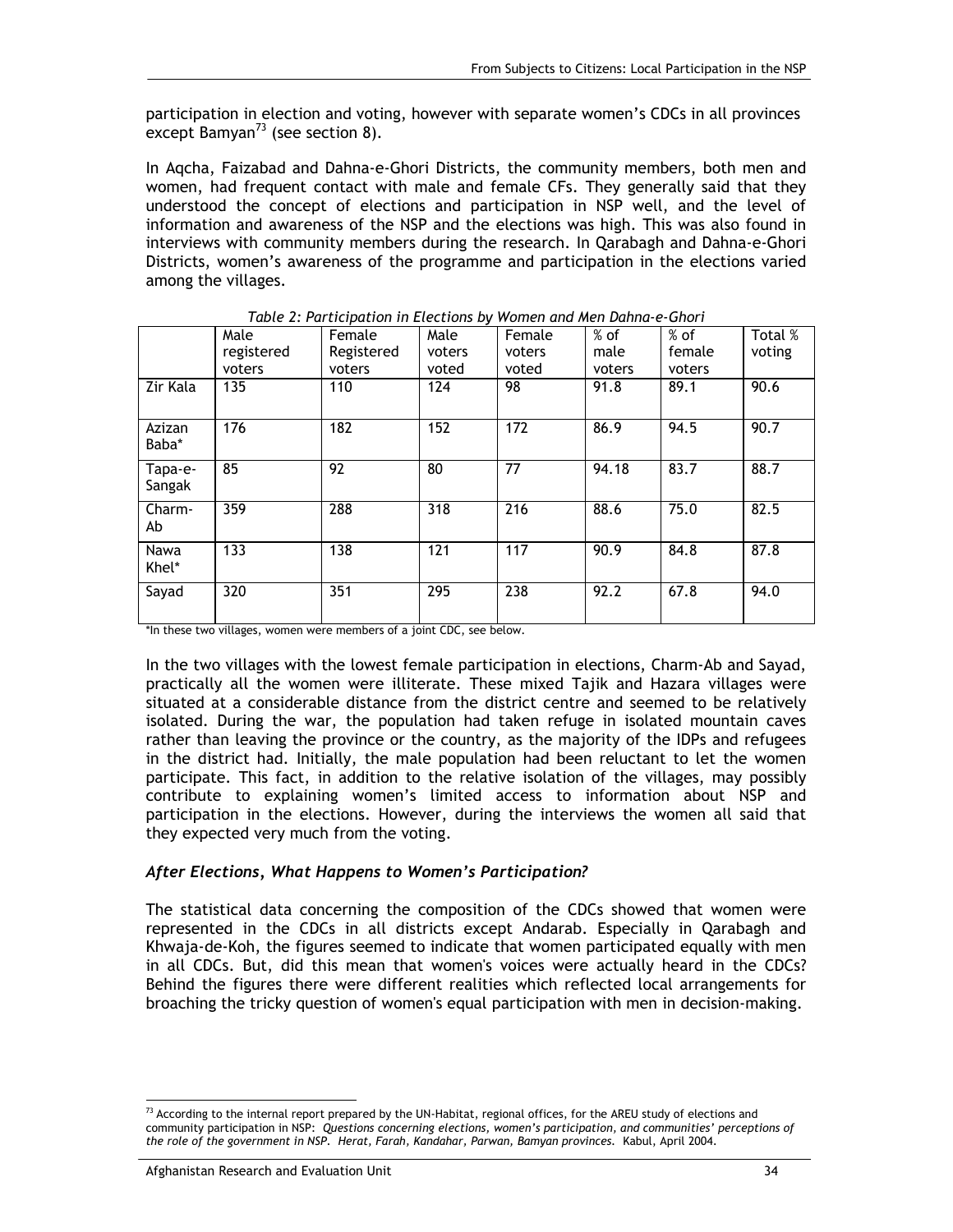participation in election and voting, however with separate women's CDCs in all provinces except Bamyan<sup>73</sup> (see section 8).

In Aqcha, Faizabad and Dahna-e-Ghori Districts, the community members, both men and women, had frequent contact with male and female CFs. They generally said that they understood the concept of elections and participation in NSP well, and the level of information and awareness of the NSP and the elections was high. This was also found in interviews with community members during the research. In Qarabagh and Dahna-e-Ghori Districts, women's awareness of the programme and participation in the elections varied among the villages.

|                   | Male       | Female     | Male   | Female | $%$ of | $%$ of | Total % |
|-------------------|------------|------------|--------|--------|--------|--------|---------|
|                   | registered | Registered | voters | voters | male   | female | voting  |
|                   | voters     | voters     | voted  | voted  | voters | voters |         |
| Zir Kala          | 135        | 110        | 124    | 98     | 91.8   | 89.1   | 90.6    |
| Azizan<br>Baba*   | 176        | 182        | 152    | 172    | 86.9   | 94.5   | 90.7    |
| Tapa-e-<br>Sangak | 85         | 92         | 80     | 77     | 94.18  | 83.7   | 88.7    |
| Charm-<br>Ab      | 359        | 288        | 318    | 216    | 88.6   | 75.0   | 82.5    |
| Nawa<br>Khel*     | 133        | 138        | 121    | 117    | 90.9   | 84.8   | 87.8    |
| Sayad             | 320        | 351        | 295    | 238    | 92.2   | 67.8   | 94.0    |

*Table 2: Participation in Elections by Women and Men Dahna-e-Ghori* 

\*In these two villages, women were members of a joint CDC, see below.

In the two villages with the lowest female participation in elections, Charm-Ab and Sayad, practically all the women were illiterate. These mixed Tajik and Hazara villages were situated at a considerable distance from the district centre and seemed to be relatively isolated. During the war, the population had taken refuge in isolated mountain caves rather than leaving the province or the country, as the majority of the IDPs and refugees in the district had. Initially, the male population had been reluctant to let the women participate. This fact, in addition to the relative isolation of the villages, may possibly contribute to explaining women's limited access to information about NSP and participation in the elections. However, during the interviews the women all said that they expected very much from the voting.

#### *After Elections, What Happens to Women's Participation?*

The statistical data concerning the composition of the CDCs showed that women were represented in the CDCs in all districts except Andarab. Especially in Qarabagh and Khwaja-de-Koh, the figures seemed to indicate that women participated equally with men in all CDCs. But, did this mean that women's voices were actually heard in the CDCs? Behind the figures there were different realities which reflected local arrangements for broaching the tricky question of women's equal participation with men in decision-making.

<sup>-</sup> $^{73}$  According to the internal report prepared by the UN-Habitat, regional offices, for the AREU study of elections and community participation in NSP: *Questions concerning elections, women's participation, and communities' perceptions of the role of the government in NSP. Herat, Farah, Kandahar, Parwan, Bamyan provinces.* Kabul, April 2004.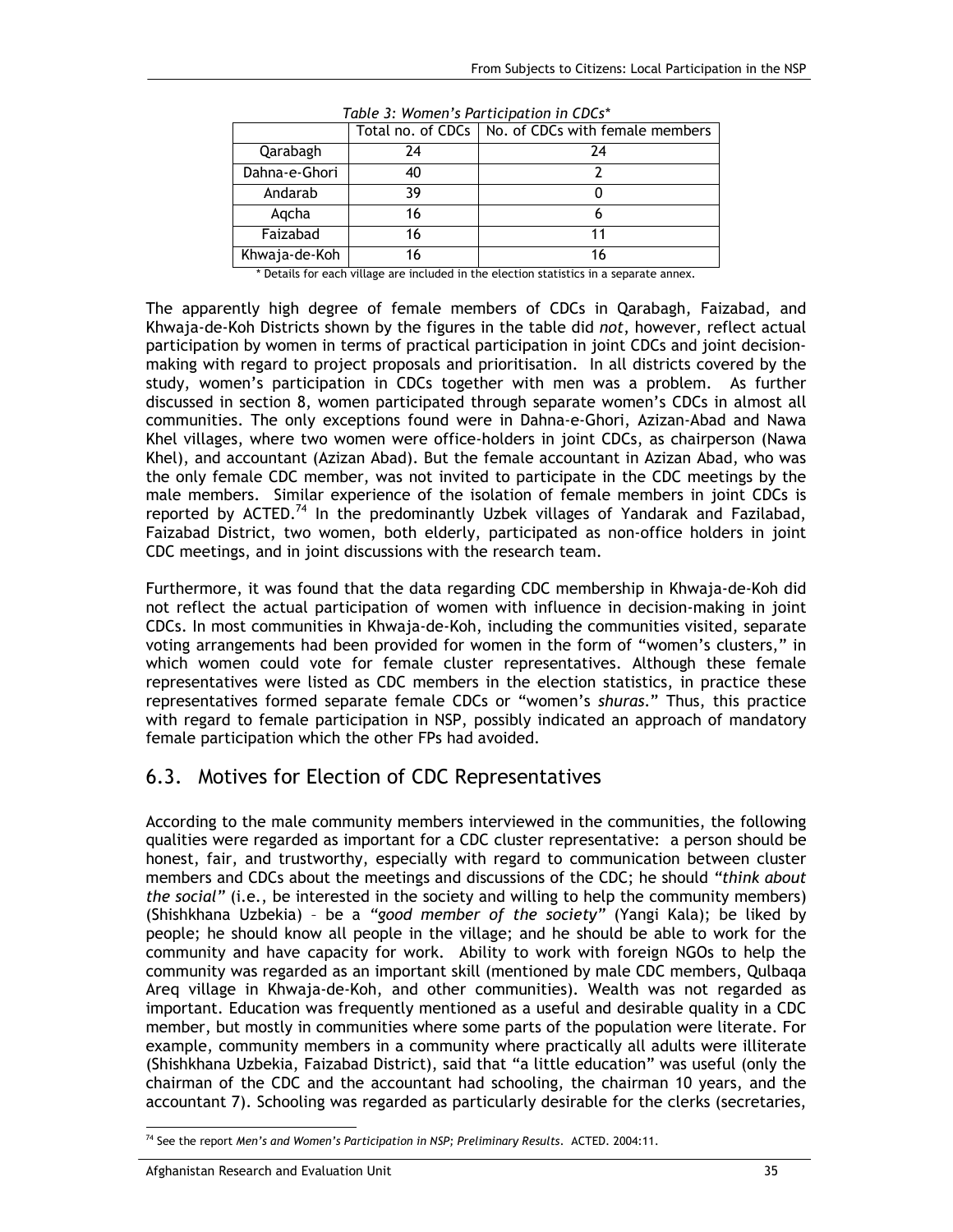|               |    | Total no. of CDCs   No. of CDCs with female members |
|---------------|----|-----------------------------------------------------|
| Qarabagh      | 24 | 24                                                  |
| Dahna-e-Ghori | 40 |                                                     |
| Andarab       | 39 |                                                     |
| Agcha         | 16 |                                                     |
| Faizabad      | 16 |                                                     |
| Khwaja-de-Koh | 16 | 16                                                  |

*Table 3: Women's Participation in CDCs\**

\* Details for each village are included in the election statistics in a separate annex.

The apparently high degree of female members of CDCs in Qarabagh, Faizabad, and Khwaja-de-Koh Districts shown by the figures in the table did *not*, however, reflect actual participation by women in terms of practical participation in joint CDCs and joint decisionmaking with regard to project proposals and prioritisation. In all districts covered by the study, women's participation in CDCs together with men was a problem. As further discussed in section 8, women participated through separate women's CDCs in almost all communities. The only exceptions found were in Dahna-e-Ghori, Azizan-Abad and Nawa Khel villages, where two women were office-holders in joint CDCs, as chairperson (Nawa Khel), and accountant (Azizan Abad). But the female accountant in Azizan Abad, who was the only female CDC member, was not invited to participate in the CDC meetings by the male members. Similar experience of the isolation of female members in joint CDCs is reported by ACTED.<sup>74</sup> In the predominantly Uzbek villages of Yandarak and Fazilabad, Faizabad District, two women, both elderly, participated as non-office holders in joint CDC meetings, and in joint discussions with the research team.

Furthermore, it was found that the data regarding CDC membership in Khwaja-de-Koh did not reflect the actual participation of women with influence in decision-making in joint CDCs. In most communities in Khwaja-de-Koh, including the communities visited, separate voting arrangements had been provided for women in the form of "women's clusters," in which women could vote for female cluster representatives. Although these female representatives were listed as CDC members in the election statistics, in practice these representatives formed separate female CDCs or "women's *shuras*." Thus, this practice with regard to female participation in NSP, possibly indicated an approach of mandatory female participation which the other FPs had avoided.

## 6.3. Motives for Election of CDC Representatives

According to the male community members interviewed in the communities, the following qualities were regarded as important for a CDC cluster representative: a person should be honest, fair, and trustworthy, especially with regard to communication between cluster members and CDCs about the meetings and discussions of the CDC; he should *"think about the social"* (i.e., be interested in the society and willing to help the community members) (Shishkhana Uzbekia) – be a *"good member of the society"* (Yangi Kala); be liked by people; he should know all people in the village; and he should be able to work for the community and have capacity for work. Ability to work with foreign NGOs to help the community was regarded as an important skill (mentioned by male CDC members, Qulbaqa Areq village in Khwaja-de-Koh, and other communities). Wealth was not regarded as important. Education was frequently mentioned as a useful and desirable quality in a CDC member, but mostly in communities where some parts of the population were literate. For example, community members in a community where practically all adults were illiterate (Shishkhana Uzbekia, Faizabad District), said that "a little education" was useful (only the chairman of the CDC and the accountant had schooling, the chairman 10 years, and the accountant 7). Schooling was regarded as particularly desirable for the clerks (secretaries,

<sup>-</sup>74 See the report *Men's and Women's Participation in NSP; Preliminary Results*. ACTED. 2004:11.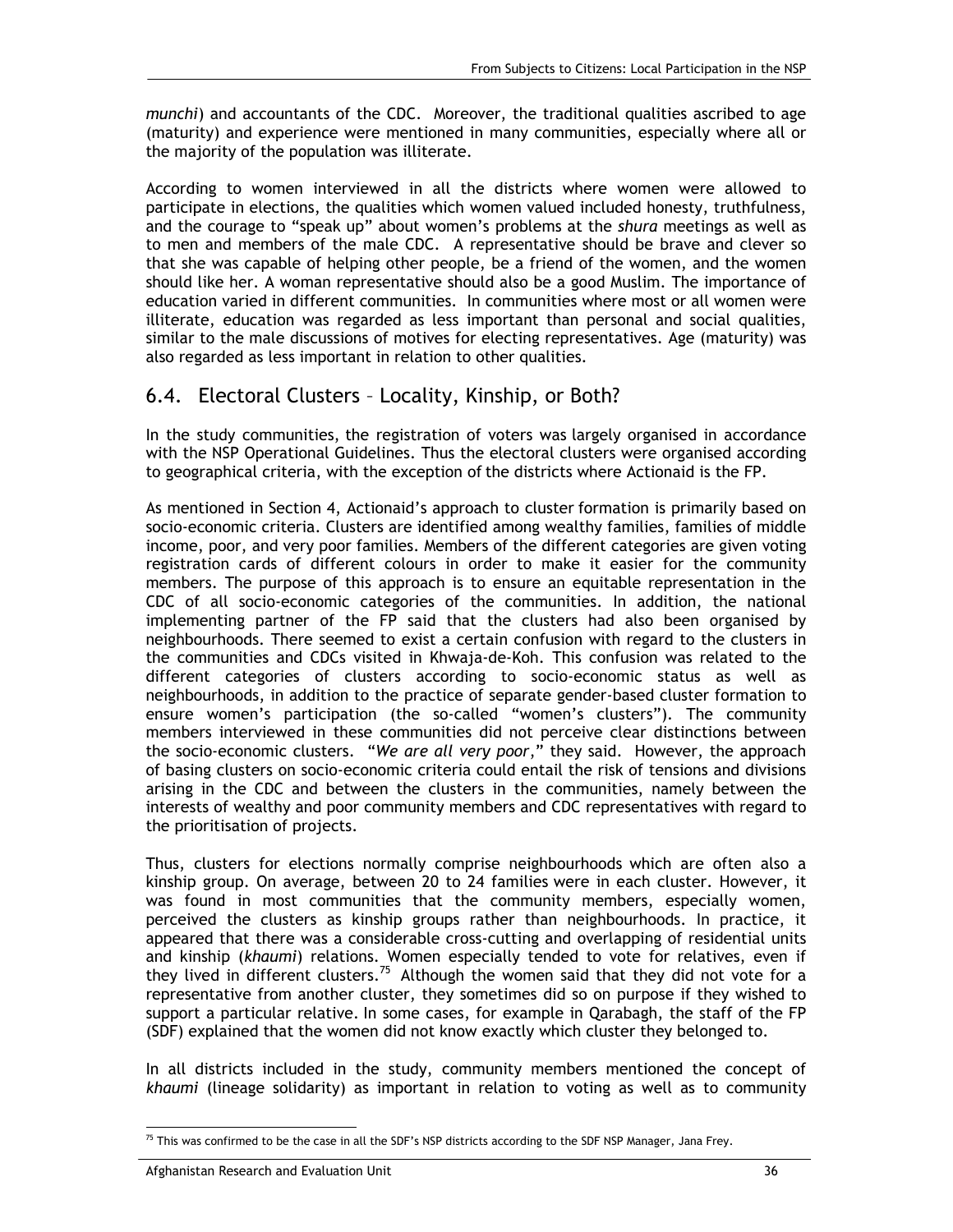*munchi*) and accountants of the CDC. Moreover, the traditional qualities ascribed to age (maturity) and experience were mentioned in many communities, especially where all or the majority of the population was illiterate.

According to women interviewed in all the districts where women were allowed to participate in elections, the qualities which women valued included honesty, truthfulness, and the courage to "speak up" about women's problems at the *shura* meetings as well as to men and members of the male CDC. A representative should be brave and clever so that she was capable of helping other people, be a friend of the women, and the women should like her. A woman representative should also be a good Muslim. The importance of education varied in different communities. In communities where most or all women were illiterate, education was regarded as less important than personal and social qualities, similar to the male discussions of motives for electing representatives. Age (maturity) was also regarded as less important in relation to other qualities.

### 6.4. Electoral Clusters – Locality, Kinship, or Both?

In the study communities, the registration of voters was largely organised in accordance with the NSP Operational Guidelines. Thus the electoral clusters were organised according to geographical criteria, with the exception of the districts where Actionaid is the FP.

As mentioned in Section 4, Actionaid's approach to cluster formation is primarily based on socio-economic criteria. Clusters are identified among wealthy families, families of middle income, poor, and very poor families. Members of the different categories are given voting registration cards of different colours in order to make it easier for the community members. The purpose of this approach is to ensure an equitable representation in the CDC of all socio-economic categories of the communities. In addition, the national implementing partner of the FP said that the clusters had also been organised by neighbourhoods. There seemed to exist a certain confusion with regard to the clusters in the communities and CDCs visited in Khwaja-de-Koh. This confusion was related to the different categories of clusters according to socio-economic status as well as neighbourhoods, in addition to the practice of separate gender-based cluster formation to ensure women's participation (the so-called "women's clusters"). The community members interviewed in these communities did not perceive clear distinctions between the socio-economic clusters. "*We are all very poor*," they said. However, the approach of basing clusters on socio-economic criteria could entail the risk of tensions and divisions arising in the CDC and between the clusters in the communities, namely between the interests of wealthy and poor community members and CDC representatives with regard to the prioritisation of projects.

Thus, clusters for elections normally comprise neighbourhoods which are often also a kinship group. On average, between 20 to 24 families were in each cluster. However, it was found in most communities that the community members, especially women, perceived the clusters as kinship groups rather than neighbourhoods. In practice, it appeared that there was a considerable cross-cutting and overlapping of residential units and kinship (*khaumi*) relations. Women especially tended to vote for relatives, even if they lived in different clusters.<sup>75</sup> Although the women said that they did not vote for a representative from another cluster, they sometimes did so on purpose if they wished to support a particular relative. In some cases, for example in Qarabagh, the staff of the FP (SDF) explained that the women did not know exactly which cluster they belonged to.

In all districts included in the study, community members mentioned the concept of *khaumi* (lineage solidarity) as important in relation to voting as well as to community

<sup>-</sup> $^{75}$  This was confirmed to be the case in all the SDF's NSP districts according to the SDF NSP Manager, Jana Frey.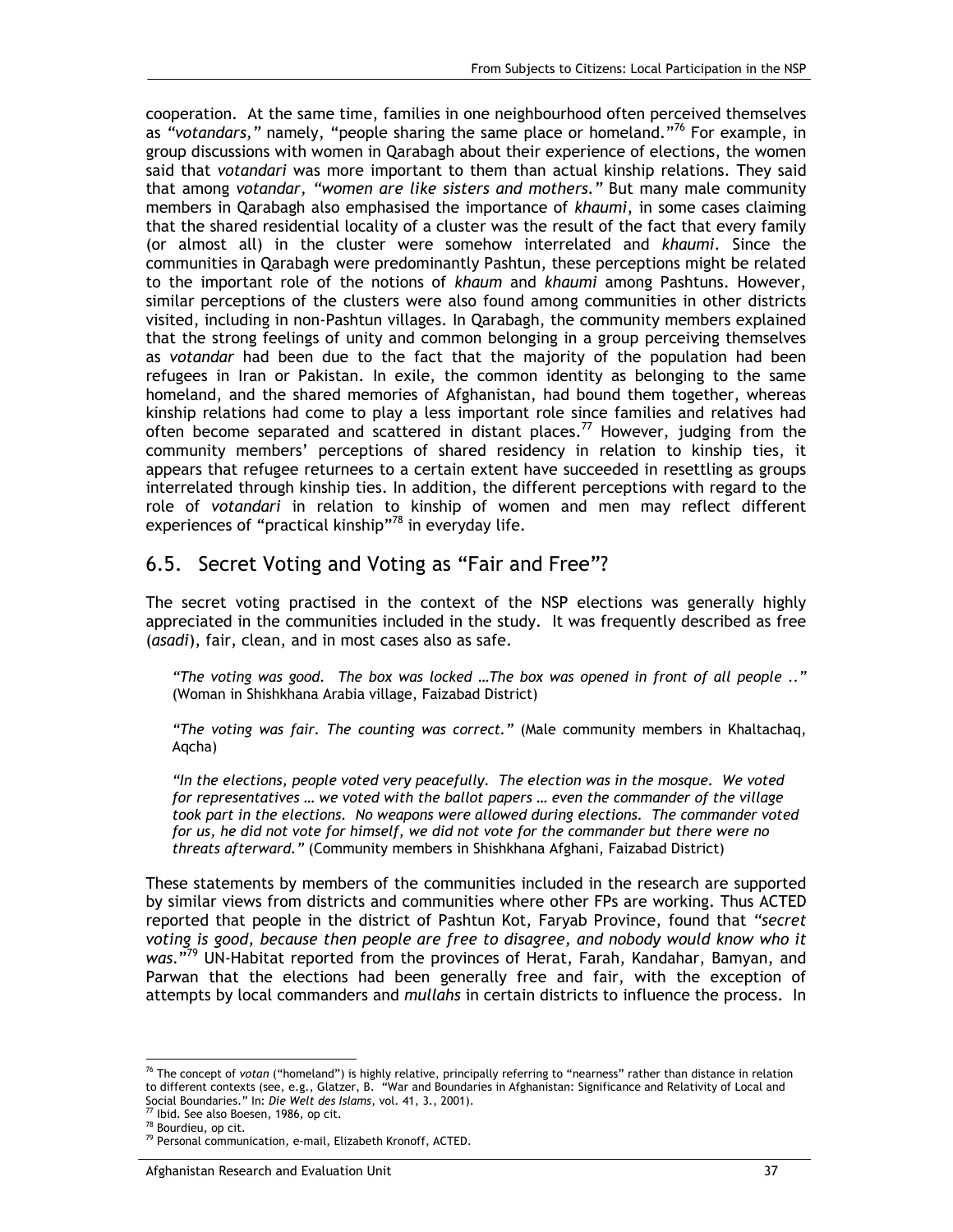cooperation. At the same time, families in one neighbourhood often perceived themselves as *"votandars,"* namely, "people sharing the same place or homeland."76 For example, in group discussions with women in Qarabagh about their experience of elections, the women said that *votandari* was more important to them than actual kinship relations. They said that among *votandar, "women are like sisters and mothers."* But many male community members in Qarabagh also emphasised the importance of *khaumi*, in some cases claiming that the shared residential locality of a cluster was the result of the fact that every family (or almost all) in the cluster were somehow interrelated and *khaumi.* Since the communities in Qarabagh were predominantly Pashtun, these perceptions might be related to the important role of the notions of *khaum* and *khaumi* among Pashtuns. However, similar perceptions of the clusters were also found among communities in other districts visited, including in non-Pashtun villages. In Qarabagh, the community members explained that the strong feelings of unity and common belonging in a group perceiving themselves as *votandar* had been due to the fact that the majority of the population had been refugees in Iran or Pakistan. In exile, the common identity as belonging to the same homeland, and the shared memories of Afghanistan, had bound them together, whereas kinship relations had come to play a less important role since families and relatives had often become separated and scattered in distant places.<sup>77</sup> However, judging from the community members' perceptions of shared residency in relation to kinship ties, it appears that refugee returnees to a certain extent have succeeded in resettling as groups interrelated through kinship ties. In addition, the different perceptions with regard to the role of *votandari* in relation to kinship of women and men may reflect different experiences of "practical kinship"<sup>78</sup> in everyday life.

### 6.5. Secret Voting and Voting as "Fair and Free"?

The secret voting practised in the context of the NSP elections was generally highly appreciated in the communities included in the study. It was frequently described as free (*asadi*), fair, clean, and in most cases also as safe.

*"The voting was good. The box was locked …The box was opened in front of all people .."*  (Woman in Shishkhana Arabia village, Faizabad District)

*"The voting was fair. The counting was correct."* (Male community members in Khaltachaq, Aqcha)

*"In the elections, people voted very peacefully. The election was in the mosque. We voted for representatives … we voted with the ballot papers … even the commander of the village took part in the elections. No weapons were allowed during elections. The commander voted for us, he did not vote for himself, we did not vote for the commander but there were no threats afterward."* (Community members in Shishkhana Afghani, Faizabad District)

These statements by members of the communities included in the research are supported by similar views from districts and communities where other FPs are working. Thus ACTED reported that people in the district of Pashtun Kot, Faryab Province, found that *"secret voting is good, because then people are free to disagree, and nobody would know who it was.*"79 UN-Habitat reported from the provinces of Herat, Farah, Kandahar, Bamyan, and Parwan that the elections had been generally free and fair, with the exception of attempts by local commanders and *mullahs* in certain districts to influence the process. In

-

<sup>76</sup> The concept of *votan* ("homeland") is highly relative, principally referring to "nearness" rather than distance in relation to different contexts (see, e.g., Glatzer, B. "War and Boundaries in Afghanistan: Significance and Relativity of Local and Social Boundaries." In: *Die Welt des Islams*, vol. 41, 3., 2001). 77 Ibid. See also Boesen, 1986, op cit.

<sup>78</sup> Bourdieu, op cit.

<sup>&</sup>lt;sup>79</sup> Personal communication, e-mail, Elizabeth Kronoff, ACTED.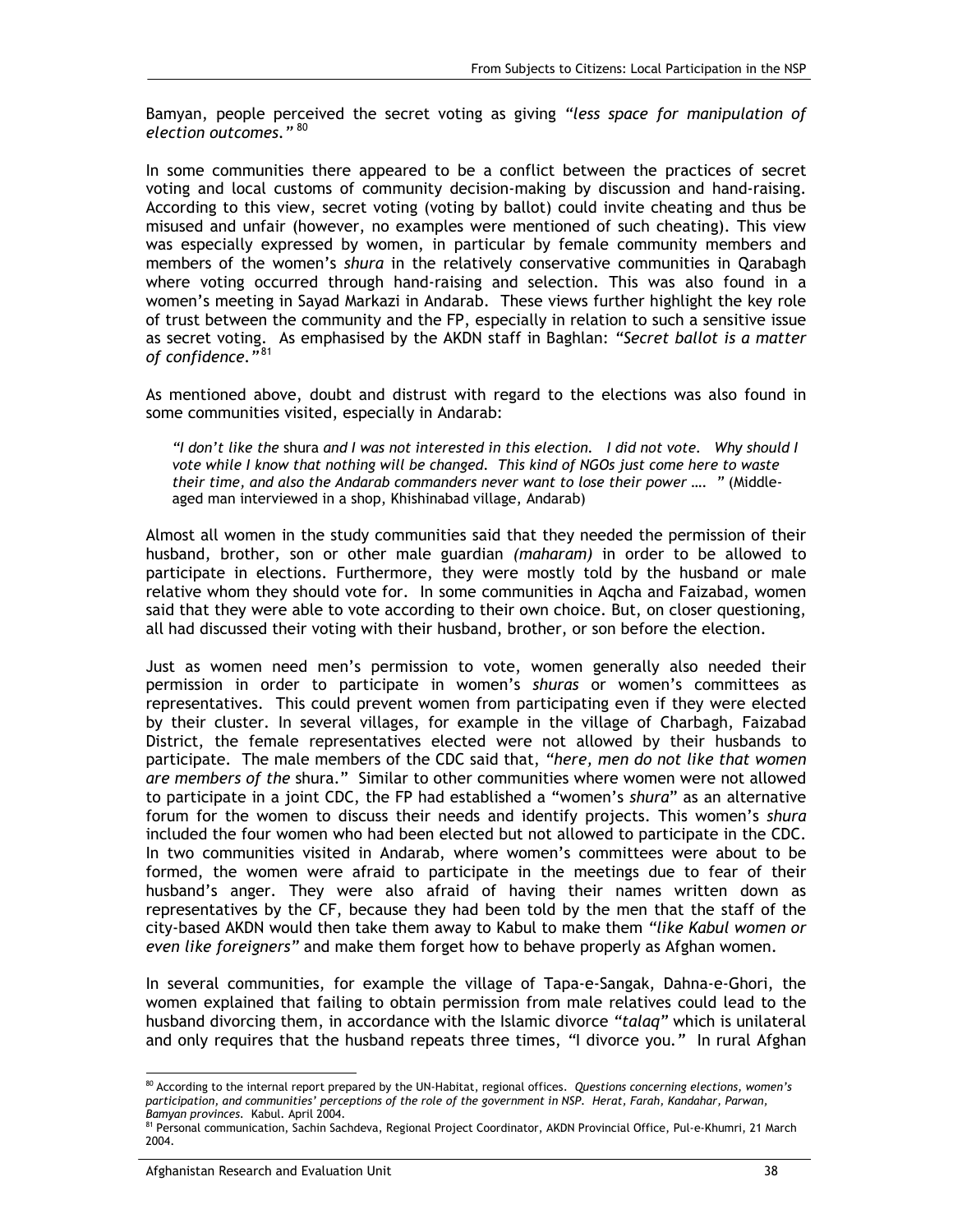Bamyan, people perceived the secret voting as giving *"less space for manipulation of election outcomes."* <sup>80</sup>

In some communities there appeared to be a conflict between the practices of secret voting and local customs of community decision-making by discussion and hand-raising. According to this view, secret voting (voting by ballot) could invite cheating and thus be misused and unfair (however, no examples were mentioned of such cheating). This view was especially expressed by women, in particular by female community members and members of the women's *shura* in the relatively conservative communities in Qarabagh where voting occurred through hand-raising and selection. This was also found in a women's meeting in Sayad Markazi in Andarab. These views further highlight the key role of trust between the community and the FP, especially in relation to such a sensitive issue as secret voting. As emphasised by the AKDN staff in Baghlan: *"Secret ballot is a matter of confidence."* 81

As mentioned above, doubt and distrust with regard to the elections was also found in some communities visited, especially in Andarab:

*"I don't like the* shura *and I was not interested in this election. I did not vote. Why should I vote while I know that nothing will be changed. This kind of NGOs just come here to waste their time, and also the Andarab commanders never want to lose their power …. "* (Middleaged man interviewed in a shop, Khishinabad village, Andarab)

Almost all women in the study communities said that they needed the permission of their husband, brother, son or other male guardian *(maharam)* in order to be allowed to participate in elections. Furthermore, they were mostly told by the husband or male relative whom they should vote for. In some communities in Aqcha and Faizabad, women said that they were able to vote according to their own choice. But, on closer questioning, all had discussed their voting with their husband, brother, or son before the election.

Just as women need men's permission to vote, women generally also needed their permission in order to participate in women's *shuras* or women's committees as representatives. This could prevent women from participating even if they were elected by their cluster. In several villages, for example in the village of Charbagh, Faizabad District, the female representatives elected were not allowed by their husbands to participate. The male members of the CDC said that, *"here, men do not like that women are members of the* shura." Similar to other communities where women were not allowed to participate in a joint CDC, the FP had established a "women's *shura*" as an alternative forum for the women to discuss their needs and identify projects. This women's *shura* included the four women who had been elected but not allowed to participate in the CDC. In two communities visited in Andarab, where women's committees were about to be formed, the women were afraid to participate in the meetings due to fear of their husband's anger. They were also afraid of having their names written down as representatives by the CF, because they had been told by the men that the staff of the city-based AKDN would then take them away to Kabul to make them *"like Kabul women or even like foreigners"* and make them forget how to behave properly as Afghan women.

In several communities, for example the village of Tapa-e-Sangak, Dahna-e-Ghori, the women explained that failing to obtain permission from male relatives could lead to the husband divorcing them, in accordance with the Islamic divorce *"talaq"* which is unilateral and only requires that the husband repeats three times, *"*I divorce you*."* In rural Afghan

<sup>-</sup><sup>80</sup> According to the internal report prepared by the UN-Habitat, regional offices. *Questions concerning elections, women's participation, and communities' perceptions of the role of the government in NSP. Herat, Farah, Kandahar, Parwan, Bamyan provinces.* Kabul. April 2004.

<sup>&</sup>lt;sup>81</sup> Personal communication, Sachin Sachdeva, Regional Project Coordinator, AKDN Provincial Office, Pul-e-Khumri, 21 March 2004.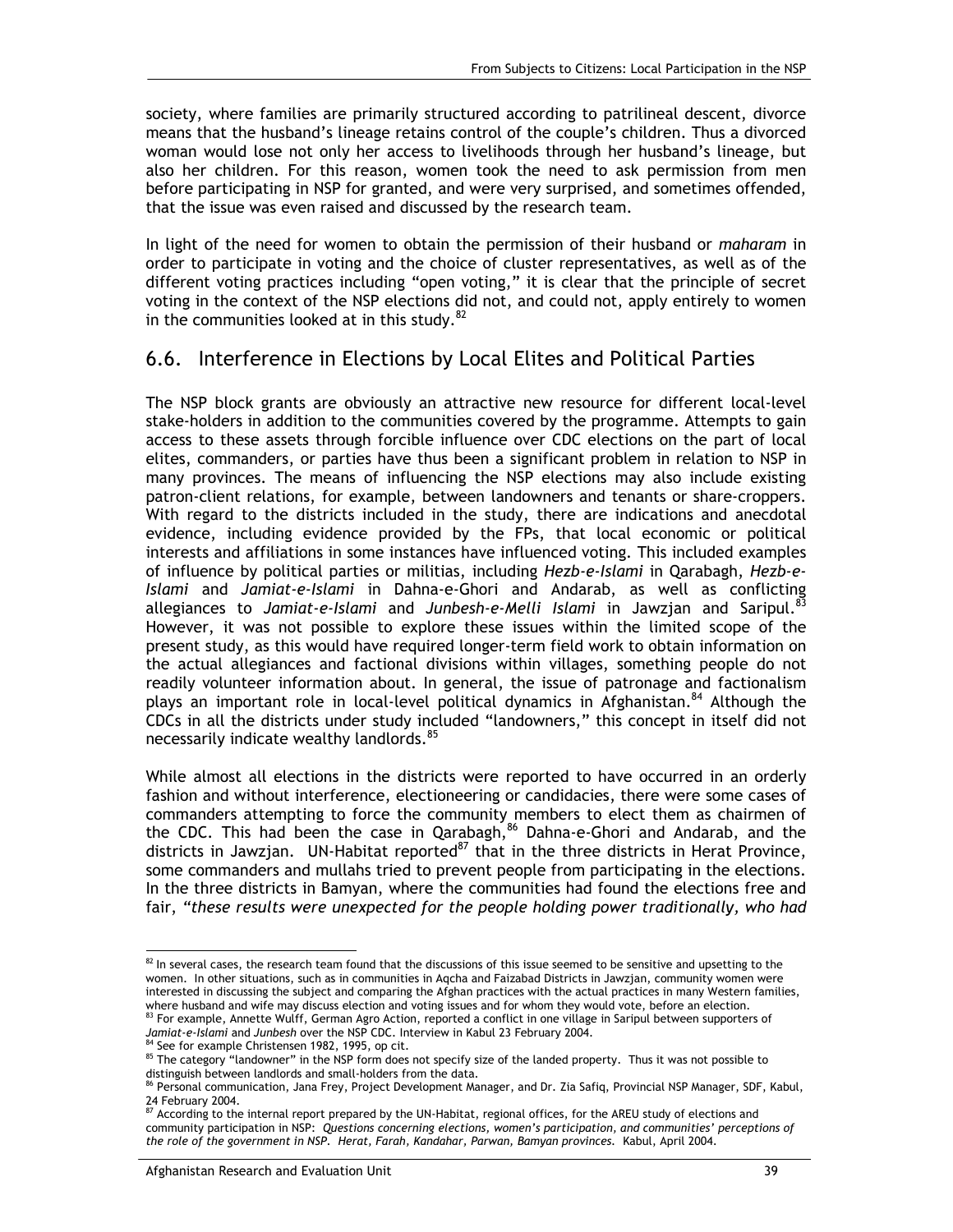society, where families are primarily structured according to patrilineal descent, divorce means that the husband's lineage retains control of the couple's children. Thus a divorced woman would lose not only her access to livelihoods through her husband's lineage, but also her children. For this reason, women took the need to ask permission from men before participating in NSP for granted, and were very surprised, and sometimes offended, that the issue was even raised and discussed by the research team.

In light of the need for women to obtain the permission of their husband or *maharam* in order to participate in voting and the choice of cluster representatives, as well as of the different voting practices including "open voting," it is clear that the principle of secret voting in the context of the NSP elections did not, and could not, apply entirely to women in the communities looked at in this study. $82$ 

### 6.6. Interference in Elections by Local Elites and Political Parties

The NSP block grants are obviously an attractive new resource for different local-level stake-holders in addition to the communities covered by the programme. Attempts to gain access to these assets through forcible influence over CDC elections on the part of local elites, commanders, or parties have thus been a significant problem in relation to NSP in many provinces. The means of influencing the NSP elections may also include existing patron-client relations, for example, between landowners and tenants or share-croppers. With regard to the districts included in the study, there are indications and anecdotal evidence, including evidence provided by the FPs, that local economic or political interests and affiliations in some instances have influenced voting. This included examples of influence by political parties or militias, including *Hezb-e-Islami* in Qarabagh, *Hezb-e-Islami* and *Jamiat-e-Islami* in Dahna-e-Ghori and Andarab, as well as conflicting allegiances to *Jamiat-e-Islami* and *Junbesh-e-Melli Islami* in Jawzjan and Saripul.83 However, it was not possible to explore these issues within the limited scope of the present study, as this would have required longer-term field work to obtain information on the actual allegiances and factional divisions within villages, something people do not readily volunteer information about. In general, the issue of patronage and factionalism plays an important role in local-level political dynamics in Afghanistan.<sup>84</sup> Although the CDCs in all the districts under study included "landowners," this concept in itself did not necessarily indicate wealthy landlords.<sup>85</sup>

While almost all elections in the districts were reported to have occurred in an orderly fashion and without interference, electioneering or candidacies, there were some cases of commanders attempting to force the community members to elect them as chairmen of the CDC. This had been the case in Qarabagh, $86$  Dahna-e-Ghori and Andarab, and the districts in Jawzjan. UN-Habitat reported $87$  that in the three districts in Herat Province, some commanders and mullahs tried to prevent people from participating in the elections. In the three districts in Bamyan, where the communities had found the elections free and fair, *"these results were unexpected for the people holding power traditionally, who had* 

<sup>-</sup> $82$  In several cases, the research team found that the discussions of this issue seemed to be sensitive and upsetting to the women. In other situations, such as in communities in Aqcha and Faizabad Districts in Jawzjan, community women were interested in discussing the subject and comparing the Afghan practices with the actual practices in many Western families, where husband and wife may discuss election and voting issues and for whom they would vote, before an election.<br><sup>83</sup> For example, Annette Wulff, German Agro Action, reported a conflict in one village in Saripul between sup

*Jamiat-e-Islami* and *Junbesh* over the NSP CDC. Interview in Kabul 23 February 2004. 84 See for example Christensen 1982, 1995, op cit.

<sup>&</sup>lt;sup>85</sup> The category "landowner" in the NSP form does not specify size of the landed property. Thus it was not possible to distinguish between landlords and small-holders from the data.

<sup>86</sup> Personal communication, Jana Frey, Project Development Manager, and Dr. Zia Safiq, Provincial NSP Manager, SDF, Kabul, 24 February 2004.

<sup>87</sup> According to the internal report prepared by the UN-Habitat, regional offices, for the AREU study of elections and community participation in NSP: *Questions concerning elections, women's participation, and communities' perceptions of the role of the government in NSP. Herat, Farah, Kandahar, Parwan, Bamyan provinces.* Kabul, April 2004.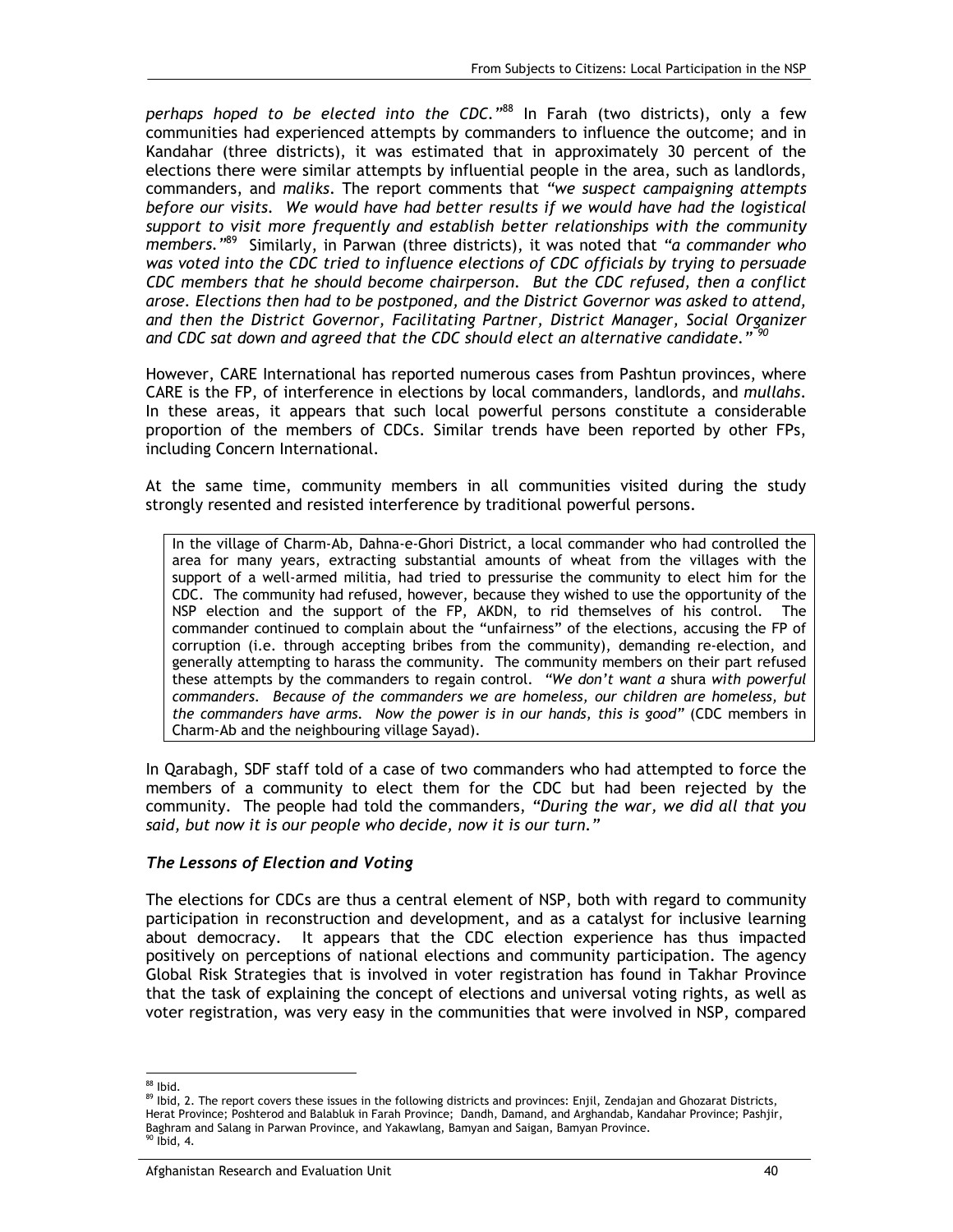*perhaps hoped to be elected into the CDC."*88 In Farah (two districts), only a few communities had experienced attempts by commanders to influence the outcome; and in Kandahar (three districts), it was estimated that in approximately 30 percent of the elections there were similar attempts by influential people in the area, such as landlords, commanders, and *maliks*. The report comments that *"we suspect campaigning attempts before our visits. We would have had better results if we would have had the logistical support to visit more frequently and establish better relationships with the community members."*89 Similarly, in Parwan (three districts), it was noted that *"a commander who was voted into the CDC tried to influence elections of CDC officials by trying to persuade CDC members that he should become chairperson. But the CDC refused, then a conflict arose. Elections then had to be postponed, and the District Governor was asked to attend, and then the District Governor, Facilitating Partner, District Manager, Social Organizer and CDC sat down and agreed that the CDC should elect an alternative candidate." <sup>90</sup>*

However, CARE International has reported numerous cases from Pashtun provinces, where CARE is the FP, of interference in elections by local commanders, landlords, and *mullahs*. In these areas, it appears that such local powerful persons constitute a considerable proportion of the members of CDCs. Similar trends have been reported by other FPs, including Concern International.

At the same time, community members in all communities visited during the study strongly resented and resisted interference by traditional powerful persons.

In the village of Charm-Ab, Dahna-e-Ghori District, a local commander who had controlled the area for many years, extracting substantial amounts of wheat from the villages with the support of a well-armed militia, had tried to pressurise the community to elect him for the CDC. The community had refused, however, because they wished to use the opportunity of the NSP election and the support of the FP, AKDN, to rid themselves of his control. The commander continued to complain about the "unfairness" of the elections, accusing the FP of corruption (i.e. through accepting bribes from the community), demanding re-election, and generally attempting to harass the community. The community members on their part refused these attempts by the commanders to regain control. *"We don't want a* shura *with powerful commanders. Because of the commanders we are homeless, our children are homeless, but the commanders have arms. Now the power is in our hands, this is good"* (CDC members in Charm-Ab and the neighbouring village Sayad).

In Qarabagh, SDF staff told of a case of two commanders who had attempted to force the members of a community to elect them for the CDC but had been rejected by the community. The people had told the commanders, *"During the war, we did all that you said, but now it is our people who decide, now it is our turn."*

#### *The Lessons of Election and Voting*

The elections for CDCs are thus a central element of NSP, both with regard to community participation in reconstruction and development, and as a catalyst for inclusive learning about democracy. It appears that the CDC election experience has thus impacted positively on perceptions of national elections and community participation. The agency Global Risk Strategies that is involved in voter registration has found in Takhar Province that the task of explaining the concept of elections and universal voting rights, as well as voter registration, was very easy in the communities that were involved in NSP, compared

<sup>-</sup><sup>88</sup> Ibid.

<sup>89</sup> Ibid, 2. The report covers these issues in the following districts and provinces: Enjil, Zendajan and Ghozarat Districts, Herat Province; Poshterod and Balabluk in Farah Province; Dandh, Damand, and Arghandab, Kandahar Province; Pashjir, Baghram and Salang in Parwan Province, and Yakawlang, Bamyan and Saigan, Bamyan Province.<br><sup>90</sup> Ibid, 4.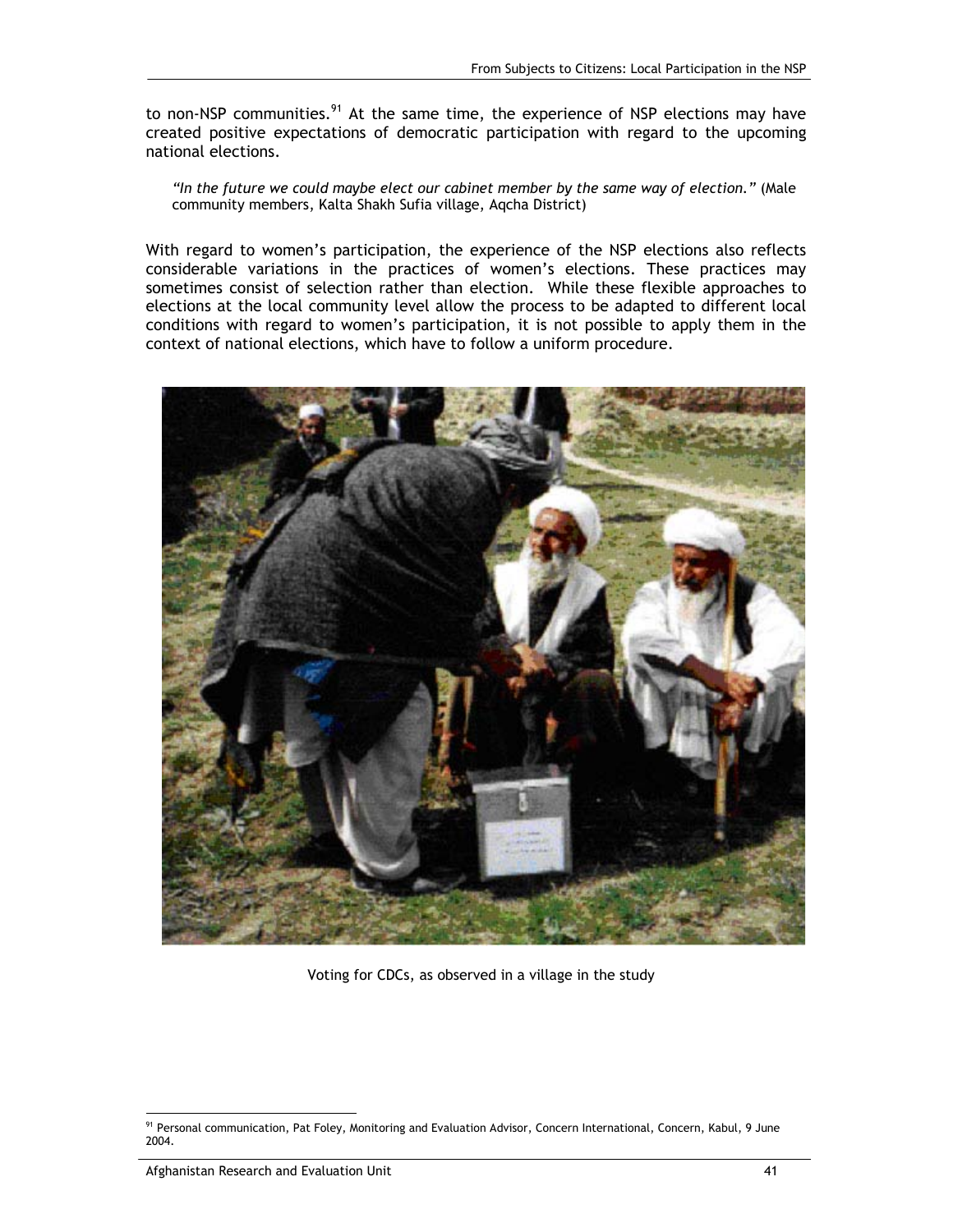to non-NSP communities.<sup>91</sup> At the same time, the experience of NSP elections may have created positive expectations of democratic participation with regard to the upcoming national elections.

*"In the future we could maybe elect our cabinet member by the same way of election."* (Male community members, Kalta Shakh Sufia village, Aqcha District)

With regard to women's participation, the experience of the NSP elections also reflects considerable variations in the practices of women's elections. These practices may sometimes consist of selection rather than election. While these flexible approaches to elections at the local community level allow the process to be adapted to different local conditions with regard to women's participation, it is not possible to apply them in the context of national elections, which have to follow a uniform procedure.



Voting for CDCs, as observed in a village in the study

<sup>-</sup><sup>91</sup> Personal communication, Pat Foley, Monitoring and Evaluation Advisor, Concern International, Concern, Kabul, 9 June 2004.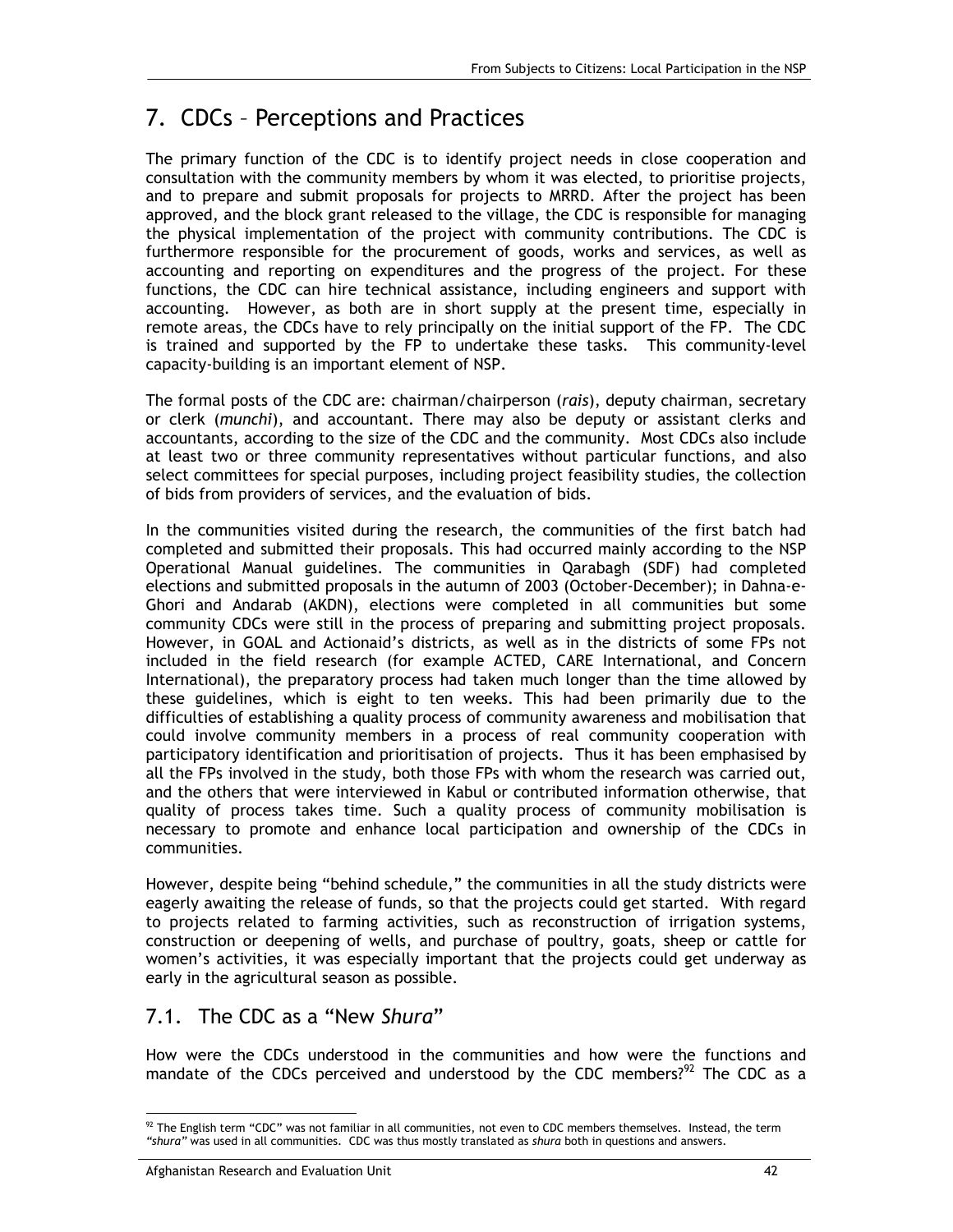# 7. CDCs – Perceptions and Practices

The primary function of the CDC is to identify project needs in close cooperation and consultation with the community members by whom it was elected, to prioritise projects, and to prepare and submit proposals for projects to MRRD. After the project has been approved, and the block grant released to the village, the CDC is responsible for managing the physical implementation of the project with community contributions. The CDC is furthermore responsible for the procurement of goods, works and services, as well as accounting and reporting on expenditures and the progress of the project. For these functions, the CDC can hire technical assistance, including engineers and support with accounting. However, as both are in short supply at the present time, especially in remote areas, the CDCs have to rely principally on the initial support of the FP. The CDC is trained and supported by the FP to undertake these tasks. This community-level capacity-building is an important element of NSP.

The formal posts of the CDC are: chairman/chairperson (*rais*), deputy chairman, secretary or clerk (*munchi*), and accountant. There may also be deputy or assistant clerks and accountants, according to the size of the CDC and the community. Most CDCs also include at least two or three community representatives without particular functions, and also select committees for special purposes, including project feasibility studies, the collection of bids from providers of services, and the evaluation of bids.

In the communities visited during the research, the communities of the first batch had completed and submitted their proposals. This had occurred mainly according to the NSP Operational Manual guidelines. The communities in Qarabagh (SDF) had completed elections and submitted proposals in the autumn of 2003 (October-December); in Dahna-e-Ghori and Andarab (AKDN), elections were completed in all communities but some community CDCs were still in the process of preparing and submitting project proposals. However, in GOAL and Actionaid's districts, as well as in the districts of some FPs not included in the field research (for example ACTED, CARE International, and Concern International), the preparatory process had taken much longer than the time allowed by these guidelines, which is eight to ten weeks. This had been primarily due to the difficulties of establishing a quality process of community awareness and mobilisation that could involve community members in a process of real community cooperation with participatory identification and prioritisation of projects. Thus it has been emphasised by all the FPs involved in the study, both those FPs with whom the research was carried out, and the others that were interviewed in Kabul or contributed information otherwise, that quality of process takes time. Such a quality process of community mobilisation is necessary to promote and enhance local participation and ownership of the CDCs in communities.

However, despite being "behind schedule," the communities in all the study districts were eagerly awaiting the release of funds, so that the projects could get started. With regard to projects related to farming activities, such as reconstruction of irrigation systems, construction or deepening of wells, and purchase of poultry, goats, sheep or cattle for women's activities, it was especially important that the projects could get underway as early in the agricultural season as possible.

## 7.1. The CDC as a "New *Shura*"

How were the CDCs understood in the communities and how were the functions and mandate of the CDCs perceived and understood by the CDC members? $92$  The CDC as a

<sup>-</sup> $92$  The English term "CDC" was not familiar in all communities, not even to CDC members themselves. Instead, the term *"shura"* was used in all communities. CDC was thus mostly translated as *shura* both in questions and answers.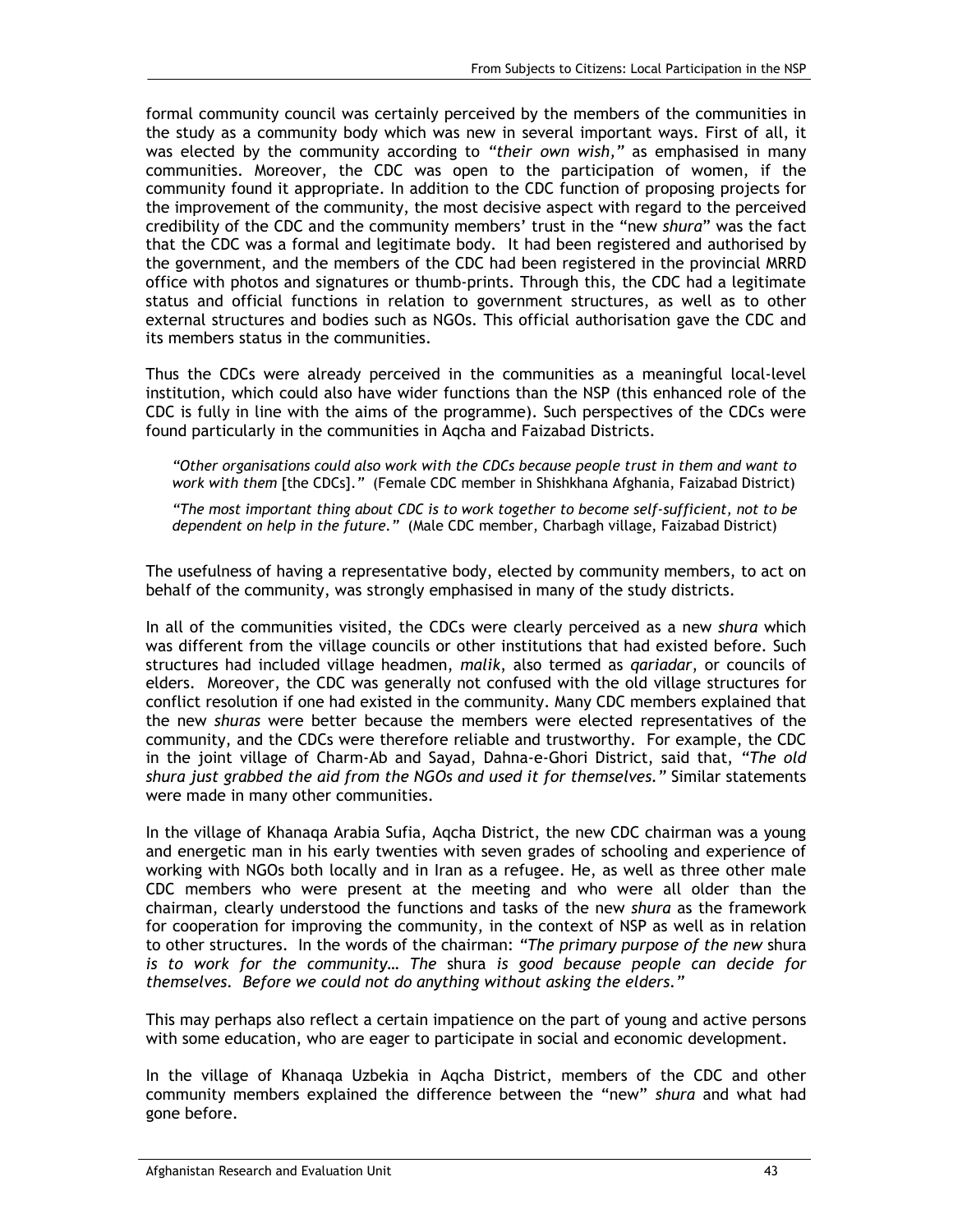formal community council was certainly perceived by the members of the communities in the study as a community body which was new in several important ways. First of all, it was elected by the community according to *"their own wish,"* as emphasised in many communities. Moreover, the CDC was open to the participation of women, if the community found it appropriate. In addition to the CDC function of proposing projects for the improvement of the community, the most decisive aspect with regard to the perceived credibility of the CDC and the community members' trust in the "new *shura*" was the fact that the CDC was a formal and legitimate body*.* It had been registered and authorised by the government, and the members of the CDC had been registered in the provincial MRRD office with photos and signatures or thumb-prints. Through this, the CDC had a legitimate status and official functions in relation to government structures, as well as to other external structures and bodies such as NGOs. This official authorisation gave the CDC and its members status in the communities.

Thus the CDCs were already perceived in the communities as a meaningful local-level institution, which could also have wider functions than the NSP (this enhanced role of the CDC is fully in line with the aims of the programme). Such perspectives of the CDCs were found particularly in the communities in Aqcha and Faizabad Districts.

*"Other organisations could also work with the CDCs because people trust in them and want to work with them* [the CDCs].*"* (Female CDC member in Shishkhana Afghania, Faizabad District)

*"The most important thing about CDC is to work together to become self-sufficient, not to be dependent on help in the future."* (Male CDC member, Charbagh village, Faizabad District)

The usefulness of having a representative body, elected by community members, to act on behalf of the community, was strongly emphasised in many of the study districts.

In all of the communities visited, the CDCs were clearly perceived as a new *shura* which was different from the village councils or other institutions that had existed before. Such structures had included village headmen, *malik*, also termed as *qariadar*, or councils of elders. Moreover, the CDC was generally not confused with the old village structures for conflict resolution if one had existed in the community. Many CDC members explained that the new *shuras* were better because the members were elected representatives of the community, and the CDCs were therefore reliable and trustworthy. For example, the CDC in the joint village of Charm-Ab and Sayad, Dahna-e-Ghori District, said that, *"The old shura just grabbed the aid from the NGOs and used it for themselves."* Similar statements were made in many other communities.

In the village of Khanaqa Arabia Sufia, Aqcha District, the new CDC chairman was a young and energetic man in his early twenties with seven grades of schooling and experience of working with NGOs both locally and in Iran as a refugee. He, as well as three other male CDC members who were present at the meeting and who were all older than the chairman, clearly understood the functions and tasks of the new *shura* as the framework for cooperation for improving the community, in the context of NSP as well as in relation to other structures. In the words of the chairman: *"The primary purpose of the new* shura *is to work for the community*… *The* shura *is good because people can decide for themselves. Before we could not do anything without asking the elders."*

This may perhaps also reflect a certain impatience on the part of young and active persons with some education, who are eager to participate in social and economic development.

In the village of Khanaqa Uzbekia in Aqcha District, members of the CDC and other community members explained the difference between the "new" *shura* and what had gone before.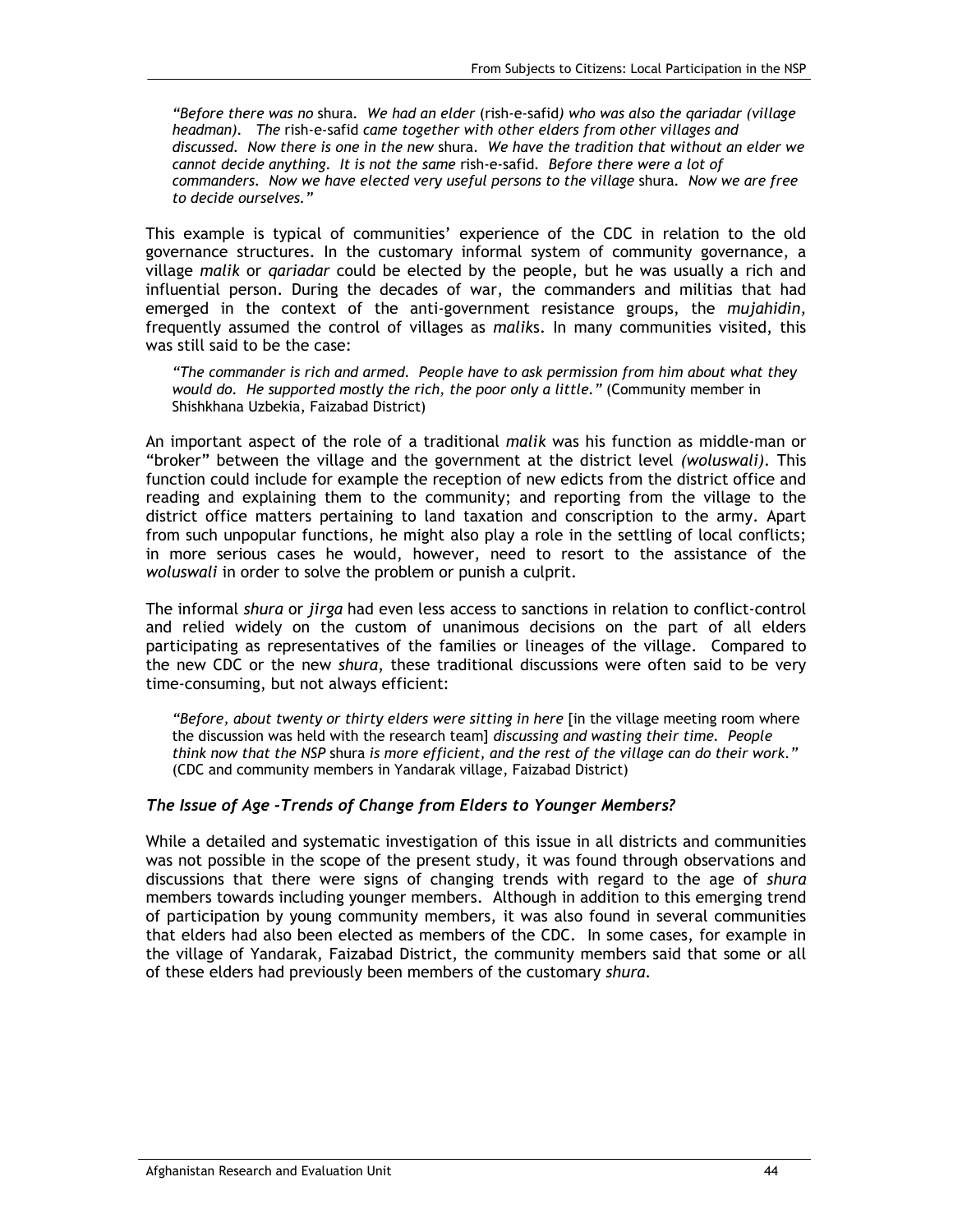*"Before there was no* shura*. We had an elder* (rish-e-safid*) who was also the qariadar (village headman). The* rish-e-safid *came together with other elders from other villages and discussed. Now there is one in the new* shura*. We have the tradition that without an elder we cannot decide anything. It is not the same* rish-e-safid*. Before there were a lot of commanders. Now we have elected very useful persons to the village* shura*. Now we are free to decide ourselves."*

This example is typical of communities' experience of the CDC in relation to the old governance structures. In the customary informal system of community governance, a village *malik* or *qariadar* could be elected by the people, but he was usually a rich and influential person. During the decades of war, the commanders and militias that had emerged in the context of the anti-government resistance groups, the *mujahidin,* frequently assumed the control of villages as *malik*s. In many communities visited, this was still said to be the case:

*"The commander is rich and armed. People have to ask permission from him about what they would do. He supported mostly the rich, the poor only a little."* (Community member in Shishkhana Uzbekia, Faizabad District)

An important aspect of the role of a traditional *malik* was his function as middle-man or "broker" between the village and the government at the district level *(woluswali)*. This function could include for example the reception of new edicts from the district office and reading and explaining them to the community; and reporting from the village to the district office matters pertaining to land taxation and conscription to the army. Apart from such unpopular functions, he might also play a role in the settling of local conflicts; in more serious cases he would, however, need to resort to the assistance of the *woluswali* in order to solve the problem or punish a culprit.

The informal *shura* or *jirga* had even less access to sanctions in relation to conflict-control and relied widely on the custom of unanimous decisions on the part of all elders participating as representatives of the families or lineages of the village. Compared to the new CDC or the new *shura*, these traditional discussions were often said to be very time-consuming, but not always efficient:

"Before, about twenty or thirty elders were sitting in here [in the village meeting room where the discussion was held with the research team] *discussing and wasting their time. People think now that the NSP* shura *is more efficient, and the rest of the village can do their work."* (CDC and community members in Yandarak village, Faizabad District)

#### *The Issue of Age -Trends of Change from Elders to Younger Members?*

While a detailed and systematic investigation of this issue in all districts and communities was not possible in the scope of the present study, it was found through observations and discussions that there were signs of changing trends with regard to the age of *shura* members towards including younger members. Although in addition to this emerging trend of participation by young community members, it was also found in several communities that elders had also been elected as members of the CDC. In some cases, for example in the village of Yandarak, Faizabad District, the community members said that some or all of these elders had previously been members of the customary *shura.*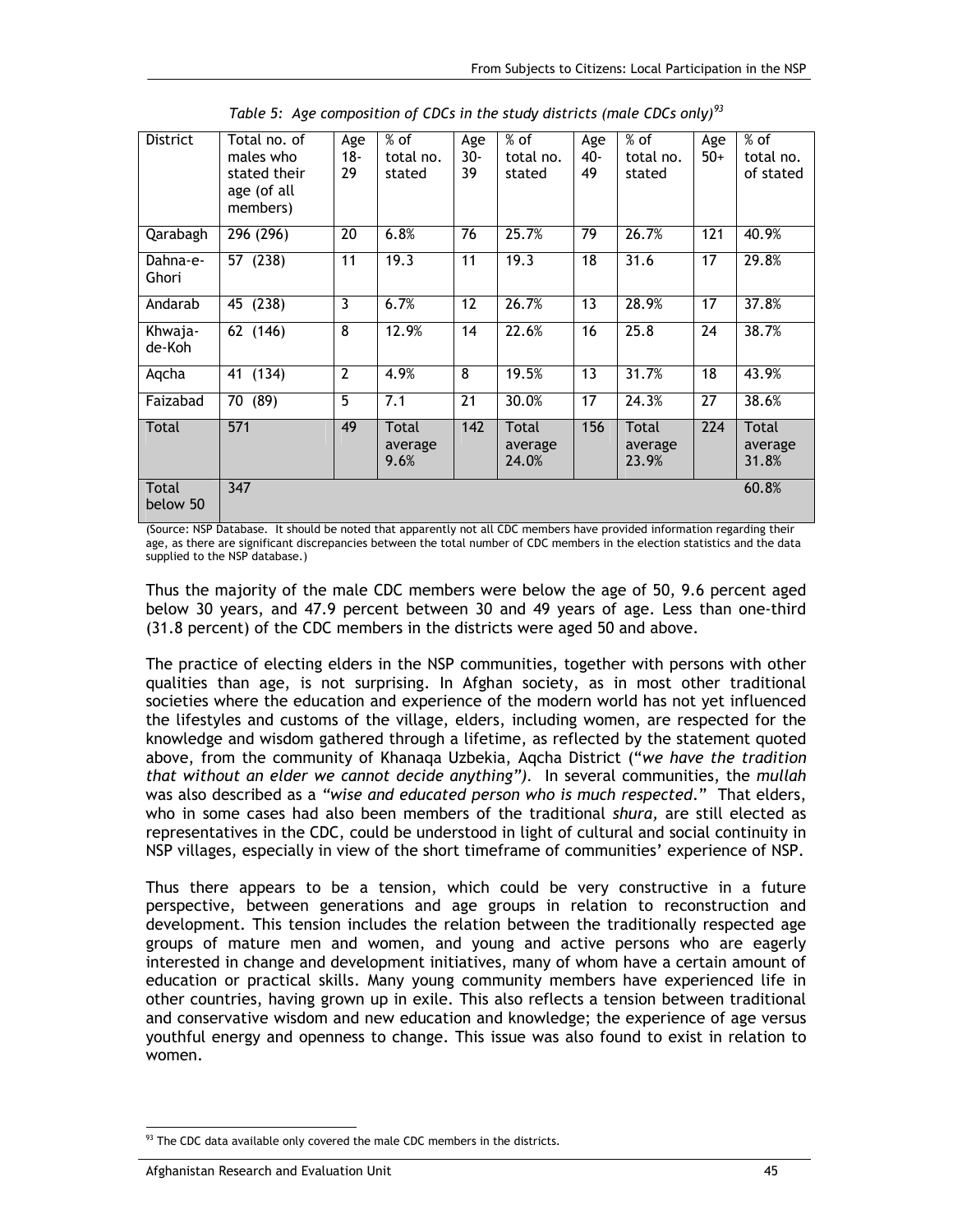| <b>District</b>   | Total no. of<br>males who<br>stated their<br>age (of all<br>members) | Age<br>$18 -$<br>29 | $%$ of<br>total no.<br>stated | Age<br>$30-$<br>39 | $%$ of<br>total no.<br>stated | Age<br>40-<br>49 | $%$ of<br>total no.<br>stated | Age<br>$50+$ | $%$ of<br>total no.<br>of stated |
|-------------------|----------------------------------------------------------------------|---------------------|-------------------------------|--------------------|-------------------------------|------------------|-------------------------------|--------------|----------------------------------|
| Qarabagh          | 296 (296)                                                            | 20                  | 6.8%                          | 76                 | 25.7%                         | 79               | 26.7%                         | 121          | 40.9%                            |
| Dahna-e-<br>Ghori | 57 (238)                                                             | 11                  | 19.3                          | 11                 | 19.3                          | 18               | 31.6                          | 17           | 29.8%                            |
| Andarab           | 45 (238)                                                             | 3                   | 6.7%                          | 12                 | 26.7%                         | 13               | 28.9%                         | 17           | 37.8%                            |
| Khwaja-<br>de-Koh | 62 (146)                                                             | 8                   | 12.9%                         | 14                 | 22.6%                         | 16               | 25.8                          | 24           | 38.7%                            |
| Aqcha             | 41 (134)                                                             | $\overline{2}$      | 4.9%                          | 8                  | 19.5%                         | 13               | 31.7%                         | 18           | 43.9%                            |
| Faizabad          | 70 (89)                                                              | 5                   | 7.1                           | $\overline{21}$    | 30.0%                         | $\overline{17}$  | 24.3%                         | 27           | 38.6%                            |
| Total             | 571                                                                  | 49                  | Total<br>average<br>9.6%      | 142                | Total<br>average<br>24.0%     | 156              | Total<br>average<br>23.9%     | 224          | Total<br>average<br>31.8%        |
| Total<br>below 50 | $\overline{347}$                                                     |                     |                               |                    |                               |                  |                               |              | 60.8%                            |

*Table 5: Age composition of CDCs in the study districts (male CDCs only)<sup>93</sup>*

(Source: NSP Database. It should be noted that apparently not all CDC members have provided information regarding their age, as there are significant discrepancies between the total number of CDC members in the election statistics and the data supplied to the NSP database.)

Thus the majority of the male CDC members were below the age of 50, 9.6 percent aged below 30 years, and 47.9 percent between 30 and 49 years of age. Less than one-third (31.8 percent) of the CDC members in the districts were aged 50 and above.

The practice of electing elders in the NSP communities, together with persons with other qualities than age, is not surprising. In Afghan society, as in most other traditional societies where the education and experience of the modern world has not yet influenced the lifestyles and customs of the village, elders, including women, are respected for the knowledge and wisdom gathered through a lifetime, as reflected by the statement quoted above, from the community of Khanaqa Uzbekia, Aqcha District ("*we have the tradition that without an elder we cannot decide anything").* In several communities, the *mullah*  was also described as a *"wise and educated person who is much respected*." That elders, who in some cases had also been members of the traditional *shura,* are still elected as representatives in the CDC, could be understood in light of cultural and social continuity in NSP villages, especially in view of the short timeframe of communities' experience of NSP.

Thus there appears to be a tension, which could be very constructive in a future perspective, between generations and age groups in relation to reconstruction and development. This tension includes the relation between the traditionally respected age groups of mature men and women, and young and active persons who are eagerly interested in change and development initiatives, many of whom have a certain amount of education or practical skills. Many young community members have experienced life in other countries, having grown up in exile. This also reflects a tension between traditional and conservative wisdom and new education and knowledge; the experience of age versus youthful energy and openness to change. This issue was also found to exist in relation to women.

<sup>-</sup> $93$  The CDC data available only covered the male CDC members in the districts.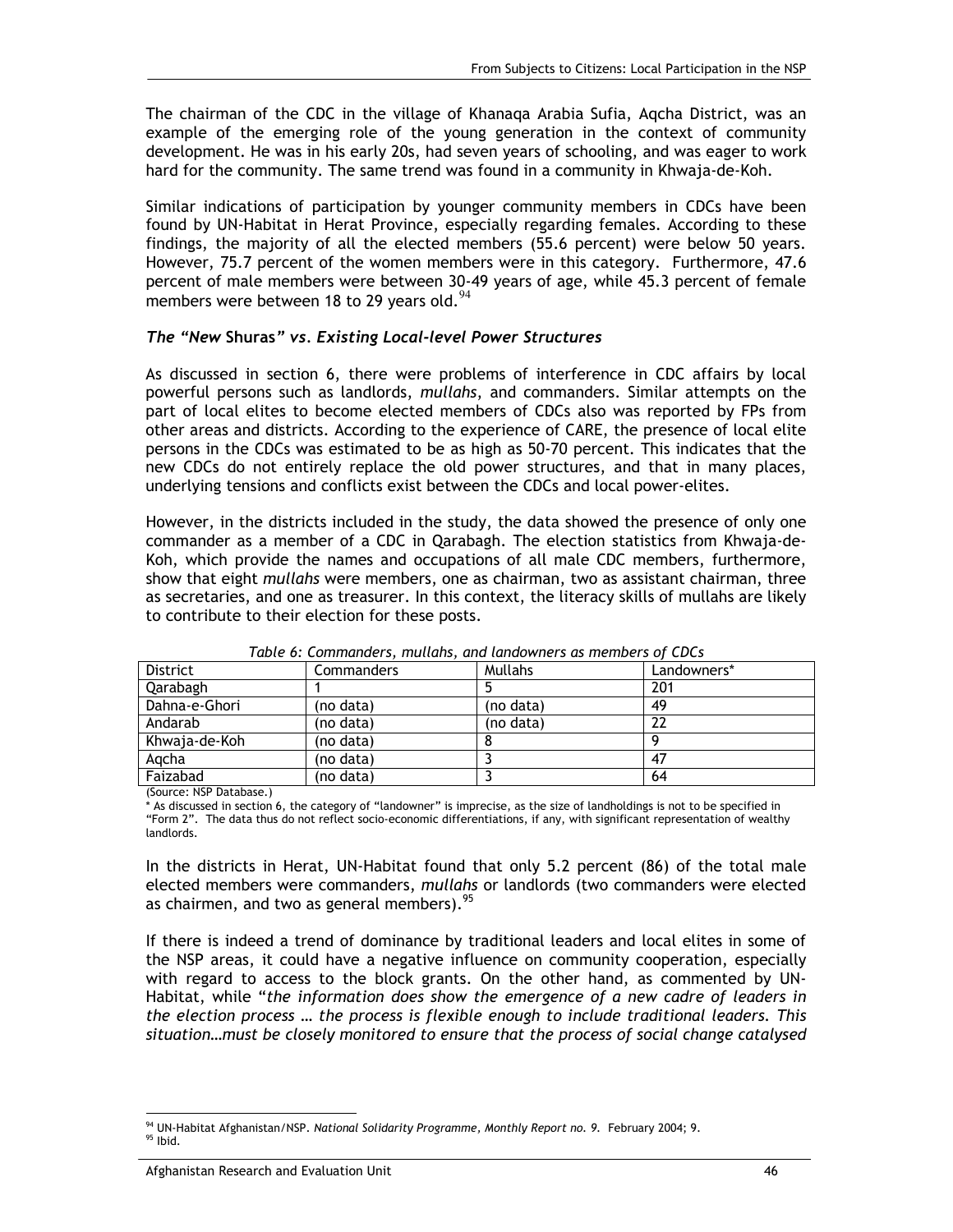The chairman of the CDC in the village of Khanaqa Arabia Sufia, Aqcha District, was an example of the emerging role of the young generation in the context of community development. He was in his early 20s, had seven years of schooling, and was eager to work hard for the community. The same trend was found in a community in Khwaja-de-Koh.

Similar indications of participation by younger community members in CDCs have been found by UN-Habitat in Herat Province, especially regarding females. According to these findings, the majority of all the elected members (55.6 percent) were below 50 years. However, 75.7 percent of the women members were in this category. Furthermore, 47.6 percent of male members were between 30-49 years of age, while 45.3 percent of female members were between 18 to 29 years old. $94$ 

#### *The "New* **Shuras***" vs. Existing Local-level Power Structures*

As discussed in section 6, there were problems of interference in CDC affairs by local powerful persons such as landlords, *mullahs*, and commanders. Similar attempts on the part of local elites to become elected members of CDCs also was reported by FPs from other areas and districts. According to the experience of CARE, the presence of local elite persons in the CDCs was estimated to be as high as 50-70 percent. This indicates that the new CDCs do not entirely replace the old power structures, and that in many places, underlying tensions and conflicts exist between the CDCs and local power-elites.

However, in the districts included in the study, the data showed the presence of only one commander as a member of a CDC in Qarabagh. The election statistics from Khwaja-de-Koh, which provide the names and occupations of all male CDC members, furthermore, show that eight *mullahs* were members, one as chairman, two as assistant chairman, three as secretaries, and one as treasurer. In this context, the literacy skills of mullahs are likely to contribute to their election for these posts.

| District      | <b>Commanders</b> | <b>Mullahs</b> | Landowners* |  |  |  |  |
|---------------|-------------------|----------------|-------------|--|--|--|--|
| Qarabagh      |                   |                | 201         |  |  |  |  |
| Dahna-e-Ghori | (no data)         | (no data)      | 49          |  |  |  |  |
| Andarab       | (no data)         | (no data)      |             |  |  |  |  |
| Khwaja-de-Koh | (no data)         |                |             |  |  |  |  |
| Agcha         | (no data)         |                | 47          |  |  |  |  |
| Faizabad      | (no data)         |                | 64          |  |  |  |  |

*Table 6: Commanders, mullahs, and landowners as members of CDCs* 

(Source: NSP Database.)

As discussed in section 6, the category of "landowner" is imprecise, as the size of landholdings is not to be specified in "Form 2". The data thus do not reflect socio-economic differentiations, if any, with significant representation of wealthy landlords.

In the districts in Herat, UN-Habitat found that only 5.2 percent (86) of the total male elected members were commanders, *mullahs* or landlords (two commanders were elected as chairmen, and two as general members).<sup>95</sup>

If there is indeed a trend of dominance by traditional leaders and local elites in some of the NSP areas, it could have a negative influence on community cooperation, especially with regard to access to the block grants. On the other hand, as commented by UN-Habitat, while "*the information does show the emergence of a new cadre of leaders in the election process … the process is flexible enough to include traditional leaders. This situation…must be closely monitored to ensure that the process of social change catalysed* 

<sup>-</sup><sup>94</sup> UN-Habitat Afghanistan/NSP. *National Solidarity Programme, Monthly Report no. 9*. February 2004; 9. <br><sup>95</sup> Ibid.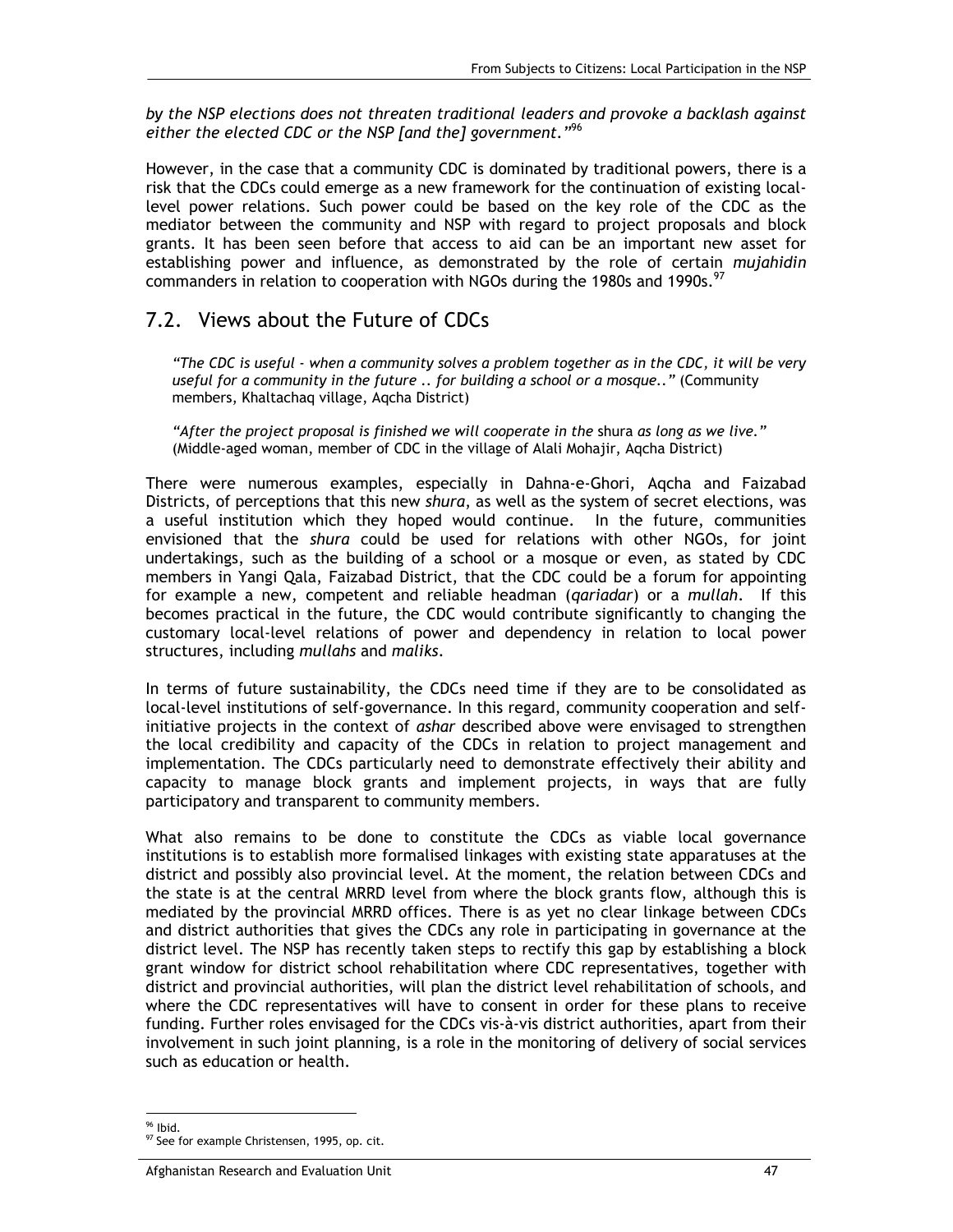*by the NSP elections does not threaten traditional leaders and provoke a backlash against either the elected CDC or the NSP [and the] government."*<sup>96</sup>

However, in the case that a community CDC is dominated by traditional powers, there is a risk that the CDCs could emerge as a new framework for the continuation of existing locallevel power relations. Such power could be based on the key role of the CDC as the mediator between the community and NSP with regard to project proposals and block grants. It has been seen before that access to aid can be an important new asset for establishing power and influence, as demonstrated by the role of certain *mujahidin*  commanders in relation to cooperation with NGOs during the 1980s and 1990s.<sup>97</sup>

## 7.2. Views about the Future of CDCs

*"The CDC is useful - when a community solves a problem together as in the CDC, it will be very useful for a community in the future .. for building a school or a mosque.."* (Community members, Khaltachaq village, Aqcha District)

*"After the project proposal is finished we will cooperate in the* shura *as long as we live."* (Middle-aged woman, member of CDC in the village of Alali Mohajir, Aqcha District)

There were numerous examples, especially in Dahna-e-Ghori, Aqcha and Faizabad Districts, of perceptions that this new *shura*, as well as the system of secret elections, was a useful institution which they hoped would continue. In the future, communities envisioned that the *shura* could be used for relations with other NGOs, for joint undertakings, such as the building of a school or a mosque or even, as stated by CDC members in Yangi Qala, Faizabad District, that the CDC could be a forum for appointing for example a new, competent and reliable headman (*qariadar*) or a *mullah*. If this becomes practical in the future, the CDC would contribute significantly to changing the customary local-level relations of power and dependency in relation to local power structures, including *mullahs* and *maliks*.

In terms of future sustainability, the CDCs need time if they are to be consolidated as local-level institutions of self-governance. In this regard, community cooperation and selfinitiative projects in the context of *ashar* described above were envisaged to strengthen the local credibility and capacity of the CDCs in relation to project management and implementation. The CDCs particularly need to demonstrate effectively their ability and capacity to manage block grants and implement projects, in ways that are fully participatory and transparent to community members.

What also remains to be done to constitute the CDCs as viable local governance institutions is to establish more formalised linkages with existing state apparatuses at the district and possibly also provincial level. At the moment, the relation between CDCs and the state is at the central MRRD level from where the block grants flow, although this is mediated by the provincial MRRD offices. There is as yet no clear linkage between CDCs and district authorities that gives the CDCs any role in participating in governance at the district level. The NSP has recently taken steps to rectify this gap by establishing a block grant window for district school rehabilitation where CDC representatives, together with district and provincial authorities, will plan the district level rehabilitation of schools, and where the CDC representatives will have to consent in order for these plans to receive funding. Further roles envisaged for the CDCs vis-à-vis district authorities, apart from their involvement in such joint planning, is a role in the monitoring of delivery of social services such as education or health.

<sup>-</sup><sup>96</sup> Ibid.

<sup>97</sup> See for example Christensen, 1995, op. cit.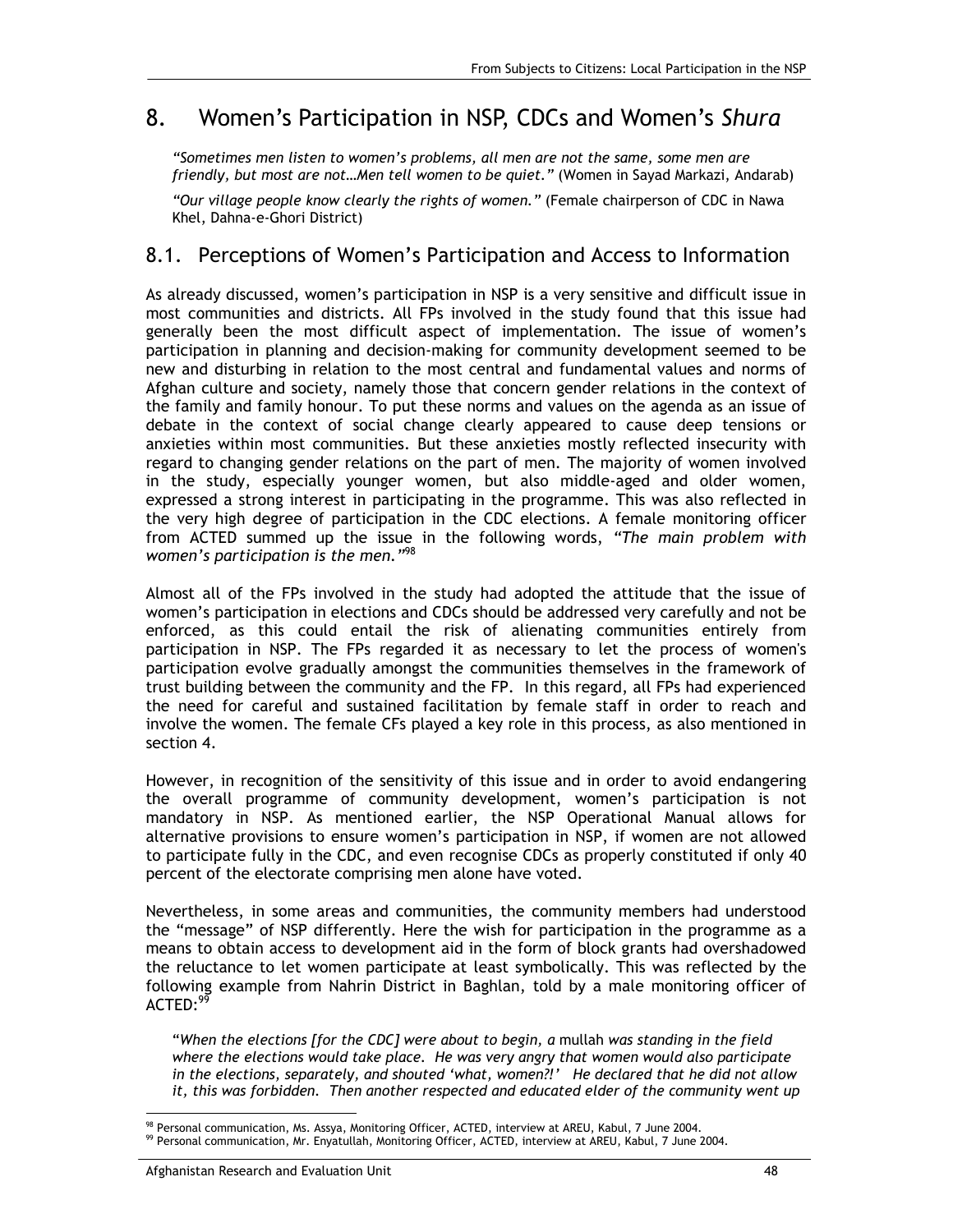## 8. Women's Participation in NSP, CDCs and Women's *Shura*

*"Sometimes men listen to women's problems, all men are not the same, some men are friendly, but most are not…Men tell women to be quiet."* (Women in Sayad Markazi, Andarab)

*"Our village people know clearly the rights of women."* (Female chairperson of CDC in Nawa Khel, Dahna-e-Ghori District)

### 8.1. Perceptions of Women's Participation and Access to Information

As already discussed, women's participation in NSP is a very sensitive and difficult issue in most communities and districts. All FPs involved in the study found that this issue had generally been the most difficult aspect of implementation. The issue of women's participation in planning and decision-making for community development seemed to be new and disturbing in relation to the most central and fundamental values and norms of Afghan culture and society, namely those that concern gender relations in the context of the family and family honour. To put these norms and values on the agenda as an issue of debate in the context of social change clearly appeared to cause deep tensions or anxieties within most communities. But these anxieties mostly reflected insecurity with regard to changing gender relations on the part of men. The majority of women involved in the study, especially younger women, but also middle-aged and older women, expressed a strong interest in participating in the programme. This was also reflected in the very high degree of participation in the CDC elections. A female monitoring officer from ACTED summed up the issue in the following words, *"The main problem with women's participation is the men."*98

Almost all of the FPs involved in the study had adopted the attitude that the issue of women's participation in elections and CDCs should be addressed very carefully and not be enforced, as this could entail the risk of alienating communities entirely from participation in NSP. The FPs regarded it as necessary to let the process of women's participation evolve gradually amongst the communities themselves in the framework of trust building between the community and the FP. In this regard, all FPs had experienced the need for careful and sustained facilitation by female staff in order to reach and involve the women. The female CFs played a key role in this process, as also mentioned in section 4.

However, in recognition of the sensitivity of this issue and in order to avoid endangering the overall programme of community development, women's participation is not mandatory in NSP. As mentioned earlier, the NSP Operational Manual allows for alternative provisions to ensure women's participation in NSP, if women are not allowed to participate fully in the CDC, and even recognise CDCs as properly constituted if only 40 percent of the electorate comprising men alone have voted.

Nevertheless, in some areas and communities, the community members had understood the "message" of NSP differently. Here the wish for participation in the programme as a means to obtain access to development aid in the form of block grants had overshadowed the reluctance to let women participate at least symbolically. This was reflected by the following example from Nahrin District in Baghlan, told by a male monitoring officer of ACTED:99

"When the elections [for the CDC] were about to begin, a mullah was standing in the field *where the elections would take place. He was very angry that women would also participate in the elections, separately, and shouted 'what, women?!' He declared that he did not allow*  it, this was forbidden. Then another respected and educated elder of the community went up

<sup>-</sup>98 Personal communication, Ms. Assya, Monitoring Officer, ACTED, interview at AREU, Kabul, 7 June 2004.

<sup>99</sup> Personal communication, Mr. Enyatullah, Monitoring Officer, ACTED, interview at AREU, Kabul, 7 June 2004.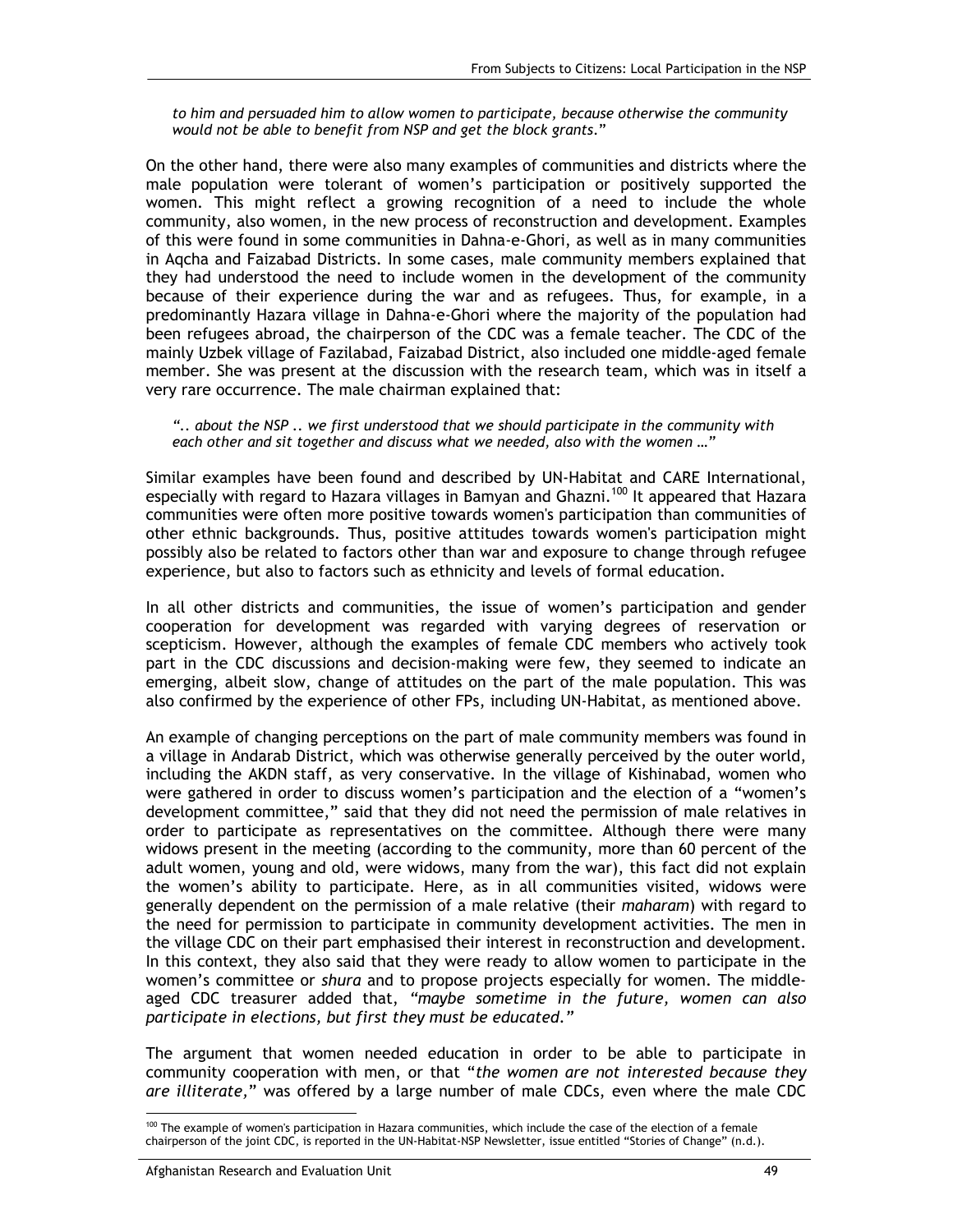*to him and persuaded him to allow women to participate, because otherwise the community would not be able to benefit from NSP and get the block grants*."

On the other hand, there were also many examples of communities and districts where the male population were tolerant of women's participation or positively supported the women. This might reflect a growing recognition of a need to include the whole community, also women, in the new process of reconstruction and development. Examples of this were found in some communities in Dahna-e-Ghori, as well as in many communities in Aqcha and Faizabad Districts. In some cases, male community members explained that they had understood the need to include women in the development of the community because of their experience during the war and as refugees. Thus, for example, in a predominantly Hazara village in Dahna-e-Ghori where the majority of the population had been refugees abroad, the chairperson of the CDC was a female teacher. The CDC of the mainly Uzbek village of Fazilabad, Faizabad District, also included one middle-aged female member. She was present at the discussion with the research team, which was in itself a very rare occurrence. The male chairman explained that:

*".. about the NSP .. we first understood that we should participate in the community with each other and sit together and discuss what we needed, also with the women …"* 

Similar examples have been found and described by UN-Habitat and CARE International, especially with regard to Hazara villages in Bamyan and Ghazni.<sup>100</sup> It appeared that Hazara communities were often more positive towards women's participation than communities of other ethnic backgrounds. Thus, positive attitudes towards women's participation might possibly also be related to factors other than war and exposure to change through refugee experience, but also to factors such as ethnicity and levels of formal education.

In all other districts and communities, the issue of women's participation and gender cooperation for development was regarded with varying degrees of reservation or scepticism. However, although the examples of female CDC members who actively took part in the CDC discussions and decision-making were few, they seemed to indicate an emerging, albeit slow, change of attitudes on the part of the male population. This was also confirmed by the experience of other FPs, including UN-Habitat, as mentioned above.

An example of changing perceptions on the part of male community members was found in a village in Andarab District, which was otherwise generally perceived by the outer world, including the AKDN staff, as very conservative. In the village of Kishinabad, women who were gathered in order to discuss women's participation and the election of a "women's development committee," said that they did not need the permission of male relatives in order to participate as representatives on the committee. Although there were many widows present in the meeting (according to the community, more than 60 percent of the adult women, young and old, were widows, many from the war), this fact did not explain the women's ability to participate. Here, as in all communities visited, widows were generally dependent on the permission of a male relative (their *maharam*) with regard to the need for permission to participate in community development activities. The men in the village CDC on their part emphasised their interest in reconstruction and development. In this context, they also said that they were ready to allow women to participate in the women's committee or *shura* and to propose projects especially for women. The middleaged CDC treasurer added that, *"maybe sometime in the future, women can also participate in elections, but first they must be educated*.*"*

The argument that women needed education in order to be able to participate in community cooperation with men, or that "*the women are not interested because they are illiterate,*" was offered by a large number of male CDCs, even where the male CDC

<sup>-</sup><sup>100</sup> The example of women's participation in Hazara communities, which include the case of the election of a female chairperson of the joint CDC, is reported in the UN-Habitat-NSP Newsletter, issue entitled "Stories of Change" (n.d.).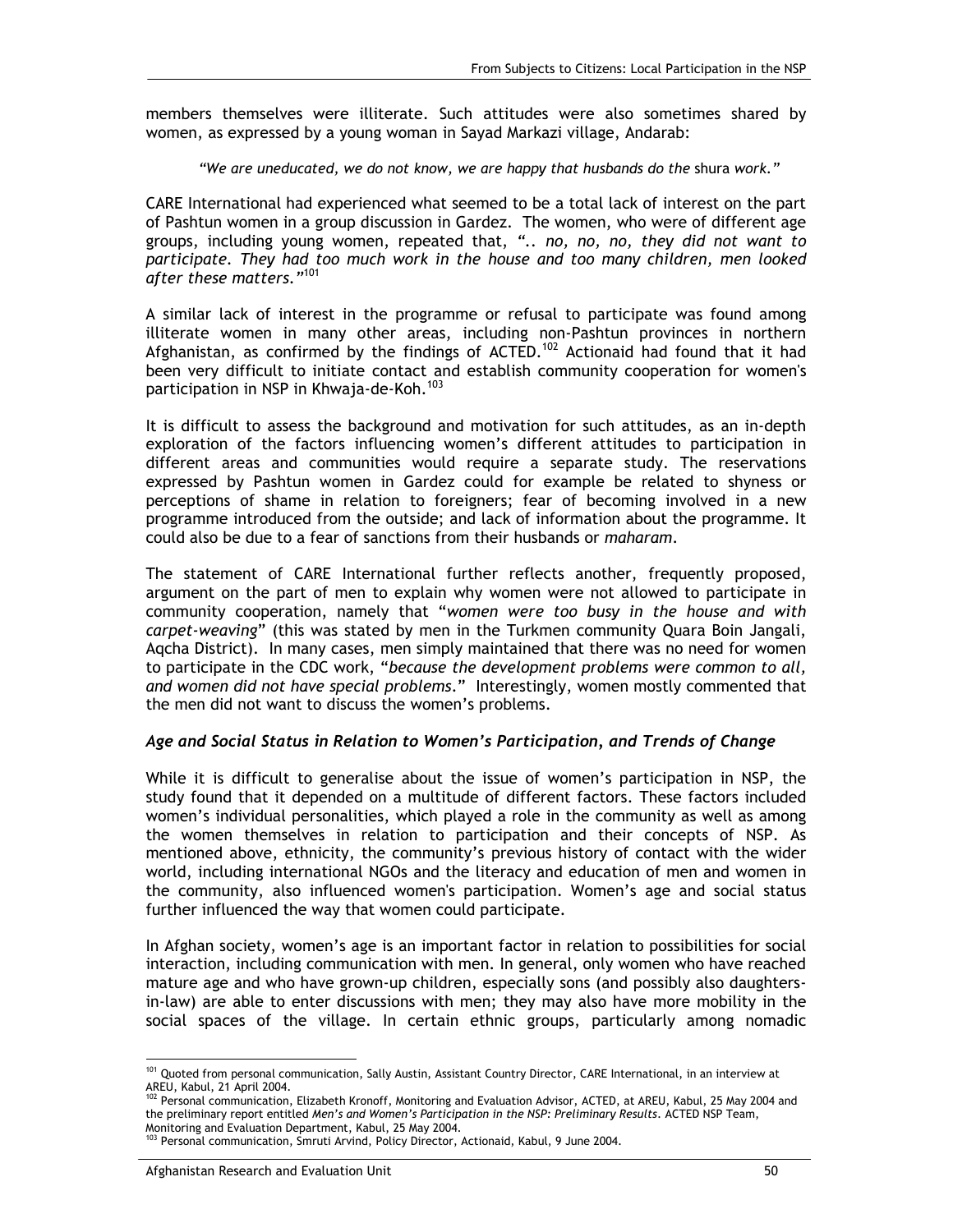members themselves were illiterate. Such attitudes were also sometimes shared by women, as expressed by a young woman in Sayad Markazi village, Andarab:

*"We are uneducated, we do not know, we are happy that husbands do the* shura *work."* 

CARE International had experienced what seemed to be a total lack of interest on the part of Pashtun women in a group discussion in Gardez. The women, who were of different age groups, including young women, repeated that, *".. no, no, no, they did not want to participate. They had too much work in the house and too many children, men looked after these matters."*101

A similar lack of interest in the programme or refusal to participate was found among illiterate women in many other areas, including non-Pashtun provinces in northern Afghanistan, as confirmed by the findings of  $ACTED$ .<sup>102</sup> Actionaid had found that it had been very difficult to initiate contact and establish community cooperation for women's participation in NSP in Khwaja-de-Koh.<sup>103</sup>

It is difficult to assess the background and motivation for such attitudes, as an in-depth exploration of the factors influencing women's different attitudes to participation in different areas and communities would require a separate study. The reservations expressed by Pashtun women in Gardez could for example be related to shyness or perceptions of shame in relation to foreigners; fear of becoming involved in a new programme introduced from the outside; and lack of information about the programme. It could also be due to a fear of sanctions from their husbands or *maharam*.

The statement of CARE International further reflects another, frequently proposed, argument on the part of men to explain why women were not allowed to participate in community cooperation, namely that "*women were too busy in the house and with carpet-weaving*" (this was stated by men in the Turkmen community Quara Boin Jangali, Aqcha District). In many cases, men simply maintained that there was no need for women to participate in the CDC work, "*because the development problems were common to all, and women did not have special problems*." Interestingly, women mostly commented that the men did not want to discuss the women's problems.

#### *Age and Social Status in Relation to Women's Participation, and Trends of Change*

While it is difficult to generalise about the issue of women's participation in NSP, the study found that it depended on a multitude of different factors. These factors included women's individual personalities, which played a role in the community as well as among the women themselves in relation to participation and their concepts of NSP. As mentioned above, ethnicity, the community's previous history of contact with the wider world, including international NGOs and the literacy and education of men and women in the community, also influenced women's participation. Women's age and social status further influenced the way that women could participate.

In Afghan society, women's age is an important factor in relation to possibilities for social interaction, including communication with men. In general, only women who have reached mature age and who have grown-up children, especially sons (and possibly also daughtersin-law) are able to enter discussions with men; they may also have more mobility in the social spaces of the village. In certain ethnic groups, particularly among nomadic

<sup>-</sup><sup>101</sup> Quoted from personal communication, Sally Austin, Assistant Country Director, CARE International, in an interview at AREU, Kabul, 21 April 2004.

<sup>&</sup>lt;sup>102</sup> Personal communication, Elizabeth Kronoff, Monitoring and Evaluation Advisor, ACTED, at AREU, Kabul, 25 May 2004 and the preliminary report entitled *Men's and Women's Participation in the NSP: Preliminary Results*. ACTED NSP Team, Monitoring and Evaluation Department, Kabul, 25 May 2004.

<sup>103</sup> Personal communication, Smruti Arvind, Policy Director, Actionaid, Kabul, 9 June 2004.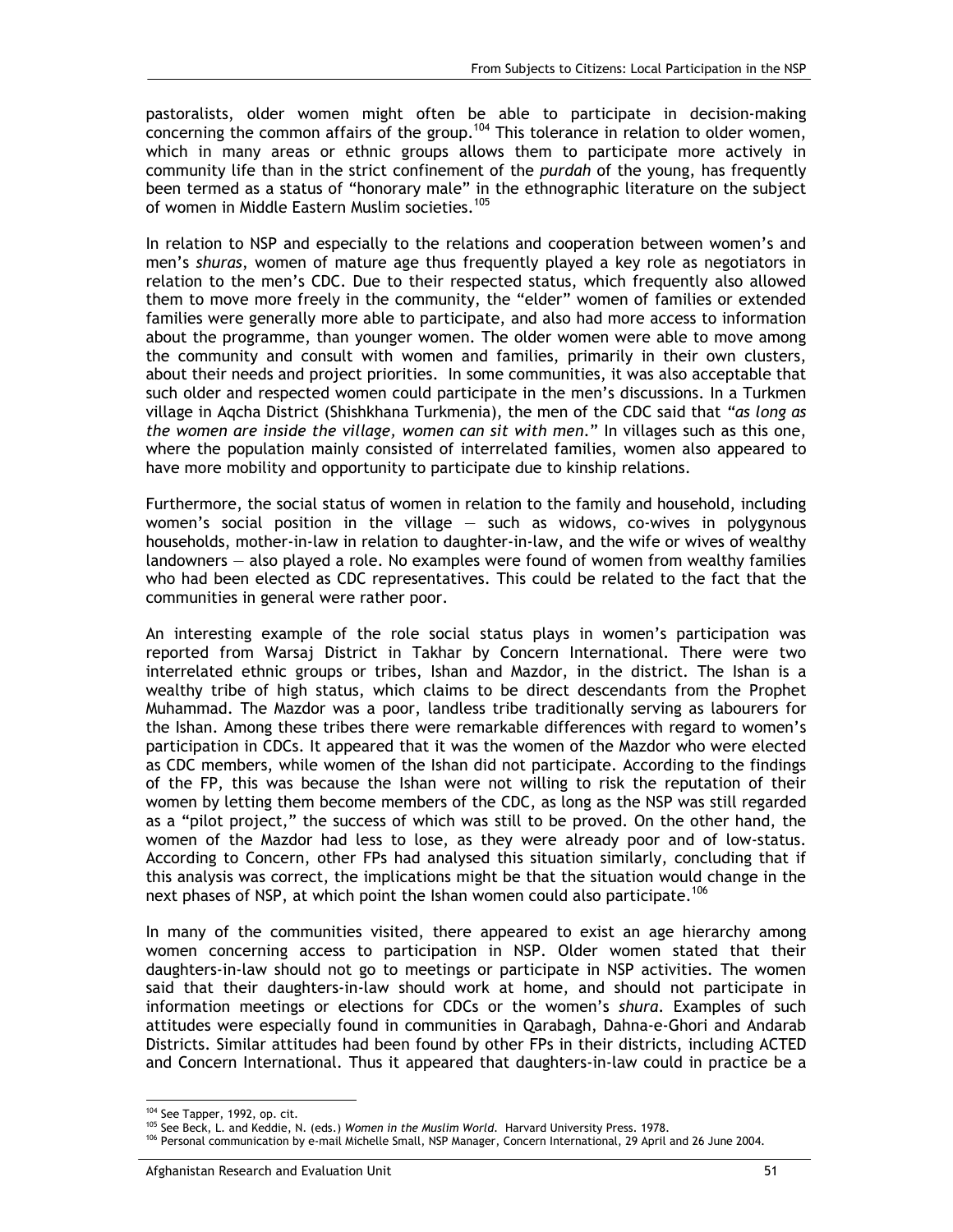pastoralists, older women might often be able to participate in decision-making concerning the common affairs of the group.<sup>104</sup> This tolerance in relation to older women, which in many areas or ethnic groups allows them to participate more actively in community life than in the strict confinement of the *purdah* of the young, has frequently been termed as a status of "honorary male" in the ethnographic literature on the subject of women in Middle Eastern Muslim societies.<sup>105</sup>

In relation to NSP and especially to the relations and cooperation between women's and men's *shuras*, women of mature age thus frequently played a key role as negotiators in relation to the men's CDC. Due to their respected status, which frequently also allowed them to move more freely in the community, the "elder" women of families or extended families were generally more able to participate, and also had more access to information about the programme, than younger women. The older women were able to move among the community and consult with women and families, primarily in their own clusters, about their needs and project priorities. In some communities, it was also acceptable that such older and respected women could participate in the men's discussions. In a Turkmen village in Aqcha District (Shishkhana Turkmenia), the men of the CDC said that *"as long as the women are inside the village, women can sit with men*." In villages such as this one, where the population mainly consisted of interrelated families, women also appeared to have more mobility and opportunity to participate due to kinship relations.

Furthermore, the social status of women in relation to the family and household, including women's social position in the village  $-$  such as widows, co-wives in polygynous households, mother-in-law in relation to daughter-in-law, and the wife or wives of wealthy landowners — also played a role. No examples were found of women from wealthy families who had been elected as CDC representatives. This could be related to the fact that the communities in general were rather poor.

An interesting example of the role social status plays in women's participation was reported from Warsaj District in Takhar by Concern International. There were two interrelated ethnic groups or tribes, Ishan and Mazdor, in the district. The Ishan is a wealthy tribe of high status, which claims to be direct descendants from the Prophet Muhammad. The Mazdor was a poor, landless tribe traditionally serving as labourers for the Ishan. Among these tribes there were remarkable differences with regard to women's participation in CDCs. It appeared that it was the women of the Mazdor who were elected as CDC members, while women of the Ishan did not participate. According to the findings of the FP, this was because the Ishan were not willing to risk the reputation of their women by letting them become members of the CDC, as long as the NSP was still regarded as a "pilot project," the success of which was still to be proved. On the other hand, the women of the Mazdor had less to lose, as they were already poor and of low-status. According to Concern, other FPs had analysed this situation similarly, concluding that if this analysis was correct, the implications might be that the situation would change in the next phases of NSP, at which point the Ishan women could also participate.<sup>106</sup>

In many of the communities visited, there appeared to exist an age hierarchy among women concerning access to participation in NSP. Older women stated that their daughters-in-law should not go to meetings or participate in NSP activities. The women said that their daughters-in-law should work at home, and should not participate in information meetings or elections for CDCs or the women's *shura*. Examples of such attitudes were especially found in communities in Qarabagh, Dahna-e-Ghori and Andarab Districts. Similar attitudes had been found by other FPs in their districts, including ACTED and Concern International. Thus it appeared that daughters-in-law could in practice be a

<sup>&</sup>lt;sup>104</sup> See Tapper, 1992, op. cit.

<sup>&</sup>lt;sup>105</sup> See Beck, L. and Keddie, N. (eds.) *Women in the Muslim World*. Harvard University Press. 1978.<br><sup>106</sup> Personal communication by e-mail Michelle Small, NSP Manager, Concern International, 29 April and 26 June 2004.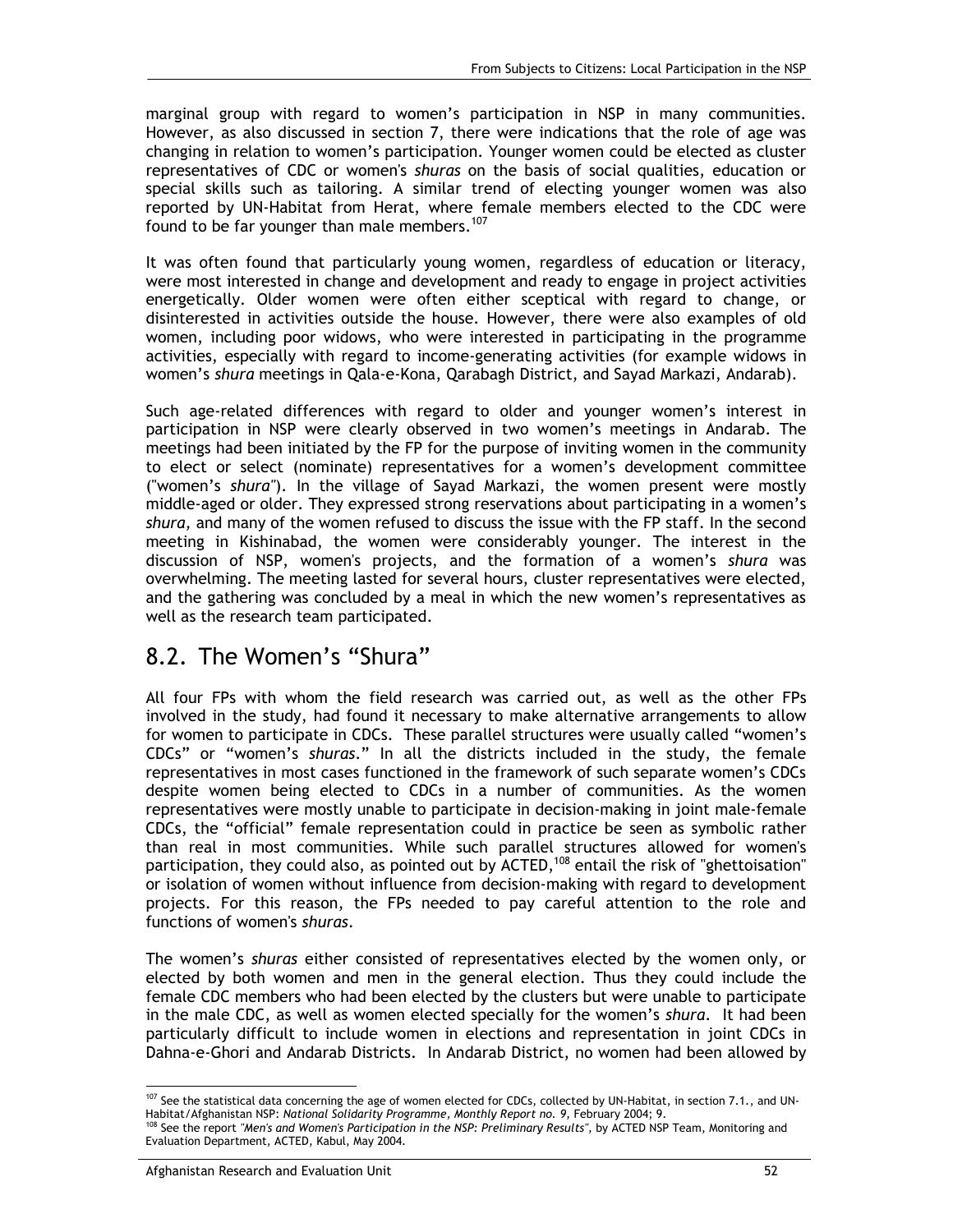marginal group with regard to women's participation in NSP in many communities. However, as also discussed in section 7, there were indications that the role of age was changing in relation to women's participation. Younger women could be elected as cluster representatives of CDC or women's *shuras* on the basis of social qualities, education or special skills such as tailoring. A similar trend of electing younger women was also reported by UN-Habitat from Herat, where female members elected to the CDC were found to be far younger than male members.<sup>107</sup>

It was often found that particularly young women, regardless of education or literacy, were most interested in change and development and ready to engage in project activities energetically. Older women were often either sceptical with regard to change, or disinterested in activities outside the house. However, there were also examples of old women, including poor widows, who were interested in participating in the programme activities, especially with regard to income-generating activities (for example widows in women's *shura* meetings in Qala-e-Kona, Qarabagh District, and Sayad Markazi, Andarab).

Such age-related differences with regard to older and younger women's interest in participation in NSP were clearly observed in two women's meetings in Andarab. The meetings had been initiated by the FP for the purpose of inviting women in the community to elect or select (nominate) representatives for a women's development committee ("women's *shura"*). In the village of Sayad Markazi, the women present were mostly middle-aged or older. They expressed strong reservations about participating in a women's *shura,* and many of the women refused to discuss the issue with the FP staff. In the second meeting in Kishinabad, the women were considerably younger. The interest in the discussion of NSP, women's projects, and the formation of a women's *shura* was overwhelming. The meeting lasted for several hours, cluster representatives were elected, and the gathering was concluded by a meal in which the new women's representatives as well as the research team participated.

## 8.2. The Women's "Shura"

All four FPs with whom the field research was carried out, as well as the other FPs involved in the study, had found it necessary to make alternative arrangements to allow for women to participate in CDCs. These parallel structures were usually called "women's CDCs" or "women's *shuras*." In all the districts included in the study, the female representatives in most cases functioned in the framework of such separate women's CDCs despite women being elected to CDCs in a number of communities. As the women representatives were mostly unable to participate in decision-making in joint male-female CDCs, the "official" female representation could in practice be seen as symbolic rather than real in most communities. While such parallel structures allowed for women's participation, they could also, as pointed out by  $ACTED$ ,  $^{108}$  entail the risk of "ghettoisation" or isolation of women without influence from decision-making with regard to development projects. For this reason, the FPs needed to pay careful attention to the role and functions of women's *shuras*.

The women's *shuras* either consisted of representatives elected by the women only, or elected by both women and men in the general election. Thus they could include the female CDC members who had been elected by the clusters but were unable to participate in the male CDC, as well as women elected specially for the women's *shura*. It had been particularly difficult to include women in elections and representation in joint CDCs in Dahna-e-Ghori and Andarab Districts. In Andarab District, no women had been allowed by

<sup>-</sup> $107$  See the statistical data concerning the age of women elected for CDCs, collected by UN-Habitat, in section 7.1., and UN-In the Monteur of Learn of the Magnetian of Learn by the Habitat/Afghanistan NSP: National Solidarity Programme, Monthly Report no. 9, February 2004; 9.<br><sup>108</sup> See the report "Men's and Women's Participation in the NSP: Pre

Evaluation Department, ACTED, Kabul, May 2004.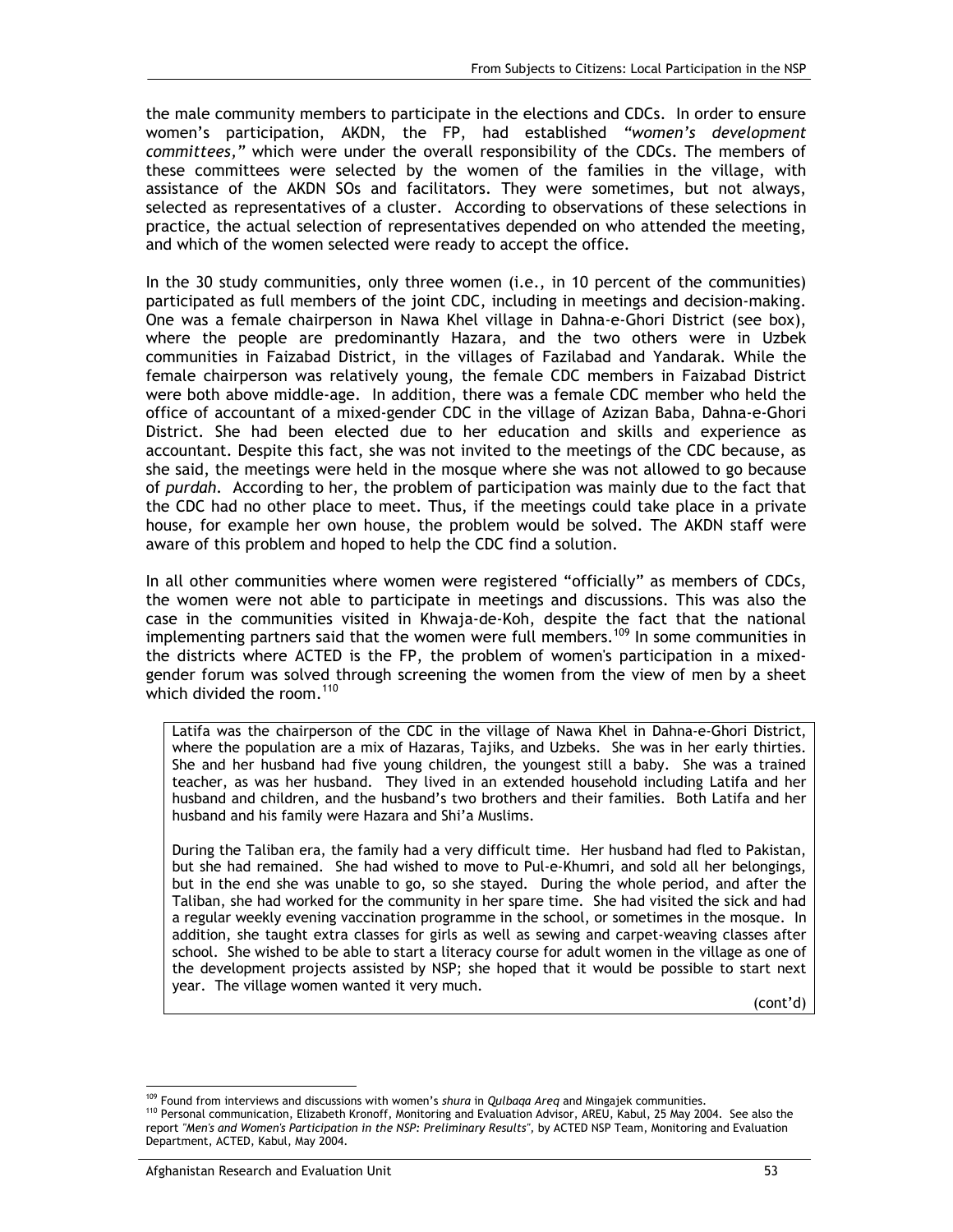the male community members to participate in the elections and CDCs. In order to ensure women's participation, AKDN, the FP, had established *"women's development committees,"* which were under the overall responsibility of the CDCs. The members of these committees were selected by the women of the families in the village, with assistance of the AKDN SOs and facilitators. They were sometimes, but not always, selected as representatives of a cluster. According to observations of these selections in practice, the actual selection of representatives depended on who attended the meeting, and which of the women selected were ready to accept the office.

In the 30 study communities, only three women (i.e., in 10 percent of the communities) participated as full members of the joint CDC, including in meetings and decision-making. One was a female chairperson in Nawa Khel village in Dahna-e-Ghori District (see box), where the people are predominantly Hazara, and the two others were in Uzbek communities in Faizabad District, in the villages of Fazilabad and Yandarak. While the female chairperson was relatively young, the female CDC members in Faizabad District were both above middle-age. In addition, there was a female CDC member who held the office of accountant of a mixed-gender CDC in the village of Azizan Baba, Dahna-e-Ghori District. She had been elected due to her education and skills and experience as accountant. Despite this fact, she was not invited to the meetings of the CDC because, as she said, the meetings were held in the mosque where she was not allowed to go because of *purdah.* According to her, the problem of participation was mainly due to the fact that the CDC had no other place to meet. Thus, if the meetings could take place in a private house, for example her own house, the problem would be solved. The AKDN staff were aware of this problem and hoped to help the CDC find a solution.

In all other communities where women were registered "officially" as members of CDCs, the women were not able to participate in meetings and discussions. This was also the case in the communities visited in Khwaja-de-Koh, despite the fact that the national implementing partners said that the women were full members.<sup>109</sup> In some communities in the districts where ACTED is the FP, the problem of women's participation in a mixedgender forum was solved through screening the women from the view of men by a sheet which divided the room. $110$ 

Latifa was the chairperson of the CDC in the village of Nawa Khel in Dahna-e-Ghori District, where the population are a mix of Hazaras, Tajiks, and Uzbeks. She was in her early thirties. She and her husband had five young children, the youngest still a baby. She was a trained teacher, as was her husband. They lived in an extended household including Latifa and her husband and children, and the husband's two brothers and their families. Both Latifa and her husband and his family were Hazara and Shi'a Muslims.

During the Taliban era, the family had a very difficult time. Her husband had fled to Pakistan, but she had remained. She had wished to move to Pul-e-Khumri, and sold all her belongings, but in the end she was unable to go, so she stayed. During the whole period, and after the Taliban, she had worked for the community in her spare time. She had visited the sick and had a regular weekly evening vaccination programme in the school, or sometimes in the mosque. In addition, she taught extra classes for girls as well as sewing and carpet-weaving classes after school. She wished to be able to start a literacy course for adult women in the village as one of the development projects assisted by NSP; she hoped that it would be possible to start next year. The village women wanted it very much.

(cont'd)

<sup>-</sup>

<sup>&</sup>lt;sup>109</sup> Found from interviews and discussions with women's *shura* in Qulbaqa Areq and Mingajek communities.<br><sup>110</sup> Personal communication, Elizabeth Kronoff, Monitoring and Evaluation Advisor, AREU, Kabul, 25 May 2004. See a report *"Men's and Women's Participation in the NSP: Preliminary Results",* by ACTED NSP Team, Monitoring and Evaluation Department, ACTED, Kabul, May 2004.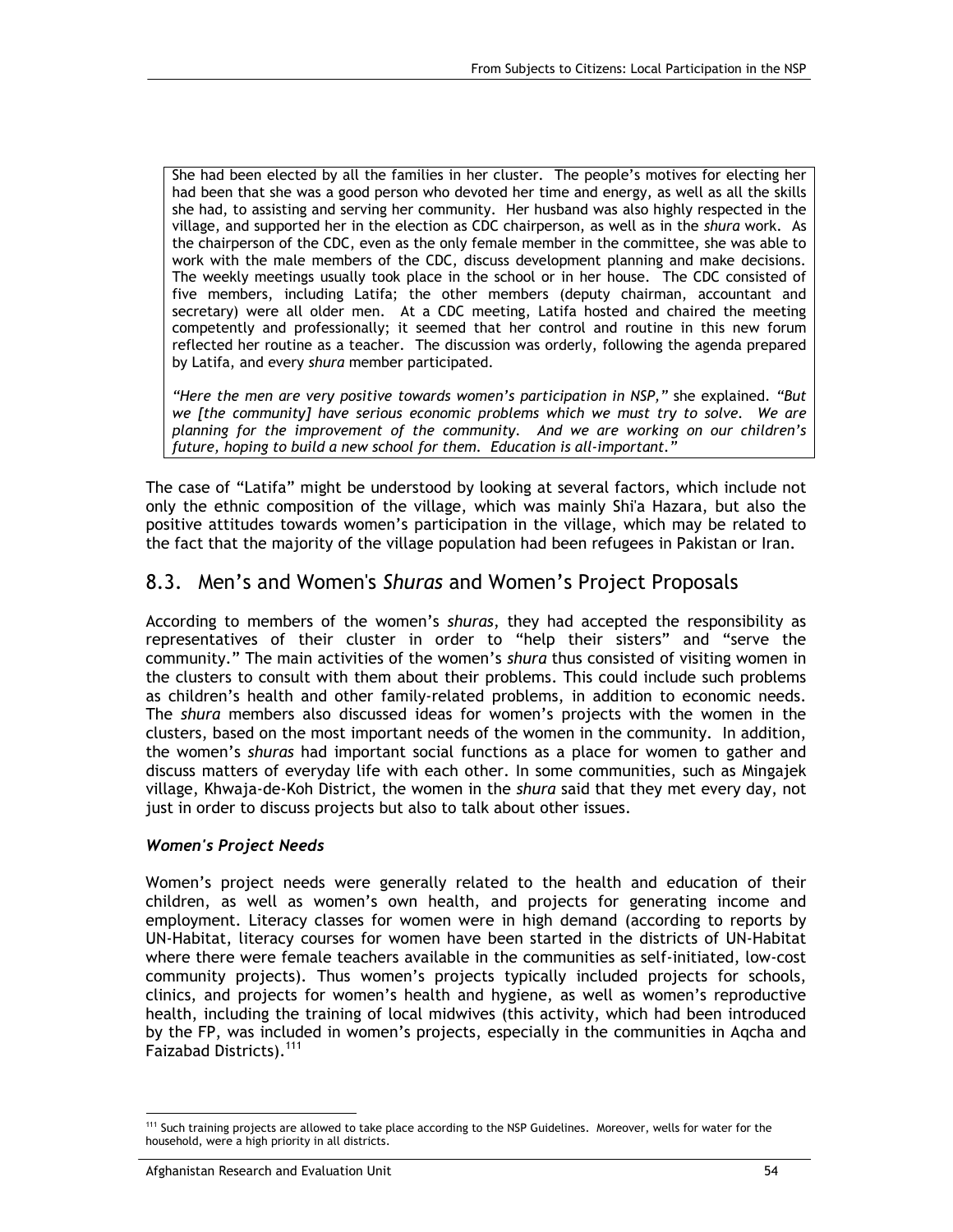She had been elected by all the families in her cluster. The people's motives for electing her had been that she was a good person who devoted her time and energy, as well as all the skills she had, to assisting and serving her community. Her husband was also highly respected in the village, and supported her in the election as CDC chairperson, as well as in the *shura* work. As the chairperson of the CDC, even as the only female member in the committee, she was able to work with the male members of the CDC, discuss development planning and make decisions. The weekly meetings usually took place in the school or in her house. The CDC consisted of five members, including Latifa; the other members (deputy chairman, accountant and secretary) were all older men. At a CDC meeting, Latifa hosted and chaired the meeting competently and professionally; it seemed that her control and routine in this new forum reflected her routine as a teacher. The discussion was orderly, following the agenda prepared by Latifa, and every *shura* member participated.

*"Here the men are very positive towards women's participation in NSP,"* she explained. *"But we [the community] have serious economic problems which we must try to solve. We are planning for the improvement of the community. And we are working on our children's future, hoping to build a new school for them. Education is all-important."* 

The case of "Latifa" might be understood by looking at several factors, which include not only the ethnic composition of the village, which was mainly Shi'a Hazara, but also the positive attitudes towards women's participation in the village, which may be related to the fact that the majority of the village population had been refugees in Pakistan or Iran.

### 8.3. Men's and Women's *Shuras* and Women's Project Proposals

According to members of the women's *shuras*, they had accepted the responsibility as representatives of their cluster in order to "help their sisters" and "serve the community." The main activities of the women's *shura* thus consisted of visiting women in the clusters to consult with them about their problems. This could include such problems as children's health and other family-related problems, in addition to economic needs. The *shura* members also discussed ideas for women's projects with the women in the clusters, based on the most important needs of the women in the community. In addition, the women's *shuras* had important social functions as a place for women to gather and discuss matters of everyday life with each other. In some communities, such as Mingajek village, Khwaja-de-Koh District, the women in the *shura* said that they met every day, not just in order to discuss projects but also to talk about other issues.

#### *Women's Project Needs*

Women's project needs were generally related to the health and education of their children, as well as women's own health, and projects for generating income and employment. Literacy classes for women were in high demand (according to reports by UN-Habitat, literacy courses for women have been started in the districts of UN-Habitat where there were female teachers available in the communities as self-initiated, low-cost community projects). Thus women's projects typically included projects for schools, clinics, and projects for women's health and hygiene, as well as women's reproductive health, including the training of local midwives (this activity, which had been introduced by the FP, was included in women's projects, especially in the communities in Aqcha and Faizabad Districts).<sup>111</sup>

<sup>-</sup><sup>111</sup> Such training projects are allowed to take place according to the NSP Guidelines. Moreover, wells for water for the household, were a high priority in all districts.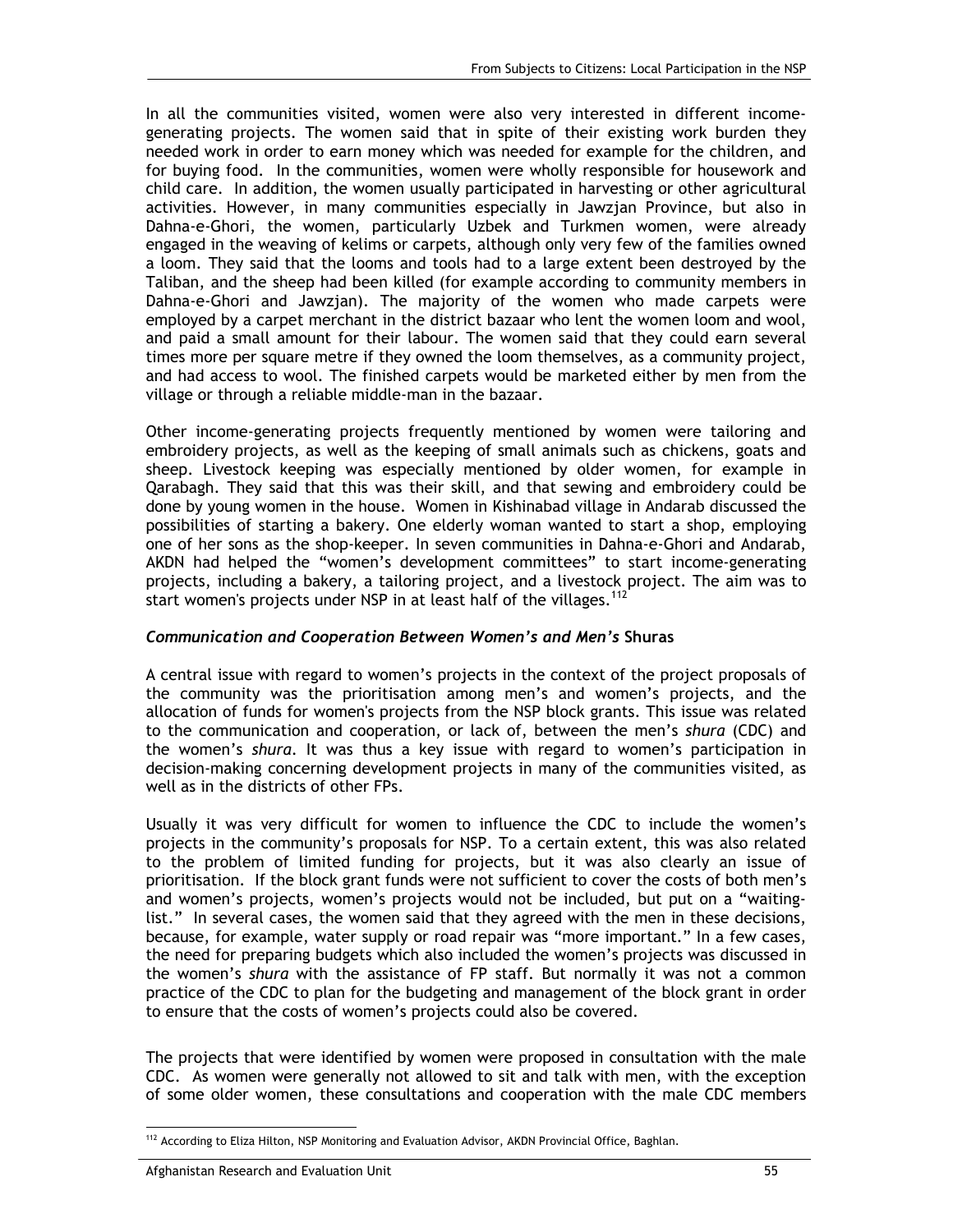In all the communities visited, women were also very interested in different incomegenerating projects. The women said that in spite of their existing work burden they needed work in order to earn money which was needed for example for the children, and for buying food. In the communities, women were wholly responsible for housework and child care. In addition, the women usually participated in harvesting or other agricultural activities. However, in many communities especially in Jawzjan Province, but also in Dahna-e-Ghori, the women, particularly Uzbek and Turkmen women, were already engaged in the weaving of kelims or carpets, although only very few of the families owned a loom. They said that the looms and tools had to a large extent been destroyed by the Taliban, and the sheep had been killed (for example according to community members in Dahna-e-Ghori and Jawzjan). The majority of the women who made carpets were employed by a carpet merchant in the district bazaar who lent the women loom and wool, and paid a small amount for their labour. The women said that they could earn several times more per square metre if they owned the loom themselves, as a community project, and had access to wool. The finished carpets would be marketed either by men from the village or through a reliable middle-man in the bazaar.

Other income-generating projects frequently mentioned by women were tailoring and embroidery projects, as well as the keeping of small animals such as chickens, goats and sheep. Livestock keeping was especially mentioned by older women, for example in Qarabagh. They said that this was their skill, and that sewing and embroidery could be done by young women in the house. Women in Kishinabad village in Andarab discussed the possibilities of starting a bakery. One elderly woman wanted to start a shop, employing one of her sons as the shop-keeper. In seven communities in Dahna-e-Ghori and Andarab, AKDN had helped the "women's development committees" to start income-generating projects, including a bakery, a tailoring project, and a livestock project. The aim was to start women's projects under NSP in at least half of the villages.<sup>112</sup>

#### *Communication and Cooperation Between Women's and Men's* **Shuras**

A central issue with regard to women's projects in the context of the project proposals of the community was the prioritisation among men's and women's projects, and the allocation of funds for women's projects from the NSP block grants. This issue was related to the communication and cooperation, or lack of, between the men's *shura* (CDC) and the women's *shura*. It was thus a key issue with regard to women's participation in decision-making concerning development projects in many of the communities visited, as well as in the districts of other FPs.

Usually it was very difficult for women to influence the CDC to include the women's projects in the community's proposals for NSP. To a certain extent, this was also related to the problem of limited funding for projects, but it was also clearly an issue of prioritisation. If the block grant funds were not sufficient to cover the costs of both men's and women's projects, women's projects would not be included, but put on a "waitinglist." In several cases, the women said that they agreed with the men in these decisions, because, for example, water supply or road repair was "more important." In a few cases, the need for preparing budgets which also included the women's projects was discussed in the women's *shura* with the assistance of FP staff. But normally it was not a common practice of the CDC to plan for the budgeting and management of the block grant in order to ensure that the costs of women's projects could also be covered.

The projects that were identified by women were proposed in consultation with the male CDC. As women were generally not allowed to sit and talk with men, with the exception of some older women, these consultations and cooperation with the male CDC members

<sup>-</sup><sup>112</sup> According to Eliza Hilton, NSP Monitoring and Evaluation Advisor, AKDN Provincial Office, Baghlan.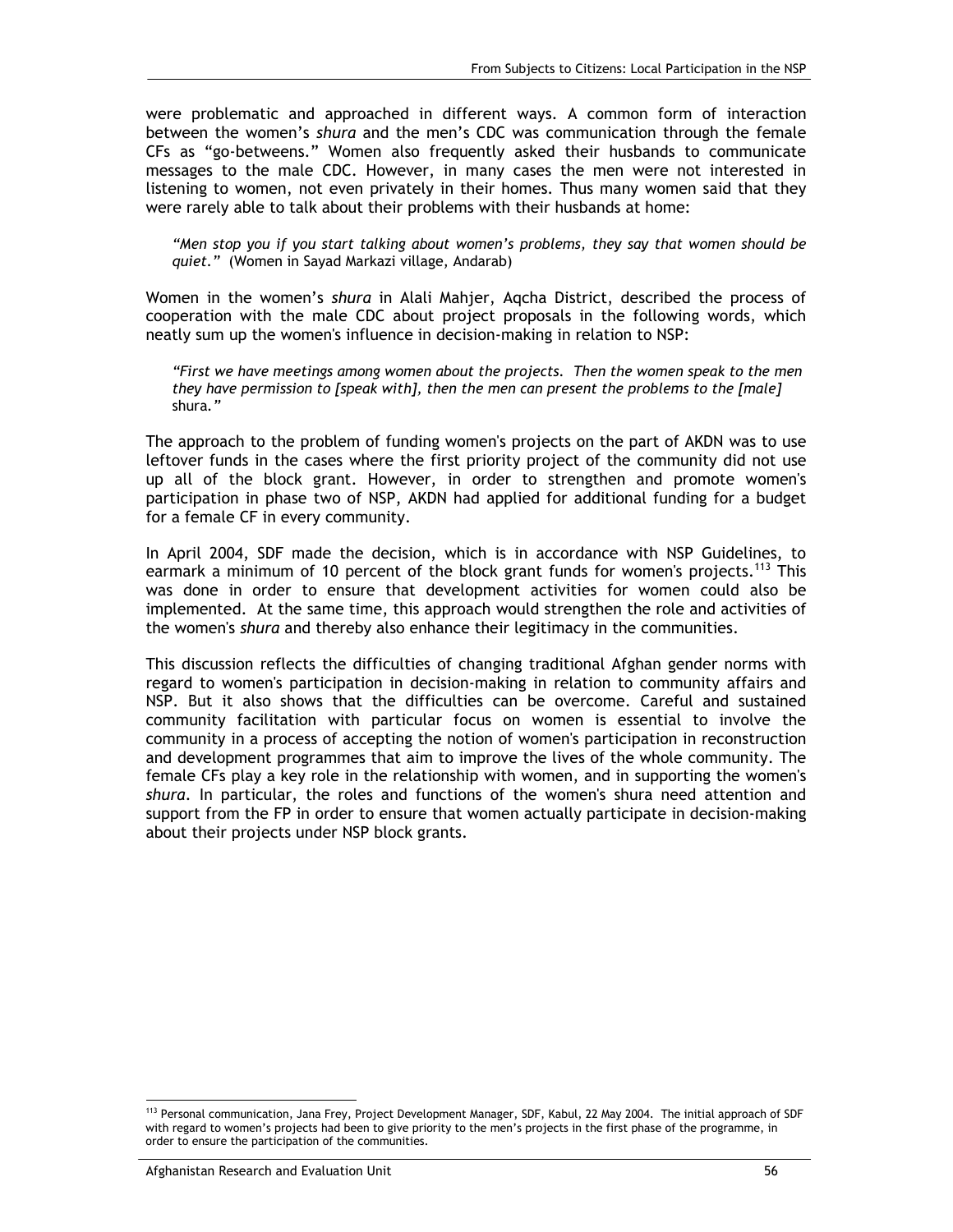were problematic and approached in different ways. A common form of interaction between the women's *shura* and the men's CDC was communication through the female CFs as "go-betweens." Women also frequently asked their husbands to communicate messages to the male CDC. However, in many cases the men were not interested in listening to women, not even privately in their homes. Thus many women said that they were rarely able to talk about their problems with their husbands at home:

*"Men stop you if you start talking about women's problems, they say that women should be quiet."* (Women in Sayad Markazi village, Andarab)

Women in the women's *shura* in Alali Mahjer, Aqcha District, described the process of cooperation with the male CDC about project proposals in the following words, which neatly sum up the women's influence in decision-making in relation to NSP:

*"First we have meetings among women about the projects. Then the women speak to the men they have permission to [speak with], then the men can present the problems to the [male]*  shura*."* 

The approach to the problem of funding women's projects on the part of AKDN was to use leftover funds in the cases where the first priority project of the community did not use up all of the block grant. However, in order to strengthen and promote women's participation in phase two of NSP, AKDN had applied for additional funding for a budget for a female CF in every community.

In April 2004, SDF made the decision, which is in accordance with NSP Guidelines, to earmark a minimum of 10 percent of the block grant funds for women's projects.<sup>113</sup> This was done in order to ensure that development activities for women could also be implemented. At the same time, this approach would strengthen the role and activities of the women's *shura* and thereby also enhance their legitimacy in the communities.

This discussion reflects the difficulties of changing traditional Afghan gender norms with regard to women's participation in decision-making in relation to community affairs and NSP. But it also shows that the difficulties can be overcome. Careful and sustained community facilitation with particular focus on women is essential to involve the community in a process of accepting the notion of women's participation in reconstruction and development programmes that aim to improve the lives of the whole community. The female CFs play a key role in the relationship with women, and in supporting the women's *shura*. In particular, the roles and functions of the women's shura need attention and support from the FP in order to ensure that women actually participate in decision-making about their projects under NSP block grants.

-

<sup>113</sup> Personal communication, Jana Frey, Project Development Manager, SDF, Kabul, 22 May 2004. The initial approach of SDF with regard to women's projects had been to give priority to the men's projects in the first phase of the programme, in order to ensure the participation of the communities.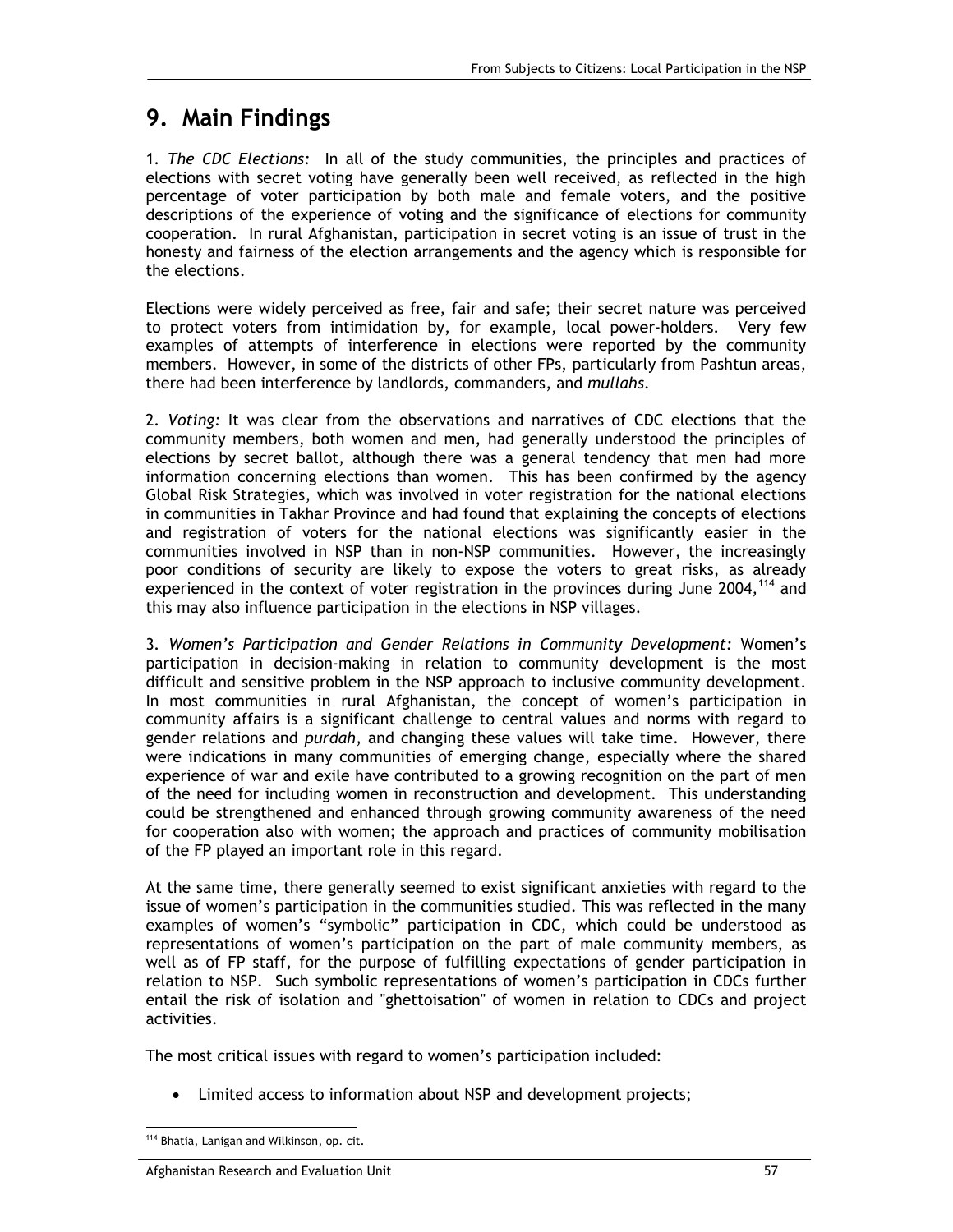## **9. Main Findings**

1*. The CDC Elections:* In all of the study communities, the principles and practices of elections with secret voting have generally been well received, as reflected in the high percentage of voter participation by both male and female voters, and the positive descriptions of the experience of voting and the significance of elections for community cooperation. In rural Afghanistan, participation in secret voting is an issue of trust in the honesty and fairness of the election arrangements and the agency which is responsible for the elections.

Elections were widely perceived as free, fair and safe; their secret nature was perceived to protect voters from intimidation by, for example, local power-holders. Very few examples of attempts of interference in elections were reported by the community members. However, in some of the districts of other FPs, particularly from Pashtun areas, there had been interference by landlords, commanders, and *mullahs*.

2*. Voting:* It was clear from the observations and narratives of CDC elections that the community members, both women and men, had generally understood the principles of elections by secret ballot, although there was a general tendency that men had more information concerning elections than women. This has been confirmed by the agency Global Risk Strategies, which was involved in voter registration for the national elections in communities in Takhar Province and had found that explaining the concepts of elections and registration of voters for the national elections was significantly easier in the communities involved in NSP than in non-NSP communities. However, the increasingly poor conditions of security are likely to expose the voters to great risks, as already experienced in the context of voter registration in the provinces during June 2004,<sup>114</sup> and this may also influence participation in the elections in NSP villages.

3*. Women's Participation and Gender Relations in Community Development:* Women's participation in decision-making in relation to community development is the most difficult and sensitive problem in the NSP approach to inclusive community development. In most communities in rural Afghanistan, the concept of women's participation in community affairs is a significant challenge to central values and norms with regard to gender relations and *purdah*, and changing these values will take time. However, there were indications in many communities of emerging change, especially where the shared experience of war and exile have contributed to a growing recognition on the part of men of the need for including women in reconstruction and development. This understanding could be strengthened and enhanced through growing community awareness of the need for cooperation also with women; the approach and practices of community mobilisation of the FP played an important role in this regard.

At the same time, there generally seemed to exist significant anxieties with regard to the issue of women's participation in the communities studied. This was reflected in the many examples of women's "symbolic" participation in CDC, which could be understood as representations of women's participation on the part of male community members, as well as of FP staff, for the purpose of fulfilling expectations of gender participation in relation to NSP. Such symbolic representations of women's participation in CDCs further entail the risk of isolation and "ghettoisation" of women in relation to CDCs and project activities.

The most critical issues with regard to women's participation included:

• Limited access to information about NSP and development projects;

<sup>-</sup>114 Bhatia, Lanigan and Wilkinson, op. cit.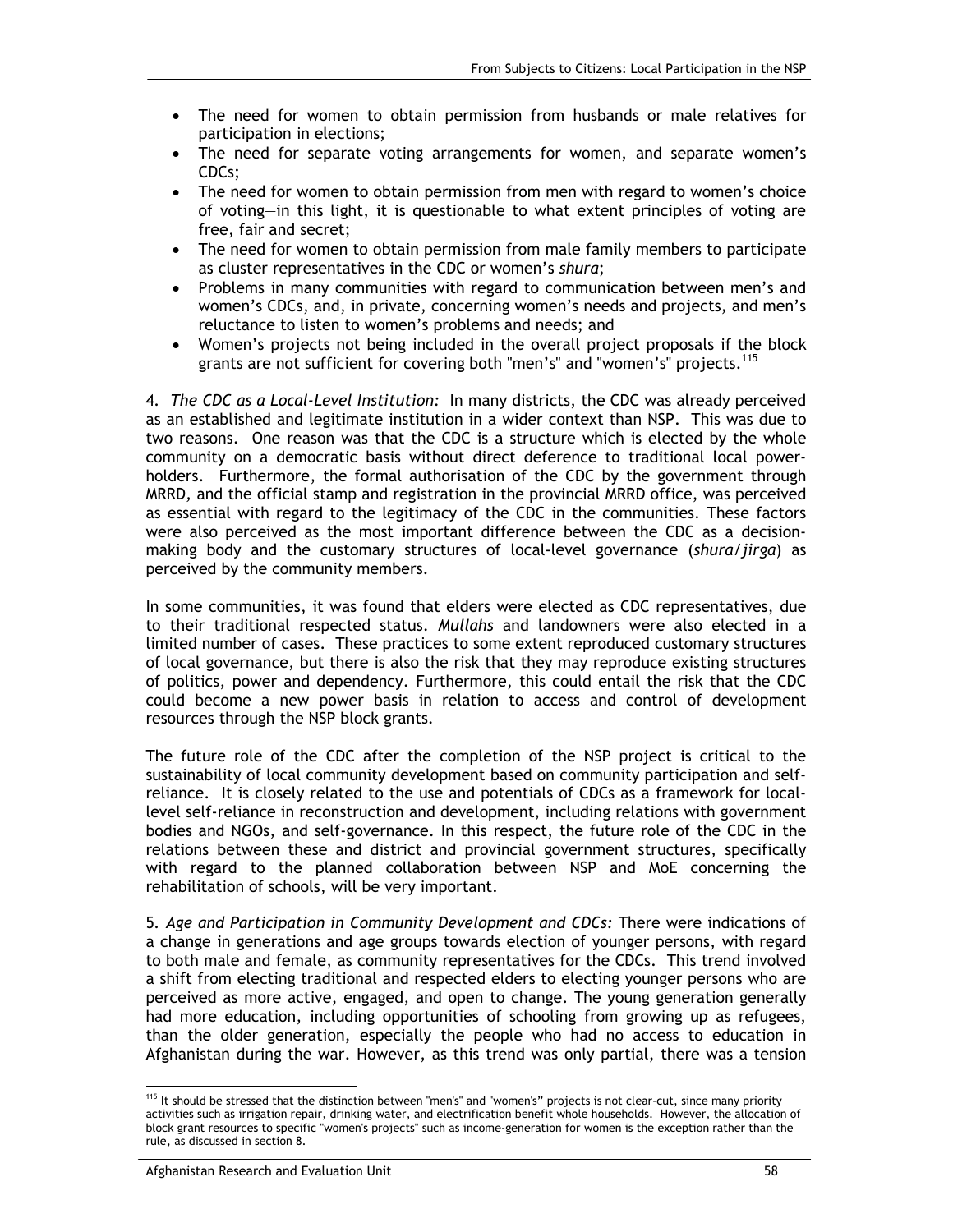- The need for women to obtain permission from husbands or male relatives for participation in elections;
- The need for separate voting arrangements for women, and separate women's CDCs;
- The need for women to obtain permission from men with regard to women's choice of voting—in this light, it is questionable to what extent principles of voting are free, fair and secret;
- The need for women to obtain permission from male family members to participate as cluster representatives in the CDC or women's *shura*;
- Problems in many communities with regard to communication between men's and women's CDCs, and, in private, concerning women's needs and projects, and men's reluctance to listen to women's problems and needs; and
- Women's projects not being included in the overall project proposals if the block grants are not sufficient for covering both "men's" and "women's" projects.<sup>115</sup>

4*. The CDC as a Local-Level Institution:* In many districts, the CDC was already perceived as an established and legitimate institution in a wider context than NSP. This was due to two reasons. One reason was that the CDC is a structure which is elected by the whole community on a democratic basis without direct deference to traditional local powerholders. Furthermore, the formal authorisation of the CDC by the government through MRRD*,* and the official stamp and registration in the provincial MRRD office, was perceived as essential with regard to the legitimacy of the CDC in the communities. These factors were also perceived as the most important difference between the CDC as a decisionmaking body and the customary structures of local-level governance (*shura/jirga*) as perceived by the community members.

In some communities, it was found that elders were elected as CDC representatives, due to their traditional respected status. *Mullahs* and landowners were also elected in a limited number of cases. These practices to some extent reproduced customary structures of local governance, but there is also the risk that they may reproduce existing structures of politics, power and dependency. Furthermore, this could entail the risk that the CDC could become a new power basis in relation to access and control of development resources through the NSP block grants.

The future role of the CDC after the completion of the NSP project is critical to the sustainability of local community development based on community participation and selfreliance. It is closely related to the use and potentials of CDCs as a framework for locallevel self-reliance in reconstruction and development, including relations with government bodies and NGOs, and self-governance. In this respect, the future role of the CDC in the relations between these and district and provincial government structures, specifically with regard to the planned collaboration between NSP and MoE concerning the rehabilitation of schools, will be very important.

5*. Age and Participation in Community Development and CDCs:* There were indications of a change in generations and age groups towards election of younger persons, with regard to both male and female, as community representatives for the CDCs. This trend involved a shift from electing traditional and respected elders to electing younger persons who are perceived as more active, engaged, and open to change. The young generation generally had more education, including opportunities of schooling from growing up as refugees, than the older generation, especially the people who had no access to education in Afghanistan during the war. However, as this trend was only partial, there was a tension

<sup>-</sup><sup>115</sup> It should be stressed that the distinction between "men's" and "women's" projects is not clear-cut, since many priority activities such as irrigation repair, drinking water, and electrification benefit whole households. However, the allocation of block grant resources to specific "women's projects" such as income-generation for women is the exception rather than the rule, as discussed in section 8.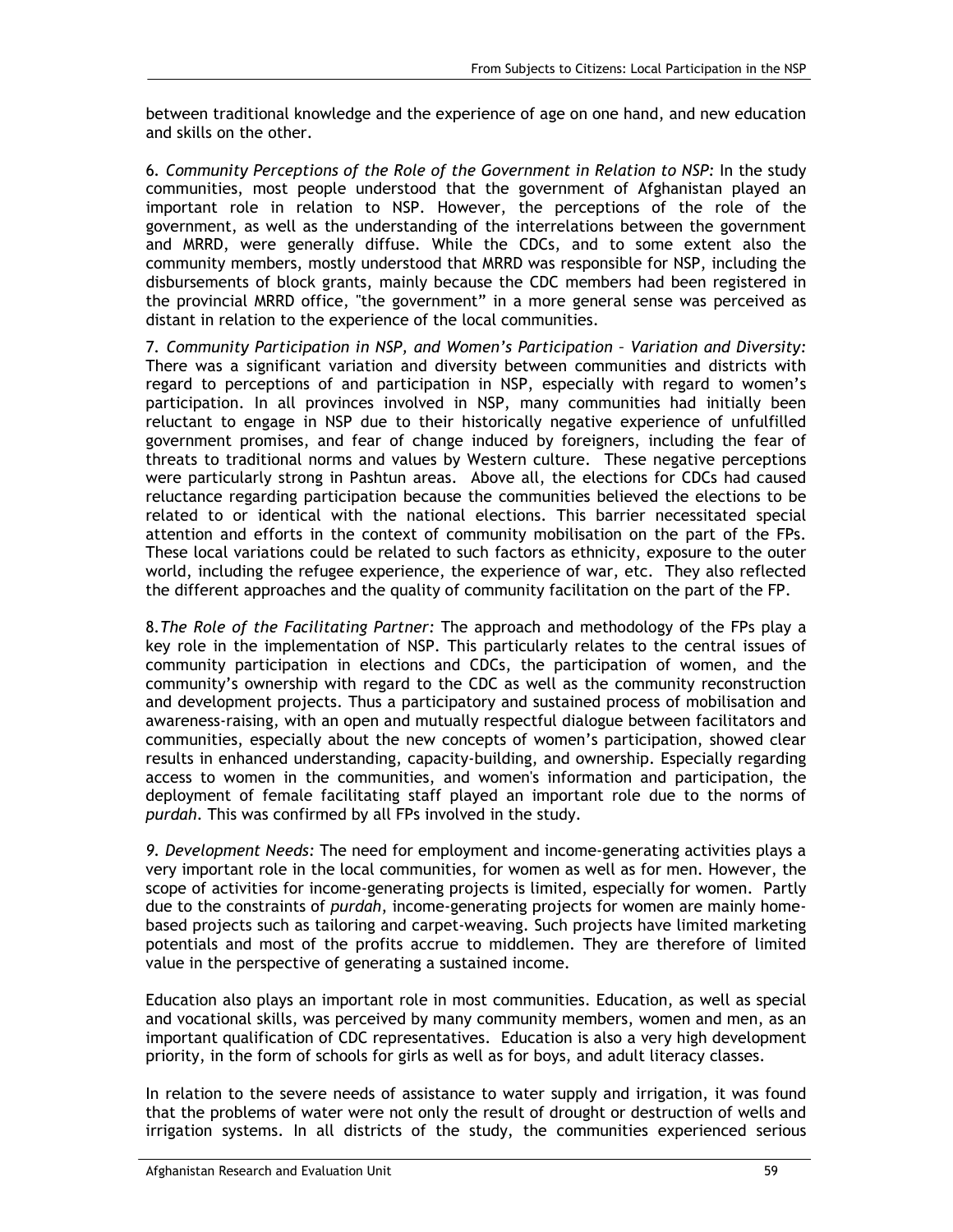between traditional knowledge and the experience of age on one hand, and new education and skills on the other.

6*. Community Perceptions of the Role of the Government in Relation to NSP:* In the study communities, most people understood that the government of Afghanistan played an important role in relation to NSP. However, the perceptions of the role of the government, as well as the understanding of the interrelations between the government and MRRD, were generally diffuse. While the CDCs, and to some extent also the community members, mostly understood that MRRD was responsible for NSP, including the disbursements of block grants, mainly because the CDC members had been registered in the provincial MRRD office, "the government" in a more general sense was perceived as distant in relation to the experience of the local communities.

7*. Community Participation in NSP, and Women's Participation – Variation and Diversity:*  There was a significant variation and diversity between communities and districts with regard to perceptions of and participation in NSP, especially with regard to women's participation. In all provinces involved in NSP, many communities had initially been reluctant to engage in NSP due to their historically negative experience of unfulfilled government promises, and fear of change induced by foreigners, including the fear of threats to traditional norms and values by Western culture. These negative perceptions were particularly strong in Pashtun areas. Above all, the elections for CDCs had caused reluctance regarding participation because the communities believed the elections to be related to or identical with the national elections. This barrier necessitated special attention and efforts in the context of community mobilisation on the part of the FPs. These local variations could be related to such factors as ethnicity, exposure to the outer world, including the refugee experience, the experience of war, etc. They also reflected the different approaches and the quality of community facilitation on the part of the FP.

8*.The Role of the Facilitating Partner:* The approach and methodology of the FPs play a key role in the implementation of NSP. This particularly relates to the central issues of community participation in elections and CDCs, the participation of women, and the community's ownership with regard to the CDC as well as the community reconstruction and development projects. Thus a participatory and sustained process of mobilisation and awareness-raising, with an open and mutually respectful dialogue between facilitators and communities, especially about the new concepts of women's participation, showed clear results in enhanced understanding, capacity-building, and ownership. Especially regarding access to women in the communities, and women's information and participation, the deployment of female facilitating staff played an important role due to the norms of *purdah*. This was confirmed by all FPs involved in the study.

*9. Development Needs:* The need for employment and income-generating activities plays a very important role in the local communities, for women as well as for men. However, the scope of activities for income-generating projects is limited, especially for women. Partly due to the constraints of *purdah*, income-generating projects for women are mainly homebased projects such as tailoring and carpet-weaving. Such projects have limited marketing potentials and most of the profits accrue to middlemen. They are therefore of limited value in the perspective of generating a sustained income.

Education also plays an important role in most communities. Education, as well as special and vocational skills, was perceived by many community members, women and men, as an important qualification of CDC representatives. Education is also a very high development priority, in the form of schools for girls as well as for boys, and adult literacy classes.

In relation to the severe needs of assistance to water supply and irrigation, it was found that the problems of water were not only the result of drought or destruction of wells and irrigation systems. In all districts of the study, the communities experienced serious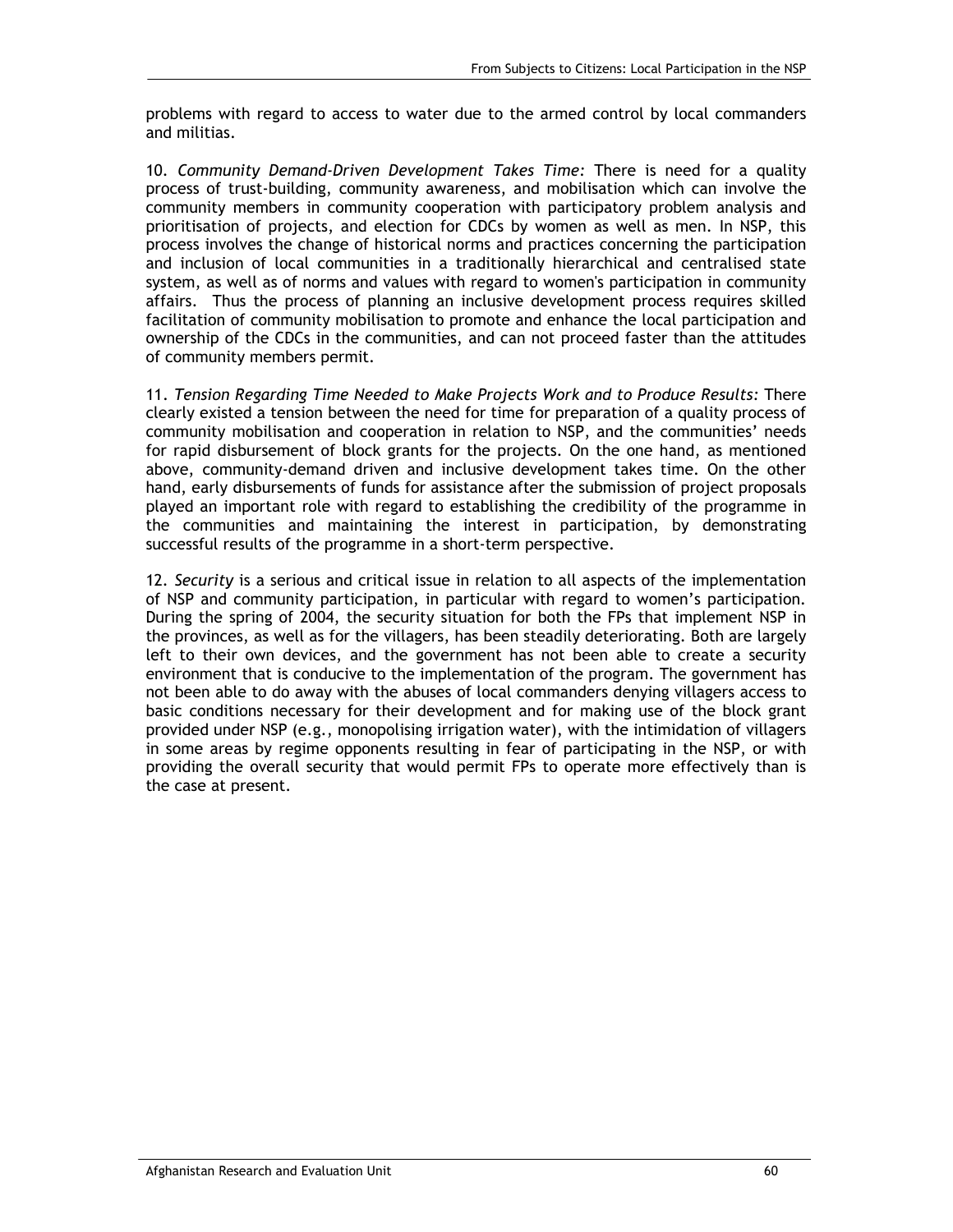problems with regard to access to water due to the armed control by local commanders and militias.

10*. Community Demand-Driven Development Takes Time:* There is need for a quality process of trust-building, community awareness, and mobilisation which can involve the community members in community cooperation with participatory problem analysis and prioritisation of projects, and election for CDCs by women as well as men. In NSP, this process involves the change of historical norms and practices concerning the participation and inclusion of local communities in a traditionally hierarchical and centralised state system, as well as of norms and values with regard to women's participation in community affairs. Thus the process of planning an inclusive development process requires skilled facilitation of community mobilisation to promote and enhance the local participation and ownership of the CDCs in the communities, and can not proceed faster than the attitudes of community members permit.

11. *Tension Regarding Time Needed to Make Projects Work and to Produce Results:* There clearly existed a tension between the need for time for preparation of a quality process of community mobilisation and cooperation in relation to NSP, and the communities' needs for rapid disbursement of block grants for the projects. On the one hand, as mentioned above, community-demand driven and inclusive development takes time. On the other hand, early disbursements of funds for assistance after the submission of project proposals played an important role with regard to establishing the credibility of the programme in the communities and maintaining the interest in participation, by demonstrating successful results of the programme in a short-term perspective.

12*. Security* is a serious and critical issue in relation to all aspects of the implementation of NSP and community participation, in particular with regard to women's participation*.* During the spring of 2004, the security situation for both the FPs that implement NSP in the provinces, as well as for the villagers, has been steadily deteriorating. Both are largely left to their own devices, and the government has not been able to create a security environment that is conducive to the implementation of the program. The government has not been able to do away with the abuses of local commanders denying villagers access to basic conditions necessary for their development and for making use of the block grant provided under NSP (e.g., monopolising irrigation water), with the intimidation of villagers in some areas by regime opponents resulting in fear of participating in the NSP, or with providing the overall security that would permit FPs to operate more effectively than is the case at present.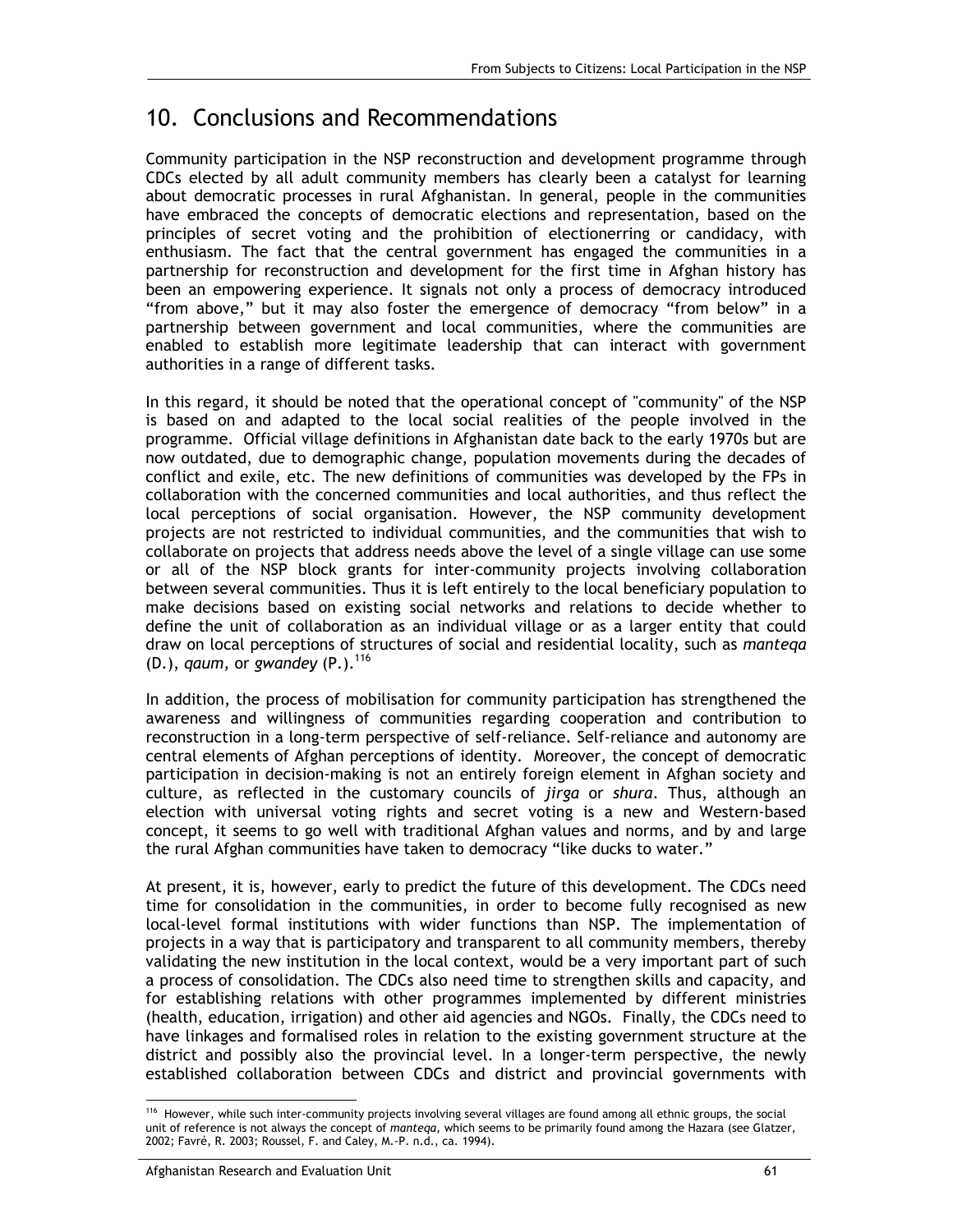## 10. Conclusions and Recommendations

Community participation in the NSP reconstruction and development programme through CDCs elected by all adult community members has clearly been a catalyst for learning about democratic processes in rural Afghanistan. In general, people in the communities have embraced the concepts of democratic elections and representation, based on the principles of secret voting and the prohibition of electionerring or candidacy, with enthusiasm. The fact that the central government has engaged the communities in a partnership for reconstruction and development for the first time in Afghan history has been an empowering experience. It signals not only a process of democracy introduced "from above," but it may also foster the emergence of democracy "from below" in a partnership between government and local communities, where the communities are enabled to establish more legitimate leadership that can interact with government authorities in a range of different tasks.

In this regard, it should be noted that the operational concept of "community" of the NSP is based on and adapted to the local social realities of the people involved in the programme. Official village definitions in Afghanistan date back to the early 1970s but are now outdated, due to demographic change, population movements during the decades of conflict and exile, etc. The new definitions of communities was developed by the FPs in collaboration with the concerned communities and local authorities, and thus reflect the local perceptions of social organisation. However, the NSP community development projects are not restricted to individual communities, and the communities that wish to collaborate on projects that address needs above the level of a single village can use some or all of the NSP block grants for inter-community projects involving collaboration between several communities. Thus it is left entirely to the local beneficiary population to make decisions based on existing social networks and relations to decide whether to define the unit of collaboration as an individual village or as a larger entity that could draw on local perceptions of structures of social and residential locality, such as *manteqa* (D.), *qaum,* or *gwandey* (P.).116

In addition, the process of mobilisation for community participation has strengthened the awareness and willingness of communities regarding cooperation and contribution to reconstruction in a long-term perspective of self-reliance. Self-reliance and autonomy are central elements of Afghan perceptions of identity. Moreover, the concept of democratic participation in decision-making is not an entirely foreign element in Afghan society and culture, as reflected in the customary councils of *jirga* or *shura*. Thus, although an election with universal voting rights and secret voting is a new and Western-based concept, it seems to go well with traditional Afghan values and norms, and by and large the rural Afghan communities have taken to democracy "like ducks to water."

At present, it is, however, early to predict the future of this development. The CDCs need time for consolidation in the communities, in order to become fully recognised as new local-level formal institutions with wider functions than NSP. The implementation of projects in a way that is participatory and transparent to all community members, thereby validating the new institution in the local context, would be a very important part of such a process of consolidation. The CDCs also need time to strengthen skills and capacity, and for establishing relations with other programmes implemented by different ministries (health, education, irrigation) and other aid agencies and NGOs. Finally, the CDCs need to have linkages and formalised roles in relation to the existing government structure at the district and possibly also the provincial level. In a longer-term perspective, the newly established collaboration between CDCs and district and provincial governments with

<sup>-</sup>116 However, while such inter-community projects involving several villages are found among all ethnic groups, the social unit of reference is not always the concept of *manteqa,* which seems to be primarily found among the Hazara (see Glatzer, 2002; Favré, R. 2003; Roussel, F. and Caley, M.-P. n.d., ca. 1994).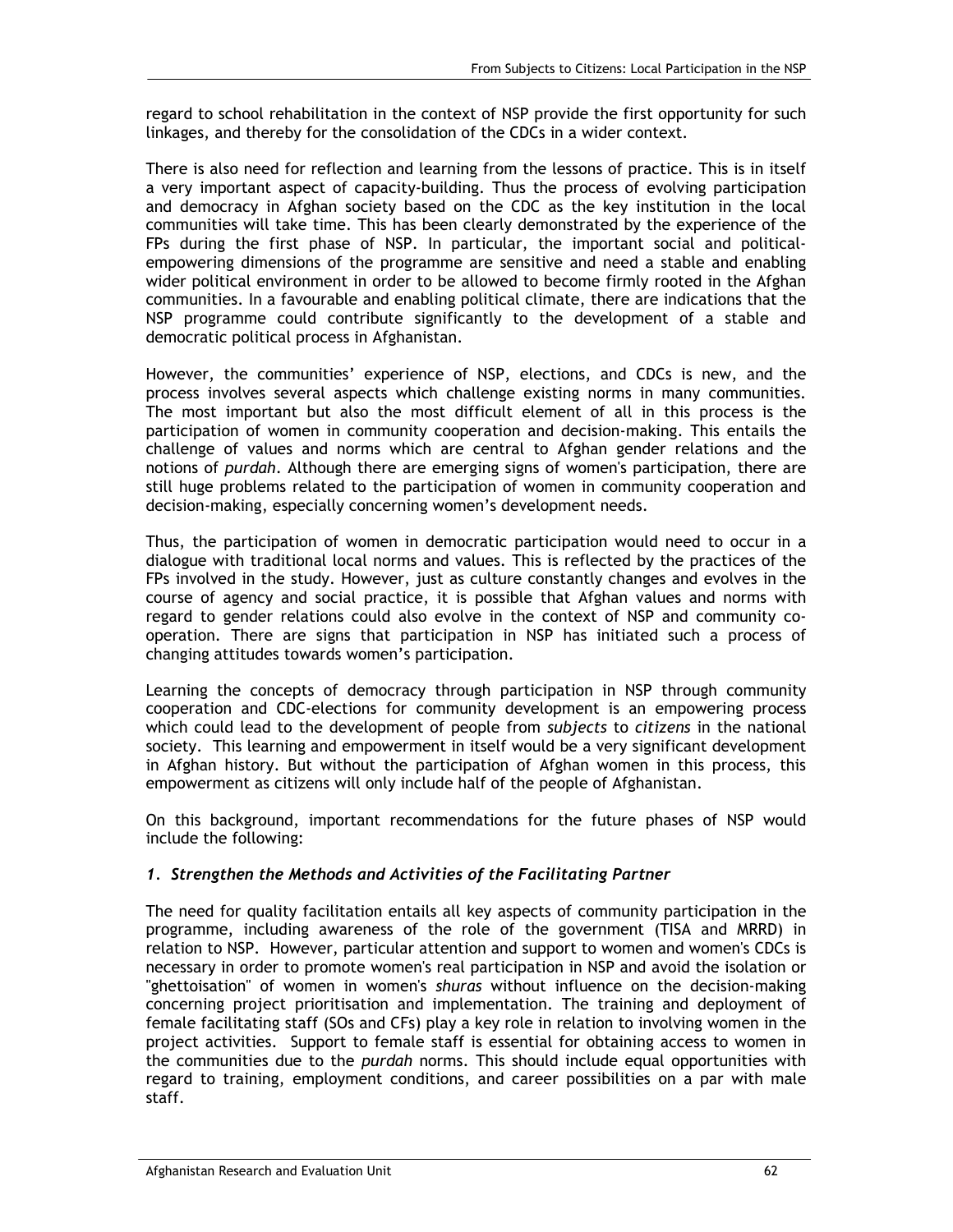regard to school rehabilitation in the context of NSP provide the first opportunity for such linkages, and thereby for the consolidation of the CDCs in a wider context.

There is also need for reflection and learning from the lessons of practice. This is in itself a very important aspect of capacity-building. Thus the process of evolving participation and democracy in Afghan society based on the CDC as the key institution in the local communities will take time. This has been clearly demonstrated by the experience of the FPs during the first phase of NSP. In particular, the important social and politicalempowering dimensions of the programme are sensitive and need a stable and enabling wider political environment in order to be allowed to become firmly rooted in the Afghan communities. In a favourable and enabling political climate, there are indications that the NSP programme could contribute significantly to the development of a stable and democratic political process in Afghanistan.

However, the communities' experience of NSP, elections, and CDCs is new, and the process involves several aspects which challenge existing norms in many communities. The most important but also the most difficult element of all in this process is the participation of women in community cooperation and decision-making. This entails the challenge of values and norms which are central to Afghan gender relations and the notions of *purdah*. Although there are emerging signs of women's participation, there are still huge problems related to the participation of women in community cooperation and decision-making, especially concerning women's development needs.

Thus, the participation of women in democratic participation would need to occur in a dialogue with traditional local norms and values. This is reflected by the practices of the FPs involved in the study. However, just as culture constantly changes and evolves in the course of agency and social practice, it is possible that Afghan values and norms with regard to gender relations could also evolve in the context of NSP and community cooperation. There are signs that participation in NSP has initiated such a process of changing attitudes towards women's participation.

Learning the concepts of democracy through participation in NSP through community cooperation and CDC-elections for community development is an empowering process which could lead to the development of people from *subjects* to *citizens* in the national society. This learning and empowerment in itself would be a very significant development in Afghan history. But without the participation of Afghan women in this process, this empowerment as citizens will only include half of the people of Afghanistan.

On this background, important recommendations for the future phases of NSP would include the following:

#### *1. Strengthen the Methods and Activities of the Facilitating Partner*

The need for quality facilitation entails all key aspects of community participation in the programme, including awareness of the role of the government (TISA and MRRD) in relation to NSP. However, particular attention and support to women and women's CDCs is necessary in order to promote women's real participation in NSP and avoid the isolation or "ghettoisation" of women in women's *shuras* without influence on the decision-making concerning project prioritisation and implementation. The training and deployment of female facilitating staff (SOs and CFs) play a key role in relation to involving women in the project activities. Support to female staff is essential for obtaining access to women in the communities due to the *purdah* norms. This should include equal opportunities with regard to training, employment conditions, and career possibilities on a par with male staff.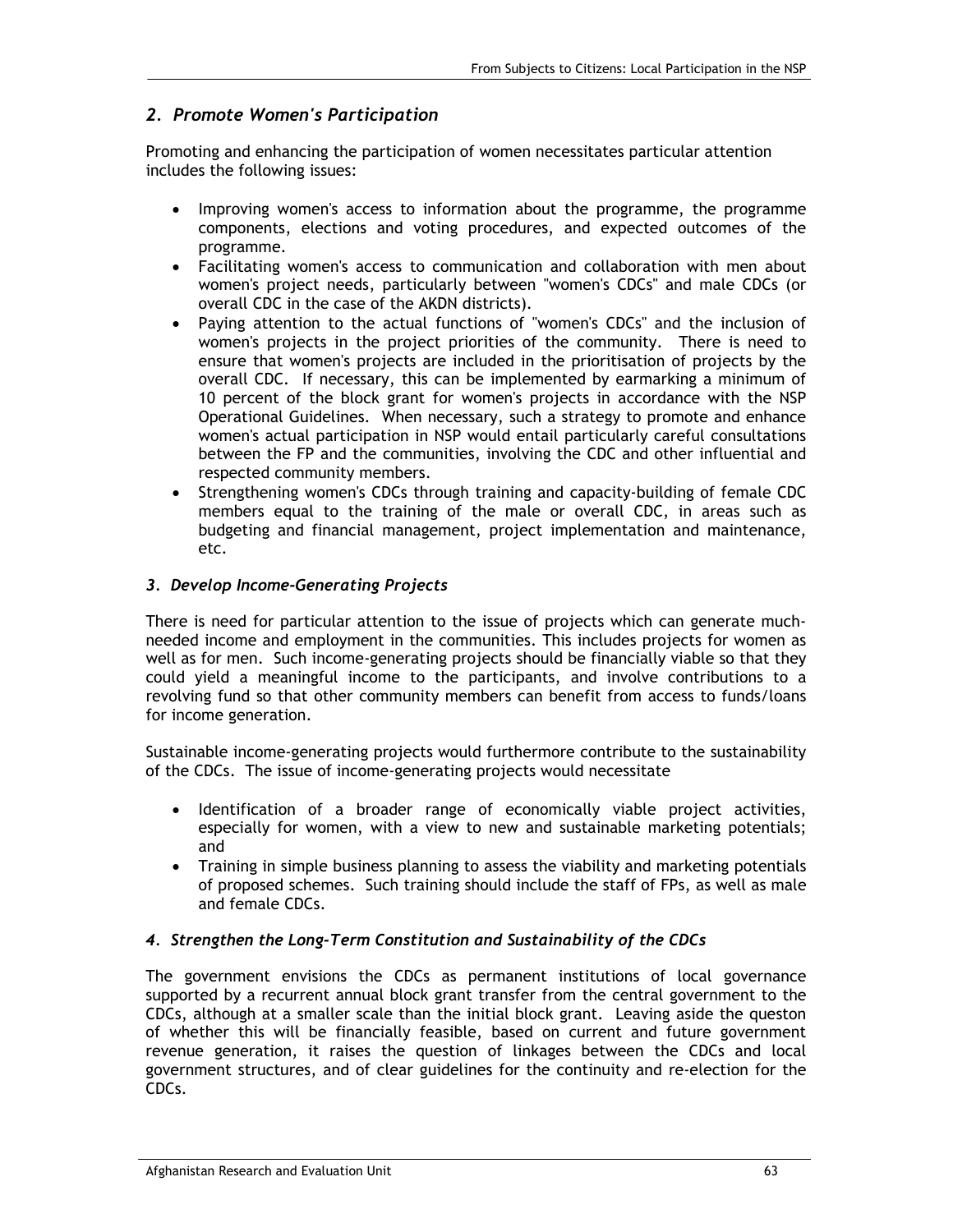#### *2. Promote Women's Participation*

Promoting and enhancing the participation of women necessitates particular attention includes the following issues:

- Improving women's access to information about the programme, the programme components, elections and voting procedures, and expected outcomes of the programme.
- Facilitating women's access to communication and collaboration with men about women's project needs, particularly between "women's CDCs" and male CDCs (or overall CDC in the case of the AKDN districts).
- Paying attention to the actual functions of "women's CDCs" and the inclusion of women's projects in the project priorities of the community. There is need to ensure that women's projects are included in the prioritisation of projects by the overall CDC. If necessary, this can be implemented by earmarking a minimum of 10 percent of the block grant for women's projects in accordance with the NSP Operational Guidelines. When necessary, such a strategy to promote and enhance women's actual participation in NSP would entail particularly careful consultations between the FP and the communities, involving the CDC and other influential and respected community members.
- Strengthening women's CDCs through training and capacity-building of female CDC members equal to the training of the male or overall CDC, in areas such as budgeting and financial management, project implementation and maintenance, etc.

#### *3. Develop Income-Generating Projects*

There is need for particular attention to the issue of projects which can generate muchneeded income and employment in the communities. This includes projects for women as well as for men. Such income-generating projects should be financially viable so that they could yield a meaningful income to the participants, and involve contributions to a revolving fund so that other community members can benefit from access to funds/loans for income generation.

Sustainable income-generating projects would furthermore contribute to the sustainability of the CDCs. The issue of income-generating projects would necessitate

- Identification of a broader range of economically viable project activities, especially for women, with a view to new and sustainable marketing potentials; and
- Training in simple business planning to assess the viability and marketing potentials of proposed schemes. Such training should include the staff of FPs, as well as male and female CDCs.

#### *4. Strengthen the Long-Term Constitution and Sustainability of the CDCs*

The government envisions the CDCs as permanent institutions of local governance supported by a recurrent annual block grant transfer from the central government to the CDCs, although at a smaller scale than the initial block grant. Leaving aside the queston of whether this will be financially feasible, based on current and future government revenue generation, it raises the question of linkages between the CDCs and local government structures, and of clear guidelines for the continuity and re-election for the CDCs.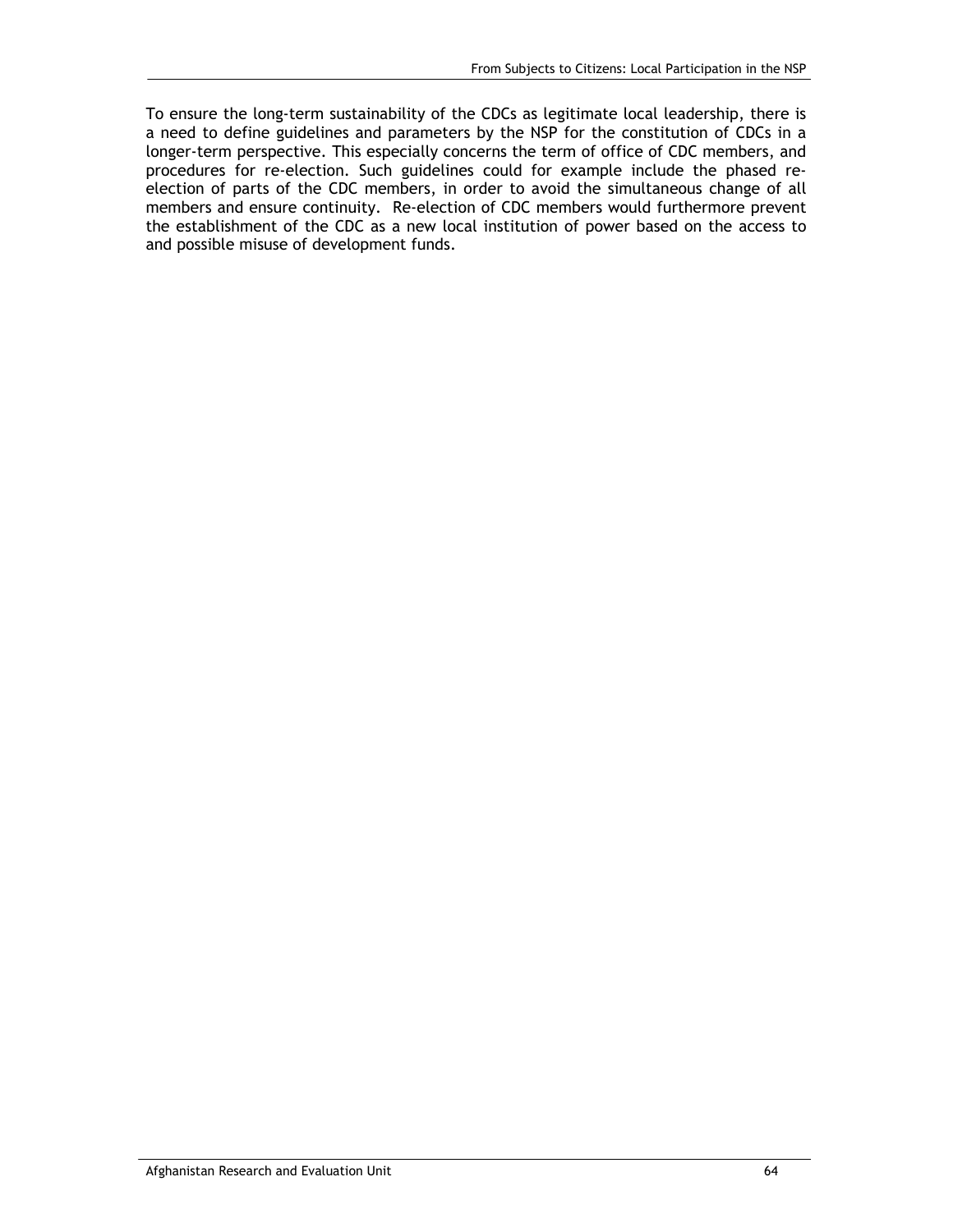To ensure the long-term sustainability of the CDCs as legitimate local leadership, there is a need to define guidelines and parameters by the NSP for the constitution of CDCs in a longer-term perspective. This especially concerns the term of office of CDC members, and procedures for re-election. Such guidelines could for example include the phased reelection of parts of the CDC members, in order to avoid the simultaneous change of all members and ensure continuity. Re-election of CDC members would furthermore prevent the establishment of the CDC as a new local institution of power based on the access to and possible misuse of development funds.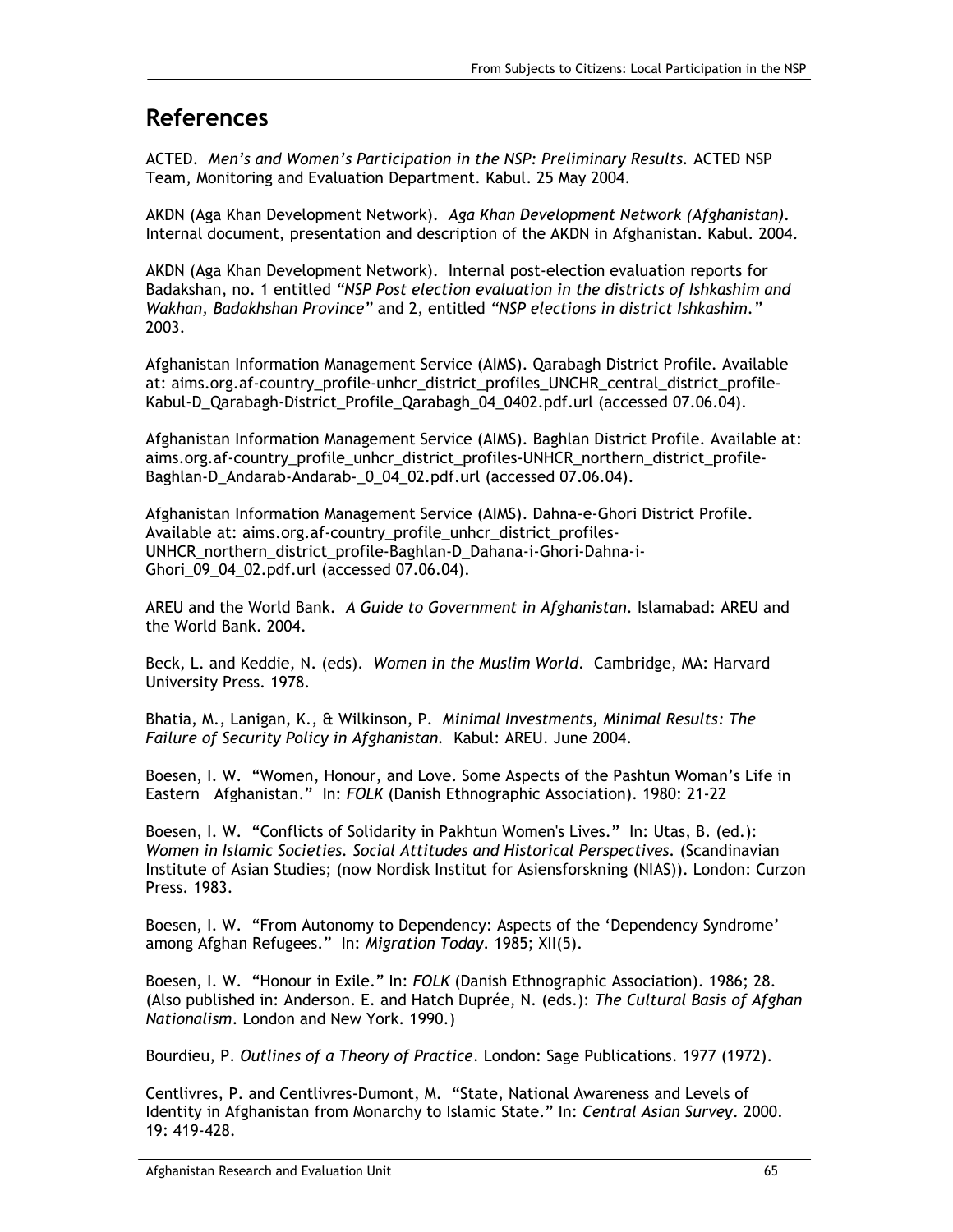## **References**

ACTED. *Men's and Women's Participation in the NSP: Preliminary Results.* ACTED NSP Team, Monitoring and Evaluation Department. Kabul. 25 May 2004.

AKDN (Aga Khan Development Network). *Aga Khan Development Network (Afghanistan).* Internal document, presentation and description of the AKDN in Afghanistan. Kabul. 2004.

AKDN (Aga Khan Development Network). Internal post-election evaluation reports for Badakshan, no. 1 entitled *"NSP Post election evaluation in the districts of Ishkashim and Wakhan, Badakhshan Province"* and 2, entitled *"NSP elections in district Ishkashim."* 2003.

Afghanistan Information Management Service (AIMS). Qarabagh District Profile. Available at: aims.org.af-country\_profile-unhcr\_district\_profiles\_UNCHR\_central\_district\_profile-Kabul-D\_Qarabagh-District\_Profile\_Qarabagh\_04\_0402.pdf.url (accessed 07.06.04).

Afghanistan Information Management Service (AIMS). Baghlan District Profile. Available at: aims.org.af-country\_profile\_unhcr\_district\_profiles-UNHCR\_northern\_district\_profile-Baghlan-D\_Andarab-Andarab-\_0\_04\_02.pdf.url (accessed 07.06.04).

Afghanistan Information Management Service (AIMS). Dahna-e-Ghori District Profile. Available at: aims.org.af-country\_profile\_unhcr\_district\_profiles-UNHCR\_northern\_district\_profile-Baghlan-D\_Dahana-i-Ghori-Dahna-i-Ghori 09 04 02.pdf.url (accessed 07.06.04).

AREU and the World Bank. *A Guide to Government in Afghanistan*. Islamabad: AREU and the World Bank. 2004.

Beck, L. and Keddie, N. (eds). *Women in the Muslim World*. Cambridge, MA: Harvard University Press. 1978.

Bhatia, M., Lanigan, K., & Wilkinson, P. *Minimal Investments, Minimal Results: The Failure of Security Policy in Afghanistan.* Kabul: AREU. June 2004.

Boesen, I. W. "Women, Honour, and Love. Some Aspects of the Pashtun Woman's Life in Eastern Afghanistan." In: *FOLK* (Danish Ethnographic Association). 1980: 21-22

Boesen, I. W. "Conflicts of Solidarity in Pakhtun Women's Lives." In: Utas, B. (ed.): *Women in Islamic Societies. Social Attitudes and Historical Perspectives.* (Scandinavian Institute of Asian Studies; (now Nordisk Institut for Asiensforskning (NIAS)). London: Curzon Press. 1983.

Boesen, I. W. "From Autonomy to Dependency: Aspects of the 'Dependency Syndrome' among Afghan Refugees." In: *Migration Today*. 1985; XII(5).

Boesen, I. W. "Honour in Exile." In: *FOLK* (Danish Ethnographic Association). 1986; 28. (Also published in: Anderson. E. and Hatch Duprée, N. (eds.): *The Cultural Basis of Afghan Nationalism*. London and New York. 1990.)

Bourdieu, P. *Outlines of a Theory of Practice*. London: Sage Publications. 1977 (1972).

Centlivres, P. and Centlivres-Dumont, M. "State, National Awareness and Levels of Identity in Afghanistan from Monarchy to Islamic State." In: *Central Asian Survey*. 2000. 19: 419-428.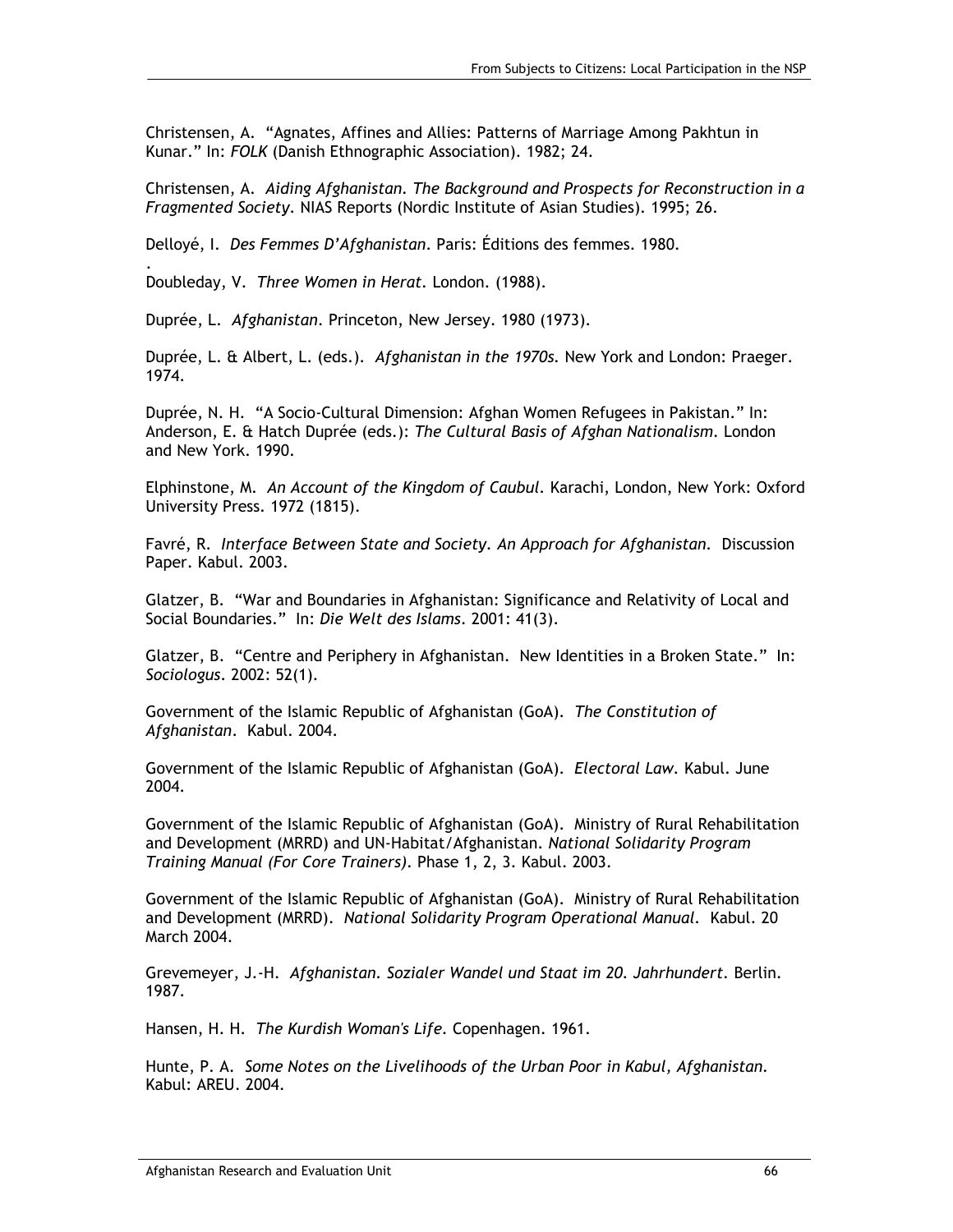Christensen, A. "Agnates, Affines and Allies: Patterns of Marriage Among Pakhtun in Kunar." In: *FOLK* (Danish Ethnographic Association). 1982; 24.

Christensen, A. *Aiding Afghanistan. The Background and Prospects for Reconstruction in a Fragmented Society*. NIAS Reports (Nordic Institute of Asian Studies). 1995; 26.

Delloyé, I. *Des Femmes D'Afghanistan*. Paris: Éditions des femmes. 1980.

Doubleday, V. *Three Women in Herat.* London. (1988).

.

Duprée, L. *Afghanistan*. Princeton, New Jersey. 1980 (1973).

Duprée, L. & Albert, L. (eds.). *Afghanistan in the 1970s.* New York and London: Praeger. 1974.

Duprée, N. H. "A Socio-Cultural Dimension: Afghan Women Refugees in Pakistan." In: Anderson, E. & Hatch Duprée (eds.): *The Cultural Basis of Afghan Nationalism*. London and New York. 1990.

Elphinstone, M. *An Account of the Kingdom of Caubul.* Karachi, London, New York: Oxford University Press. 1972 (1815).

Favré, R. *Interface Between State and Society. An Approach for Afghanistan.* Discussion Paper. Kabul. 2003.

Glatzer, B. "War and Boundaries in Afghanistan: Significance and Relativity of Local and Social Boundaries." In: *Die Welt des Islams*. 2001: 41(3).

Glatzer, B. "Centre and Periphery in Afghanistan. New Identities in a Broken State." In: *Sociologus*. 2002: 52(1).

Government of the Islamic Republic of Afghanistan (GoA). *The Constitution of Afghanistan*. Kabul. 2004.

Government of the Islamic Republic of Afghanistan (GoA). *Electoral Law.* Kabul. June 2004.

Government of the Islamic Republic of Afghanistan (GoA). Ministry of Rural Rehabilitation and Development (MRRD) and UN-Habitat/Afghanistan. *National Solidarity Program Training Manual (For Core Trainers).* Phase 1, 2, 3. Kabul. 2003.

Government of the Islamic Republic of Afghanistan (GoA). Ministry of Rural Rehabilitation and Development (MRRD). *National Solidarity Program Operational Manual.* Kabul. 20 March 2004.

Grevemeyer, J.-H. *Afghanistan. Sozialer Wandel und Staat im 20. Jahrhundert.* Berlin. 1987.

Hansen, H. H. *The Kurdish Woman's Life.* Copenhagen. 1961.

Hunte, P. A. *Some Notes on the Livelihoods of the Urban Poor in Kabul, Afghanistan.* Kabul: AREU. 2004.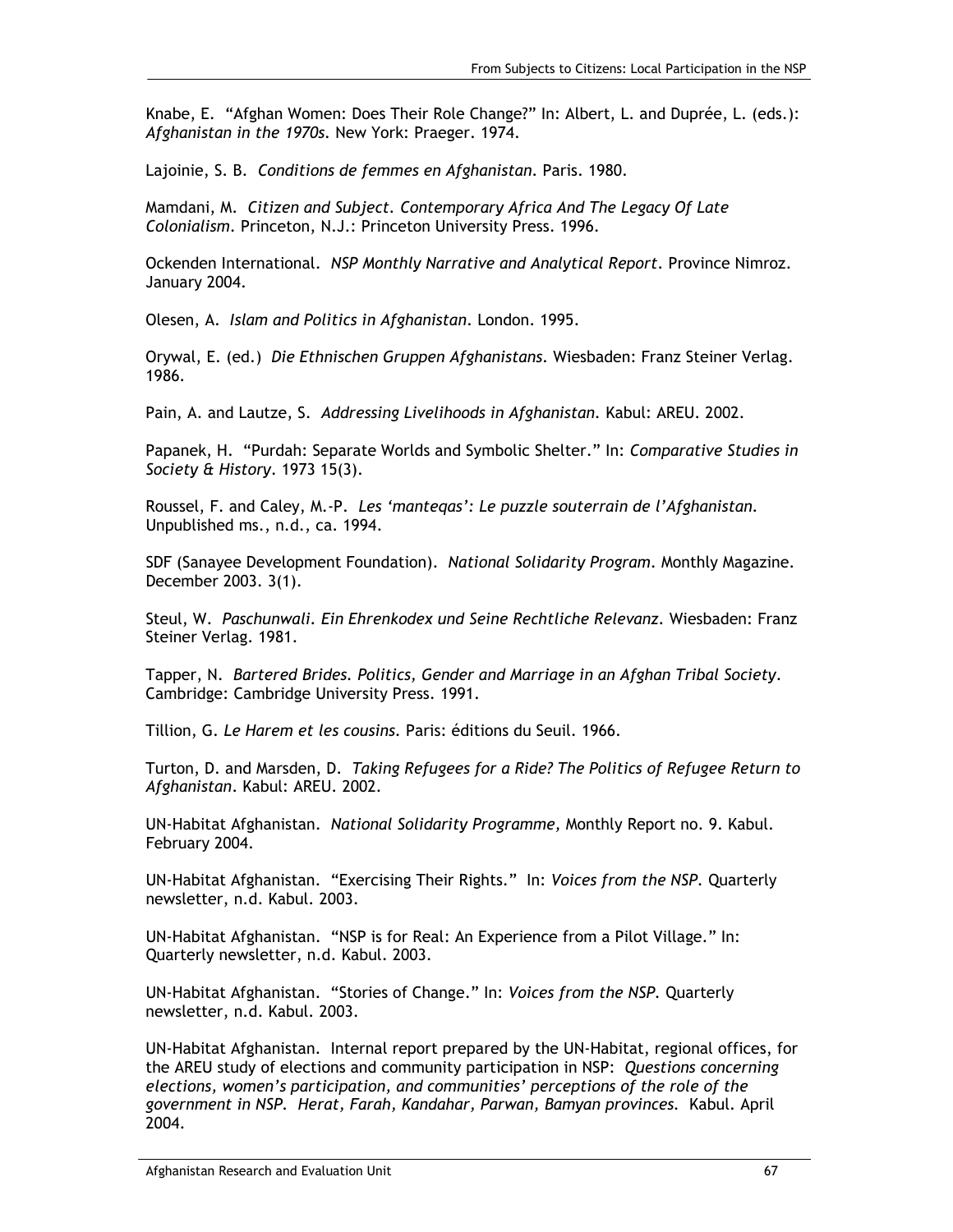Knabe, E. "Afghan Women: Does Their Role Change?" In: Albert, L. and Duprée, L. (eds.): *Afghanistan in the 1970s.* New York: Praeger. 1974.

Lajoinie, S. B. *Conditions de femmes en Afghanistan*. Paris. 1980.

Mamdani, M. *Citizen and Subject. Contemporary Africa And The Legacy Of Late Colonialism*. Princeton, N.J.: Princeton University Press. 1996.

Ockenden International. *NSP Monthly Narrative and Analytical Report*. Province Nimroz. January 2004.

Olesen, A. *Islam and Politics in Afghanistan*. London. 1995.

Orywal, E. (ed.) *Die Ethnischen Gruppen Afghanistans*. Wiesbaden: Franz Steiner Verlag. 1986.

Pain, A. and Lautze, S. *Addressing Livelihoods in Afghanistan.* Kabul: AREU. 2002.

Papanek, H. "Purdah: Separate Worlds and Symbolic Shelter." In: *Comparative Studies in Society & History*. 1973 15(3).

Roussel, F. and Caley, M.-P. *Les 'manteqas': Le puzzle souterrain de l'Afghanistan.* Unpublished ms., n.d., ca. 1994.

SDF (Sanayee Development Foundation). *National Solidarity Program*. Monthly Magazine. December 2003. 3(1).

Steul, W. *Paschunwali. Ein Ehrenkodex und Seine Rechtliche Relevanz.* Wiesbaden: Franz Steiner Verlag. 1981.

Tapper, N. *Bartered Brides. Politics, Gender and Marriage in an Afghan Tribal Society*. Cambridge: Cambridge University Press. 1991.

Tillion, G. *Le Harem et les cousins.* Paris: éditions du Seuil. 1966.

Turton, D. and Marsden, D. *Taking Refugees for a Ride? The Politics of Refugee Return to Afghanistan*. Kabul: AREU. 2002.

UN-Habitat Afghanistan. *National Solidarity Programme,* Monthly Report no. 9. Kabul. February 2004.

UN-Habitat Afghanistan. "Exercising Their Rights." In: *Voices from the NSP.* Quarterly newsletter, n.d. Kabul. 2003.

UN-Habitat Afghanistan. "NSP is for Real: An Experience from a Pilot Village." In: Quarterly newsletter, n.d. Kabul. 2003.

UN-Habitat Afghanistan. "Stories of Change." In: *Voices from the NSP.* Quarterly newsletter, n.d. Kabul. 2003.

UN-Habitat Afghanistan. Internal report prepared by the UN-Habitat, regional offices, for the AREU study of elections and community participation in NSP: *Questions concerning elections, women's participation, and communities' perceptions of the role of the government in NSP. Herat, Farah, Kandahar, Parwan, Bamyan provinces.* Kabul. April 2004.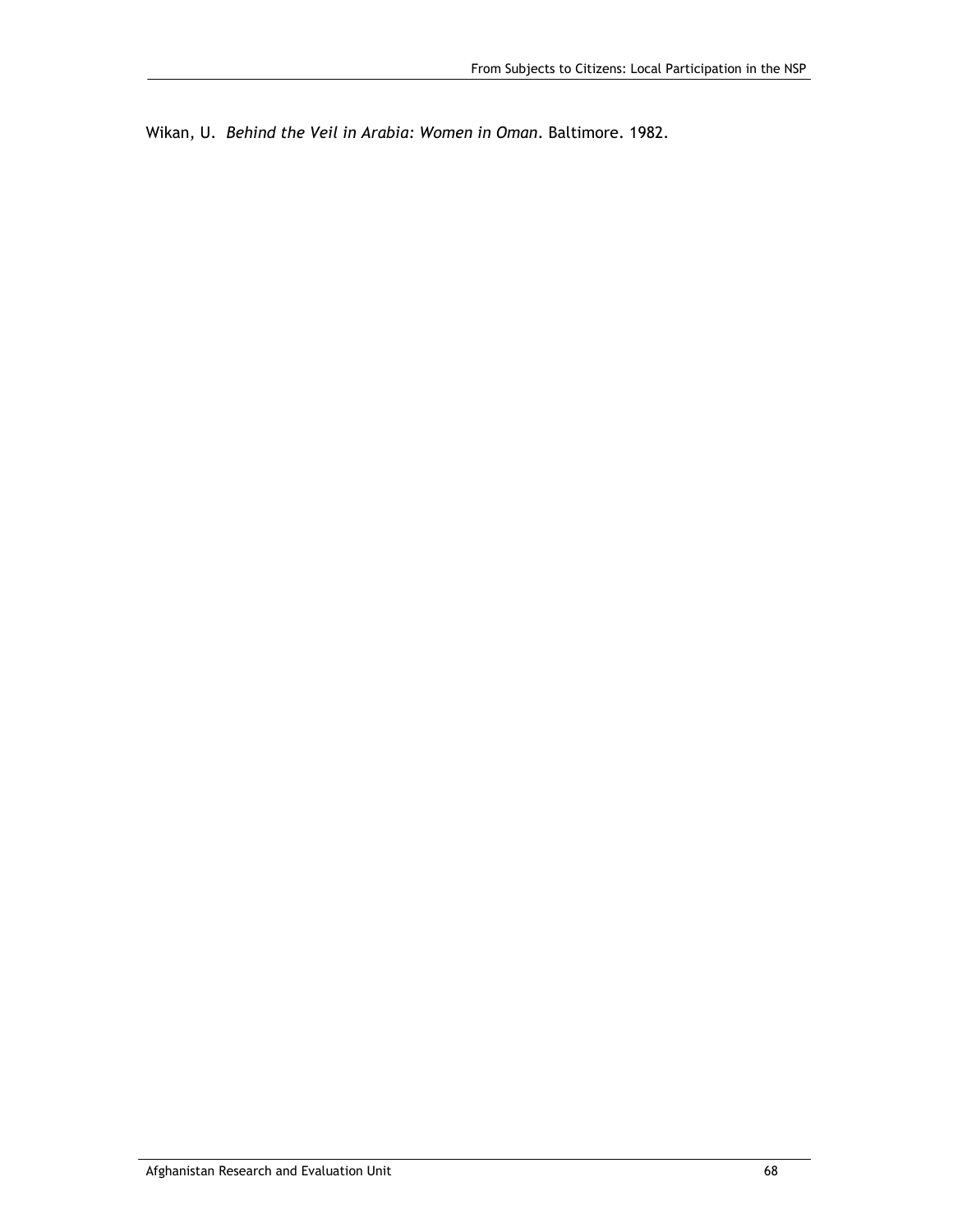Wikan, U. *Behind the Veil in Arabia: Women in Oman*. Baltimore. 1982.